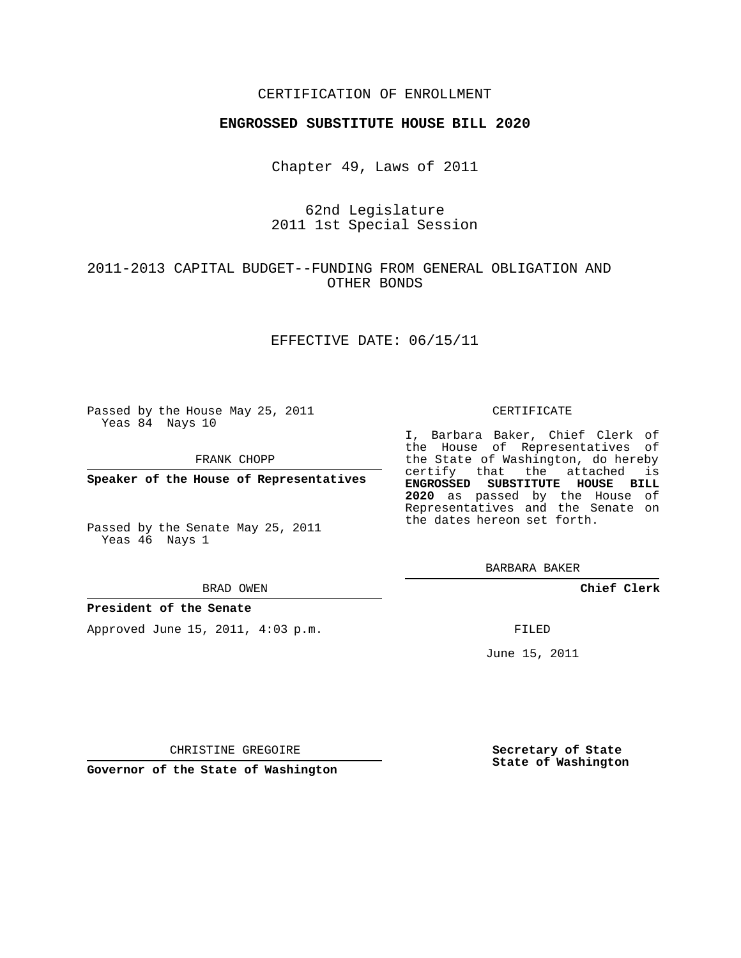#### CERTIFICATION OF ENROLLMENT

#### **ENGROSSED SUBSTITUTE HOUSE BILL 2020**

Chapter 49, Laws of 2011

62nd Legislature 2011 1st Special Session

### 2011-2013 CAPITAL BUDGET--FUNDING FROM GENERAL OBLIGATION AND OTHER BONDS

#### EFFECTIVE DATE: 06/15/11

Passed by the House May 25, 2011 Yeas 84 Nays 10

FRANK CHOPP

**Speaker of the House of Representatives**

Passed by the Senate May 25, 2011 Yeas 46 Nays 1

#### BRAD OWEN

#### **President of the Senate**

Approved June 15, 2011, 4:03 p.m.

#### CERTIFICATE

I, Barbara Baker, Chief Clerk of the House of Representatives of the State of Washington, do hereby certify that the attached is **ENGROSSED SUBSTITUTE HOUSE BILL 2020** as passed by the House of Representatives and the Senate on the dates hereon set forth.

BARBARA BAKER

**Chief Clerk**

FILED

June 15, 2011

CHRISTINE GREGOIRE

**Governor of the State of Washington**

**Secretary of State State of Washington**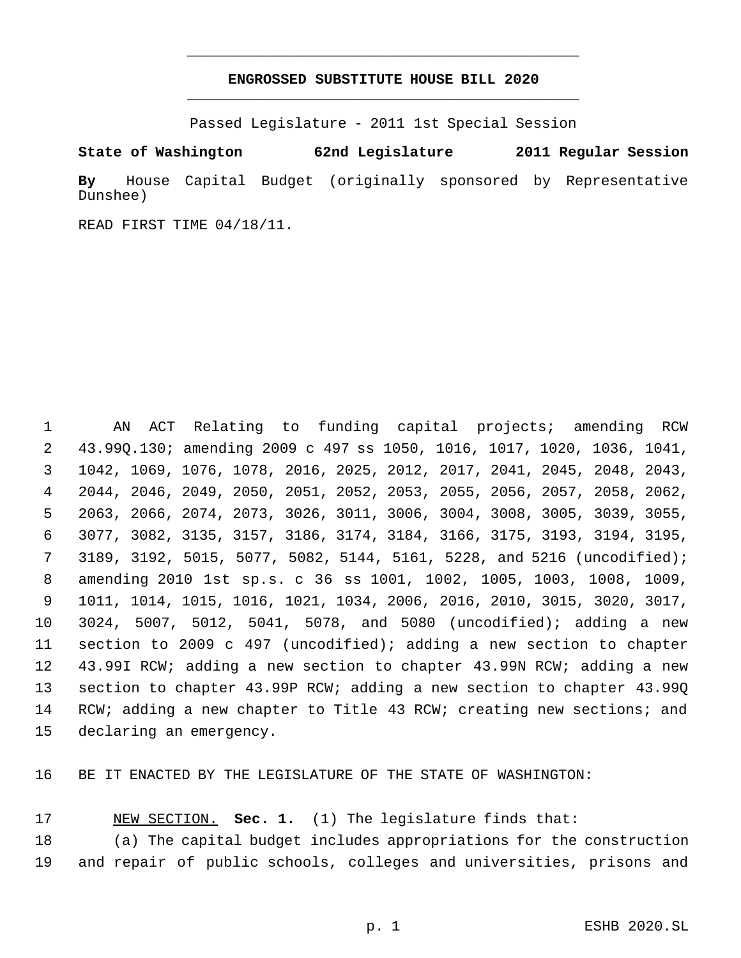## **ENGROSSED SUBSTITUTE HOUSE BILL 2020** \_\_\_\_\_\_\_\_\_\_\_\_\_\_\_\_\_\_\_\_\_\_\_\_\_\_\_\_\_\_\_\_\_\_\_\_\_\_\_\_\_\_\_\_\_

\_\_\_\_\_\_\_\_\_\_\_\_\_\_\_\_\_\_\_\_\_\_\_\_\_\_\_\_\_\_\_\_\_\_\_\_\_\_\_\_\_\_\_\_\_

Passed Legislature - 2011 1st Special Session

**State of Washington 62nd Legislature 2011 Regular Session**

**By** House Capital Budget (originally sponsored by Representative Dunshee)

READ FIRST TIME 04/18/11.

 AN ACT Relating to funding capital projects; amending RCW 43.99Q.130; amending 2009 c 497 ss 1050, 1016, 1017, 1020, 1036, 1041, 1042, 1069, 1076, 1078, 2016, 2025, 2012, 2017, 2041, 2045, 2048, 2043, 2044, 2046, 2049, 2050, 2051, 2052, 2053, 2055, 2056, 2057, 2058, 2062, 2063, 2066, 2074, 2073, 3026, 3011, 3006, 3004, 3008, 3005, 3039, 3055, 3077, 3082, 3135, 3157, 3186, 3174, 3184, 3166, 3175, 3193, 3194, 3195, 3189, 3192, 5015, 5077, 5082, 5144, 5161, 5228, and 5216 (uncodified); amending 2010 1st sp.s. c 36 ss 1001, 1002, 1005, 1003, 1008, 1009, 1011, 1014, 1015, 1016, 1021, 1034, 2006, 2016, 2010, 3015, 3020, 3017, 3024, 5007, 5012, 5041, 5078, and 5080 (uncodified); adding a new section to 2009 c 497 (uncodified); adding a new section to chapter 43.99I RCW; adding a new section to chapter 43.99N RCW; adding a new section to chapter 43.99P RCW; adding a new section to chapter 43.99Q 14 RCW; adding a new chapter to Title 43 RCW; creating new sections; and declaring an emergency.

BE IT ENACTED BY THE LEGISLATURE OF THE STATE OF WASHINGTON:

NEW SECTION. **Sec. 1.** (1) The legislature finds that:

 (a) The capital budget includes appropriations for the construction and repair of public schools, colleges and universities, prisons and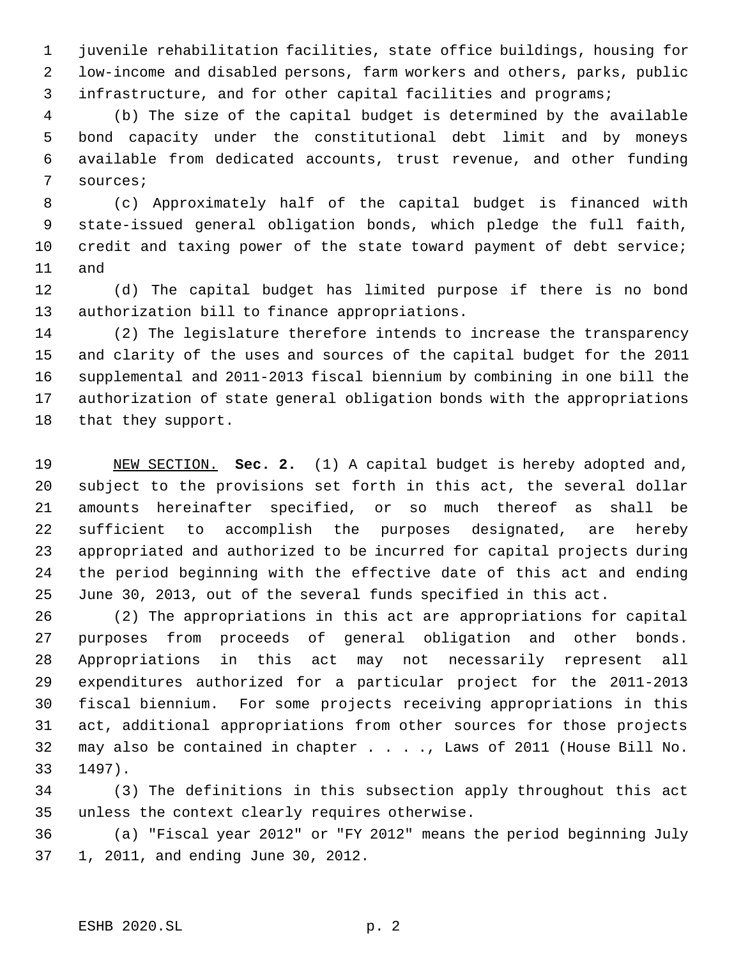juvenile rehabilitation facilities, state office buildings, housing for low-income and disabled persons, farm workers and others, parks, public infrastructure, and for other capital facilities and programs;

 (b) The size of the capital budget is determined by the available bond capacity under the constitutional debt limit and by moneys available from dedicated accounts, trust revenue, and other funding sources;

 (c) Approximately half of the capital budget is financed with state-issued general obligation bonds, which pledge the full faith, credit and taxing power of the state toward payment of debt service; and

 (d) The capital budget has limited purpose if there is no bond authorization bill to finance appropriations.

 (2) The legislature therefore intends to increase the transparency and clarity of the uses and sources of the capital budget for the 2011 supplemental and 2011-2013 fiscal biennium by combining in one bill the authorization of state general obligation bonds with the appropriations that they support.

 NEW SECTION. **Sec. 2.** (1) A capital budget is hereby adopted and, subject to the provisions set forth in this act, the several dollar amounts hereinafter specified, or so much thereof as shall be sufficient to accomplish the purposes designated, are hereby appropriated and authorized to be incurred for capital projects during the period beginning with the effective date of this act and ending June 30, 2013, out of the several funds specified in this act.

 (2) The appropriations in this act are appropriations for capital purposes from proceeds of general obligation and other bonds. Appropriations in this act may not necessarily represent all expenditures authorized for a particular project for the 2011-2013 fiscal biennium. For some projects receiving appropriations in this act, additional appropriations from other sources for those projects may also be contained in chapter . . . ., Laws of 2011 (House Bill No. 1497).

 (3) The definitions in this subsection apply throughout this act unless the context clearly requires otherwise.

 (a) "Fiscal year 2012" or "FY 2012" means the period beginning July 1, 2011, and ending June 30, 2012.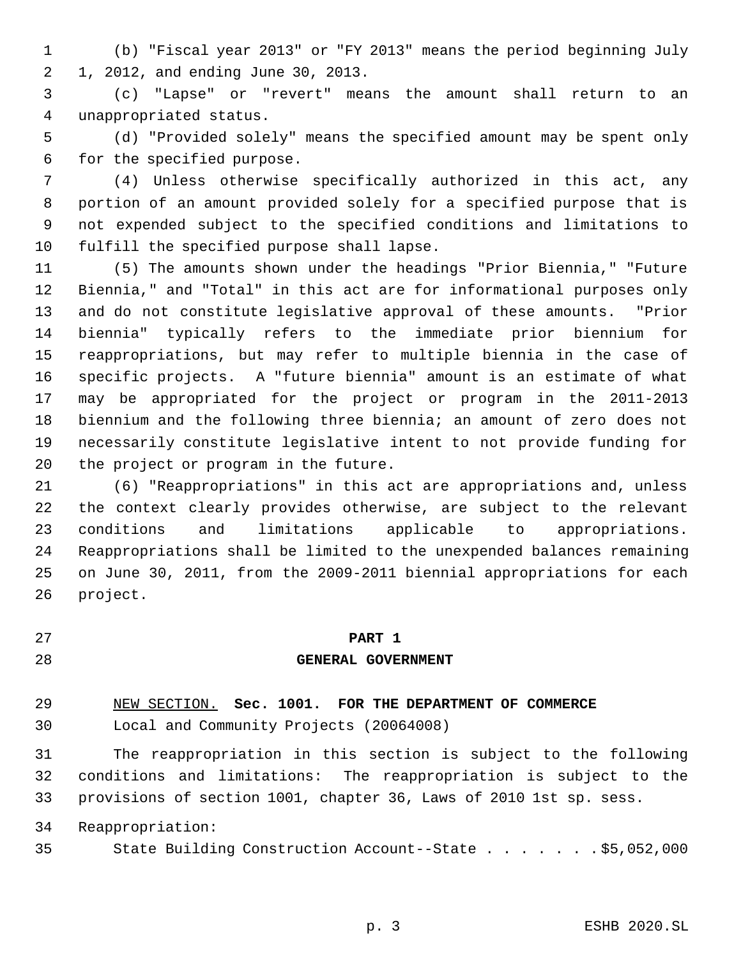(b) "Fiscal year 2013" or "FY 2013" means the period beginning July 1, 2012, and ending June 30, 2013.

 (c) "Lapse" or "revert" means the amount shall return to an unappropriated status.

 (d) "Provided solely" means the specified amount may be spent only for the specified purpose.

 (4) Unless otherwise specifically authorized in this act, any portion of an amount provided solely for a specified purpose that is not expended subject to the specified conditions and limitations to fulfill the specified purpose shall lapse.

 (5) The amounts shown under the headings "Prior Biennia," "Future Biennia," and "Total" in this act are for informational purposes only and do not constitute legislative approval of these amounts. "Prior biennia" typically refers to the immediate prior biennium for reappropriations, but may refer to multiple biennia in the case of specific projects. A "future biennia" amount is an estimate of what may be appropriated for the project or program in the 2011-2013 biennium and the following three biennia; an amount of zero does not necessarily constitute legislative intent to not provide funding for the project or program in the future.

 (6) "Reappropriations" in this act are appropriations and, unless the context clearly provides otherwise, are subject to the relevant conditions and limitations applicable to appropriations. Reappropriations shall be limited to the unexpended balances remaining on June 30, 2011, from the 2009-2011 biennial appropriations for each project.

## **PART 1**

## **GENERAL GOVERNMENT**

## NEW SECTION. **Sec. 1001. FOR THE DEPARTMENT OF COMMERCE**

Local and Community Projects (20064008)

 The reappropriation in this section is subject to the following conditions and limitations: The reappropriation is subject to the provisions of section 1001, chapter 36, Laws of 2010 1st sp. sess.

Reappropriation:

State Building Construction Account--State . . . . . . . \$5,052,000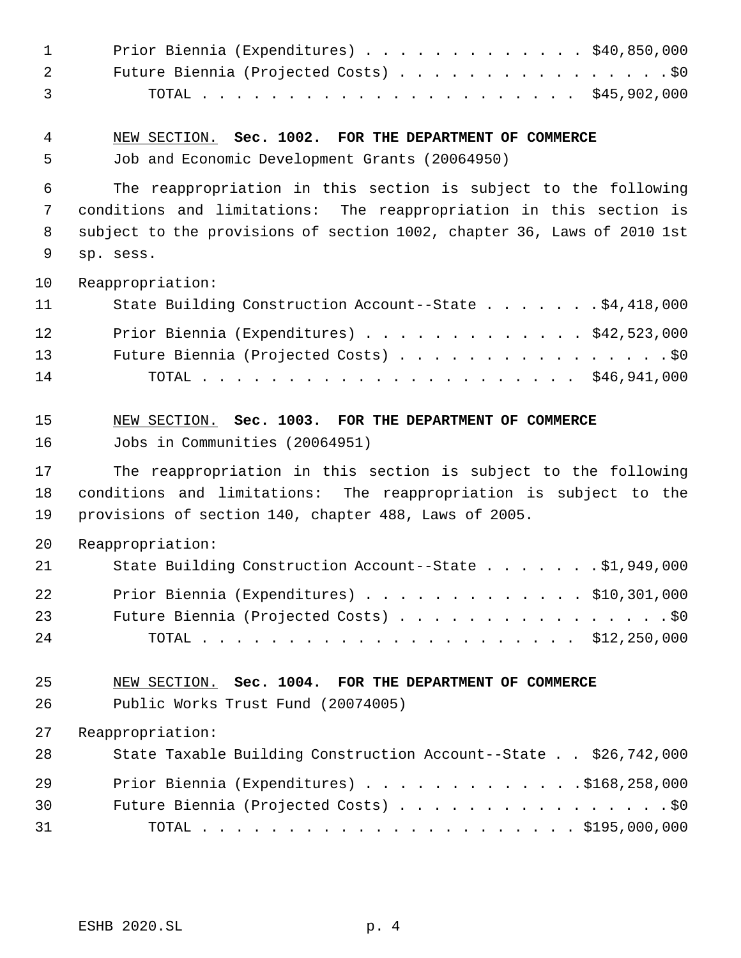| $\mathbf{1}$ | Prior Biennia (Expenditures) $\ldots$ \$40,850,000                      |
|--------------|-------------------------------------------------------------------------|
| 2            | Future Biennia (Projected Costs) \$0                                    |
| 3            |                                                                         |
| 4            | NEW SECTION. Sec. 1002. FOR THE DEPARTMENT OF COMMERCE                  |
| 5            | Job and Economic Development Grants (20064950)                          |
| 6            | The reappropriation in this section is subject to the following         |
| 7            | conditions and limitations: The reappropriation in this section is      |
| 8            | subject to the provisions of section 1002, chapter 36, Laws of 2010 1st |
| 9            | sp. sess.                                                               |
| 10           | Reappropriation:                                                        |
| 11           | State Building Construction Account--State \$4,418,000                  |
| 12           | Prior Biennia (Expenditures) $\ldots$ \$42,523,000                      |
| 13           | Future Biennia (Projected Costs) \$0                                    |
| 14           |                                                                         |
| 15           | NEW SECTION. Sec. 1003. FOR THE DEPARTMENT OF COMMERCE                  |
| 16           | Jobs in Communities (20064951)                                          |
| 17           | The reappropriation in this section is subject to the following         |
| 18           | conditions and limitations: The reappropriation is subject to the       |
| 19           | provisions of section 140, chapter 488, Laws of 2005.                   |
| 20           | Reappropriation:                                                        |
| 21           | State Building Construction Account--State \$1,949,000                  |
| 22           | Prior Biennia (Expenditures) $\ldots$ \$10,301,000                      |
| 23           | Future Biennia (Projected Costs) \$0                                    |
| 24           |                                                                         |
| 25           | NEW SECTION. Sec. 1004. FOR THE DEPARTMENT OF COMMERCE                  |
| 26           | Public Works Trust Fund (20074005)                                      |
| 27           | Reappropriation:                                                        |
| 28           | State Taxable Building Construction Account--State \$26,742,000         |
| 29           | Prior Biennia (Expenditures) \$168,258,000                              |
| 30           | Future Biennia (Projected Costs) \$0                                    |
| 31           |                                                                         |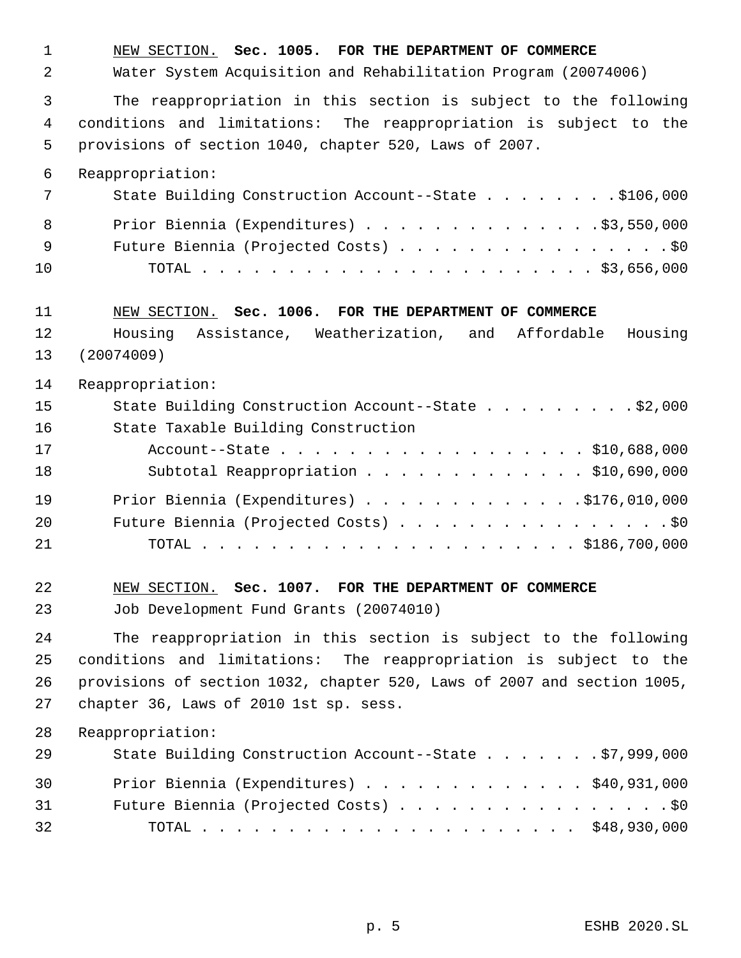NEW SECTION. **Sec. 1005. FOR THE DEPARTMENT OF COMMERCE** Water System Acquisition and Rehabilitation Program (20074006) The reappropriation in this section is subject to the following conditions and limitations: The reappropriation is subject to the provisions of section 1040, chapter 520, Laws of 2007. Reappropriation: 7 State Building Construction Account--State . . . . . . . \$106,000 8 Prior Biennia (Expenditures) . . . . . . . . . . . . . \$3,550,000 9 Future Biennia (Projected Costs) . . . . . . . . . . . . . . . . \$0 TOTAL . . . . . . . . . . . . . . . . . . . . . . . \$3,656,000 NEW SECTION. **Sec. 1006. FOR THE DEPARTMENT OF COMMERCE** Housing Assistance, Weatherization, and Affordable Housing (20074009) Reappropriation: State Building Construction Account--State . . . . . . . . . \$2,000 State Taxable Building Construction Account--State . . . . . . . . . . . . . . . . . . \$10,688,000 Subtotal Reappropriation . . . . . . . . . . . . . \$10,690,000 19 Prior Biennia (Expenditures) . . . . . . . . . . . . . \$176,010,000 20 Future Biennia (Projected Costs) . . . . . . . . . . . . . . . . \$0 TOTAL . . . . . . . . . . . . . . . . . . . . . . \$186,700,000 NEW SECTION. **Sec. 1007. FOR THE DEPARTMENT OF COMMERCE** Job Development Fund Grants (20074010) The reappropriation in this section is subject to the following conditions and limitations: The reappropriation is subject to the provisions of section 1032, chapter 520, Laws of 2007 and section 1005, chapter 36, Laws of 2010 1st sp. sess. Reappropriation: State Building Construction Account--State . . . . . . . \$7,999,000 Prior Biennia (Expenditures) . . . . . . . . . . . . . \$40,931,000 Future Biennia (Projected Costs) . . . . . . . . . . . . . . . . \$0 TOTAL . . . . . . . . . . . . . . . . . . . . . . \$48,930,000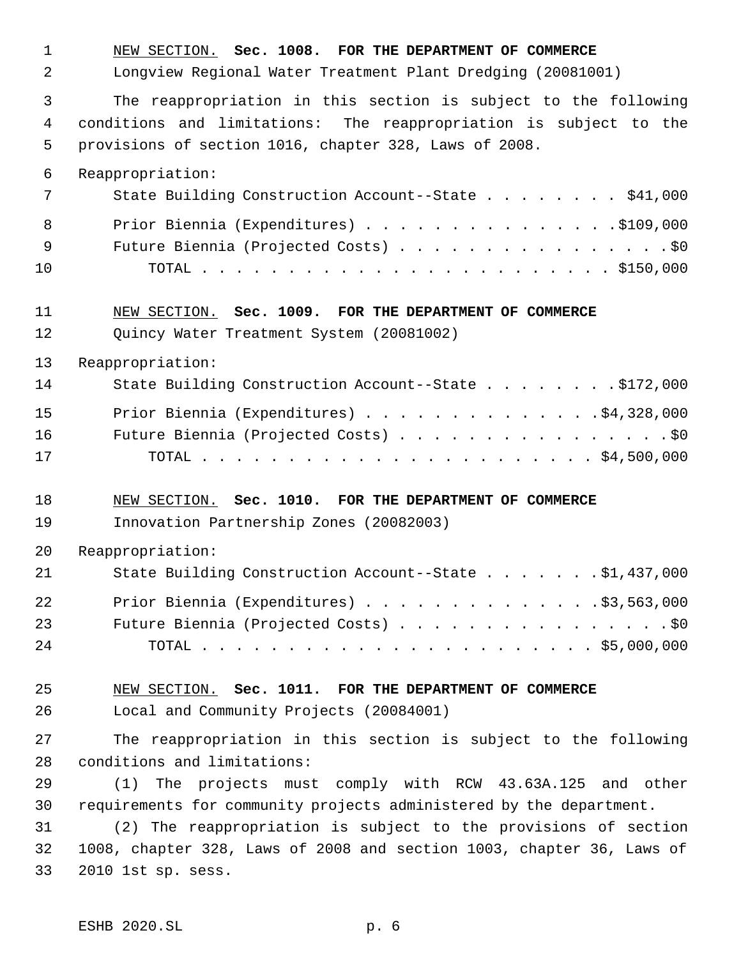NEW SECTION. **Sec. 1008. FOR THE DEPARTMENT OF COMMERCE** Longview Regional Water Treatment Plant Dredging (20081001) The reappropriation in this section is subject to the following conditions and limitations: The reappropriation is subject to the provisions of section 1016, chapter 328, Laws of 2008. Reappropriation: 7 State Building Construction Account--State . . . . . . . \$41,000 8 Prior Biennia (Expenditures) . . . . . . . . . . . . . . . \$109,000 9 Future Biennia (Projected Costs) . . . . . . . . . . . . . . . . \$0 TOTAL . . . . . . . . . . . . . . . . . . . . . . . . \$150,000 NEW SECTION. **Sec. 1009. FOR THE DEPARTMENT OF COMMERCE** Quincy Water Treatment System (20081002) Reappropriation: 14 State Building Construction Account--State . . . . . . . \$172,000 Prior Biennia (Expenditures) . . . . . . . . . . . . . .\$4,328,000 Future Biennia (Projected Costs) . . . . . . . . . . . . . . . . \$0 TOTAL . . . . . . . . . . . . . . . . . . . . . . . \$4,500,000 NEW SECTION. **Sec. 1010. FOR THE DEPARTMENT OF COMMERCE** Innovation Partnership Zones (20082003) Reappropriation: State Building Construction Account--State . . . . . . . \$1,437,000 Prior Biennia (Expenditures) . . . . . . . . . . . . . .\$3,563,000 23 Future Biennia (Projected Costs) . . . . . . . . . . . . . . . . \$0 TOTAL . . . . . . . . . . . . . . . . . . . . . . . \$5,000,000 NEW SECTION. **Sec. 1011. FOR THE DEPARTMENT OF COMMERCE** Local and Community Projects (20084001) The reappropriation in this section is subject to the following conditions and limitations: (1) The projects must comply with RCW 43.63A.125 and other requirements for community projects administered by the department. (2) The reappropriation is subject to the provisions of section 1008, chapter 328, Laws of 2008 and section 1003, chapter 36, Laws of 2010 1st sp. sess.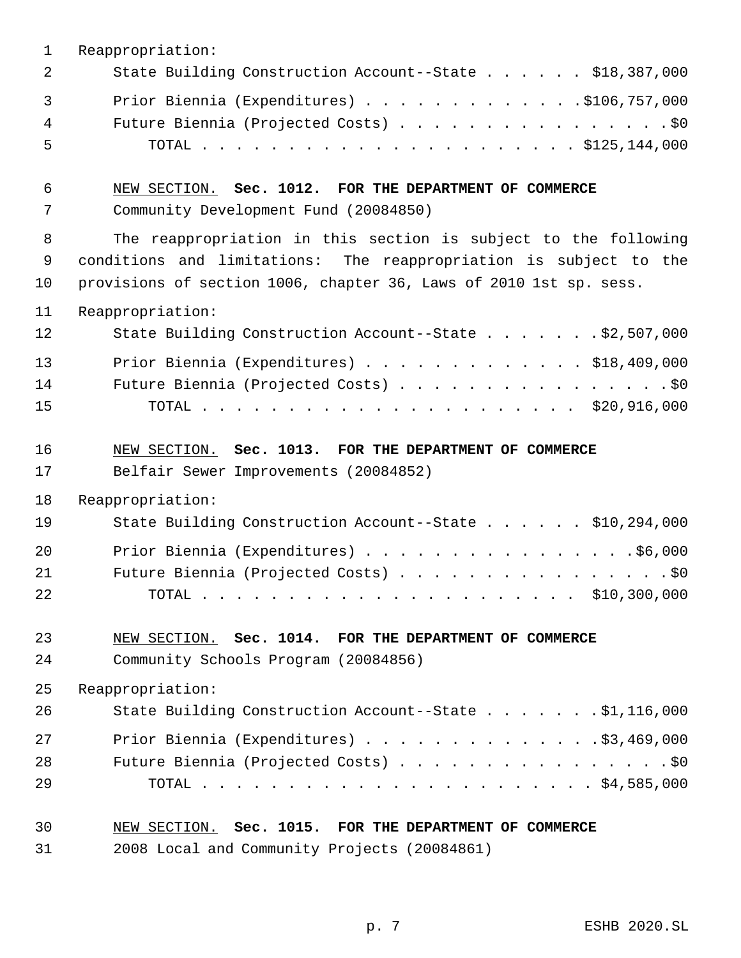| 1  | Reappropriation:                                                   |
|----|--------------------------------------------------------------------|
| 2  | State Building Construction Account--State \$18,387,000            |
| 3  | Prior Biennia (Expenditures) $\ldots$ 9106, 757, 000               |
| 4  | Future Biennia (Projected Costs) \$0                               |
| 5  |                                                                    |
| 6  | NEW SECTION. Sec. 1012. FOR THE DEPARTMENT OF COMMERCE             |
| 7  | Community Development Fund (20084850)                              |
| 8  | The reappropriation in this section is subject to the following    |
| 9  | conditions and limitations: The reappropriation is subject to the  |
| 10 | provisions of section 1006, chapter 36, Laws of 2010 1st sp. sess. |
| 11 | Reappropriation:                                                   |
| 12 | State Building Construction Account--State \$2,507,000             |
| 13 | Prior Biennia (Expenditures) $\ldots$ \$18,409,000                 |
| 14 | Future Biennia (Projected Costs) \$0                               |
| 15 |                                                                    |
| 16 | NEW SECTION. Sec. 1013. FOR THE DEPARTMENT OF COMMERCE             |
| 17 | Belfair Sewer Improvements (20084852)                              |
| 18 | Reappropriation:                                                   |
| 19 | State Building Construction Account--State \$10,294,000            |
| 20 | Prior Biennia (Expenditures) \$6,000                               |
| 21 | Future Biennia (Projected Costs) \$0                               |
| 22 |                                                                    |
| 23 | NEW SECTION. Sec. 1014. FOR THE DEPARTMENT OF COMMERCE             |
| 24 | Community Schools Program (20084856)                               |
| 25 | Reappropriation:                                                   |
| 26 | State Building Construction Account--State \$1,116,000             |
| 27 | Prior Biennia (Expenditures) $\ldots$ 93,469,000                   |
| 28 | Future Biennia (Projected Costs) \$0                               |
| 29 |                                                                    |
| 30 | NEW SECTION. Sec. 1015. FOR THE DEPARTMENT OF COMMERCE             |
| 31 | 2008 Local and Community Projects (20084861)                       |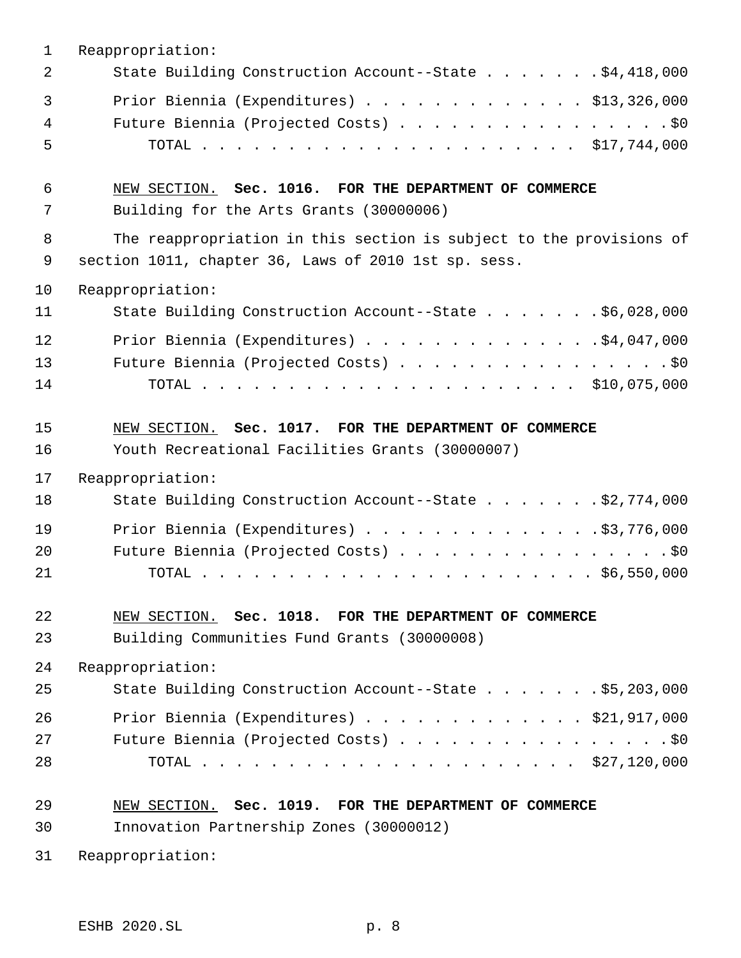| $\mathbf{1}$           | Reappropriation:                                                                                                            |
|------------------------|-----------------------------------------------------------------------------------------------------------------------------|
| 2                      | State Building Construction Account--State \$4,418,000                                                                      |
| $\mathbf{3}$<br>4<br>5 | Prior Biennia (Expenditures) \$13,326,000<br>Future Biennia (Projected Costs) \$0                                           |
| 6<br>7                 | NEW SECTION. Sec. 1016. FOR THE DEPARTMENT OF COMMERCE<br>Building for the Arts Grants (30000006)                           |
| 8<br>9                 | The reappropriation in this section is subject to the provisions of<br>section 1011, chapter 36, Laws of 2010 1st sp. sess. |
| 10                     | Reappropriation:                                                                                                            |
| 11                     | State Building Construction Account--State \$6,028,000                                                                      |
| 12<br>13<br>14         | Prior Biennia (Expenditures) \$4,047,000<br>Future Biennia (Projected Costs) \$0                                            |
| 15<br>16               | NEW SECTION. Sec. 1017. FOR THE DEPARTMENT OF COMMERCE<br>Youth Recreational Facilities Grants (30000007)                   |
| 17                     | Reappropriation:                                                                                                            |
| 18                     | State Building Construction Account--State \$2,774,000                                                                      |
| 19                     | Prior Biennia (Expenditures) \$3,776,000                                                                                    |
| 20                     | Future Biennia (Projected Costs) \$0                                                                                        |
| 21                     |                                                                                                                             |
| 22<br>23               | NEW SECTION. Sec. 1018. FOR THE DEPARTMENT OF COMMERCE<br>Building Communities Fund Grants (30000008)                       |
| 24                     | Reappropriation:                                                                                                            |
| 25                     | State Building Construction Account--State \$5,203,000                                                                      |
| 26                     | Prior Biennia (Expenditures) $\ldots$ \$21,917,000                                                                          |
| 27                     | Future Biennia (Projected Costs) \$0                                                                                        |
| 28                     |                                                                                                                             |
| 29                     | NEW SECTION. Sec. 1019. FOR THE DEPARTMENT OF COMMERCE                                                                      |
| 30                     | Innovation Partnership Zones (30000012)                                                                                     |
| 31                     | Reappropriation:                                                                                                            |

ESHB 2020.SL p. 8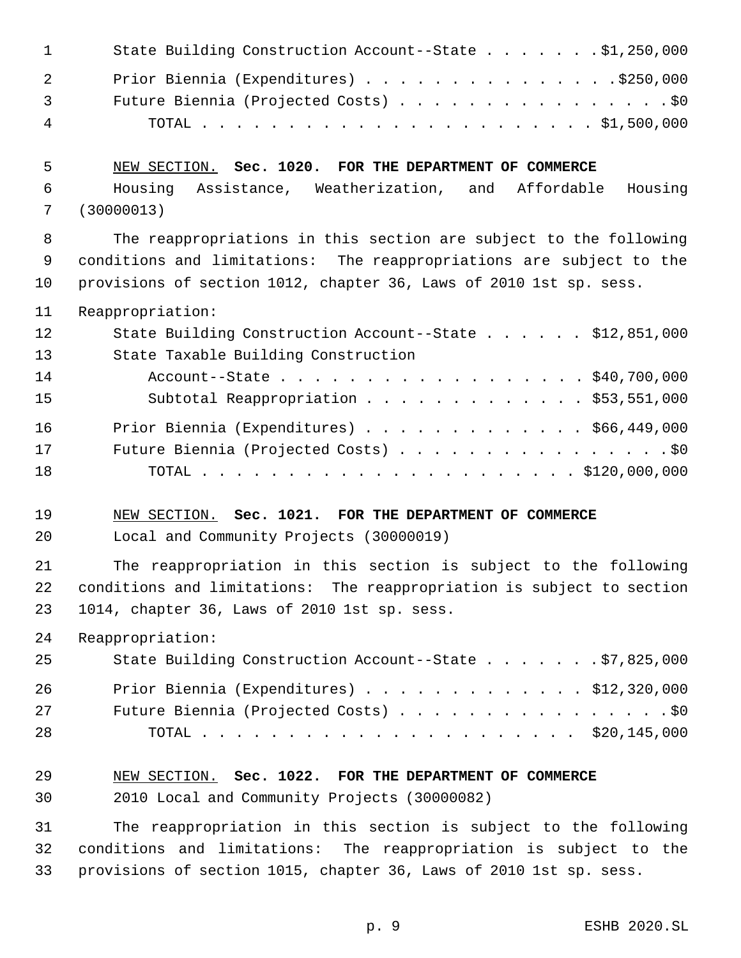| $\sim$ 1       | State Building Construction Account--State \$1,250,000 |
|----------------|--------------------------------------------------------|
| 2              | Prior Biennia (Expenditures) \$250,000                 |
| $\overline{3}$ | Future Biennia (Projected Costs) \$0                   |
| $\overline{4}$ |                                                        |

# NEW SECTION. **Sec. 1020. FOR THE DEPARTMENT OF COMMERCE**

 Housing Assistance, Weatherization, and Affordable Housing (30000013)

 The reappropriations in this section are subject to the following conditions and limitations: The reappropriations are subject to the provisions of section 1012, chapter 36, Laws of 2010 1st sp. sess.

Reappropriation:

| 12 | State Building Construction Account--State \$12,851,000 |
|----|---------------------------------------------------------|
| 13 | State Taxable Building Construction                     |
| 14 | Account--State \$40,700,000                             |
| 15 | Subtotal Reappropriation \$53,551,000                   |
| 16 | Prior Biennia (Expenditures) \$66,449,000               |
| 17 | Future Biennia (Projected Costs) \$0                    |
| 18 |                                                         |

## NEW SECTION. **Sec. 1021. FOR THE DEPARTMENT OF COMMERCE**

Local and Community Projects (30000019)

 The reappropriation in this section is subject to the following conditions and limitations: The reappropriation is subject to section 1014, chapter 36, Laws of 2010 1st sp. sess.

Reappropriation:

| 25 | State Building Construction Account--State \$7,825,000 |  |
|----|--------------------------------------------------------|--|
| 26 | Prior Biennia (Expenditures) $\ldots$ \$12,320,000     |  |
| 27 | Future Biennia (Projected Costs) \$0                   |  |
| 28 |                                                        |  |

## NEW SECTION. **Sec. 1022. FOR THE DEPARTMENT OF COMMERCE**

2010 Local and Community Projects (30000082)

 The reappropriation in this section is subject to the following conditions and limitations: The reappropriation is subject to the provisions of section 1015, chapter 36, Laws of 2010 1st sp. sess.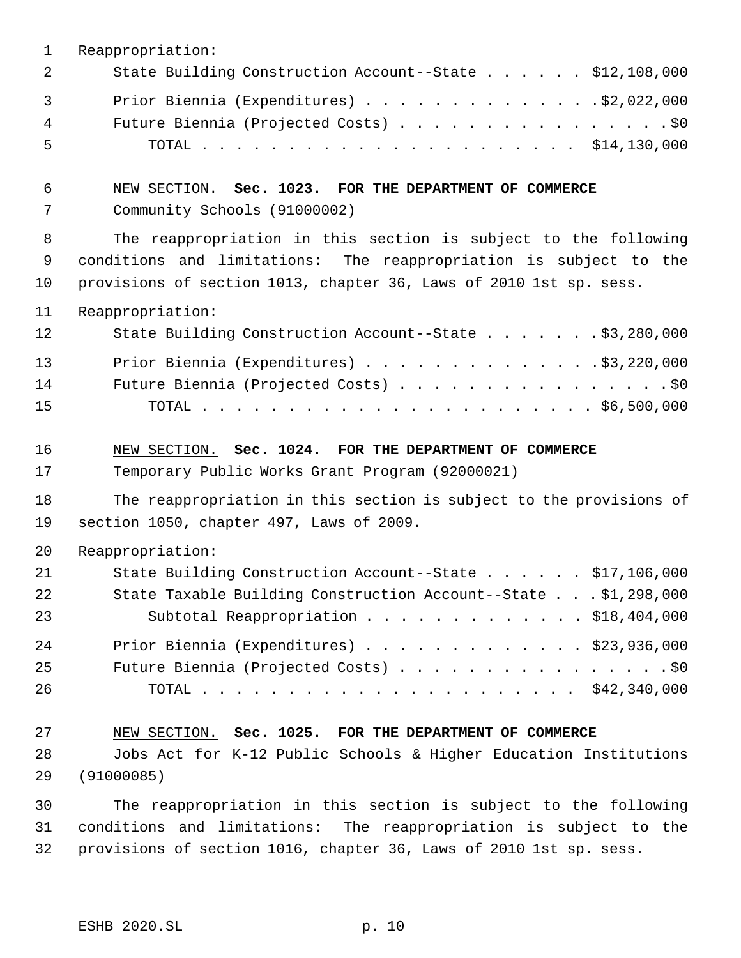| 1                      | Reappropriation:                                                                                                                                                                                           |
|------------------------|------------------------------------------------------------------------------------------------------------------------------------------------------------------------------------------------------------|
| 2                      | State Building Construction Account--State \$12,108,000                                                                                                                                                    |
| $\mathbf{3}$<br>4<br>5 | Prior Biennia (Expenditures) \$2,022,000<br>Future Biennia (Projected Costs) \$0                                                                                                                           |
| 6<br>7                 | NEW SECTION. Sec. 1023. FOR THE DEPARTMENT OF COMMERCE<br>Community Schools (91000002)                                                                                                                     |
| 8<br>9<br>10           | The reappropriation in this section is subject to the following<br>conditions and limitations: The reappropriation is subject to the<br>provisions of section 1013, chapter 36, Laws of 2010 1st sp. sess. |
| 11                     | Reappropriation:                                                                                                                                                                                           |
| 12                     | State Building Construction Account--State \$3,280,000                                                                                                                                                     |
| 13                     | Prior Biennia (Expenditures) \$3,220,000                                                                                                                                                                   |
| 14<br>15               | Future Biennia (Projected Costs) \$0                                                                                                                                                                       |
|                        |                                                                                                                                                                                                            |
| 16<br>17               | NEW SECTION. Sec. 1024. FOR THE DEPARTMENT OF COMMERCE<br>Temporary Public Works Grant Program (92000021)                                                                                                  |
| 18<br>19               | The reappropriation in this section is subject to the provisions of<br>section 1050, chapter 497, Laws of 2009.                                                                                            |
| 20                     | Reappropriation:                                                                                                                                                                                           |
| 21<br>22<br>23         | State Building Construction Account--State \$17,106,000<br>State Taxable Building Construction Account--State \$1,298,000<br>Subtotal Reappropriation \$18,404,000                                         |
| 24<br>25<br>26         | Prior Biennia (Expenditures) \$23,936,000<br>Future Biennia (Projected Costs) \$0                                                                                                                          |
| 27                     | NEW SECTION. Sec. 1025. FOR THE DEPARTMENT OF COMMERCE                                                                                                                                                     |
| 28                     | Jobs Act for K-12 Public Schools & Higher Education Institutions                                                                                                                                           |
| 29                     | (91000085)                                                                                                                                                                                                 |
| 30                     | The reappropriation in this section is subject to the following                                                                                                                                            |
| 31<br>32               | conditions and limitations: The reappropriation is subject to the<br>provisions of section 1016, chapter 36, Laws of 2010 1st sp. sess.                                                                    |
|                        |                                                                                                                                                                                                            |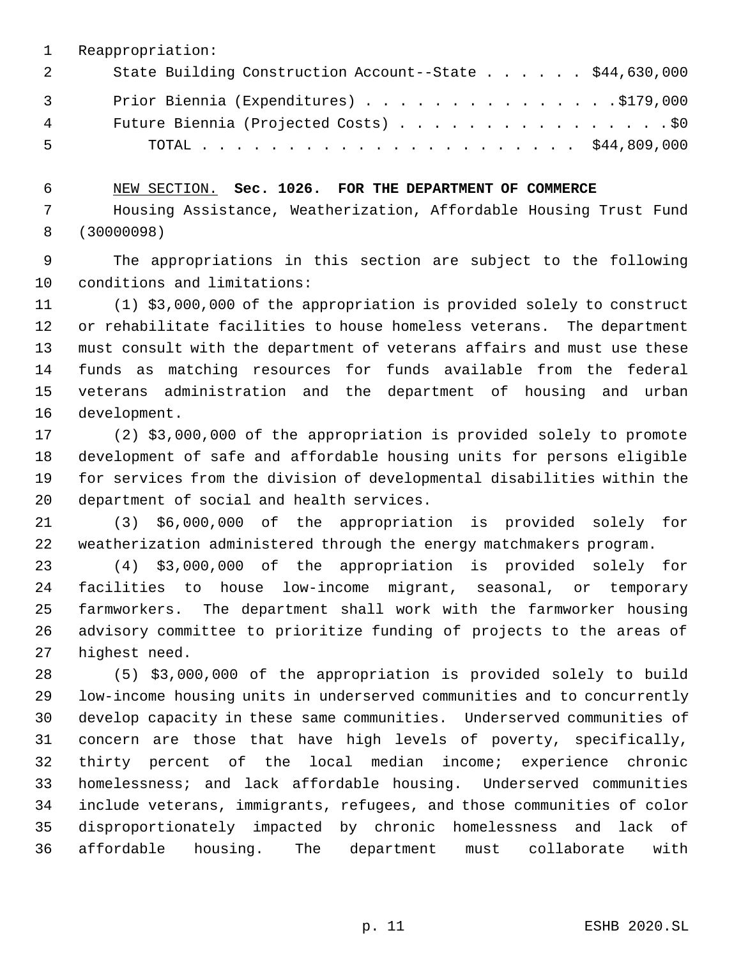Reappropriation: 2 State Building Construction Account--State . . . . . \$44,630,000 3 Prior Biennia (Expenditures) . . . . . . . . . . . . . . . \$179,000 Future Biennia (Projected Costs) . . . . . . . . . . . . . . . . \$0 TOTAL . . . . . . . . . . . . . . . . . . . . . . \$44,809,000

 NEW SECTION. **Sec. 1026. FOR THE DEPARTMENT OF COMMERCE** Housing Assistance, Weatherization, Affordable Housing Trust Fund (30000098)

 The appropriations in this section are subject to the following conditions and limitations:

 (1) \$3,000,000 of the appropriation is provided solely to construct or rehabilitate facilities to house homeless veterans. The department must consult with the department of veterans affairs and must use these funds as matching resources for funds available from the federal veterans administration and the department of housing and urban development.

 (2) \$3,000,000 of the appropriation is provided solely to promote development of safe and affordable housing units for persons eligible for services from the division of developmental disabilities within the department of social and health services.

 (3) \$6,000,000 of the appropriation is provided solely for weatherization administered through the energy matchmakers program.

 (4) \$3,000,000 of the appropriation is provided solely for facilities to house low-income migrant, seasonal, or temporary farmworkers. The department shall work with the farmworker housing advisory committee to prioritize funding of projects to the areas of highest need.

 (5) \$3,000,000 of the appropriation is provided solely to build low-income housing units in underserved communities and to concurrently develop capacity in these same communities. Underserved communities of concern are those that have high levels of poverty, specifically, thirty percent of the local median income; experience chronic homelessness; and lack affordable housing. Underserved communities include veterans, immigrants, refugees, and those communities of color disproportionately impacted by chronic homelessness and lack of affordable housing. The department must collaborate with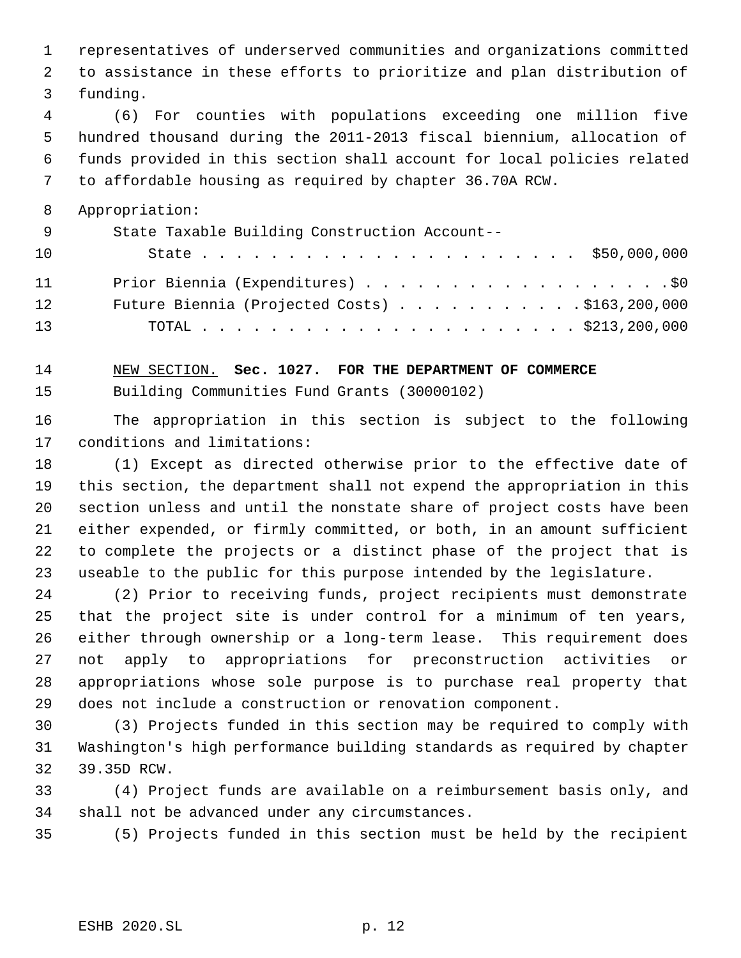representatives of underserved communities and organizations committed to assistance in these efforts to prioritize and plan distribution of funding.

 (6) For counties with populations exceeding one million five hundred thousand during the 2011-2013 fiscal biennium, allocation of funds provided in this section shall account for local policies related to affordable housing as required by chapter 36.70A RCW.

Appropriation:

| - 9 | State Taxable Building Construction Account--  |
|-----|------------------------------------------------|
| 10  |                                                |
| 11  | Prior Biennia (Expenditures) \$0               |
| 12  | Future Biennia (Projected Costs) \$163,200,000 |
| 13  |                                                |

 NEW SECTION. **Sec. 1027. FOR THE DEPARTMENT OF COMMERCE** Building Communities Fund Grants (30000102)

 The appropriation in this section is subject to the following conditions and limitations:

 (1) Except as directed otherwise prior to the effective date of this section, the department shall not expend the appropriation in this section unless and until the nonstate share of project costs have been either expended, or firmly committed, or both, in an amount sufficient to complete the projects or a distinct phase of the project that is useable to the public for this purpose intended by the legislature.

 (2) Prior to receiving funds, project recipients must demonstrate that the project site is under control for a minimum of ten years, either through ownership or a long-term lease. This requirement does not apply to appropriations for preconstruction activities or appropriations whose sole purpose is to purchase real property that does not include a construction or renovation component.

 (3) Projects funded in this section may be required to comply with Washington's high performance building standards as required by chapter 39.35D RCW.

 (4) Project funds are available on a reimbursement basis only, and shall not be advanced under any circumstances.

(5) Projects funded in this section must be held by the recipient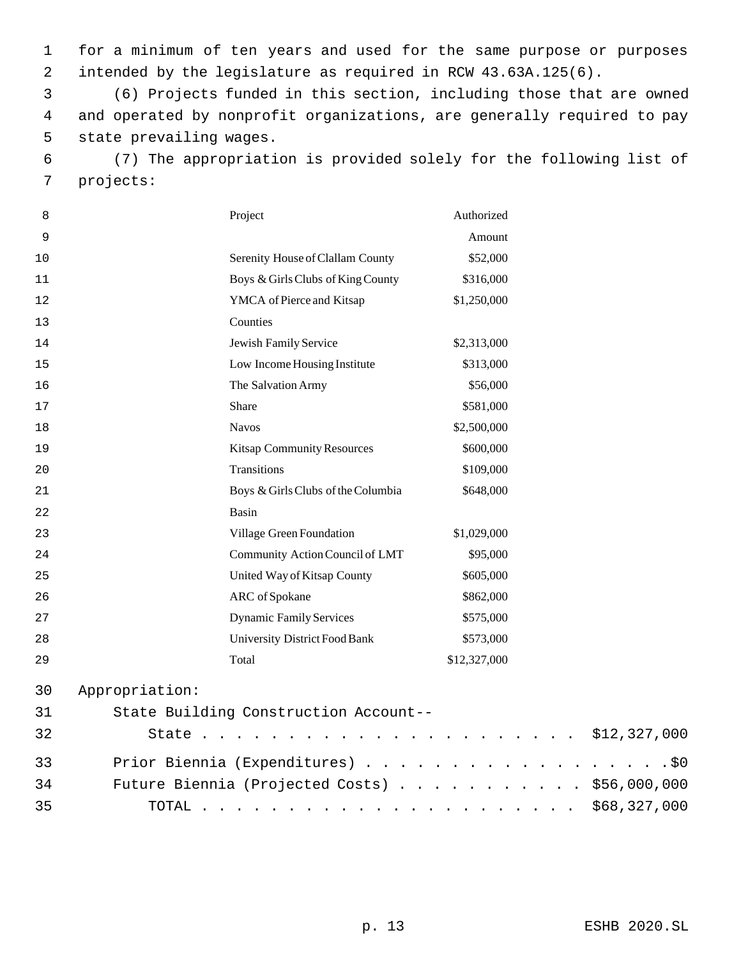for a minimum of ten years and used for the same purpose or purposes intended by the legislature as required in RCW 43.63A.125(6).

 (6) Projects funded in this section, including those that are owned and operated by nonprofit organizations, are generally required to pay state prevailing wages.

 (7) The appropriation is provided solely for the following list of projects:

| 8  |                               | Project                               | Authorized   |              |
|----|-------------------------------|---------------------------------------|--------------|--------------|
| 9  |                               |                                       | Amount       |              |
| 10 |                               | Serenity House of Clallam County      | \$52,000     |              |
| 11 |                               | Boys & Girls Clubs of King County     | \$316,000    |              |
| 12 |                               | YMCA of Pierce and Kitsap             | \$1,250,000  |              |
| 13 |                               | Counties                              |              |              |
| 14 |                               | Jewish Family Service                 | \$2,313,000  |              |
| 15 |                               | Low Income Housing Institute          | \$313,000    |              |
| 16 |                               | The Salvation Army                    | \$56,000     |              |
| 17 |                               | Share                                 | \$581,000    |              |
| 18 |                               | <b>Navos</b>                          | \$2,500,000  |              |
| 19 |                               | <b>Kitsap Community Resources</b>     | \$600,000    |              |
| 20 |                               | Transitions                           | \$109,000    |              |
| 21 |                               | Boys & Girls Clubs of the Columbia    | \$648,000    |              |
| 22 |                               | Basin                                 |              |              |
| 23 |                               | Village Green Foundation              | \$1,029,000  |              |
| 24 |                               | Community Action Council of LMT       | \$95,000     |              |
| 25 |                               | United Way of Kitsap County           | \$605,000    |              |
| 26 |                               | ARC of Spokane                        | \$862,000    |              |
| 27 |                               | <b>Dynamic Family Services</b>        | \$575,000    |              |
| 28 |                               | University District Food Bank         | \$573,000    |              |
| 29 |                               | Total                                 | \$12,327,000 |              |
| 30 | Appropriation:                |                                       |              |              |
| 31 |                               | State Building Construction Account-- |              |              |
| 32 | State<br>$\ddot{\phantom{a}}$ |                                       |              | \$12,327,000 |
| 33 |                               | Prior Biennia (Expenditures)          |              | .\$0         |

 Future Biennia (Projected Costs) . . . . . . . . . . . \$56,000,000 TOTAL . . . . . . . . . . . . . . . . . . . . . . \$68,327,000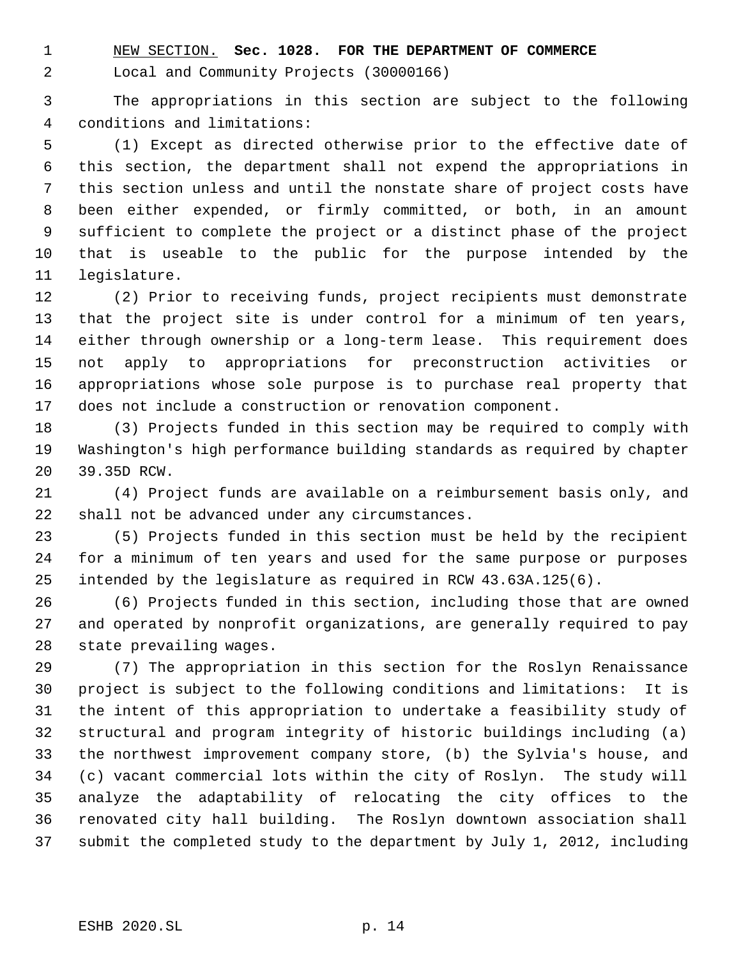NEW SECTION. **Sec. 1028. FOR THE DEPARTMENT OF COMMERCE**

Local and Community Projects (30000166)

 The appropriations in this section are subject to the following conditions and limitations:

 (1) Except as directed otherwise prior to the effective date of this section, the department shall not expend the appropriations in this section unless and until the nonstate share of project costs have been either expended, or firmly committed, or both, in an amount sufficient to complete the project or a distinct phase of the project that is useable to the public for the purpose intended by the legislature.

 (2) Prior to receiving funds, project recipients must demonstrate that the project site is under control for a minimum of ten years, either through ownership or a long-term lease. This requirement does not apply to appropriations for preconstruction activities or appropriations whose sole purpose is to purchase real property that does not include a construction or renovation component.

 (3) Projects funded in this section may be required to comply with Washington's high performance building standards as required by chapter 39.35D RCW.

 (4) Project funds are available on a reimbursement basis only, and shall not be advanced under any circumstances.

 (5) Projects funded in this section must be held by the recipient for a minimum of ten years and used for the same purpose or purposes intended by the legislature as required in RCW 43.63A.125(6).

 (6) Projects funded in this section, including those that are owned and operated by nonprofit organizations, are generally required to pay state prevailing wages.

 (7) The appropriation in this section for the Roslyn Renaissance project is subject to the following conditions and limitations: It is the intent of this appropriation to undertake a feasibility study of structural and program integrity of historic buildings including (a) the northwest improvement company store, (b) the Sylvia's house, and (c) vacant commercial lots within the city of Roslyn. The study will analyze the adaptability of relocating the city offices to the renovated city hall building. The Roslyn downtown association shall submit the completed study to the department by July 1, 2012, including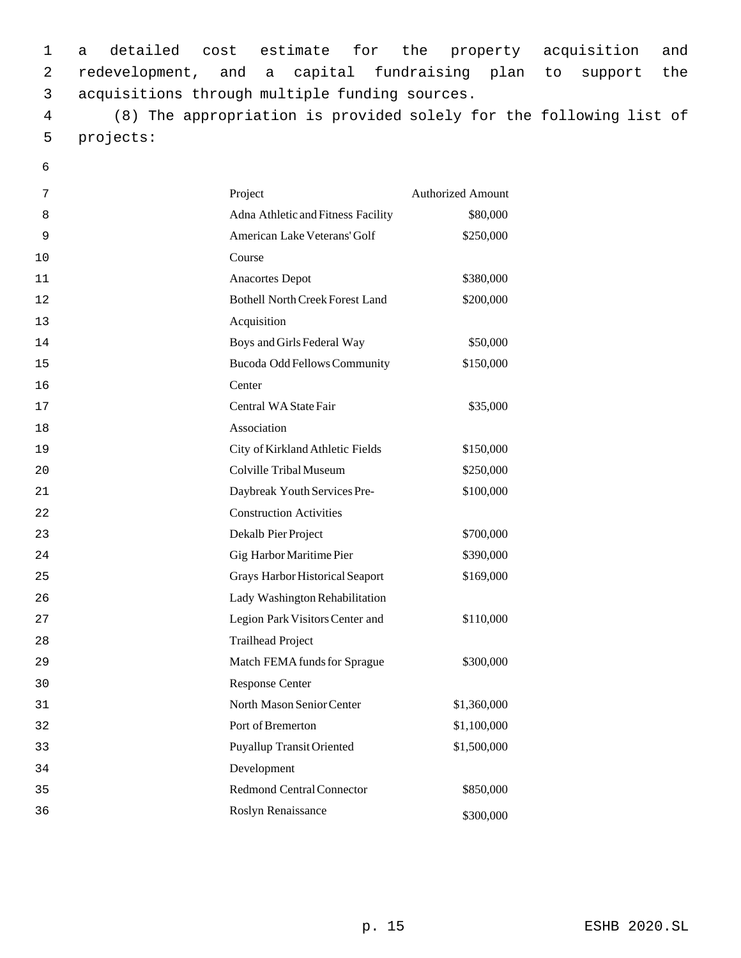1 a detailed cost estimate for the property acquisition and 2 redevelopment, and a capital fundraising plan to support the 3 acquisitions through multiple funding sources.

 4 (8) The appropriation is provided solely for the following list of 5 projects:

6

| 7  | Project                                | <b>Authorized Amount</b> |
|----|----------------------------------------|--------------------------|
| 8  | Adna Athletic and Fitness Facility     | \$80,000                 |
| 9  | American Lake Veterans' Golf           | \$250,000                |
| 10 | Course                                 |                          |
| 11 | <b>Anacortes Depot</b>                 | \$380,000                |
| 12 | <b>Bothell North Creek Forest Land</b> | \$200,000                |
| 13 | Acquisition                            |                          |
| 14 | Boys and Girls Federal Way             | \$50,000                 |
| 15 | Bucoda Odd Fellows Community           | \$150,000                |
| 16 | Center                                 |                          |
| 17 | Central WA State Fair                  | \$35,000                 |
| 18 | Association                            |                          |
| 19 | City of Kirkland Athletic Fields       | \$150,000                |
| 20 | Colville Tribal Museum                 | \$250,000                |
| 21 | Daybreak Youth Services Pre-           | \$100,000                |
| 22 | <b>Construction Activities</b>         |                          |
| 23 | Dekalb Pier Project                    | \$700,000                |
| 24 | Gig Harbor Maritime Pier               | \$390,000                |
| 25 | Grays Harbor Historical Seaport        | \$169,000                |
| 26 | Lady Washington Rehabilitation         |                          |
| 27 | Legion Park Visitors Center and        | \$110,000                |
| 28 | <b>Trailhead Project</b>               |                          |
| 29 | Match FEMA funds for Sprague           | \$300,000                |
| 30 | <b>Response Center</b>                 |                          |
| 31 | North Mason Senior Center              | \$1,360,000              |
| 32 | Port of Bremerton                      | \$1,100,000              |
| 33 | <b>Puyallup Transit Oriented</b>       | \$1,500,000              |
| 34 | Development                            |                          |
| 35 | <b>Redmond Central Connector</b>       | \$850,000                |
| 36 | Roslyn Renaissance                     | \$300,000                |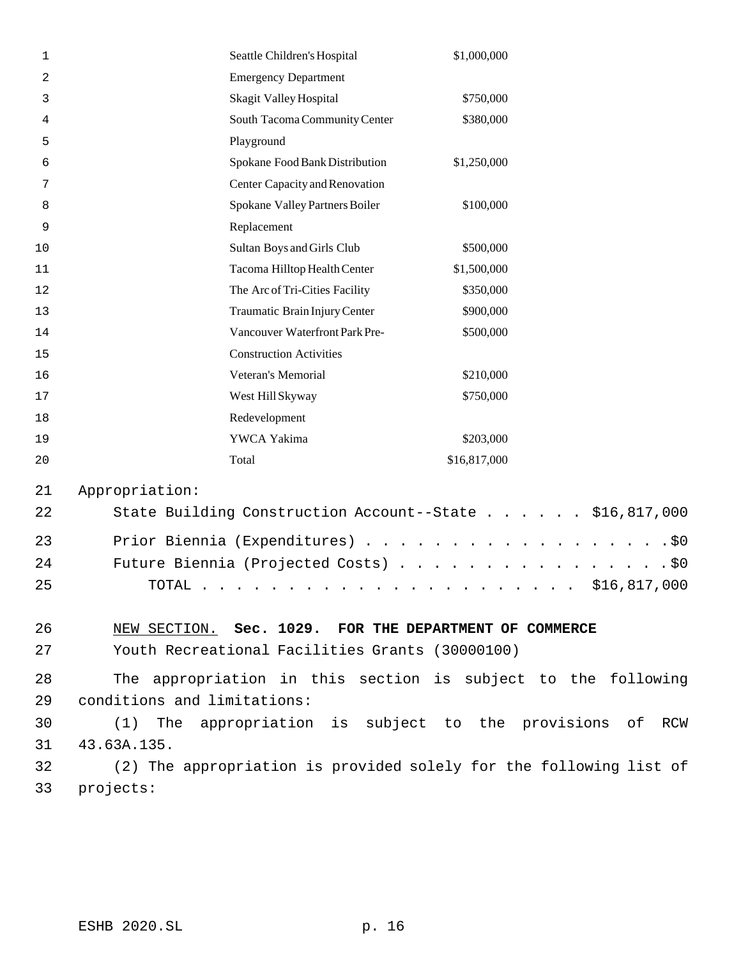| 1  |                                                                                                                                          | Seattle Children's Hospital                                        | \$1,000,000  |     |
|----|------------------------------------------------------------------------------------------------------------------------------------------|--------------------------------------------------------------------|--------------|-----|
| 2  |                                                                                                                                          | <b>Emergency Department</b>                                        |              |     |
| 3  |                                                                                                                                          | Skagit Valley Hospital                                             | \$750,000    |     |
| 4  |                                                                                                                                          | South Tacoma Community Center                                      | \$380,000    |     |
| 5  |                                                                                                                                          | Playground                                                         |              |     |
| 6  |                                                                                                                                          | Spokane Food Bank Distribution                                     | \$1,250,000  |     |
| 7  |                                                                                                                                          | Center Capacity and Renovation                                     |              |     |
| 8  |                                                                                                                                          | Spokane Valley Partners Boiler                                     | \$100,000    |     |
| 9  |                                                                                                                                          | Replacement                                                        |              |     |
| 10 |                                                                                                                                          | Sultan Boys and Girls Club                                         | \$500,000    |     |
| 11 |                                                                                                                                          | Tacoma Hilltop Health Center                                       | \$1,500,000  |     |
| 12 |                                                                                                                                          | The Arc of Tri-Cities Facility                                     | \$350,000    |     |
| 13 |                                                                                                                                          | Traumatic Brain Injury Center                                      | \$900,000    |     |
| 14 |                                                                                                                                          | Vancouver Waterfront Park Pre-                                     | \$500,000    |     |
| 15 |                                                                                                                                          | <b>Construction Activities</b>                                     |              |     |
| 16 |                                                                                                                                          | Veteran's Memorial                                                 | \$210,000    |     |
| 17 |                                                                                                                                          | West Hill Skyway                                                   | \$750,000    |     |
| 18 |                                                                                                                                          | Redevelopment                                                      |              |     |
| 19 |                                                                                                                                          | YWCA Yakima                                                        | \$203,000    |     |
| 20 | Total                                                                                                                                    |                                                                    | \$16,817,000 |     |
| 21 | Appropriation:                                                                                                                           |                                                                    |              |     |
| 22 |                                                                                                                                          | State Building Construction Account--State \$16,817,000            |              |     |
| 23 |                                                                                                                                          |                                                                    |              | .50 |
| 24 | Prior Biennia (Expenditures)<br>Future Biennia (Projected Costs)<br>$.$ \$0                                                              |                                                                    |              |     |
| 25 | \$16,817,000<br>TOTAL<br>the contract of the contract of the contract of the contract of the contract of the contract of the contract of |                                                                    |              |     |
|    |                                                                                                                                          |                                                                    |              |     |
| 26 |                                                                                                                                          | NEW SECTION. Sec. 1029. FOR THE DEPARTMENT OF COMMERCE             |              |     |
| 27 |                                                                                                                                          | Youth Recreational Facilities Grants (30000100)                    |              |     |
| 28 |                                                                                                                                          | The appropriation in this section is subject to the following      |              |     |
| 29 | conditions and limitations:                                                                                                              |                                                                    |              |     |
| 30 | (1)                                                                                                                                      |                                                                    |              |     |
| 31 | 43.63A.135.                                                                                                                              | The appropriation is subject to the provisions of RCW              |              |     |
| 32 |                                                                                                                                          | (2) The appropriation is provided solely for the following list of |              |     |
|    |                                                                                                                                          |                                                                    |              |     |
| 33 | projects:                                                                                                                                |                                                                    |              |     |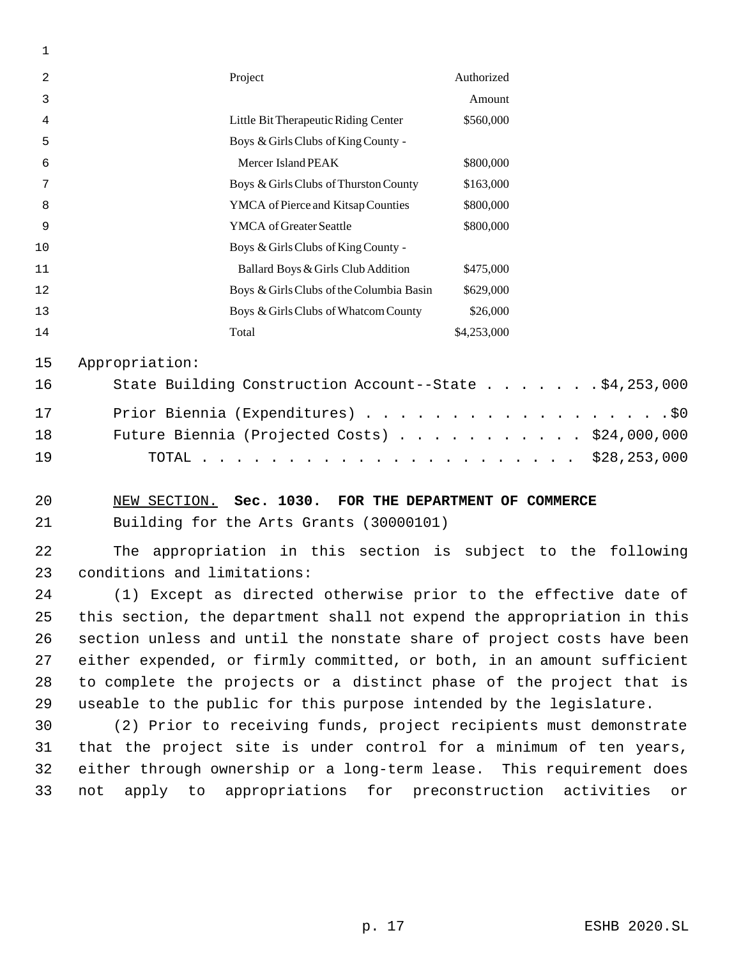| 2  | Project                                  | Authorized  |  |
|----|------------------------------------------|-------------|--|
| 3  |                                          | Amount      |  |
| 4  | Little Bit Therapeutic Riding Center     | \$560,000   |  |
| 5  | Boys & Girls Clubs of King County -      |             |  |
| 6  | Mercer Island PEAK                       | \$800,000   |  |
| 7  | Boys & Girls Clubs of Thurston County    | \$163,000   |  |
| 8  | YMCA of Pierce and Kitsap Counties       | \$800,000   |  |
| 9  | <b>YMCA</b> of Greater Seattle           | \$800,000   |  |
| 10 | Boys & Girls Clubs of King County -      |             |  |
| 11 | Ballard Boys & Girls Club Addition       | \$475,000   |  |
| 12 | Boys & Girls Clubs of the Columbia Basin | \$629,000   |  |
| 13 | Boys & Girls Clubs of Whatcom County     | \$26,000    |  |
| 14 | Total                                    | \$4,253,000 |  |
|    |                                          |             |  |

Appropriation:

| 16 | State Building Construction Account--State \$4,253,000 |  |
|----|--------------------------------------------------------|--|
| 17 | Prior Biennia (Expenditures) \$0                       |  |
| 18 | Future Biennia (Projected Costs) $\ldots$ \$24,000,000 |  |
| 19 |                                                        |  |

 NEW SECTION. **Sec. 1030. FOR THE DEPARTMENT OF COMMERCE** Building for the Arts Grants (30000101)

 The appropriation in this section is subject to the following conditions and limitations:

 (1) Except as directed otherwise prior to the effective date of this section, the department shall not expend the appropriation in this section unless and until the nonstate share of project costs have been either expended, or firmly committed, or both, in an amount sufficient to complete the projects or a distinct phase of the project that is useable to the public for this purpose intended by the legislature.

 (2) Prior to receiving funds, project recipients must demonstrate that the project site is under control for a minimum of ten years, either through ownership or a long-term lease. This requirement does not apply to appropriations for preconstruction activities or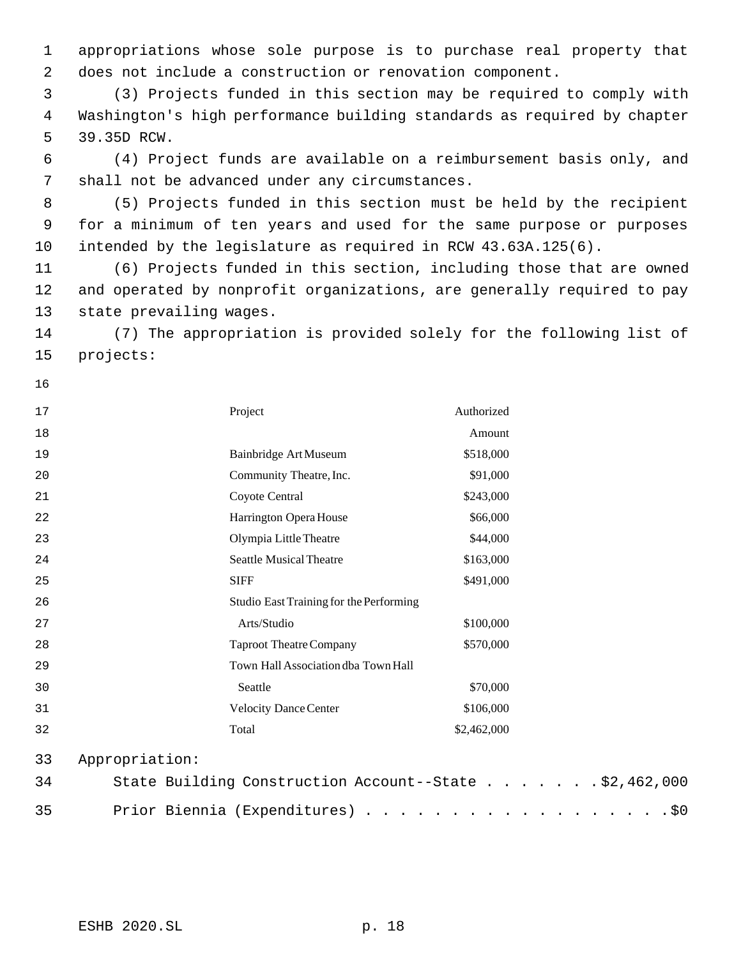appropriations whose sole purpose is to purchase real property that does not include a construction or renovation component.

 (3) Projects funded in this section may be required to comply with Washington's high performance building standards as required by chapter 39.35D RCW.

 (4) Project funds are available on a reimbursement basis only, and shall not be advanced under any circumstances.

 (5) Projects funded in this section must be held by the recipient for a minimum of ten years and used for the same purpose or purposes intended by the legislature as required in RCW 43.63A.125(6).

 (6) Projects funded in this section, including those that are owned and operated by nonprofit organizations, are generally required to pay state prevailing wages.

 (7) The appropriation is provided solely for the following list of projects:

| 17 | Project        |                                         | Authorized                                             |  |
|----|----------------|-----------------------------------------|--------------------------------------------------------|--|
| 18 |                |                                         | Amount                                                 |  |
| 19 |                | Bainbridge Art Museum                   | \$518,000                                              |  |
| 20 |                | Community Theatre, Inc.                 | \$91,000                                               |  |
| 21 |                | Coyote Central                          | \$243,000                                              |  |
| 22 |                | Harrington Opera House                  | \$66,000                                               |  |
| 23 |                | Olympia Little Theatre                  | \$44,000                                               |  |
| 24 |                | <b>Seattle Musical Theatre</b>          | \$163,000                                              |  |
| 25 | <b>SIFF</b>    |                                         | \$491,000                                              |  |
| 26 |                | Studio East Training for the Performing |                                                        |  |
| 27 |                | Arts/Studio                             | \$100,000                                              |  |
| 28 |                | <b>Taproot Theatre Company</b>          | \$570,000                                              |  |
| 29 |                | Town Hall Association dba Town Hall     |                                                        |  |
| 30 | Seattle        |                                         | \$70,000                                               |  |
| 31 |                | <b>Velocity Dance Center</b>            | \$106,000                                              |  |
| 32 | Total          |                                         | \$2,462,000                                            |  |
| 33 | Appropriation: |                                         |                                                        |  |
| 34 |                |                                         | State Building Construction Account--State \$2,462,000 |  |

35 Prior Biennia (Expenditures) . . . . . . . . . . . . . . . . . . \$0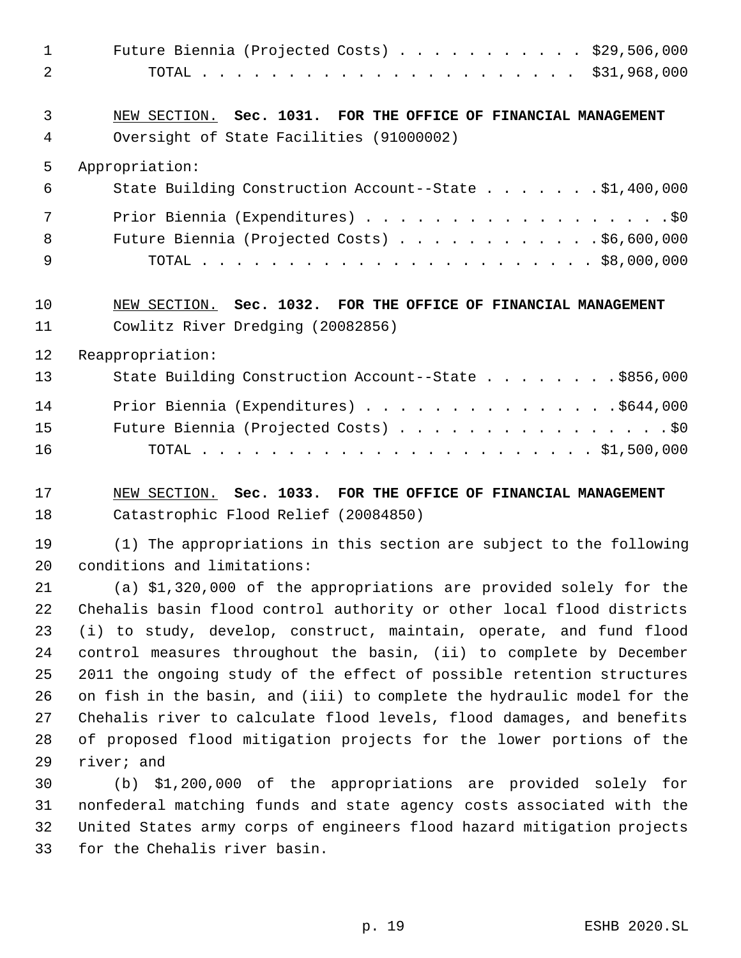| $\mathbf 1$    | Future Biennia (Projected Costs) \$29,506,000                                                                                                    |
|----------------|--------------------------------------------------------------------------------------------------------------------------------------------------|
| $\overline{2}$ |                                                                                                                                                  |
| 3              | NEW SECTION. Sec. 1031. FOR THE OFFICE OF FINANCIAL MANAGEMENT                                                                                   |
| 4              | Oversight of State Facilities (91000002)                                                                                                         |
| 5              | Appropriation:                                                                                                                                   |
| 6              | State Building Construction Account--State \$1,400,000                                                                                           |
| 7              | Prior Biennia (Expenditures) \$0                                                                                                                 |
| 8              | Future Biennia (Projected Costs) \$6,600,000                                                                                                     |
| 9              |                                                                                                                                                  |
| 10             | NEW SECTION. Sec. 1032. FOR THE OFFICE OF FINANCIAL MANAGEMENT                                                                                   |
| 11             | Cowlitz River Dredging (20082856)                                                                                                                |
| 12             | Reappropriation:                                                                                                                                 |
| 13             | State Building Construction Account--State \$856,000                                                                                             |
| 14             | Prior Biennia (Expenditures) \$644,000                                                                                                           |
| 15             | Future Biennia (Projected Costs) \$0                                                                                                             |
| 16             |                                                                                                                                                  |
| 17             | NEW SECTION. Sec. 1033. FOR THE OFFICE OF FINANCIAL MANAGEMENT                                                                                   |
| 18             | Catastrophic Flood Relief (20084850)                                                                                                             |
| 19             | (1) The appropriations in this section are subject to the following                                                                              |
| 20             | conditions and limitations:                                                                                                                      |
| 21             | (a) \$1,320,000 of the appropriations are provided solely for the                                                                                |
| 22             | Chehalis basin flood control authority or other local flood districts                                                                            |
| 23             | (i) to study, develop, construct, maintain, operate, and fund flood                                                                              |
| 24             | control measures throughout the basin, (ii) to complete by December                                                                              |
| 25             | 2011 the ongoing study of the effect of possible retention structures                                                                            |
| 26<br>27       | on fish in the basin, and (iii) to complete the hydraulic model for the<br>Chehalis river to calculate flood levels, flood damages, and benefits |
| 28             | of proposed flood mitigation projects for the lower portions of the                                                                              |
| 29             | river; and                                                                                                                                       |
| 30             | (b) \$1,200,000 of the appropriations are provided solely for                                                                                    |
| 31             | nonfederal matching funds and state agency costs associated with the                                                                             |
| 32             | United States army corps of engineers flood hazard mitigation projects                                                                           |

for the Chehalis river basin.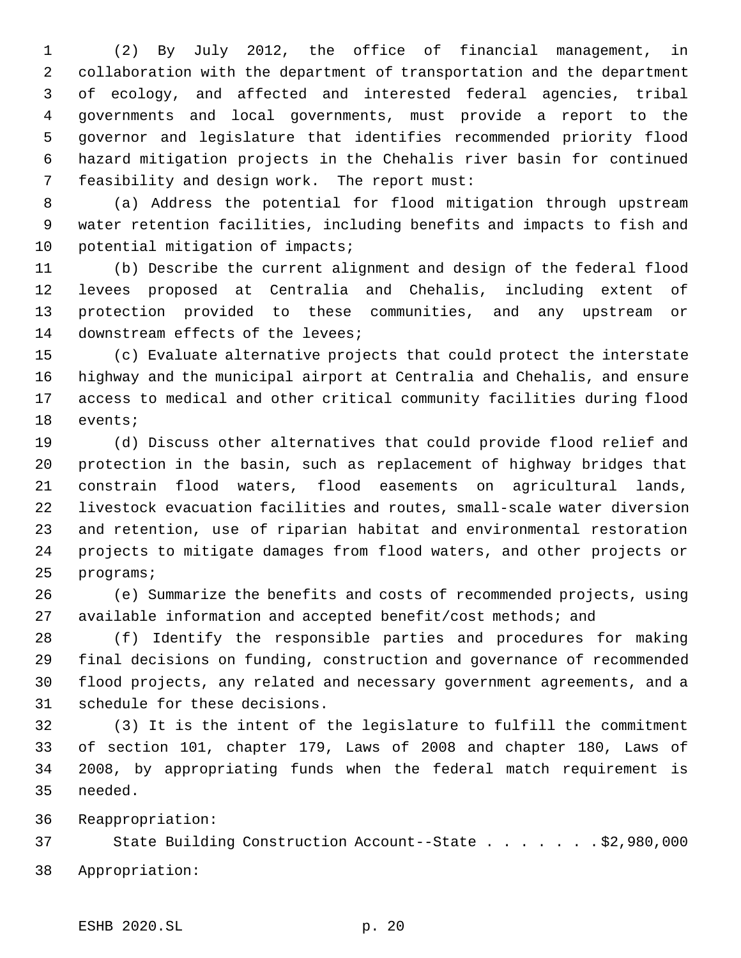(2) By July 2012, the office of financial management, in collaboration with the department of transportation and the department of ecology, and affected and interested federal agencies, tribal governments and local governments, must provide a report to the governor and legislature that identifies recommended priority flood hazard mitigation projects in the Chehalis river basin for continued feasibility and design work. The report must:

 (a) Address the potential for flood mitigation through upstream water retention facilities, including benefits and impacts to fish and 10 potential mitigation of impacts;

 (b) Describe the current alignment and design of the federal flood levees proposed at Centralia and Chehalis, including extent of protection provided to these communities, and any upstream or downstream effects of the levees;

 (c) Evaluate alternative projects that could protect the interstate highway and the municipal airport at Centralia and Chehalis, and ensure access to medical and other critical community facilities during flood events;

 (d) Discuss other alternatives that could provide flood relief and protection in the basin, such as replacement of highway bridges that constrain flood waters, flood easements on agricultural lands, livestock evacuation facilities and routes, small-scale water diversion and retention, use of riparian habitat and environmental restoration projects to mitigate damages from flood waters, and other projects or programs;

 (e) Summarize the benefits and costs of recommended projects, using available information and accepted benefit/cost methods; and

 (f) Identify the responsible parties and procedures for making final decisions on funding, construction and governance of recommended flood projects, any related and necessary government agreements, and a schedule for these decisions.

 (3) It is the intent of the legislature to fulfill the commitment of section 101, chapter 179, Laws of 2008 and chapter 180, Laws of 2008, by appropriating funds when the federal match requirement is needed.

Reappropriation:

 State Building Construction Account--State . . . . . . . \$2,980,000 Appropriation: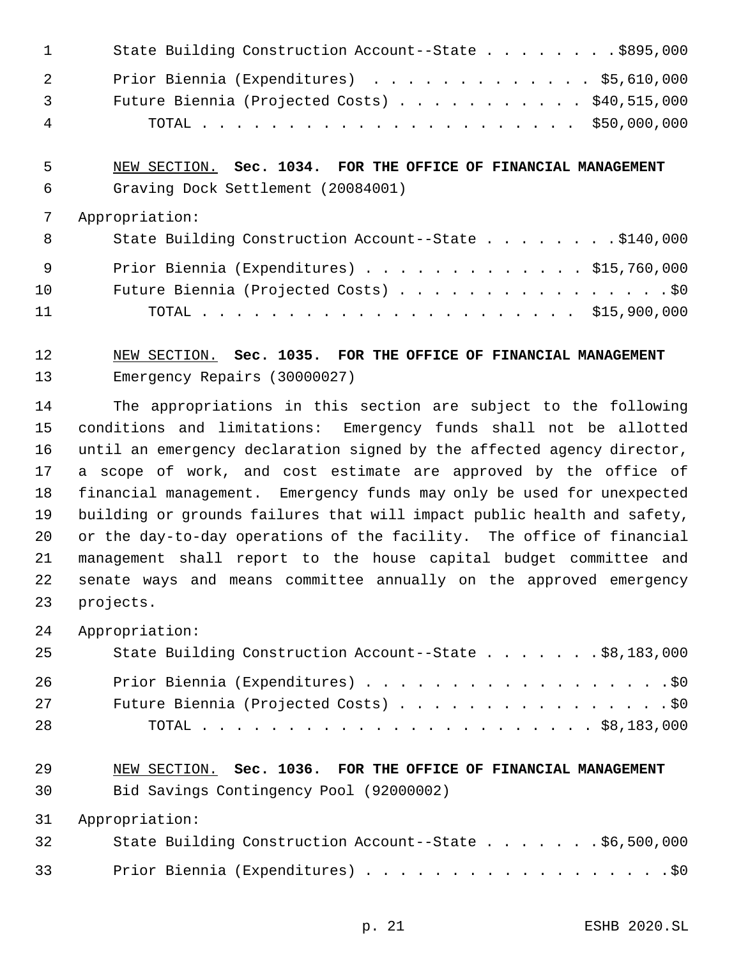| $\mathbf{1}$   | State Building Construction Account--State \$895,000   |
|----------------|--------------------------------------------------------|
| $\overline{2}$ | Prior Biennia (Expenditures) \$5,610,000               |
| $\overline{3}$ | Future Biennia (Projected Costs) $\ldots$ \$40,515,000 |
| $\overline{4}$ |                                                        |

 NEW SECTION. **Sec. 1034. FOR THE OFFICE OF FINANCIAL MANAGEMENT** Graving Dock Settlement (20084001)

### Appropriation:

| - 8 | State Building Construction Account--State \$140,000 |
|-----|------------------------------------------------------|
| - 9 | Prior Biennia (Expenditures) $\ldots$ \$15,760,000   |
| 10  | Future Biennia (Projected Costs) \$0                 |
| 11  |                                                      |

## NEW SECTION. **Sec. 1035. FOR THE OFFICE OF FINANCIAL MANAGEMENT** Emergency Repairs (30000027)

 The appropriations in this section are subject to the following conditions and limitations: Emergency funds shall not be allotted until an emergency declaration signed by the affected agency director, a scope of work, and cost estimate are approved by the office of financial management. Emergency funds may only be used for unexpected building or grounds failures that will impact public health and safety, or the day-to-day operations of the facility. The office of financial management shall report to the house capital budget committee and senate ways and means committee annually on the approved emergency projects.

## Appropriation:

| 25 | State Building Construction Account--State \$8,183,000 |
|----|--------------------------------------------------------|
| 26 | Prior Biennia (Expenditures) \$0                       |
| 27 | Future Biennia (Projected Costs) \$0                   |
| 28 |                                                        |

# NEW SECTION. **Sec. 1036. FOR THE OFFICE OF FINANCIAL MANAGEMENT**

Bid Savings Contingency Pool (92000002)

Appropriation:

| 32 |  | State Building Construction Account--State \$6,500,000 |  |  |  |  |  |  |  |  |
|----|--|--------------------------------------------------------|--|--|--|--|--|--|--|--|
| 33 |  | Prior Biennia (Expenditures) \$0                       |  |  |  |  |  |  |  |  |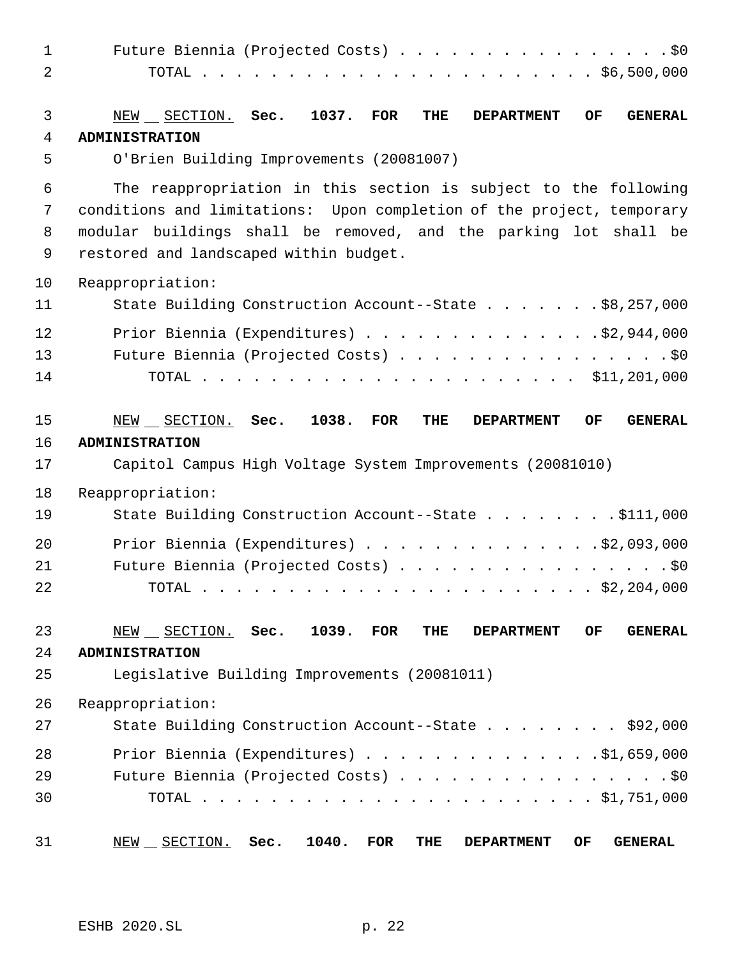| $\mathbf{1}$<br>2 | Future Biennia (Projected Costs) \$0                                                                                                                                                                                                                   |
|-------------------|--------------------------------------------------------------------------------------------------------------------------------------------------------------------------------------------------------------------------------------------------------|
| 3                 | 1037.<br>OF<br>NEW SECTION. Sec.<br><b>FOR</b><br>THE<br><b>GENERAL</b><br><b>DEPARTMENT</b>                                                                                                                                                           |
| 4                 | <b>ADMINISTRATION</b>                                                                                                                                                                                                                                  |
| 5                 | O'Brien Building Improvements (20081007)                                                                                                                                                                                                               |
| 6<br>7<br>8<br>9  | The reappropriation in this section is subject to the following<br>conditions and limitations: Upon completion of the project, temporary<br>modular buildings shall be removed, and the parking lot shall be<br>restored and landscaped within budget. |
| 10                | Reappropriation:                                                                                                                                                                                                                                       |
| 11                | State Building Construction Account--State \$8,257,000                                                                                                                                                                                                 |
| 12<br>13<br>14    | Prior Biennia (Expenditures) \$2,944,000<br>Future Biennia (Projected Costs) \$0                                                                                                                                                                       |
| 15<br>16<br>17    | 1038.<br>NEW SECTION. Sec.<br><b>FOR</b><br>THE<br>OF<br><b>DEPARTMENT</b><br><b>GENERAL</b><br><b>ADMINISTRATION</b><br>Capitol Campus High Voltage System Improvements (20081010)                                                                    |
| 18<br>19          | Reappropriation:<br>State Building Construction Account--State \$111,000                                                                                                                                                                               |
| 20<br>21<br>22    | Prior Biennia (Expenditures) \$2,093,000<br>Future Biennia (Projected Costs) \$0<br>. \$2,204,000<br>TOTAL                                                                                                                                             |
| 23<br>24<br>25    | 1039.<br><b>FOR</b><br>OF<br><b>GENERAL</b><br>NEW SECTION. Sec.<br>THE<br><b>DEPARTMENT</b><br><b>ADMINISTRATION</b><br>Legislative Building Improvements (20081011)                                                                                  |
| 26<br>27          | Reappropriation:<br>State Building Construction Account--State \$92,000                                                                                                                                                                                |
| 28<br>29<br>30    | Prior Biennia (Expenditures) $\ldots$ 51,659,000<br>Future Biennia (Projected Costs) \$0                                                                                                                                                               |
| 31                | NEW __ SECTION.<br>Sec.<br>1040.<br><b>FOR</b><br><b>GENERAL</b><br>THE<br>OF<br><b>DEPARTMENT</b>                                                                                                                                                     |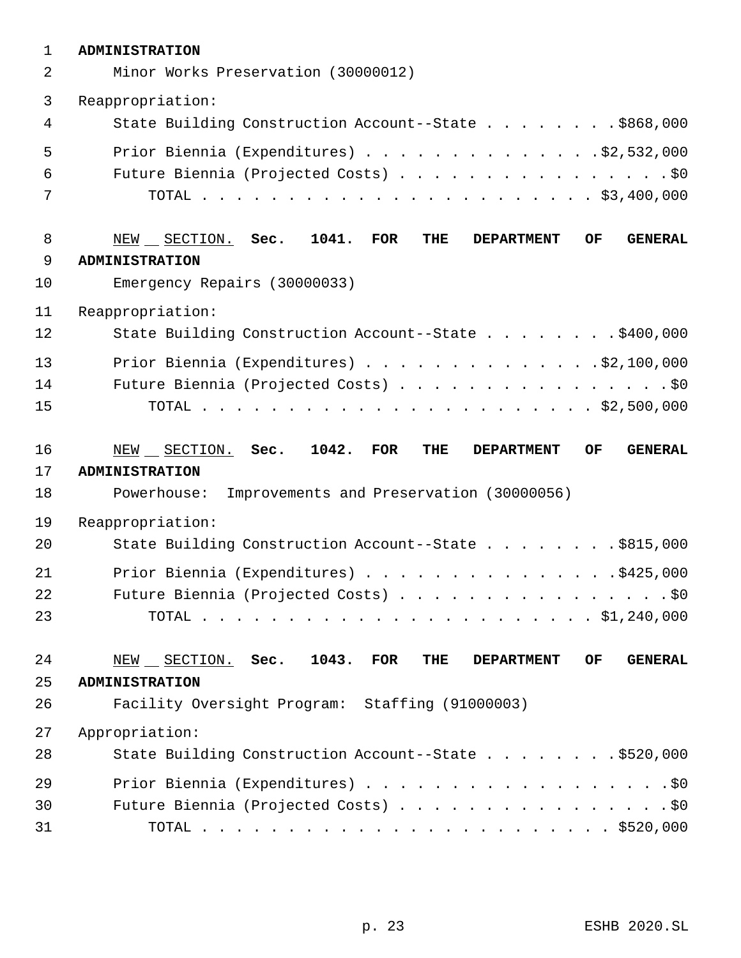| $\mathbf 1$ | <b>ADMINISTRATION</b>                                                                            |
|-------------|--------------------------------------------------------------------------------------------------|
| 2           | Minor Works Preservation (30000012)                                                              |
| 3           | Reappropriation:                                                                                 |
| 4           | State Building Construction Account--State \$868,000                                             |
| 5           | Prior Biennia (Expenditures) \$2,532,000                                                         |
| 6           | Future Biennia (Projected Costs) \$0                                                             |
| 7           |                                                                                                  |
| 8           | NEW SECTION. Sec. 1041.<br><b>THE</b><br><b>FOR</b><br><b>DEPARTMENT</b><br>OF<br><b>GENERAL</b> |
| 9           | <b>ADMINISTRATION</b>                                                                            |
| 10          | Emergency Repairs (30000033)                                                                     |
| 11          | Reappropriation:                                                                                 |
| 12          | State Building Construction Account--State \$400,000                                             |
| 13          | Prior Biennia (Expenditures) \$2,100,000                                                         |
| 14          | Future Biennia (Projected Costs) \$0                                                             |
| 15          |                                                                                                  |
|             |                                                                                                  |
| 16          | NEW SECTION. Sec. 1042. FOR<br>OF<br>THE<br><b>GENERAL</b><br><b>DEPARTMENT</b>                  |
| 17          | <b>ADMINISTRATION</b>                                                                            |
| 18          | Powerhouse:<br>Improvements and Preservation (30000056)                                          |
| 19          | Reappropriation:                                                                                 |
| 20          | State Building Construction Account--State \$815,000                                             |
| 21          | Prior Biennia (Expenditures) \$425,000                                                           |
| 22          | Future Biennia (Projected Costs) \$0                                                             |
| 23          |                                                                                                  |
| 24          | $NEW$ $SECTION.$ Sec. 1043.<br>$\rm FOR$<br>THE<br>OF.<br><b>GENERAL</b><br><b>DEPARTMENT</b>    |
| 25          | <b>ADMINISTRATION</b>                                                                            |
| 26          | Facility Oversight Program: Staffing (91000003)                                                  |
| 27          | Appropriation:                                                                                   |
| 28          | State Building Construction Account--State \$520,000                                             |
| 29          | Prior Biennia (Expenditures) \$0                                                                 |
| 30          | Future Biennia (Projected Costs) \$0                                                             |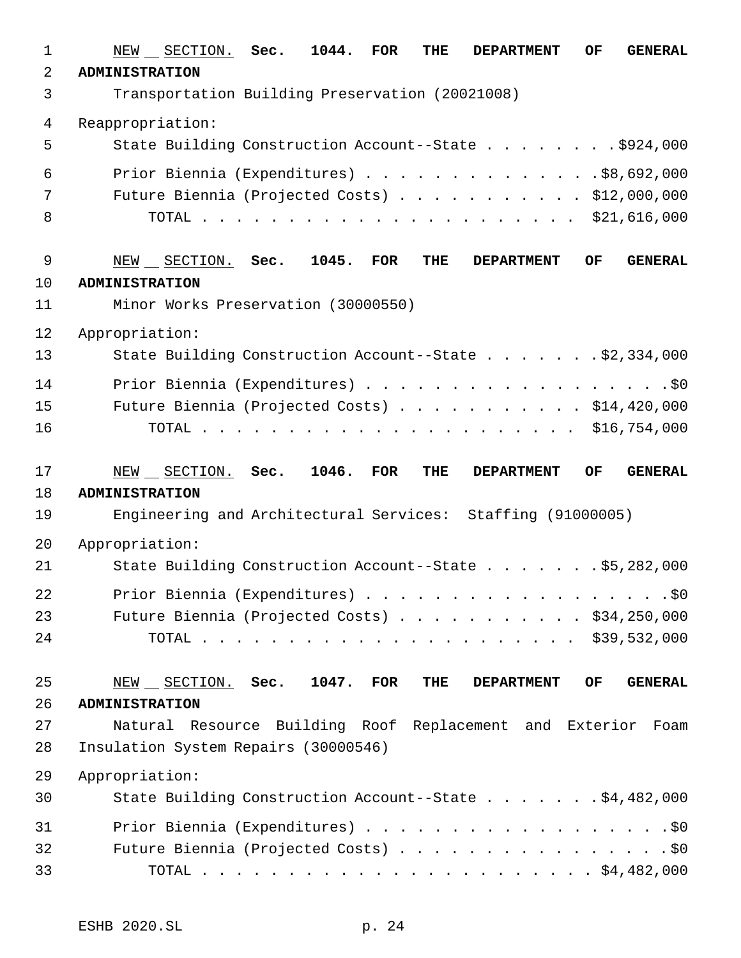| 1              | NEW __ SECTION. Sec.<br>1044.<br><b>GENERAL</b><br><b>FOR</b><br>THE<br><b>DEPARTMENT</b><br>OF                    |
|----------------|--------------------------------------------------------------------------------------------------------------------|
| $\overline{2}$ | <b>ADMINISTRATION</b>                                                                                              |
| 3              | Transportation Building Preservation (20021008)                                                                    |
| $\overline{4}$ | Reappropriation:                                                                                                   |
| 5              | State Building Construction Account--State \$924,000                                                               |
| 6              | Prior Biennia (Expenditures) $\ldots$ \$8,692,000                                                                  |
| 7              | Future Biennia (Projected Costs) \$12,000,000                                                                      |
| 8              |                                                                                                                    |
| 9              | 1045.<br><b>GENERAL</b><br>$NEW$ $\_$ SECTION. Sec.<br><b>FOR</b><br>THE<br><b>DEPARTMENT</b><br>OF                |
| 10             | <b>ADMINISTRATION</b>                                                                                              |
| 11             | Minor Works Preservation (30000550)                                                                                |
| 12             | Appropriation:                                                                                                     |
| 13             | State Building Construction Account--State \$2,334,000                                                             |
| 14             | Prior Biennia (Expenditures) \$0                                                                                   |
| 15             | Future Biennia (Projected Costs) \$14,420,000                                                                      |
| 16             |                                                                                                                    |
| 17             | 1046.<br>$NEW$ $\_$ $SECTION.$ Sec.<br>FOR<br><b>OF</b><br><b>GENERAL</b><br>THE<br><b>DEPARTMENT</b>              |
| 18             | <b>ADMINISTRATION</b>                                                                                              |
| 19             | Engineering and Architectural Services: Staffing (91000005)                                                        |
| 20             | Appropriation:                                                                                                     |
| 21             | State Building Construction Account--State \$5,282,000                                                             |
| 22             | Prior Biennia (Expenditures) \$0                                                                                   |
| 23             | Future Biennia (Projected Costs) \$34,250,000                                                                      |
| 24             |                                                                                                                    |
| 25             | 1047.<br><b>GENERAL</b><br>$NEW$ $\_$ $SECTION.$ Sec.<br>$\overline{\text{FOR}}$<br>THE<br>OF<br><b>DEPARTMENT</b> |
| 26             | <b>ADMINISTRATION</b>                                                                                              |
| 27             | Natural Resource Building Roof Replacement and Exterior Foam                                                       |
| 28             | Insulation System Repairs (30000546)                                                                               |
| 29             | Appropriation:                                                                                                     |
| 30             | State Building Construction Account--State \$4,482,000                                                             |
| 31             | Prior Biennia (Expenditures) \$0                                                                                   |
| 32             | Future Biennia (Projected Costs) \$0                                                                               |
| 33             |                                                                                                                    |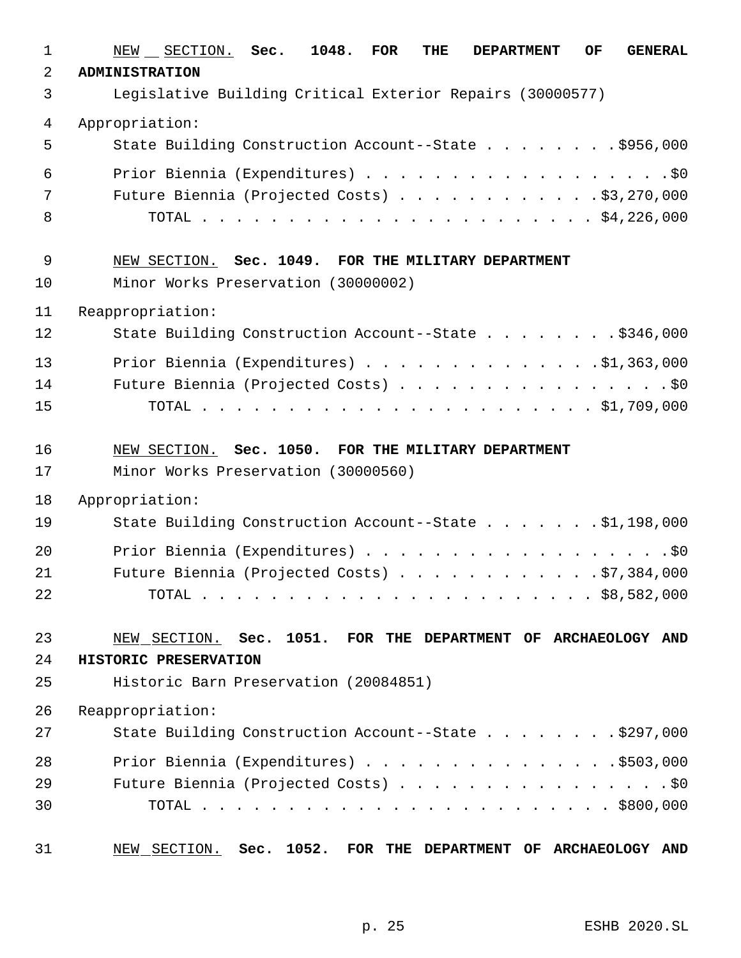| 1  | NEW SECTION. Sec.<br>1048.<br>FOR<br>THE<br>OF<br><b>GENERAL</b><br><b>DEPARTMENT</b> |
|----|---------------------------------------------------------------------------------------|
| 2  | <b>ADMINISTRATION</b>                                                                 |
| 3  | Legislative Building Critical Exterior Repairs (30000577)                             |
| 4  | Appropriation:                                                                        |
| 5  | State Building Construction Account--State \$956,000                                  |
| 6  | Prior Biennia (Expenditures) \$0                                                      |
| 7  | Future Biennia (Projected Costs) \$3,270,000                                          |
| 8  |                                                                                       |
|    |                                                                                       |
| 9  | NEW SECTION. Sec. 1049. FOR THE MILITARY DEPARTMENT                                   |
| 10 | Minor Works Preservation (30000002)                                                   |
| 11 | Reappropriation:                                                                      |
| 12 | State Building Construction Account--State \$346,000                                  |
| 13 | Prior Biennia (Expenditures) $\ldots$ 91,363,000                                      |
| 14 | Future Biennia (Projected Costs) \$0                                                  |
| 15 |                                                                                       |
|    |                                                                                       |
| 16 | NEW SECTION. Sec. 1050. FOR THE MILITARY DEPARTMENT                                   |
| 17 | Minor Works Preservation (30000560)                                                   |
| 18 | Appropriation:                                                                        |
| 19 | State Building Construction Account--State \$1,198,000                                |
| 20 | Prior Biennia (Expenditures) \$0                                                      |
| 21 | Future Biennia (Projected Costs) $\ldots$ \$7,384,000                                 |
| 22 |                                                                                       |
| 23 | NEW SECTION. Sec. 1051. FOR THE DEPARTMENT OF ARCHAEOLOGY AND                         |
| 24 | HISTORIC PRESERVATION                                                                 |
| 25 | Historic Barn Preservation (20084851)                                                 |
| 26 | Reappropriation:                                                                      |
| 27 | State Building Construction Account--State \$297,000                                  |
| 28 | Prior Biennia (Expenditures) \$503,000                                                |
| 29 | Future Biennia (Projected Costs) \$0                                                  |
| 30 |                                                                                       |
|    |                                                                                       |
| 31 | Sec. 1052.<br>NEW SECTION.<br>FOR THE DEPARTMENT OF ARCHAEOLOGY AND                   |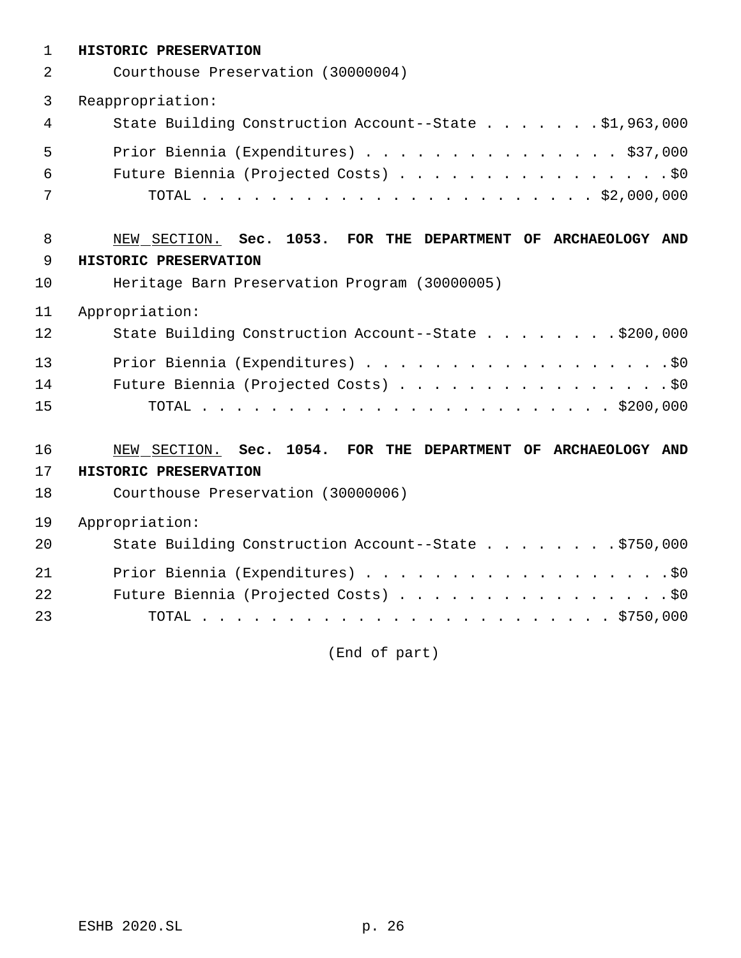| $\mathbf{1}$ | HISTORIC PRESERVATION                                         |
|--------------|---------------------------------------------------------------|
| 2            | Courthouse Preservation (30000004)                            |
| 3            | Reappropriation:                                              |
| 4            | State Building Construction Account--State \$1,963,000        |
| 5            | Prior Biennia (Expenditures) \$37,000                         |
| 6            | Future Biennia (Projected Costs) \$0                          |
| 7            |                                                               |
| 8            | NEW SECTION. Sec. 1053. FOR THE DEPARTMENT OF ARCHAEOLOGY AND |
| 9            | HISTORIC PRESERVATION                                         |
| 10           | Heritage Barn Preservation Program (30000005)                 |
| 11           | Appropriation:                                                |
| 12           | State Building Construction Account--State \$200,000          |
| 13           | Prior Biennia (Expenditures) \$0                              |
| 14           | Future Biennia (Projected Costs) \$0                          |
| 15           |                                                               |
| 16           | NEW SECTION. Sec. 1054. FOR THE DEPARTMENT OF ARCHAEOLOGY AND |
| 17           | HISTORIC PRESERVATION                                         |
| 18           | Courthouse Preservation (30000006)                            |
| 19           | Appropriation:                                                |
| 20           | State Building Construction Account--State \$750,000          |
| 21           | Prior Biennia (Expenditures) \$0                              |
| 22           | Future Biennia (Projected Costs) \$0                          |
| 23           |                                                               |

(End of part)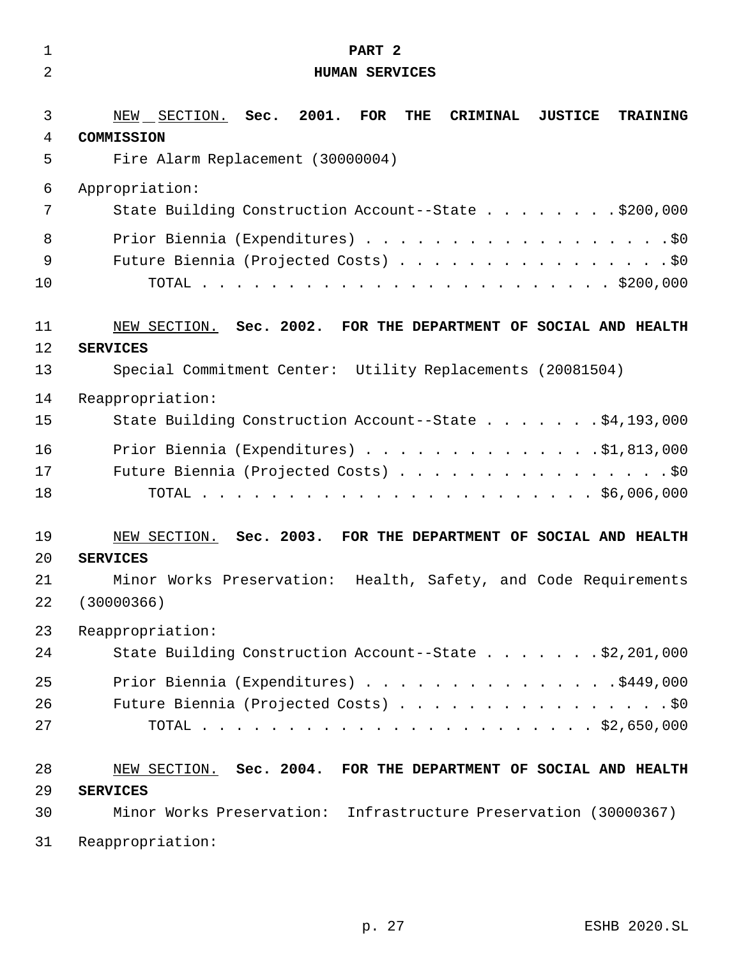| 1              | PART 2                                                                                                                                              |
|----------------|-----------------------------------------------------------------------------------------------------------------------------------------------------|
| $\overline{2}$ | <b>HUMAN SERVICES</b>                                                                                                                               |
| 3<br>4<br>5    | 2001.<br>FOR<br>THE<br>NEW SECTION. Sec.<br><b>CRIMINAL</b><br><b>JUSTICE</b><br><b>TRAINING</b><br>COMMISSION<br>Fire Alarm Replacement (30000004) |
| 6              | Appropriation:                                                                                                                                      |
| 7              | State Building Construction Account--State \$200,000                                                                                                |
| 8<br>9<br>10   | Prior Biennia (Expenditures) \$0<br>Future Biennia (Projected Costs) \$0                                                                            |
| 11             | NEW SECTION. Sec. 2002. FOR THE DEPARTMENT OF SOCIAL AND HEALTH                                                                                     |
| 12             | <b>SERVICES</b>                                                                                                                                     |
| 13             | Special Commitment Center: Utility Replacements (20081504)                                                                                          |
| 14             | Reappropriation:                                                                                                                                    |
| 15             | State Building Construction Account--State \$4,193,000                                                                                              |
| 16             | Prior Biennia (Expenditures) \$1,813,000                                                                                                            |
| 17             | Future Biennia (Projected Costs) \$0                                                                                                                |
| 18             |                                                                                                                                                     |
| 19             | NEW SECTION. Sec. 2003. FOR THE DEPARTMENT OF SOCIAL AND HEALTH                                                                                     |
| 20             | <b>SERVICES</b>                                                                                                                                     |
| 21             | Minor Works Preservation: Health, Safety, and Code Requirements                                                                                     |
| 22             | (30000366)                                                                                                                                          |
| 23             | Reappropriation:                                                                                                                                    |
| 24             | State Building Construction Account--State \$2,201,000                                                                                              |
| 25             | Prior Biennia (Expenditures) \$449,000                                                                                                              |
| 26             | Future Biennia (Projected Costs) \$0                                                                                                                |
| 27             |                                                                                                                                                     |
| 28             | NEW SECTION. Sec. 2004. FOR THE DEPARTMENT OF SOCIAL AND HEALTH                                                                                     |
| 29             | <b>SERVICES</b>                                                                                                                                     |
| 30             | Minor Works Preservation: Infrastructure Preservation (30000367)                                                                                    |
| 31             | Reappropriation:                                                                                                                                    |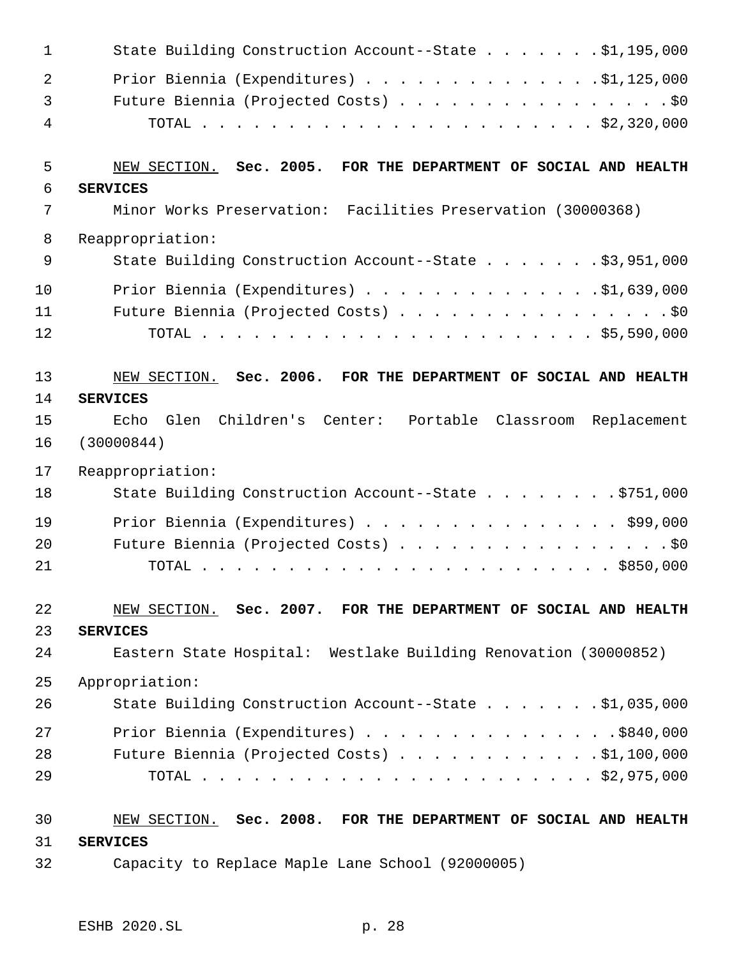| $\mathbf 1$    | State Building Construction Account--State \$1,195,000          |
|----------------|-----------------------------------------------------------------|
| $\overline{2}$ | Prior Biennia (Expenditures) $\ldots$ 91, 125, 000              |
| 3              | Future Biennia (Projected Costs) \$0                            |
| 4              |                                                                 |
| 5              | NEW SECTION. Sec. 2005. FOR THE DEPARTMENT OF SOCIAL AND HEALTH |
| 6              | <b>SERVICES</b>                                                 |
| 7              | Minor Works Preservation: Facilities Preservation (30000368)    |
| 8              | Reappropriation:                                                |
| 9              | State Building Construction Account--State \$3,951,000          |
| 10             | Prior Biennia (Expenditures) \$1,639,000                        |
| 11             | Future Biennia (Projected Costs) \$0                            |
| 12             |                                                                 |
| 13             | NEW SECTION. Sec. 2006. FOR THE DEPARTMENT OF SOCIAL AND HEALTH |
| 14             | <b>SERVICES</b>                                                 |
| 15             | Glen Children's Center: Portable Classroom Replacement<br>Echo  |
| 16             | (30000844)                                                      |
| 17             | Reappropriation:                                                |
| 18             | State Building Construction Account--State \$751,000            |
| 19             | Prior Biennia (Expenditures) \$99,000                           |
| 20             | Future Biennia (Projected Costs) \$0                            |
| 21             |                                                                 |
| 22             | NEW SECTION. Sec. 2007. FOR THE DEPARTMENT OF SOCIAL AND HEALTH |
| 23             | <b>SERVICES</b>                                                 |
| 24             | Eastern State Hospital: Westlake Building Renovation (30000852) |
| 25             | Appropriation:                                                  |
| 26             | State Building Construction Account--State \$1,035,000          |
| 27             | Prior Biennia (Expenditures) \$840,000                          |
| 28             | Future Biennia (Projected Costs) $\ldots$ \$1,100,000           |
| 29             |                                                                 |
| 30             | NEW SECTION. Sec. 2008. FOR THE DEPARTMENT OF SOCIAL AND HEALTH |
| 31             | <b>SERVICES</b>                                                 |
| 32             | Capacity to Replace Maple Lane School (92000005)                |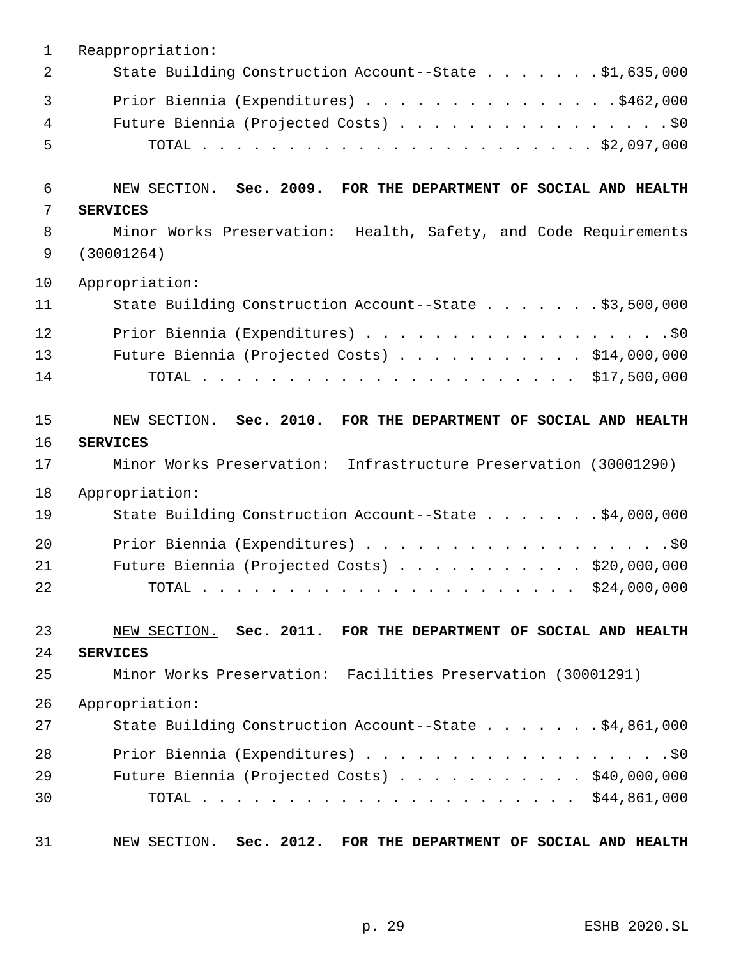| $\mathbf{1}$   | Reappropriation:                                                   |
|----------------|--------------------------------------------------------------------|
| $\overline{2}$ | State Building Construction Account--State \$1,635,000             |
| 3              | Prior Biennia (Expenditures) \$462,000                             |
| 4              | Future Biennia (Projected Costs) \$0                               |
| 5              |                                                                    |
| 6              | NEW SECTION. Sec. 2009. FOR THE DEPARTMENT OF SOCIAL AND HEALTH    |
| 7              | <b>SERVICES</b>                                                    |
| 8              | Minor Works Preservation: Health, Safety, and Code Requirements    |
| 9              | (30001264)                                                         |
| 10             | Appropriation:                                                     |
| 11             | State Building Construction Account--State \$3,500,000             |
| 12             | Prior Biennia (Expenditures) \$0                                   |
| 13             | Future Biennia (Projected Costs) \$14,000,000                      |
| 14             |                                                                    |
| 15             | NEW SECTION. Sec. 2010. FOR THE DEPARTMENT OF SOCIAL AND HEALTH    |
| 16             | <b>SERVICES</b>                                                    |
| 17             | Minor Works Preservation: Infrastructure Preservation (30001290)   |
| 18             | Appropriation:                                                     |
| 19             | State Building Construction Account--State \$4,000,000             |
| 20             | Prior Biennia (Expenditures) \$0                                   |
| 21             | Future Biennia (Projected Costs) \$20,000,000                      |
| 22             |                                                                    |
| 23             | NEW SECTION. Sec. 2011. FOR THE DEPARTMENT OF SOCIAL AND HEALTH    |
| 24             | <b>SERVICES</b>                                                    |
| 25             | Minor Works Preservation: Facilities Preservation (30001291)       |
| 26             | Appropriation:                                                     |
| 27             | State Building Construction Account--State \$4,861,000             |
| 28             |                                                                    |
| 29             | Future Biennia (Projected Costs) \$40,000,000                      |
| 30             |                                                                    |
| 31             | NEW SECTION. Sec. 2012.<br>FOR THE DEPARTMENT OF SOCIAL AND HEALTH |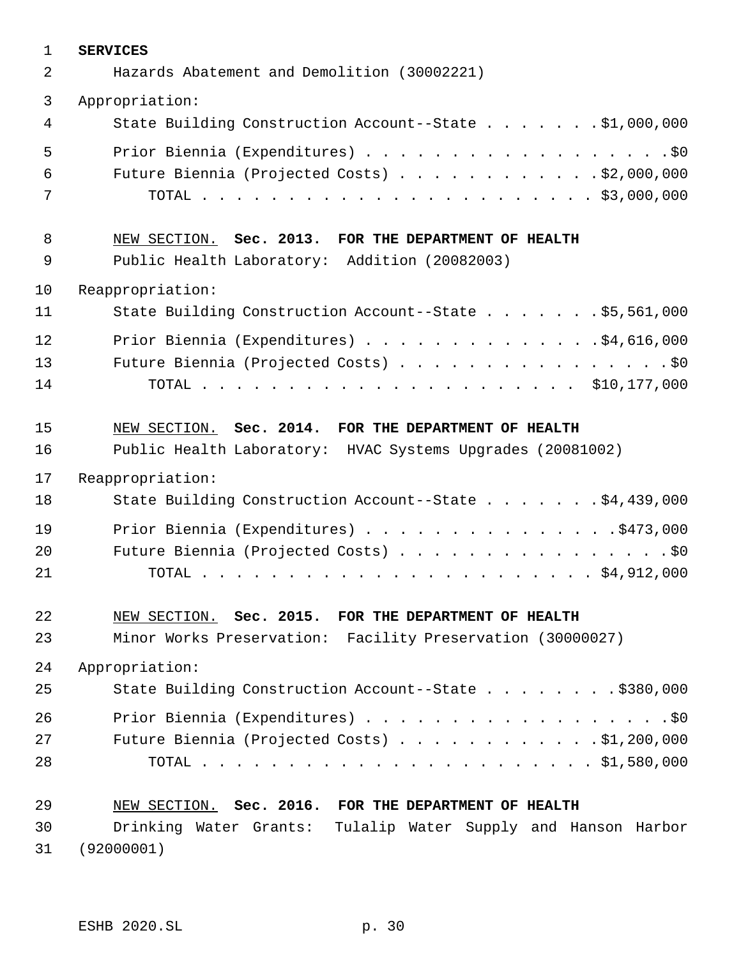| $\mathbf 1$ | <b>SERVICES</b>                                               |
|-------------|---------------------------------------------------------------|
| 2           | Hazards Abatement and Demolition (30002221)                   |
| 3           | Appropriation:                                                |
| 4           | State Building Construction Account--State \$1,000,000        |
| 5           | Prior Biennia (Expenditures) \$0                              |
| 6           | Future Biennia (Projected Costs) \$2,000,000                  |
| 7           |                                                               |
| 8           | NEW SECTION. Sec. 2013. FOR THE DEPARTMENT OF HEALTH          |
| 9           | Public Health Laboratory: Addition (20082003)                 |
| 10          | Reappropriation:                                              |
| 11          | State Building Construction Account--State \$5,561,000        |
| 12          | Prior Biennia (Expenditures) \$4,616,000                      |
| 13          | Future Biennia (Projected Costs) \$0                          |
| 14          |                                                               |
| 15          | NEW SECTION. Sec. 2014. FOR THE DEPARTMENT OF HEALTH          |
| 16          | Public Health Laboratory: HVAC Systems Upgrades (20081002)    |
| 17          | Reappropriation:                                              |
| 18          | State Building Construction Account--State \$4,439,000        |
| 19          | Prior Biennia (Expenditures) \$473,000                        |
| 20          | Future Biennia (Projected Costs) \$0                          |
| 21          |                                                               |
| 22          | NEW SECTION. Sec. 2015. FOR THE DEPARTMENT OF HEALTH          |
| 23          | Minor Works Preservation: Facility Preservation (30000027)    |
| 24          | Appropriation:                                                |
| 25          | State Building Construction Account--State \$380,000          |
| 26          | Prior Biennia (Expenditures) \$0                              |
| 27          | Future Biennia (Projected Costs) $\ldots$ \$1,200,000         |
| 28          |                                                               |
| 29          | NEW SECTION. Sec. 2016. FOR THE DEPARTMENT OF HEALTH          |
| 30          | Drinking Water Grants: Tulalip Water Supply and Hanson Harbor |
| 31          | (92000001)                                                    |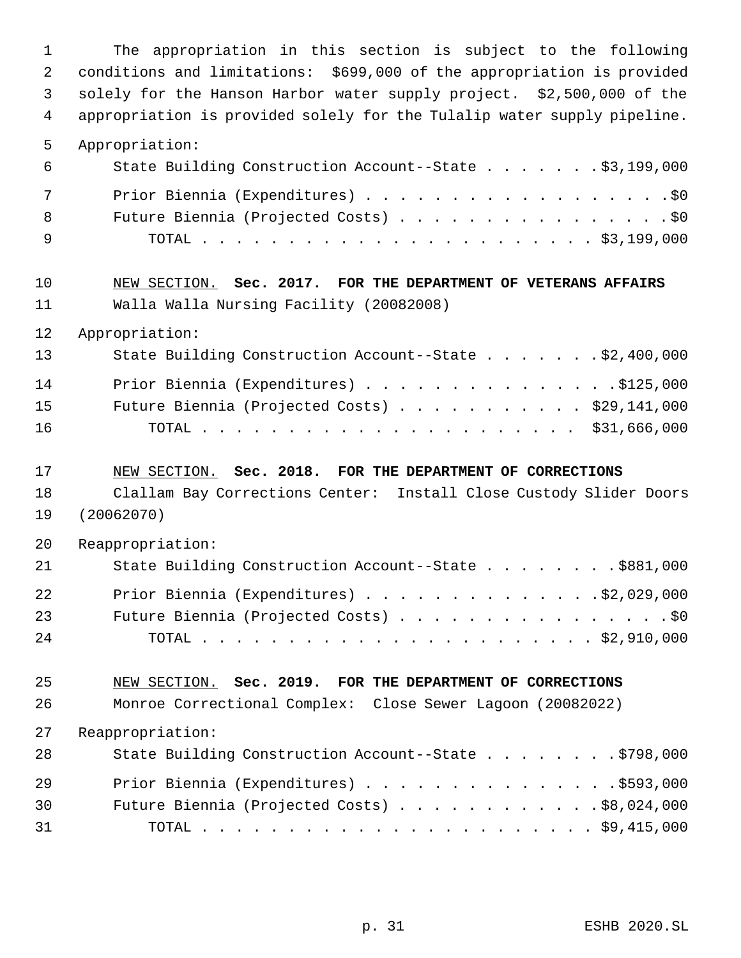The appropriation in this section is subject to the following conditions and limitations: \$699,000 of the appropriation is provided solely for the Hanson Harbor water supply project. \$2,500,000 of the appropriation is provided solely for the Tulalip water supply pipeline. Appropriation: State Building Construction Account--State . . . . . . . \$3,199,000 7 Prior Biennia (Expenditures) . . . . . . . . . . . . . . . . . . \$0 8 Future Biennia (Projected Costs) . . . . . . . . . . . . . . . . \$0 TOTAL . . . . . . . . . . . . . . . . . . . . . . . \$3,199,000 NEW SECTION. **Sec. 2017. FOR THE DEPARTMENT OF VETERANS AFFAIRS** Walla Walla Nursing Facility (20082008) Appropriation: 13 State Building Construction Account--State . . . . . . \$2,400,000 14 Prior Biennia (Expenditures) . . . . . . . . . . . . . . \$125,000 Future Biennia (Projected Costs) . . . . . . . . . . . \$29,141,000 TOTAL . . . . . . . . . . . . . . . . . . . . . . \$31,666,000 NEW SECTION. **Sec. 2018. FOR THE DEPARTMENT OF CORRECTIONS** Clallam Bay Corrections Center: Install Close Custody Slider Doors (20062070) Reappropriation: State Building Construction Account--State . . . . . . . . \$881,000 22 Prior Biennia (Expenditures) . . . . . . . . . . . . . . \$2,029,000 23 Future Biennia (Projected Costs) . . . . . . . . . . . . . . . . \$0 TOTAL . . . . . . . . . . . . . . . . . . . . . . . \$2,910,000 NEW SECTION. **Sec. 2019. FOR THE DEPARTMENT OF CORRECTIONS** Monroe Correctional Complex: Close Sewer Lagoon (20082022) Reappropriation: 28 State Building Construction Account--State . . . . . . . . \$798,000 Prior Biennia (Expenditures) . . . . . . . . . . . . . . .\$593,000 Future Biennia (Projected Costs) . . . . . . . . . . . . \$8,024,000 TOTAL . . . . . . . . . . . . . . . . . . . . . . . \$9,415,000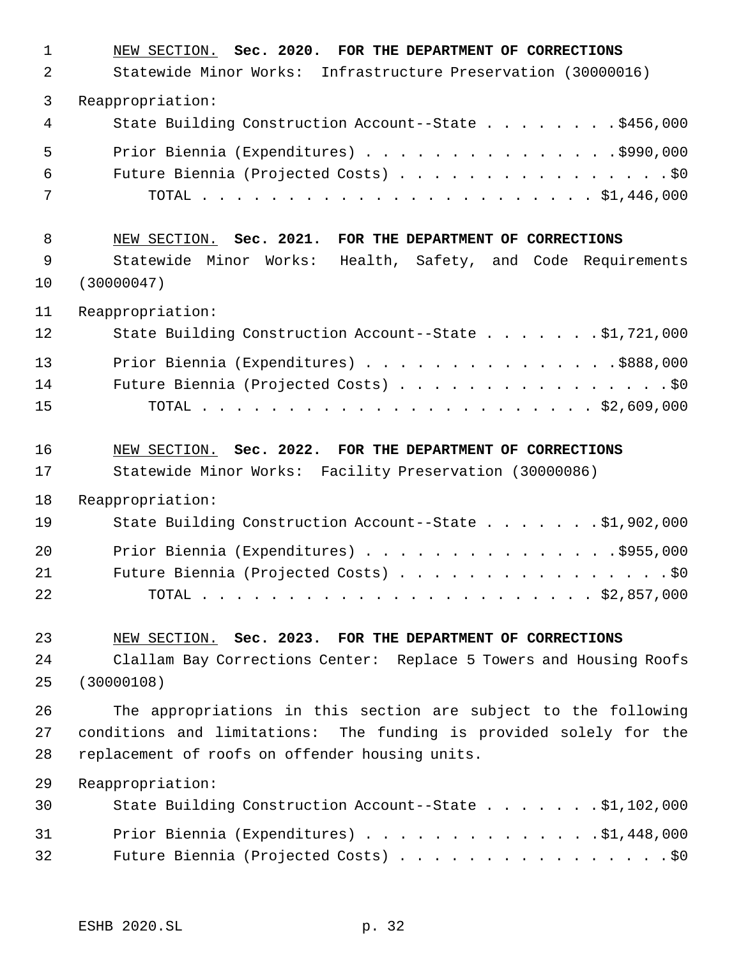| $\mathbf{1}$<br>2 | NEW SECTION. Sec. 2020. FOR THE DEPARTMENT OF CORRECTIONS<br>Statewide Minor Works: Infrastructure Preservation (30000016) |
|-------------------|----------------------------------------------------------------------------------------------------------------------------|
| 3                 | Reappropriation:                                                                                                           |
| 4                 | State Building Construction Account--State \$456,000                                                                       |
| 5<br>6<br>7       | Prior Biennia (Expenditures) \$990,000<br>Future Biennia (Projected Costs) \$0                                             |
| 8                 | NEW SECTION. Sec. 2021. FOR THE DEPARTMENT OF CORRECTIONS                                                                  |
| 9<br>10           | Statewide Minor Works: Health, Safety, and Code Requirements<br>(30000047)                                                 |
| 11                | Reappropriation:                                                                                                           |
| 12                | State Building Construction Account--State \$1,721,000                                                                     |
| 13                | Prior Biennia (Expenditures) \$888,000                                                                                     |
| 14<br>15          | Future Biennia (Projected Costs) \$0                                                                                       |
|                   |                                                                                                                            |
| 16                | NEW SECTION. Sec. 2022. FOR THE DEPARTMENT OF CORRECTIONS                                                                  |
| 17                | Statewide Minor Works: Facility Preservation (30000086)                                                                    |
| 18                | Reappropriation:                                                                                                           |
| 19                | State Building Construction Account--State \$1,902,000                                                                     |
| 20                | Prior Biennia (Expenditures) \$955,000                                                                                     |
| 21<br>22          | Future Biennia (Projected Costs) \$0                                                                                       |
| 23                | NEW SECTION. Sec. 2023. FOR THE DEPARTMENT OF CORRECTIONS                                                                  |
| 24                | Clallam Bay Corrections Center: Replace 5 Towers and Housing Roofs                                                         |
| 25                | (30000108)                                                                                                                 |
| 26                | The appropriations in this section are subject to the following                                                            |
| 27<br>28          | conditions and limitations: The funding is provided solely for the<br>replacement of roofs on offender housing units.      |
| 29                | Reappropriation:                                                                                                           |
| 30                | State Building Construction Account--State \$1,102,000                                                                     |
| 31<br>32          | Prior Biennia (Expenditures) \$1,448,000<br>Future Biennia (Projected Costs) \$0                                           |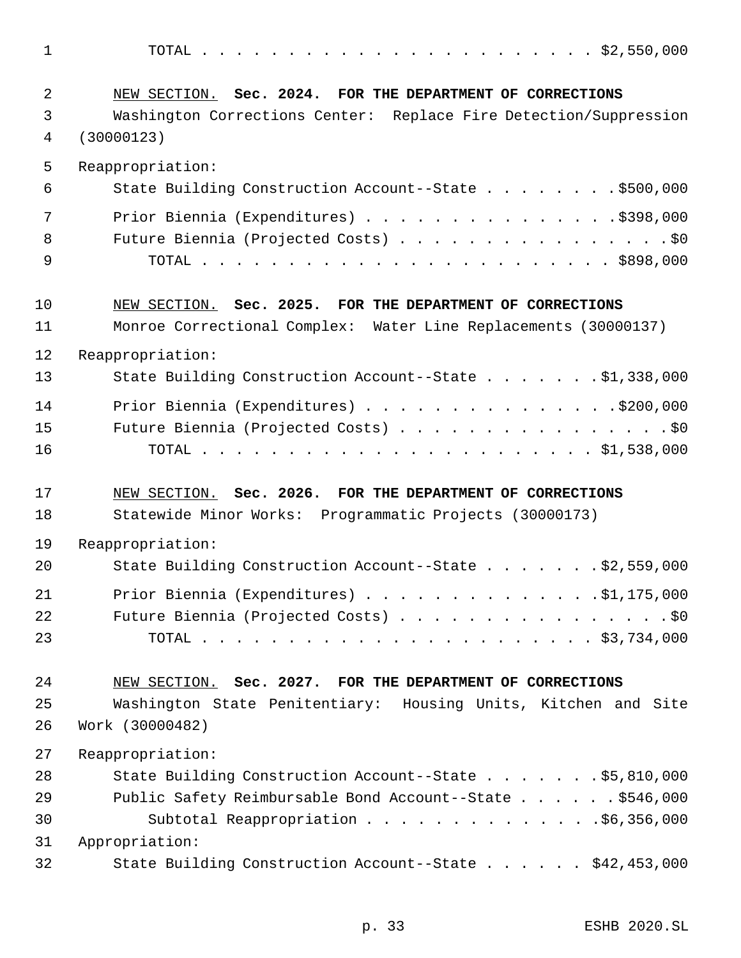TOTAL . . . . . . . . . . . . . . . . . . . . . . . \$2,550,000

| 2              | NEW SECTION. Sec. 2024. FOR THE DEPARTMENT OF CORRECTIONS         |
|----------------|-------------------------------------------------------------------|
| 3              | Washington Corrections Center: Replace Fire Detection/Suppression |
| $\overline{4}$ | (30000123)                                                        |
| 5              | Reappropriation:                                                  |
| 6              | State Building Construction Account--State \$500,000              |
| 7              | Prior Biennia (Expenditures) \$398,000                            |
| 8              | Future Biennia (Projected Costs) \$0                              |
| 9              |                                                                   |
| 10             | NEW SECTION. Sec. 2025. FOR THE DEPARTMENT OF CORRECTIONS         |
| 11             | Monroe Correctional Complex: Water Line Replacements (30000137)   |
| 12             | Reappropriation:                                                  |
| 13             | State Building Construction Account--State \$1,338,000            |
| 14             | Prior Biennia (Expenditures) \$200,000                            |
| 15             | Future Biennia (Projected Costs) \$0                              |
| 16             |                                                                   |
| 17             | NEW SECTION. Sec. 2026. FOR THE DEPARTMENT OF CORRECTIONS         |
| 18             | Statewide Minor Works: Programmatic Projects (30000173)           |
| 19             | Reappropriation:                                                  |
| 20             | State Building Construction Account--State \$2,559,000            |
| 21             | Prior Biennia (Expenditures) \$1,175,000                          |
| 22             | Future Biennia (Projected Costs) \$0                              |
| 23             |                                                                   |
| 24             | NEW SECTION. Sec. 2027. FOR THE DEPARTMENT OF CORRECTIONS         |
| 25             | Washington State Penitentiary: Housing Units, Kitchen and Site    |
| 26             | Work (30000482)                                                   |
| 27             | Reappropriation:                                                  |
| 28             | State Building Construction Account--State \$5,810,000            |
| 29             | Public Safety Reimbursable Bond Account--State \$546,000          |
| 30             | Subtotal Reappropriation \$6,356,000                              |
| 31             | Appropriation:                                                    |
| 32             | State Building Construction Account--State \$42,453,000           |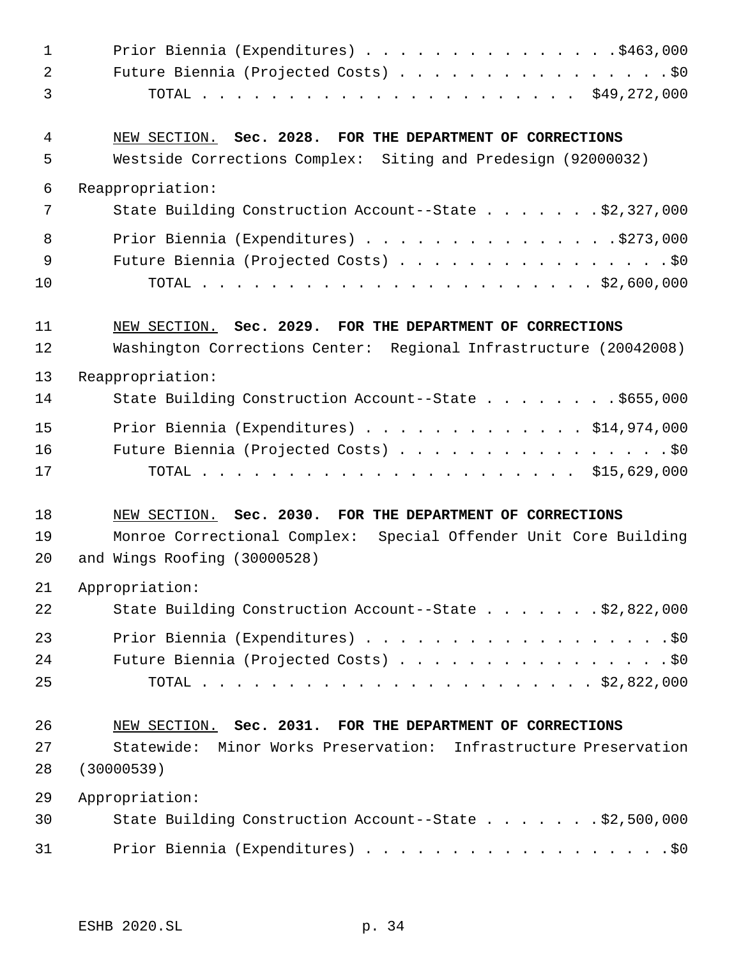| $\mathbf 1$ | Prior Biennia (Expenditures) \$463,000                            |
|-------------|-------------------------------------------------------------------|
| 2           | Future Biennia (Projected Costs) \$0                              |
| 3           |                                                                   |
| 4           | NEW SECTION. Sec. 2028. FOR THE DEPARTMENT OF CORRECTIONS         |
| 5           | Westside Corrections Complex: Siting and Predesign (92000032)     |
| 6           | Reappropriation:                                                  |
| 7           | State Building Construction Account--State \$2,327,000            |
| 8           | Prior Biennia (Expenditures) \$273,000                            |
| 9           | Future Biennia (Projected Costs) \$0                              |
| 10          |                                                                   |
| 11          | NEW SECTION. Sec. 2029. FOR THE DEPARTMENT OF CORRECTIONS         |
| 12          | Washington Corrections Center: Regional Infrastructure (20042008) |
| 13          | Reappropriation:                                                  |
| 14          | State Building Construction Account--State \$655,000              |
| 15          | Prior Biennia (Expenditures) $\ldots$ \$14,974,000                |
| 16          | Future Biennia (Projected Costs) \$0                              |
| 17          |                                                                   |
| 18          | NEW SECTION. Sec. 2030. FOR THE DEPARTMENT OF CORRECTIONS         |
| 19          | Monroe Correctional Complex: Special Offender Unit Core Building  |
| 20          | and Wings Roofing (30000528)                                      |
| 21          | Appropriation:                                                    |
| 22          | State Building Construction Account--State \$2,822,000            |
| 23          |                                                                   |
| 24          | Future Biennia (Projected Costs) \$0                              |
| 25          |                                                                   |
| 26          | NEW SECTION. Sec. 2031. FOR THE DEPARTMENT OF CORRECTIONS         |
| 27          | Statewide: Minor Works Preservation: Infrastructure Preservation  |
| 28          | (30000539)                                                        |
| 29          | Appropriation:                                                    |
| 30          | State Building Construction Account--State \$2,500,000            |
| 31          | Prior Biennia (Expenditures) \$0                                  |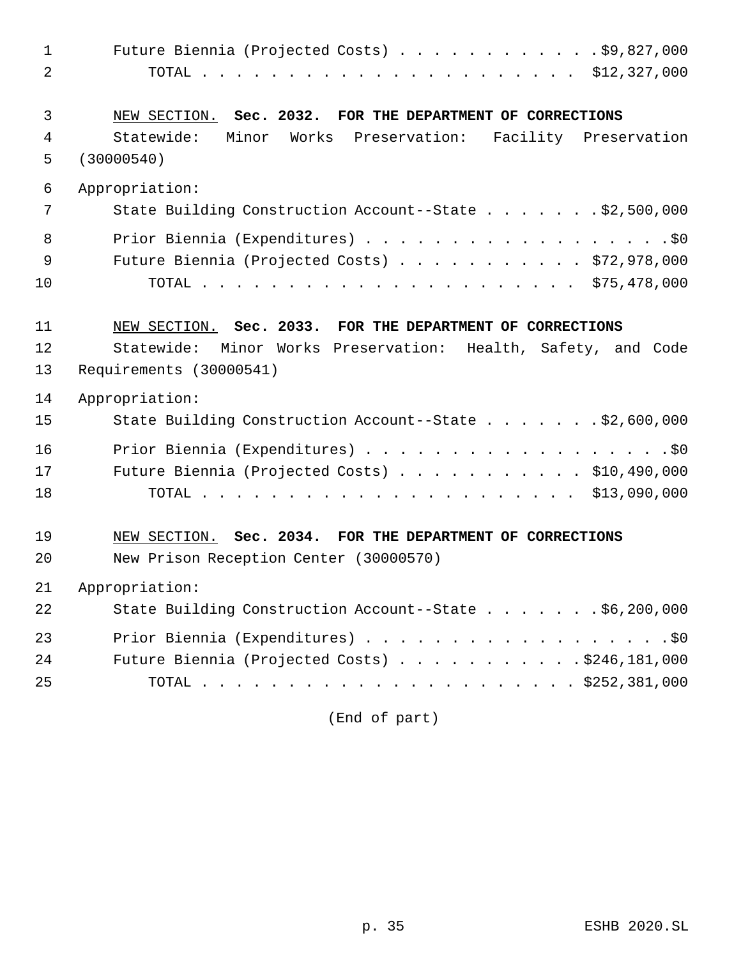| $\mathbf{1}$ | Future Biennia (Projected Costs) $\ldots$ \$9,827,000         |
|--------------|---------------------------------------------------------------|
| 2            |                                                               |
| 3            | NEW SECTION. Sec. 2032. FOR THE DEPARTMENT OF CORRECTIONS     |
| 4            | Statewide: Minor Works Preservation: Facility Preservation    |
| 5            | (30000540)                                                    |
| 6            | Appropriation:                                                |
| 7            | State Building Construction Account--State \$2,500,000        |
| 8            | Prior Biennia (Expenditures) \$0                              |
| $\mathsf 9$  | Future Biennia (Projected Costs) \$72,978,000                 |
| 10           |                                                               |
| 11           | NEW SECTION. Sec. 2033. FOR THE DEPARTMENT OF CORRECTIONS     |
| 12           | Statewide: Minor Works Preservation: Health, Safety, and Code |
| 13           | Requirements (30000541)                                       |
| 14           | Appropriation:                                                |
| 15           | State Building Construction Account--State \$2,600,000        |
| 16           | Prior Biennia (Expenditures) \$0                              |
| 17           | Future Biennia (Projected Costs) \$10,490,000                 |
| 18           |                                                               |
| 19           | NEW SECTION. Sec. 2034. FOR THE DEPARTMENT OF CORRECTIONS     |
| 20           | New Prison Reception Center (30000570)                        |
| 21           | Appropriation:                                                |
| 22           | State Building Construction Account--State \$6,200,000        |
| 23           | Prior Biennia (Expenditures) \$0                              |
| 24           | Future Biennia (Projected Costs) \$246,181,000                |
| 25           |                                                               |

(End of part)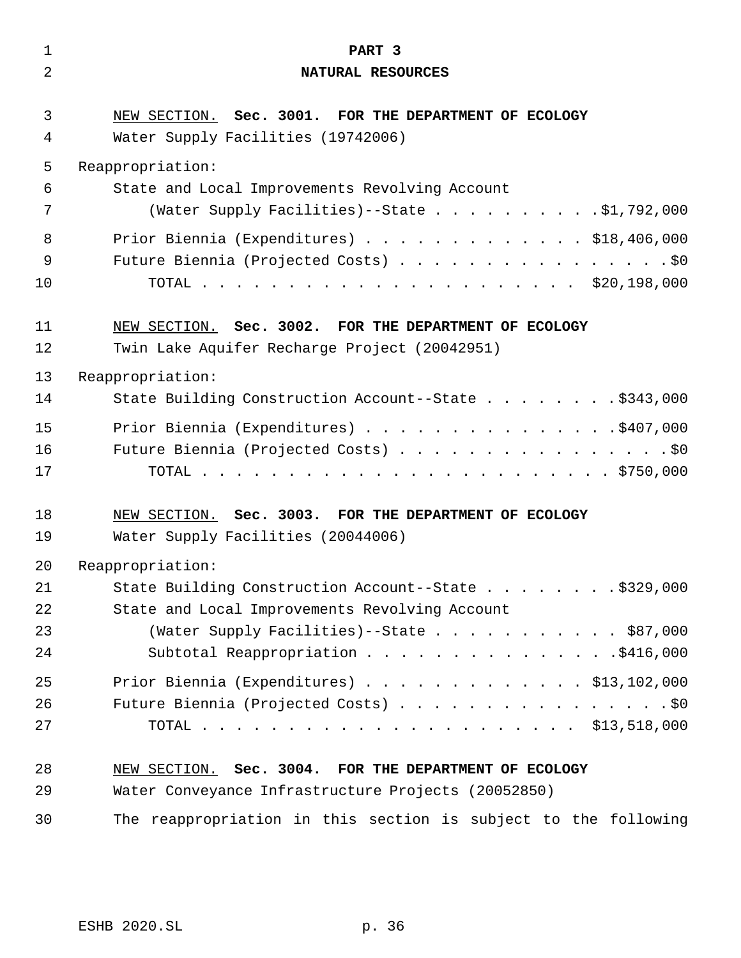| $\mathbf 1$    | PART 3                                                          |
|----------------|-----------------------------------------------------------------|
| $\overline{2}$ | NATURAL RESOURCES                                               |
| 3              | NEW SECTION. Sec. 3001. FOR THE DEPARTMENT OF ECOLOGY           |
| 4              | Water Supply Facilities (19742006)                              |
| 5              | Reappropriation:                                                |
| 6              | State and Local Improvements Revolving Account                  |
| 7              | (Water Supply Facilities)--State \$1,792,000                    |
| 8              | Prior Biennia (Expenditures) \$18,406,000                       |
| 9              | Future Biennia (Projected Costs) \$0                            |
| 10             |                                                                 |
| 11             | NEW SECTION. Sec. 3002. FOR THE DEPARTMENT OF ECOLOGY           |
| 12             | Twin Lake Aquifer Recharge Project (20042951)                   |
| 13             | Reappropriation:                                                |
| 14             | State Building Construction Account--State \$343,000            |
| 15             | Prior Biennia (Expenditures) \$407,000                          |
| 16             | Future Biennia (Projected Costs) \$0                            |
| 17             |                                                                 |
| 18             | NEW SECTION. Sec. 3003. FOR THE DEPARTMENT OF ECOLOGY           |
| 19             | Water Supply Facilities (20044006)                              |
| 20             | Reappropriation:                                                |
| 21             | State Building Construction Account--State \$329,000            |
| 22             | State and Local Improvements Revolving Account                  |
| 23             | (Water Supply Facilities)--State \$87,000                       |
| 24             | Subtotal Reappropriation \$416,000                              |
| 25             | Prior Biennia (Expenditures) \$13,102,000                       |
| 26             | Future Biennia (Projected Costs) \$0                            |
| 27             |                                                                 |
| 28             | NEW SECTION. Sec. 3004. FOR THE DEPARTMENT OF ECOLOGY           |
| 29             | Water Conveyance Infrastructure Projects (20052850)             |
| 30             | The reappropriation in this section is subject to the following |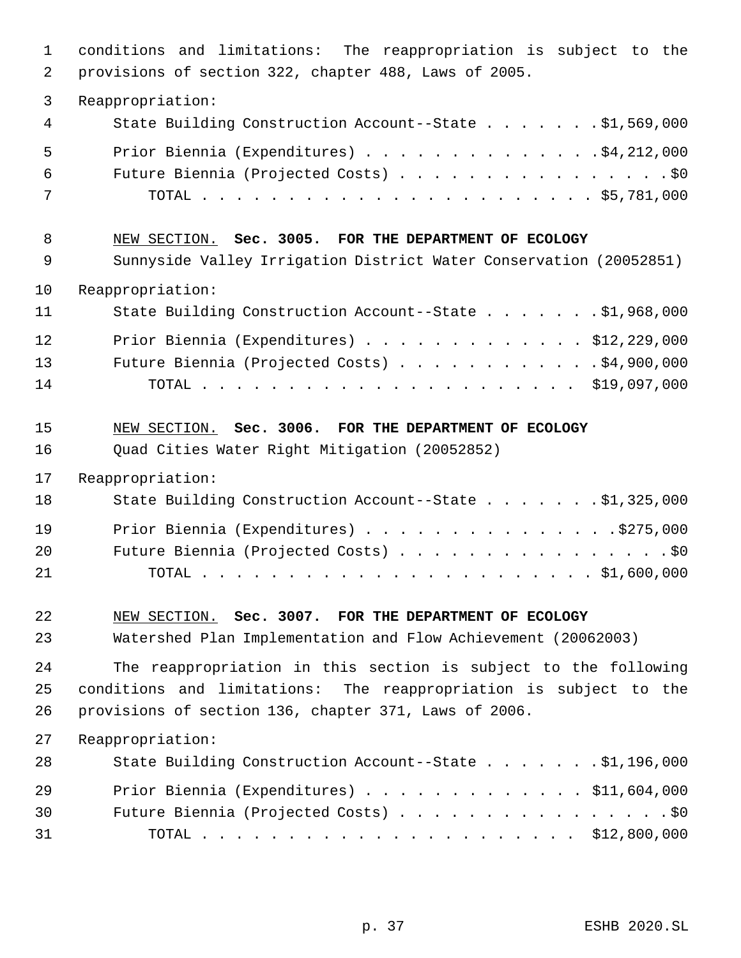| $\mathbf{1}$<br>2 | conditions and limitations: The reappropriation is subject to the<br>provisions of section 322, chapter 488, Laws of 2005. |
|-------------------|----------------------------------------------------------------------------------------------------------------------------|
| 3                 | Reappropriation:                                                                                                           |
| 4                 | State Building Construction Account--State \$1,569,000                                                                     |
| 5                 | Prior Biennia (Expenditures) $\ldots$ 94, 212, 000                                                                         |
| 6                 | Future Biennia (Projected Costs) \$0                                                                                       |
| 7                 |                                                                                                                            |
| 8                 | NEW SECTION. Sec. 3005. FOR THE DEPARTMENT OF ECOLOGY                                                                      |
| 9                 | Sunnyside Valley Irrigation District Water Conservation (20052851)                                                         |
| 10                | Reappropriation:                                                                                                           |
| 11                | State Building Construction Account--State \$1,968,000                                                                     |
| 12                | Prior Biennia (Expenditures) $\ldots$ \$12,229,000                                                                         |
| 13                | Future Biennia (Projected Costs) \$4,900,000                                                                               |
| 14                |                                                                                                                            |
| 15                | NEW SECTION. Sec. 3006. FOR THE DEPARTMENT OF ECOLOGY                                                                      |
| 16                | Quad Cities Water Right Mitigation (20052852)                                                                              |
| 17                | Reappropriation:                                                                                                           |
| 18                | State Building Construction Account--State \$1,325,000                                                                     |
| 19                | Prior Biennia (Expenditures) \$275,000                                                                                     |
| 20                | Future Biennia (Projected Costs) \$0                                                                                       |
| 21                |                                                                                                                            |
| 22                | NEW SECTION. Sec. 3007. FOR THE DEPARTMENT OF ECOLOGY                                                                      |
| 23                | Watershed Plan Implementation and Flow Achievement (20062003)                                                              |
| 24                | The reappropriation in this section is subject to the following                                                            |
| 25                | conditions and limitations: The reappropriation is subject to the                                                          |
| 26                | provisions of section 136, chapter 371, Laws of 2006.                                                                      |
| 27                | Reappropriation:                                                                                                           |
| 28                | State Building Construction Account--State \$1,196,000                                                                     |
| 29                | Prior Biennia (Expenditures) \$11,604,000                                                                                  |
| 30                | Future Biennia (Projected Costs) \$0                                                                                       |
| 31                |                                                                                                                            |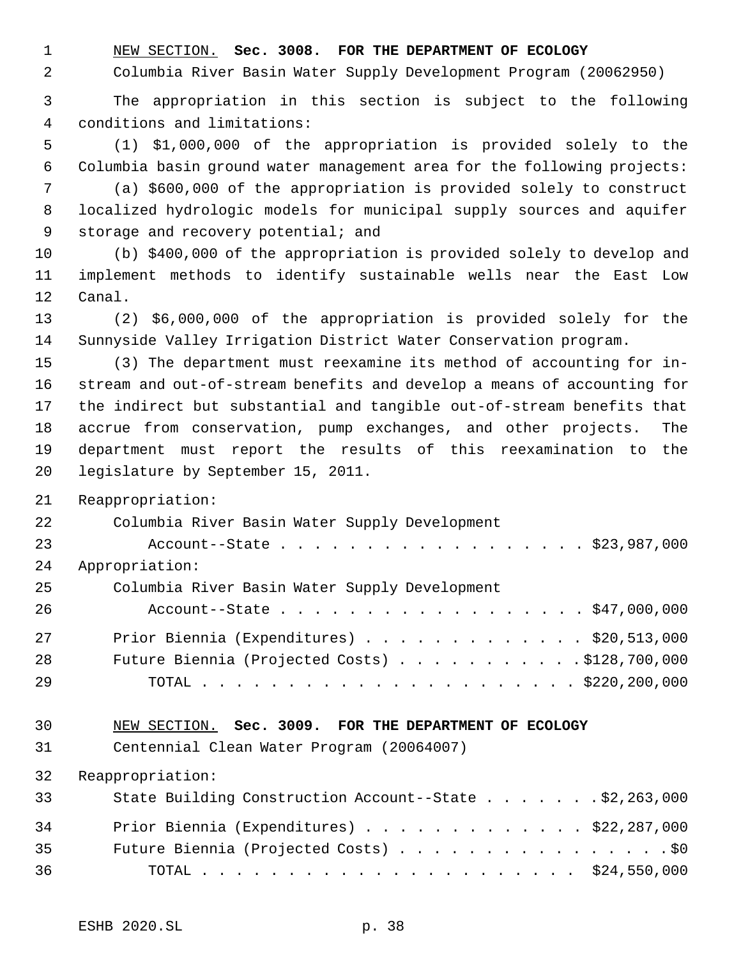NEW SECTION. **Sec. 3008. FOR THE DEPARTMENT OF ECOLOGY**

Columbia River Basin Water Supply Development Program (20062950)

 The appropriation in this section is subject to the following conditions and limitations:

 (1) \$1,000,000 of the appropriation is provided solely to the Columbia basin ground water management area for the following projects:

 (a) \$600,000 of the appropriation is provided solely to construct localized hydrologic models for municipal supply sources and aquifer 9 storage and recovery potential; and

 (b) \$400,000 of the appropriation is provided solely to develop and implement methods to identify sustainable wells near the East Low Canal.

 (2) \$6,000,000 of the appropriation is provided solely for the Sunnyside Valley Irrigation District Water Conservation program.

 (3) The department must reexamine its method of accounting for in- stream and out-of-stream benefits and develop a means of accounting for the indirect but substantial and tangible out-of-stream benefits that accrue from conservation, pump exchanges, and other projects. The department must report the results of this reexamination to the legislature by September 15, 2011.

Reappropriation:

| 22 | Columbia River Basin Water Supply Development           |
|----|---------------------------------------------------------|
| 23 | Account--State \$23,987,000                             |
| 24 | Appropriation:                                          |
| 25 | Columbia River Basin Water Supply Development           |
| 26 | Account--State \$47,000,000                             |
| 27 | Prior Biennia (Expenditures) $\ldots$ \$20,513,000      |
| 28 | Future Biennia (Projected Costs) $\ldots$ \$128,700,000 |
| 29 |                                                         |
|    |                                                         |

## NEW SECTION. **Sec. 3009. FOR THE DEPARTMENT OF ECOLOGY**

Centennial Clean Water Program (20064007)

| 33 | State Building Construction Account--State \$2,263,000 |
|----|--------------------------------------------------------|
| 34 | Prior Biennia (Expenditures) \$22,287,000              |
| 35 | Future Biennia (Projected Costs) \$0                   |
| 36 |                                                        |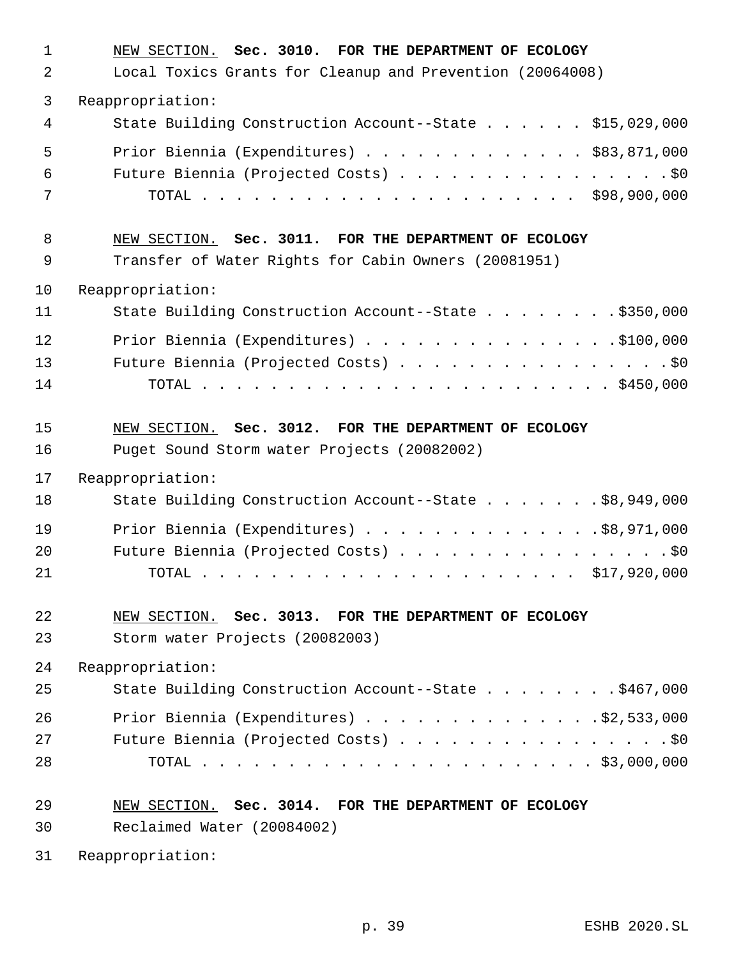| $\mathbf{1}$   | NEW SECTION. Sec. 3010. FOR THE DEPARTMENT OF ECOLOGY     |
|----------------|-----------------------------------------------------------|
| $\overline{2}$ | Local Toxics Grants for Cleanup and Prevention (20064008) |
| 3              | Reappropriation:                                          |
| 4              | State Building Construction Account--State \$15,029,000   |
| 5              | Prior Biennia (Expenditures) \$83,871,000                 |
| 6              | Future Biennia (Projected Costs) \$0                      |
| 7              |                                                           |
| 8              | NEW SECTION. Sec. 3011. FOR THE DEPARTMENT OF ECOLOGY     |
| 9              | Transfer of Water Rights for Cabin Owners (20081951)      |
| 10             | Reappropriation:                                          |
| 11             | State Building Construction Account--State \$350,000      |
| 12             | Prior Biennia (Expenditures) \$100,000                    |
| 13             | Future Biennia (Projected Costs) \$0                      |
| 14             |                                                           |
| 15             | NEW SECTION. Sec. 3012. FOR THE DEPARTMENT OF ECOLOGY     |
| 16             | Puget Sound Storm water Projects (20082002)               |
| 17             | Reappropriation:                                          |
| 18             | State Building Construction Account--State \$8,949,000    |
| 19             | Prior Biennia (Expenditures) \$8,971,000                  |
| 20             | Future Biennia (Projected Costs) \$0                      |
| 21             |                                                           |
| 22             | NEW SECTION. Sec. 3013. FOR THE DEPARTMENT OF ECOLOGY     |
| 23             | Storm water Projects (20082003)                           |
| 24             | Reappropriation:                                          |
| 25             | State Building Construction Account--State \$467,000      |
| 26             | Prior Biennia (Expenditures) $\ldots$ 92,533,000          |
| 27             | Future Biennia (Projected Costs) \$0                      |
| 28             |                                                           |
| 29             | NEW SECTION. Sec. 3014. FOR THE DEPARTMENT OF ECOLOGY     |
| 30             | Reclaimed Water (20084002)                                |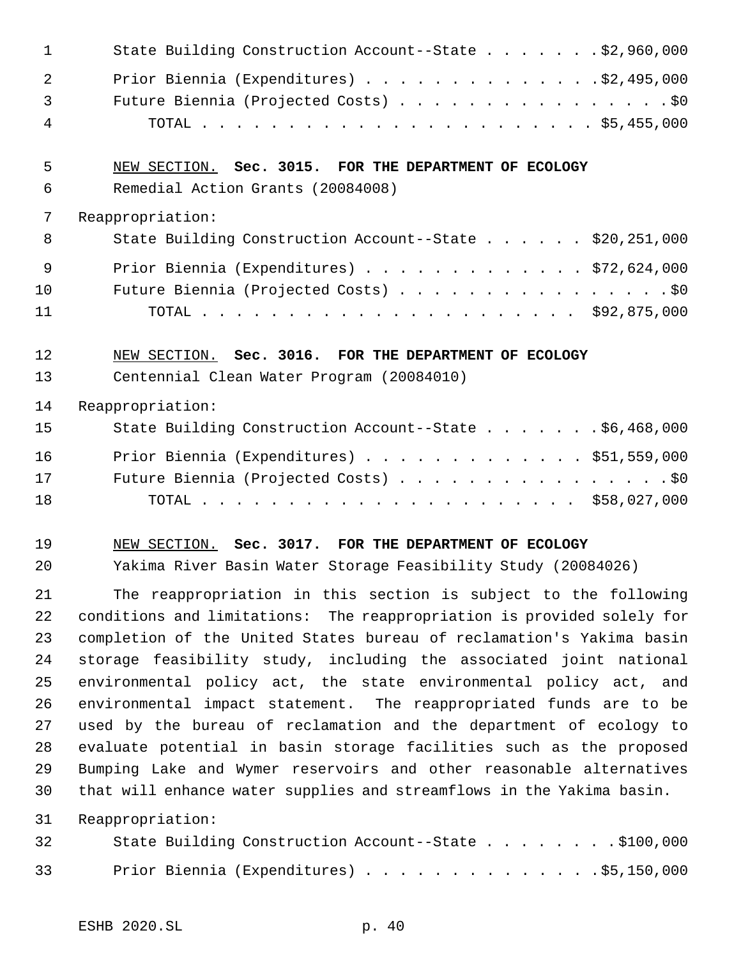| $\mathbf 1$    | State Building Construction Account--State \$2,960,000                 |
|----------------|------------------------------------------------------------------------|
| $\overline{2}$ | Prior Biennia (Expenditures) \$2,495,000                               |
| 3              | Future Biennia (Projected Costs) \$0                                   |
| 4              |                                                                        |
| 5              | NEW SECTION. Sec. 3015. FOR THE DEPARTMENT OF ECOLOGY                  |
| 6              | Remedial Action Grants (20084008)                                      |
| 7              | Reappropriation:                                                       |
| 8              | State Building Construction Account--State \$20,251,000                |
| 9              | Prior Biennia (Expenditures) \$72,624,000                              |
| 10             | Future Biennia (Projected Costs) \$0                                   |
| 11             |                                                                        |
| 12             | NEW SECTION. Sec. 3016. FOR THE DEPARTMENT OF ECOLOGY                  |
| 13             | Centennial Clean Water Program (20084010)                              |
| 14             | Reappropriation:                                                       |
| 15             | State Building Construction Account--State \$6,468,000                 |
| 16             | Prior Biennia (Expenditures) \$51,559,000                              |
| 17             | Future Biennia (Projected Costs) \$0                                   |
| 18             |                                                                        |
| 19             | NEW SECTION. Sec. 3017. FOR THE DEPARTMENT OF ECOLOGY                  |
| 20             | Yakima River Basin Water Storage Feasibility Study (20084026)          |
| 21             | The reappropriation in this section is subject to the following        |
| 22             | conditions and limitations: The reappropriation is provided solely for |
| 23             | completion of the United States bureau of reclamation's Yakima basin   |
| 24             | storage feasibility study, including the associated joint national     |
| 25             | environmental policy act, the state environmental policy act, and      |
| 26             | environmental impact statement. The reappropriated funds are to be     |
| 27             | used by the bureau of reclamation and the department of ecology to     |
| 28             | evaluate potential in basin storage facilities such as the proposed    |
| 29             | Bumping Lake and Wymer reservoirs and other reasonable alternatives    |
| 30             | that will enhance water supplies and streamflows in the Yakima basin.  |
| 31             | Reappropriation:                                                       |
| 32             | State Building Construction Account--State \$100,000                   |
| 33             | Prior Biennia (Expenditures) \$5,150,000                               |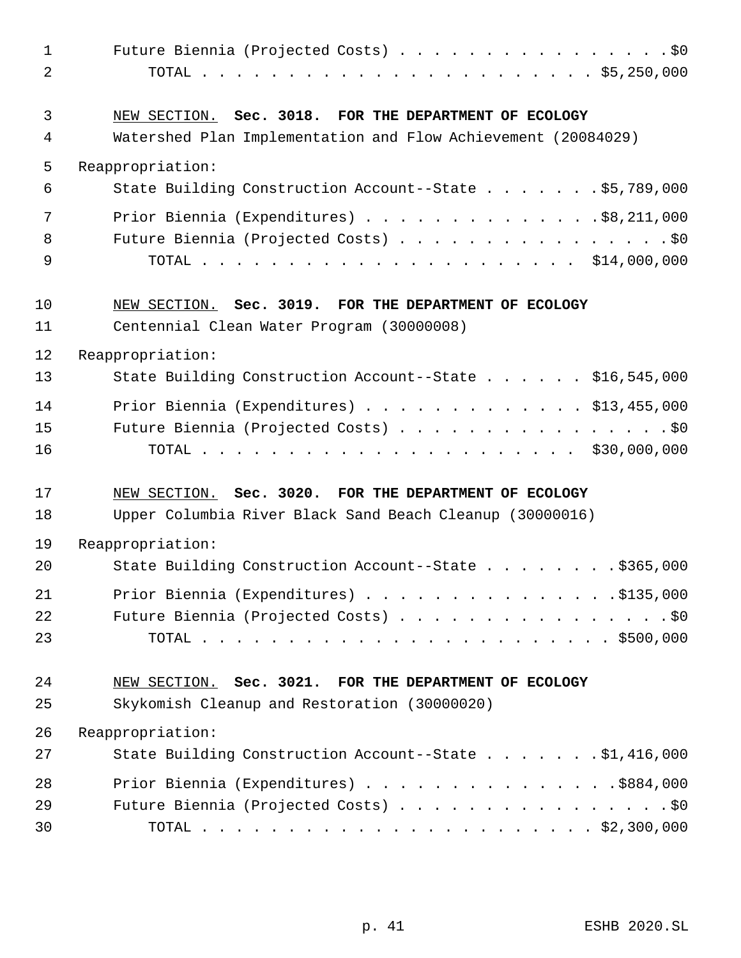| $\mathbf{1}$   | Future Biennia (Projected Costs) \$0                          |
|----------------|---------------------------------------------------------------|
| $\overline{a}$ |                                                               |
| 3              | NEW SECTION. Sec. 3018. FOR THE DEPARTMENT OF ECOLOGY         |
| 4              | Watershed Plan Implementation and Flow Achievement (20084029) |
| 5              | Reappropriation:                                              |
| 6              | State Building Construction Account--State \$5,789,000        |
| 7              | Prior Biennia (Expenditures) \$8,211,000                      |
| 8              | Future Biennia (Projected Costs) \$0                          |
| 9              |                                                               |
| 10             | NEW SECTION. Sec. 3019. FOR THE DEPARTMENT OF ECOLOGY         |
| 11             | Centennial Clean Water Program (30000008)                     |
| 12             | Reappropriation:                                              |
| 13             | State Building Construction Account--State \$16,545,000       |
| 14             | Prior Biennia (Expenditures) $\ldots$ \$13,455,000            |
| 15             | Future Biennia (Projected Costs) \$0                          |
| 16             |                                                               |
| 17             | NEW SECTION. Sec. 3020. FOR THE DEPARTMENT OF ECOLOGY         |
| 18             | Upper Columbia River Black Sand Beach Cleanup (30000016)      |
| 19             | Reappropriation:                                              |
| 20             | State Building Construction Account--State \$365,000          |
| 21             | Prior Biennia (Expenditures) $\ldots$ 9135,000                |
| 22             | Future Biennia (Projected Costs) \$0                          |
| 23             |                                                               |
| 24             | NEW SECTION. Sec. 3021. FOR THE DEPARTMENT OF ECOLOGY         |
| 25             | Skykomish Cleanup and Restoration (30000020)                  |
| 26             | Reappropriation:                                              |
| 27             | State Building Construction Account--State \$1,416,000        |
| 28             | Prior Biennia (Expenditures) \$884,000                        |
| 29             | Future Biennia (Projected Costs) \$0                          |
| 30             |                                                               |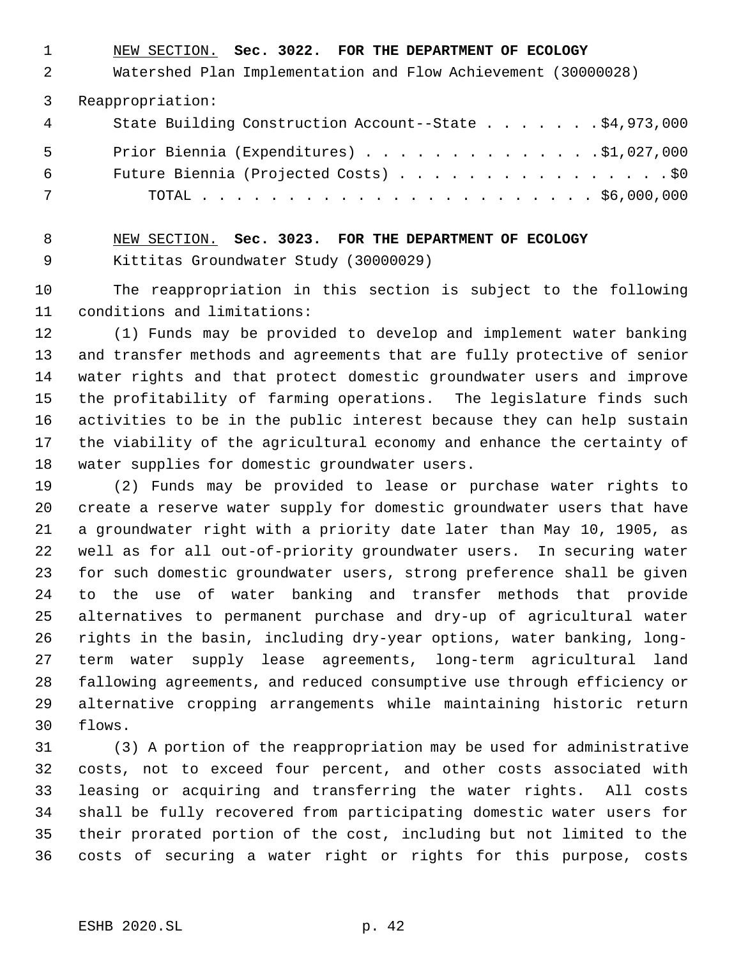NEW SECTION. **Sec. 3022. FOR THE DEPARTMENT OF ECOLOGY**

Watershed Plan Implementation and Flow Achievement (30000028)

Reappropriation:

| 4   | State Building Construction Account--State \$4,973,000 |
|-----|--------------------------------------------------------|
| - 5 | Prior Biennia (Expenditures) 91,027,000                |
| 6   | Future Biennia (Projected Costs) \$0                   |
| 7   |                                                        |

 NEW SECTION. **Sec. 3023. FOR THE DEPARTMENT OF ECOLOGY** Kittitas Groundwater Study (30000029)

 The reappropriation in this section is subject to the following conditions and limitations:

 (1) Funds may be provided to develop and implement water banking and transfer methods and agreements that are fully protective of senior water rights and that protect domestic groundwater users and improve the profitability of farming operations. The legislature finds such activities to be in the public interest because they can help sustain the viability of the agricultural economy and enhance the certainty of water supplies for domestic groundwater users.

 (2) Funds may be provided to lease or purchase water rights to create a reserve water supply for domestic groundwater users that have a groundwater right with a priority date later than May 10, 1905, as well as for all out-of-priority groundwater users. In securing water for such domestic groundwater users, strong preference shall be given to the use of water banking and transfer methods that provide alternatives to permanent purchase and dry-up of agricultural water rights in the basin, including dry-year options, water banking, long- term water supply lease agreements, long-term agricultural land fallowing agreements, and reduced consumptive use through efficiency or alternative cropping arrangements while maintaining historic return flows.

 (3) A portion of the reappropriation may be used for administrative costs, not to exceed four percent, and other costs associated with leasing or acquiring and transferring the water rights. All costs shall be fully recovered from participating domestic water users for their prorated portion of the cost, including but not limited to the costs of securing a water right or rights for this purpose, costs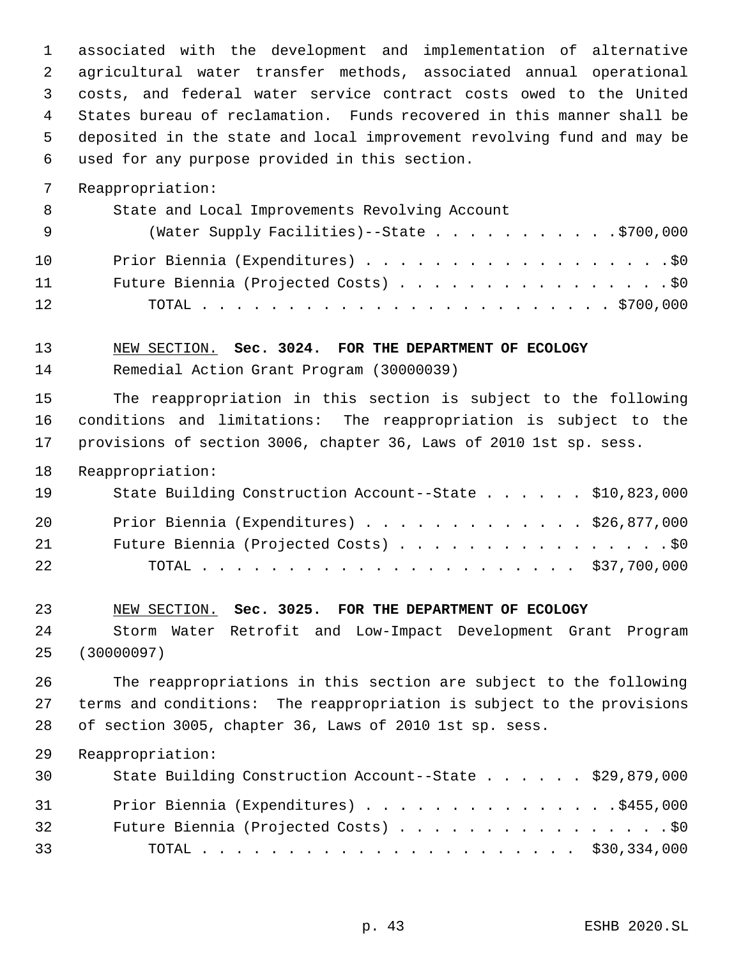associated with the development and implementation of alternative agricultural water transfer methods, associated annual operational costs, and federal water service contract costs owed to the United States bureau of reclamation. Funds recovered in this manner shall be deposited in the state and local improvement revolving fund and may be used for any purpose provided in this section.

Reappropriation:

| - 8 | State and Local Improvements Revolving Account |
|-----|------------------------------------------------|
| - 9 | (Water Supply Facilities)--State \$700,000     |
| 10  | Prior Biennia (Expenditures) \$0               |
| 11  | Future Biennia (Projected Costs) \$0           |
| 12  |                                                |

### NEW SECTION. **Sec. 3024. FOR THE DEPARTMENT OF ECOLOGY**

Remedial Action Grant Program (30000039)

 The reappropriation in this section is subject to the following conditions and limitations: The reappropriation is subject to the provisions of section 3006, chapter 36, Laws of 2010 1st sp. sess.

Reappropriation:

| 19 | State Building Construction Account--State \$10,823,000 |  |
|----|---------------------------------------------------------|--|
| 20 | Prior Biennia (Expenditures) \$26,877,000               |  |
| 21 | Future Biennia (Projected Costs) \$0                    |  |
| 22 |                                                         |  |

NEW SECTION. **Sec. 3025. FOR THE DEPARTMENT OF ECOLOGY**

 Storm Water Retrofit and Low-Impact Development Grant Program (30000097)

 The reappropriations in this section are subject to the following terms and conditions: The reappropriation is subject to the provisions of section 3005, chapter 36, Laws of 2010 1st sp. sess.

| 30 | State Building Construction Account--State \$29,879,000 |  |
|----|---------------------------------------------------------|--|
| 31 | Prior Biennia (Expenditures) \$455,000                  |  |
| 32 | Future Biennia (Projected Costs) \$0                    |  |
| 33 |                                                         |  |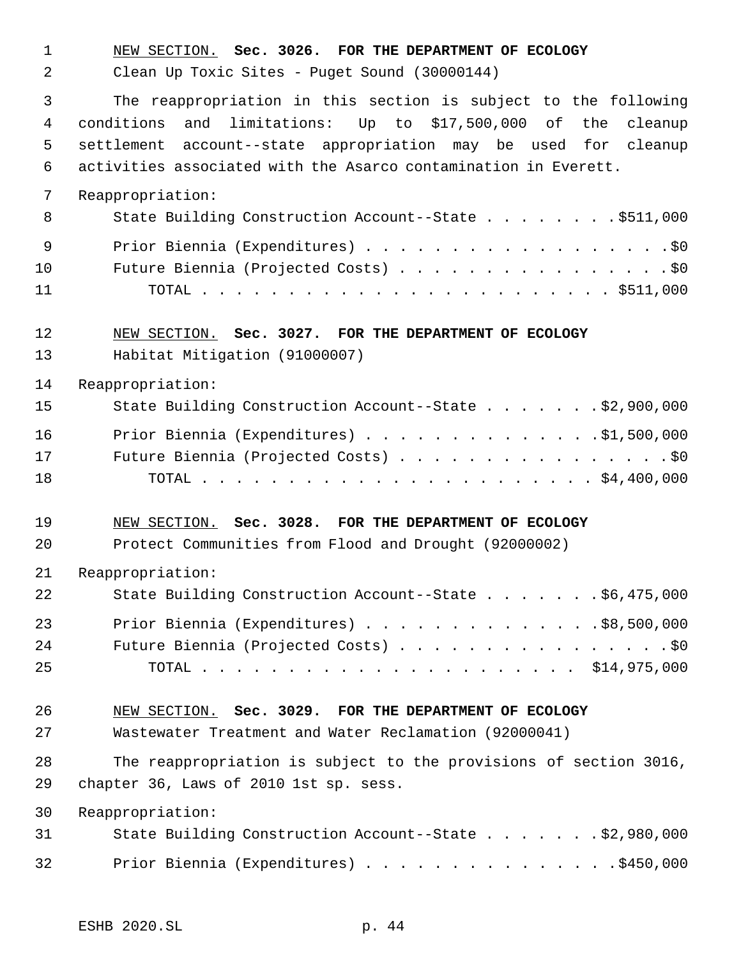NEW SECTION. **Sec. 3026. FOR THE DEPARTMENT OF ECOLOGY** Clean Up Toxic Sites - Puget Sound (30000144) The reappropriation in this section is subject to the following conditions and limitations: Up to \$17,500,000 of the cleanup settlement account--state appropriation may be used for cleanup activities associated with the Asarco contamination in Everett. Reappropriation: 8 State Building Construction Account--State . . . . . . . \$511,000 9 Prior Biennia (Expenditures) . . . . . . . . . . . . . . . . . . \$0 10 Future Biennia (Projected Costs) . . . . . . . . . . . . . . . . \$0 TOTAL . . . . . . . . . . . . . . . . . . . . . . . . \$511,000 NEW SECTION. **Sec. 3027. FOR THE DEPARTMENT OF ECOLOGY** Habitat Mitigation (91000007) Reappropriation: State Building Construction Account--State . . . . . . . \$2,900,000 Prior Biennia (Expenditures) . . . . . . . . . . . . . .\$1,500,000 Future Biennia (Projected Costs) . . . . . . . . . . . . . . . . \$0 TOTAL . . . . . . . . . . . . . . . . . . . . . . . \$4,400,000 NEW SECTION. **Sec. 3028. FOR THE DEPARTMENT OF ECOLOGY** Protect Communities from Flood and Drought (92000002) Reappropriation: State Building Construction Account--State . . . . . . . \$6,475,000 Prior Biennia (Expenditures) . . . . . . . . . . . . . .\$8,500,000 24 Future Biennia (Projected Costs) . . . . . . . . . . . . . . . . \$0 TOTAL . . . . . . . . . . . . . . . . . . . . . . \$14,975,000 NEW SECTION. **Sec. 3029. FOR THE DEPARTMENT OF ECOLOGY** Wastewater Treatment and Water Reclamation (92000041) The reappropriation is subject to the provisions of section 3016, chapter 36, Laws of 2010 1st sp. sess. Reappropriation: State Building Construction Account--State . . . . . . . \$2,980,000 32 Prior Biennia (Expenditures) . . . . . . . . . . . . . . . \$450,000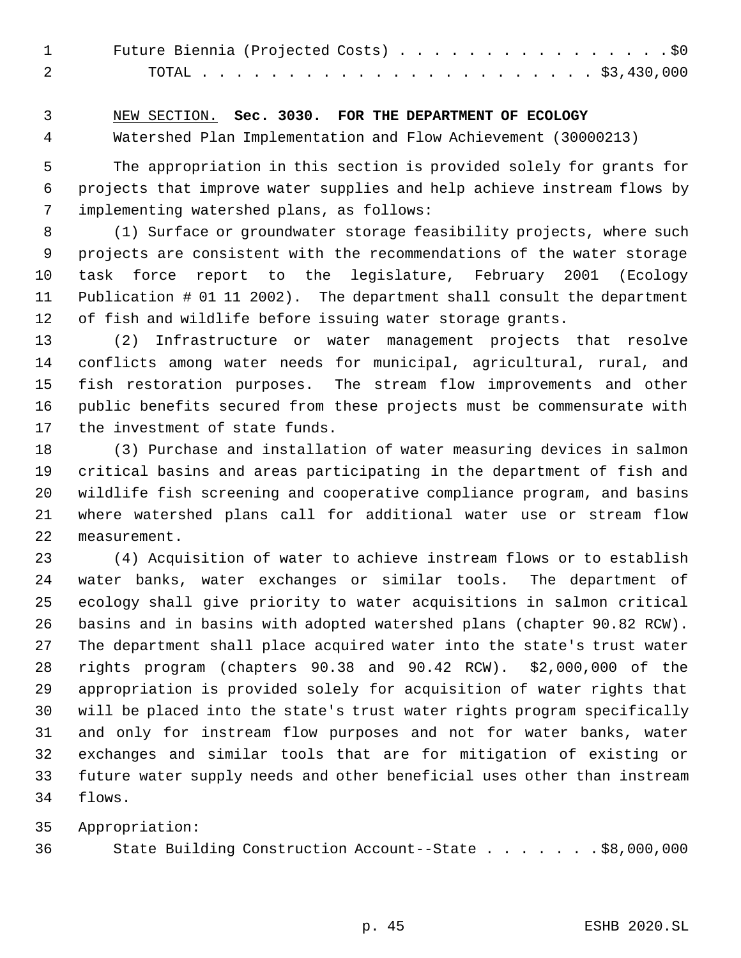| Future Biennia (Projected Costs) \$0 |  |
|--------------------------------------|--|
|                                      |  |

# NEW SECTION. **Sec. 3030. FOR THE DEPARTMENT OF ECOLOGY**

Watershed Plan Implementation and Flow Achievement (30000213)

 The appropriation in this section is provided solely for grants for projects that improve water supplies and help achieve instream flows by implementing watershed plans, as follows:

 (1) Surface or groundwater storage feasibility projects, where such projects are consistent with the recommendations of the water storage task force report to the legislature, February 2001 (Ecology Publication # 01 11 2002). The department shall consult the department of fish and wildlife before issuing water storage grants.

 (2) Infrastructure or water management projects that resolve conflicts among water needs for municipal, agricultural, rural, and fish restoration purposes. The stream flow improvements and other public benefits secured from these projects must be commensurate with the investment of state funds.

 (3) Purchase and installation of water measuring devices in salmon critical basins and areas participating in the department of fish and wildlife fish screening and cooperative compliance program, and basins where watershed plans call for additional water use or stream flow measurement.

 (4) Acquisition of water to achieve instream flows or to establish water banks, water exchanges or similar tools. The department of ecology shall give priority to water acquisitions in salmon critical basins and in basins with adopted watershed plans (chapter 90.82 RCW). The department shall place acquired water into the state's trust water rights program (chapters 90.38 and 90.42 RCW). \$2,000,000 of the appropriation is provided solely for acquisition of water rights that will be placed into the state's trust water rights program specifically and only for instream flow purposes and not for water banks, water exchanges and similar tools that are for mitigation of existing or future water supply needs and other beneficial uses other than instream flows.

Appropriation:

State Building Construction Account--State . . . . . . . \$8,000,000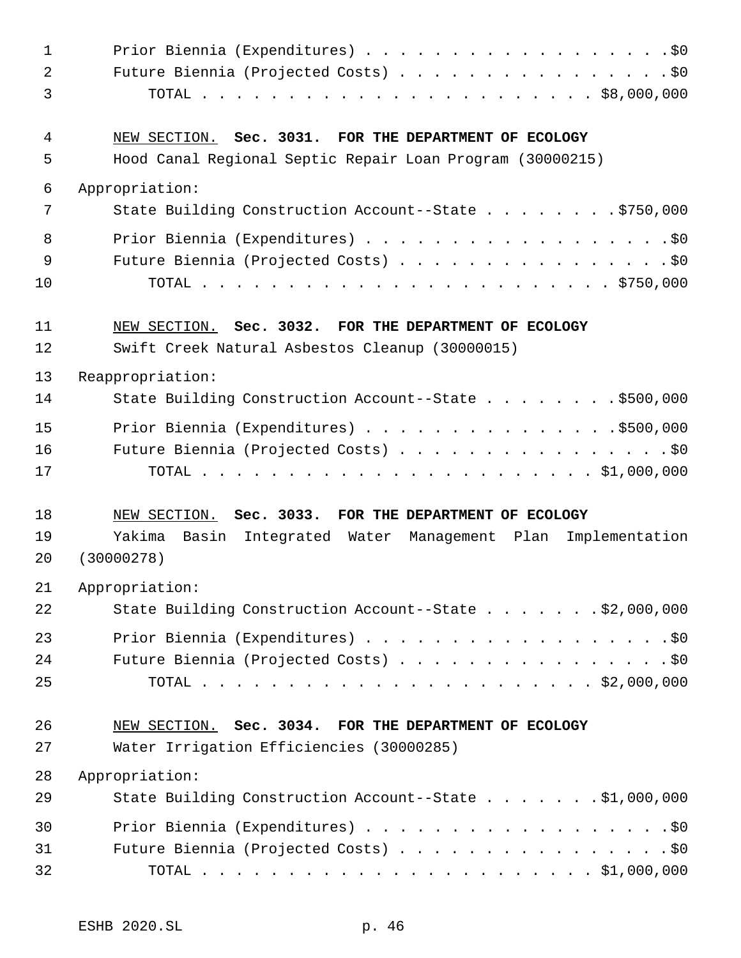| $\mathbf 1$    | Prior Biennia (Expenditures) \$0                                   |
|----------------|--------------------------------------------------------------------|
| $\overline{a}$ | Future Biennia (Projected Costs) \$0                               |
| 3              |                                                                    |
| 4              | NEW SECTION. Sec. 3031. FOR THE DEPARTMENT OF ECOLOGY              |
| 5              | Hood Canal Regional Septic Repair Loan Program (30000215)          |
| 6              | Appropriation:                                                     |
| 7              | State Building Construction Account--State \$750,000               |
| 8              | Prior Biennia (Expenditures) \$0                                   |
| 9              | Future Biennia (Projected Costs) \$0                               |
| 10             |                                                                    |
| 11             | NEW SECTION. Sec. 3032. FOR THE DEPARTMENT OF ECOLOGY              |
| 12             | Swift Creek Natural Asbestos Cleanup (30000015)                    |
| 13             | Reappropriation:                                                   |
| 14             | State Building Construction Account--State \$500,000               |
| 15             |                                                                    |
| 16             | Future Biennia (Projected Costs) \$0                               |
| 17             |                                                                    |
| 18             | NEW SECTION. Sec. 3033. FOR THE DEPARTMENT OF ECOLOGY              |
| 19             | Yakima<br>Basin<br>Integrated Water Management Plan Implementation |
| 20             | (30000278)                                                         |
| 21             | Appropriation:                                                     |
| 22             | State Building Construction Account--State \$2,000,000             |
| 23             | Prior Biennia (Expenditures) \$0                                   |
| 24             | Future Biennia (Projected Costs) \$0                               |
| 25             |                                                                    |
| 26             | NEW SECTION. Sec. 3034. FOR THE DEPARTMENT OF ECOLOGY              |
| 27             | Water Irrigation Efficiencies (30000285)                           |
| 28             | Appropriation:                                                     |
| 29             | State Building Construction Account--State \$1,000,000             |
| 30             | Prior Biennia (Expenditures) \$0                                   |
| 31             | Future Biennia (Projected Costs) \$0                               |
| 32             |                                                                    |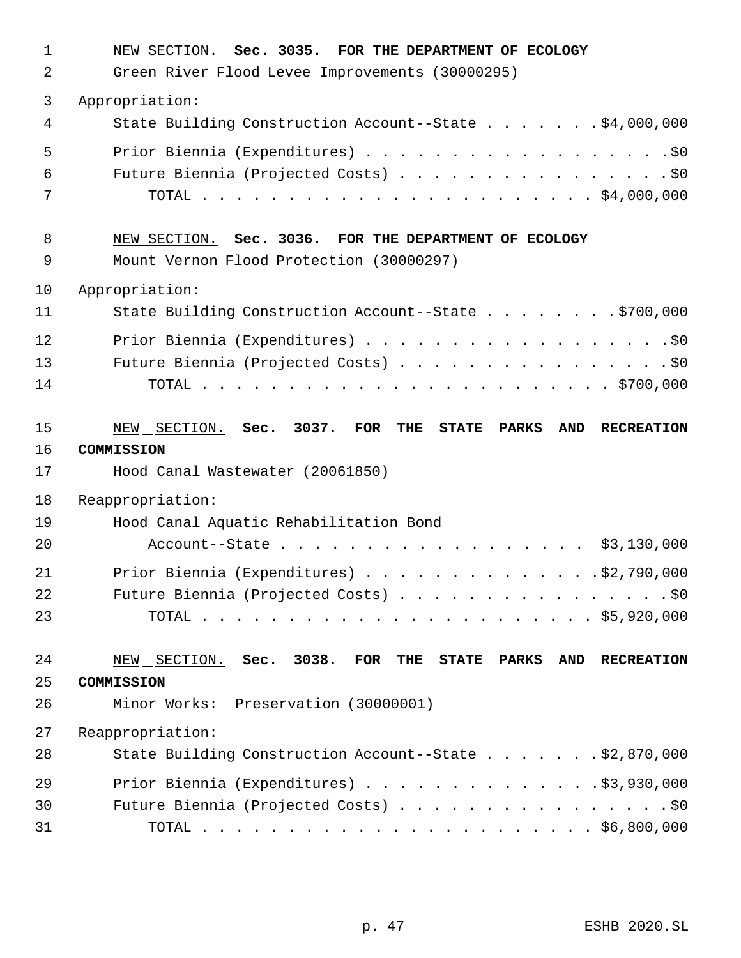| 1<br>2 | NEW SECTION. Sec. 3035. FOR THE DEPARTMENT OF ECOLOGY<br>Green River Flood Levee Improvements (30000295) |
|--------|----------------------------------------------------------------------------------------------------------|
|        |                                                                                                          |
| 3<br>4 | Appropriation:<br>State Building Construction Account--State \$4,000,000                                 |
|        |                                                                                                          |
| 5      | Prior Biennia (Expenditures) \$0                                                                         |
| 6      | Future Biennia (Projected Costs) \$0                                                                     |
| 7      |                                                                                                          |
| 8      | NEW SECTION. Sec. 3036. FOR THE DEPARTMENT OF ECOLOGY                                                    |
| 9      | Mount Vernon Flood Protection (30000297)                                                                 |
| 10     | Appropriation:                                                                                           |
| 11     | State Building Construction Account--State \$700,000                                                     |
| 12     | Prior Biennia (Expenditures) \$0                                                                         |
| 13     | Future Biennia (Projected Costs) \$0                                                                     |
| 14     |                                                                                                          |
| 15     | NEW SECTION. Sec. 3037. FOR<br>THE<br><b>STATE PARKS</b><br>AND RECREATION                               |
| 16     | COMMISSION                                                                                               |
| 17     | Hood Canal Wastewater (20061850)                                                                         |
| 18     | Reappropriation:                                                                                         |
| 19     | Hood Canal Aquatic Rehabilitation Bond                                                                   |
| 20     | Account--State \$3,130,000                                                                               |
| 21     | Prior Biennia (Expenditures) $\ldots$ 92,790,000                                                         |
| 22     | Future Biennia (Projected Costs) \$0                                                                     |
| 23     |                                                                                                          |
|        |                                                                                                          |
| 24     | NEW SECTION. Sec. 3038. FOR<br>THE<br><b>STATE PARKS</b><br>AND RECREATION                               |
| 25     | COMMISSION                                                                                               |
| 26     | Minor Works: Preservation (30000001)                                                                     |
| 27     | Reappropriation:                                                                                         |
| 28     | State Building Construction Account--State \$2,870,000                                                   |
| 29     | Prior Biennia (Expenditures) \$3,930,000                                                                 |
| 30     | Future Biennia (Projected Costs) \$0                                                                     |
| 31     |                                                                                                          |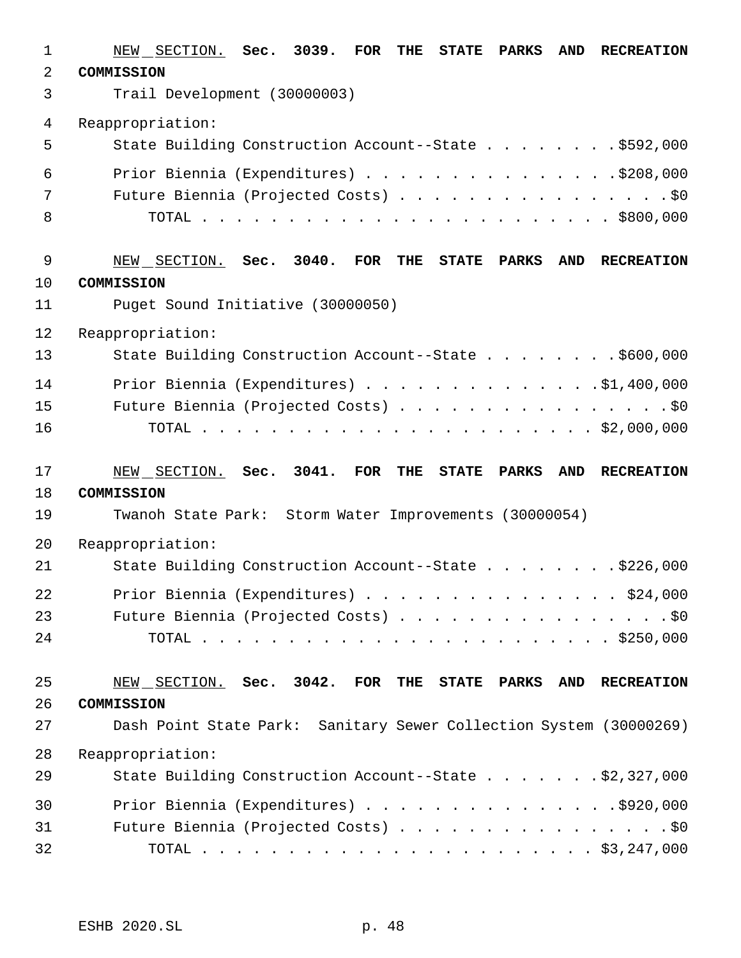| 1        | 3039. FOR<br>NEW SECTION. Sec.<br><b>THE</b><br>STATE PARKS<br><b>AND</b><br><b>RECREATION</b> |
|----------|------------------------------------------------------------------------------------------------|
| 2        | <b>COMMISSION</b>                                                                              |
| 3        | Trail Development (30000003)                                                                   |
| 4        | Reappropriation:                                                                               |
| 5        | State Building Construction Account--State \$592,000                                           |
| 6        | Prior Biennia (Expenditures) \$208,000                                                         |
| 7        |                                                                                                |
| 8        |                                                                                                |
| 9        | $3040.$ FOR<br>NEW SECTION. Sec.<br>THE<br>STATE PARKS<br><b>AND</b><br><b>RECREATION</b>      |
| 10       | <b>COMMISSION</b>                                                                              |
| 11       | Puget Sound Initiative (30000050)                                                              |
| 12       | Reappropriation:                                                                               |
| 13       | State Building Construction Account--State \$600,000                                           |
| 14       | Prior Biennia (Expenditures) \$1,400,000                                                       |
| 15       | Future Biennia (Projected Costs) \$0                                                           |
| 16       |                                                                                                |
|          |                                                                                                |
|          |                                                                                                |
| 17       | 3041. FOR<br>NEW SECTION. Sec.<br>THE<br><b>STATE PARKS</b><br>AND<br><b>RECREATION</b>        |
| 18       | COMMISSION                                                                                     |
| 19       | Twanoh State Park: Storm Water Improvements (30000054)                                         |
| 20       | Reappropriation:                                                                               |
| 21       | State Building Construction Account--State \$226,000                                           |
| 22       | Prior Biennia (Expenditures) \$24,000                                                          |
| 23       | Future Biennia (Projected Costs) \$0                                                           |
| 24       |                                                                                                |
|          |                                                                                                |
| 25       | NEW SECTION. Sec. 3042. FOR THE STATE PARKS AND RECREATION                                     |
| 26<br>27 | COMMISSION<br>Dash Point State Park: Sanitary Sewer Collection System (30000269)               |
| 28       |                                                                                                |
| 29       | Reappropriation:<br>State Building Construction Account--State \$2,327,000                     |
| 30       | Prior Biennia (Expenditures) \$920,000                                                         |
| 31       | Future Biennia (Projected Costs) \$0                                                           |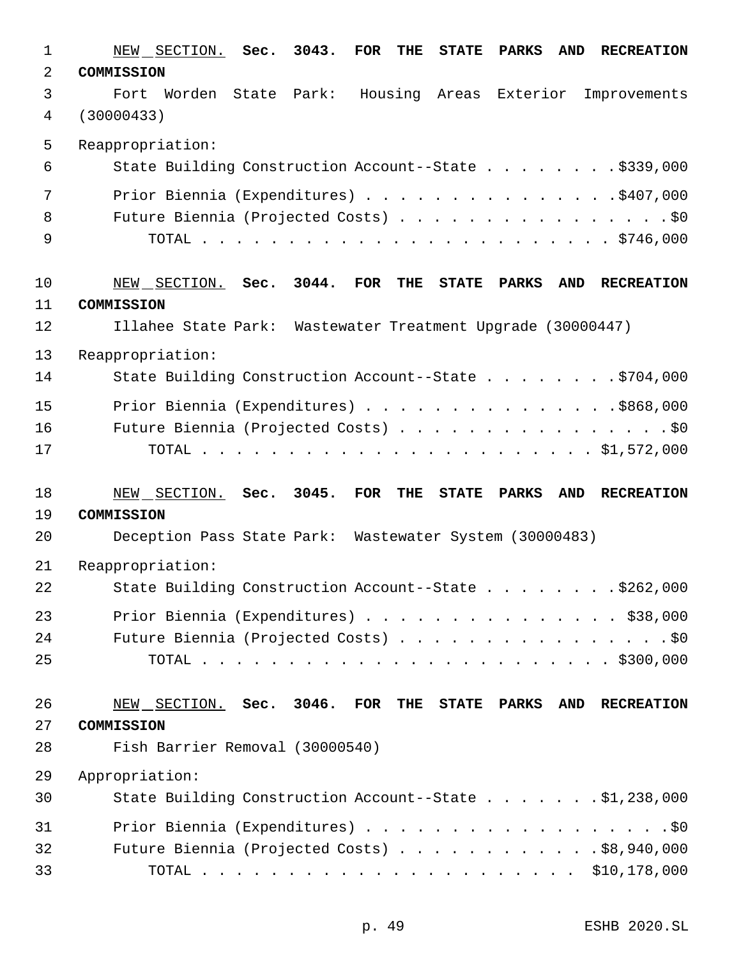| $\mathbf 1$ | NEW SECTION. Sec.<br>3043.<br><b>FOR</b><br><b>STATE</b><br><b>PARKS</b><br><b>AND</b><br><b>RECREATION</b><br>THE |
|-------------|--------------------------------------------------------------------------------------------------------------------|
| 2           | COMMISSION                                                                                                         |
| 3           | Worden State Park: Housing Areas Exterior Improvements<br>Fort                                                     |
| 4           | (30000433)                                                                                                         |
| 5           | Reappropriation:                                                                                                   |
| 6           | State Building Construction Account--State \$339,000                                                               |
| 7           | Prior Biennia (Expenditures) \$407,000                                                                             |
| 8           | Future Biennia (Projected Costs) \$0                                                                               |
| 9           |                                                                                                                    |
| 10          | 3044.<br>NEW SECTION. Sec.<br>FOR<br><b>THE</b><br><b>STATE</b><br>PARKS<br>AND<br><b>RECREATION</b>               |
| 11          | COMMISSION                                                                                                         |
| 12          | Illahee State Park: Wastewater Treatment Upgrade (30000447)                                                        |
| 13          | Reappropriation:                                                                                                   |
| 14          | State Building Construction Account--State \$704,000                                                               |
| 15          | Prior Biennia (Expenditures) \$868,000                                                                             |
| 16          | Future Biennia (Projected Costs) \$0                                                                               |
| 17          |                                                                                                                    |
| 18          | 3045.<br><b>FOR</b><br>NEW SECTION.<br>Sec.<br><b>PARKS</b><br><b>RECREATION</b><br>THE<br><b>STATE</b><br>AND     |
| 19          | COMMISSION                                                                                                         |
| 20          | Deception Pass State Park: Wastewater System (30000483)                                                            |
| 21          | Reappropriation:                                                                                                   |
| 22          | State Building Construction Account--State \$262,000                                                               |
| 23          | Prior Biennia (Expenditures) \$38,000                                                                              |
| 24          | Future Biennia (Projected Costs) \$0                                                                               |
| 25          |                                                                                                                    |
| 26          | NEW SECTION. Sec. 3046. FOR THE STATE PARKS<br>AND RECREATION                                                      |
| 27          | COMMISSION                                                                                                         |
| 28          | Fish Barrier Removal (30000540)                                                                                    |
| 29          | Appropriation:                                                                                                     |
| 30          | State Building Construction Account--State \$1,238,000                                                             |
| 31          | Prior Biennia (Expenditures) \$0                                                                                   |
| 32          | Future Biennia (Projected Costs) \$8,940,000                                                                       |
| 33          |                                                                                                                    |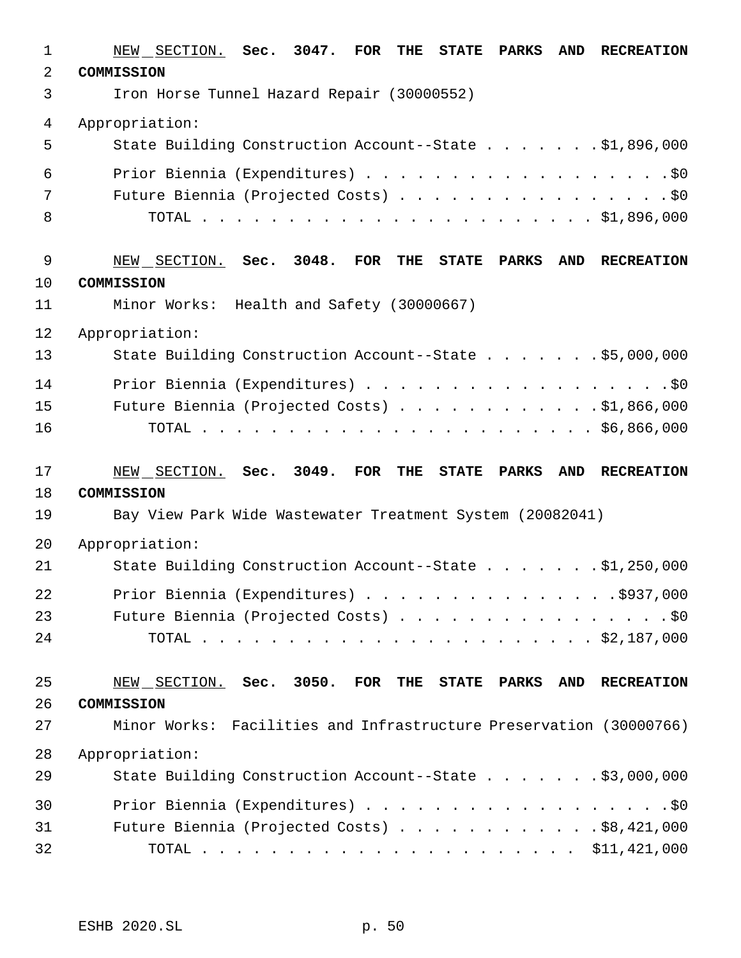| $\mathbf{1}$ | NEW SECTION. Sec. 3047. FOR THE<br>STATE PARKS<br><b>AND</b><br><b>RECREATION</b> |
|--------------|-----------------------------------------------------------------------------------|
| 2            | COMMISSION                                                                        |
| 3            | Iron Horse Tunnel Hazard Repair (30000552)                                        |
| 4            | Appropriation:                                                                    |
| 5            | State Building Construction Account--State \$1,896,000                            |
| 6            | Prior Biennia (Expenditures) \$0                                                  |
| 7            | Future Biennia (Projected Costs) \$0                                              |
| 8            |                                                                                   |
|              |                                                                                   |
| 9            | NEW SECTION. Sec. 3048. FOR THE<br>STATE PARKS<br><b>AND</b><br><b>RECREATION</b> |
| 10           | COMMISSION                                                                        |
| 11           | Minor Works: Health and Safety (30000667)                                         |
| 12           | Appropriation:                                                                    |
| 13           | State Building Construction Account--State \$5,000,000                            |
| 14           | Prior Biennia (Expenditures) \$0                                                  |
| 15           | Future Biennia (Projected Costs) \$1,866,000                                      |
| 16           |                                                                                   |
|              |                                                                                   |
| 17           | NEW SECTION. Sec. 3049.<br>FOR THE<br>STATE PARKS<br>AND RECREATION               |
| 18           | COMMISSION                                                                        |
| 19           | Bay View Park Wide Wastewater Treatment System (20082041)                         |
| 20           | Appropriation:                                                                    |
| 21           | State Building Construction Account--State \$1,250,000                            |
| 22           | Prior Biennia (Expenditures) $\ldots$ 937,000                                     |
| 23           | Future Biennia (Projected Costs) \$0                                              |
| 24           |                                                                                   |
|              |                                                                                   |
| 25           | NEW SECTION. Sec. 3050. FOR THE STATE PARKS<br>AND RECREATION                     |
| 26           | COMMISSION                                                                        |
| 27           | Minor Works: Facilities and Infrastructure Preservation (30000766)                |
| 28           | Appropriation:                                                                    |
| 29           | State Building Construction Account--State \$3,000,000                            |
| 30           | Prior Biennia (Expenditures) \$0                                                  |
| 31           | Future Biennia (Projected Costs) $\ldots$ \$8,421,000                             |
|              |                                                                                   |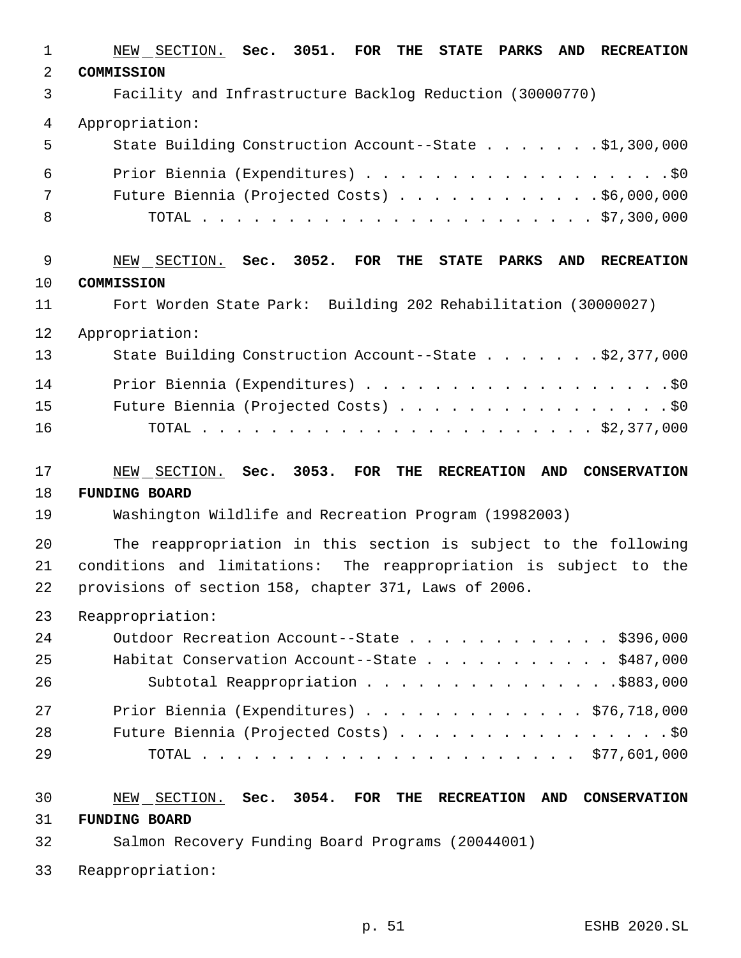| $\mathbf 1$    | NEW SECTION. Sec. 3051. FOR<br>STATE PARKS<br><b>AND</b><br><b>RECREATION</b><br>THE |
|----------------|--------------------------------------------------------------------------------------|
| $\overline{a}$ | COMMISSION                                                                           |
| 3              | Facility and Infrastructure Backlog Reduction (30000770)                             |
| 4              | Appropriation:                                                                       |
| 5              | State Building Construction Account--State \$1,300,000                               |
| 6              |                                                                                      |
| 7              | Future Biennia (Projected Costs) \$6,000,000                                         |
| 8              |                                                                                      |
| 9              | NEW SECTION. Sec. 3052. FOR THE STATE PARKS<br>AND RECREATION                        |
| 10             | COMMISSION                                                                           |
| 11             | Fort Worden State Park: Building 202 Rehabilitation (30000027)                       |
| 12             | Appropriation:                                                                       |
| 13             | State Building Construction Account--State \$2,377,000                               |
| 14             |                                                                                      |
| 15             | Future Biennia (Projected Costs) \$0                                                 |
| 16             |                                                                                      |
| 17             | NEW SECTION. Sec. 3053. FOR<br>AND CONSERVATION<br>THE<br><b>RECREATION</b>          |
| 18             | <b>FUNDING BOARD</b>                                                                 |
| 19             | Washington Wildlife and Recreation Program (19982003)                                |
| 20             | The reappropriation in this section is subject to the following                      |
| 21             | conditions and limitations: The reappropriation is subject to the                    |
| 22             | provisions of section 158, chapter 371, Laws of 2006.                                |
| 23             | Reappropriation:                                                                     |
| 24             | Outdoor Recreation Account--State \$396,000                                          |
| 25             | Habitat Conservation Account--State \$487,000                                        |
| 26             | Subtotal Reappropriation \$883,000                                                   |
| 27             | Prior Biennia (Expenditures) \$76,718,000                                            |
|                |                                                                                      |
| 28             | Future Biennia (Projected Costs) \$0                                                 |
| 29             |                                                                                      |
| 30             | NEW SECTION. Sec. 3054. FOR THE<br><b>RECREATION</b><br>AND CONSERVATION             |
| 31             | <b>FUNDING BOARD</b>                                                                 |
| 32             | Salmon Recovery Funding Board Programs (20044001)                                    |

p. 51 ESHB 2020.SL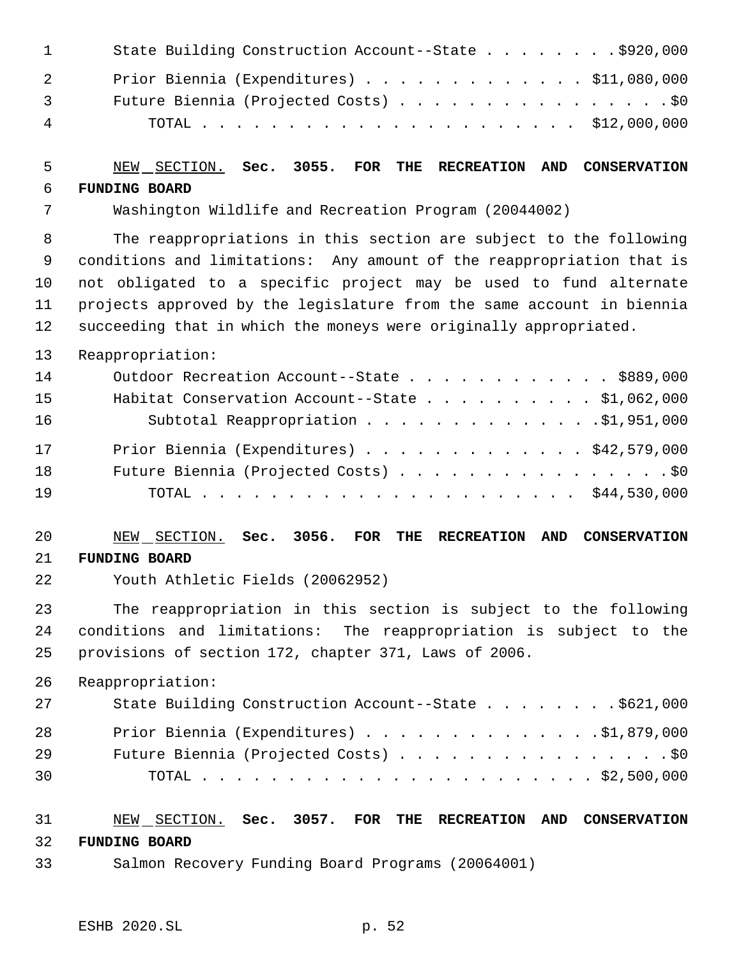| $\sim$ 1       | State Building Construction Account--State \$920,000 |
|----------------|------------------------------------------------------|
| 2              | Prior Biennia (Expenditures) \$11,080,000            |
| $\overline{3}$ | Future Biennia (Projected Costs) \$0                 |
| $\overline{4}$ |                                                      |

#### NEW SECTION. **Sec. 3055. FOR THE RECREATION AND CONSERVATION FUNDING BOARD**

Washington Wildlife and Recreation Program (20044002)

 The reappropriations in this section are subject to the following conditions and limitations: Any amount of the reappropriation that is not obligated to a specific project may be used to fund alternate projects approved by the legislature from the same account in biennia succeeding that in which the moneys were originally appropriated.

Reappropriation:

| 14 | Outdoor Recreation Account--State \$889,000     |  |
|----|-------------------------------------------------|--|
| 15 | Habitat Conservation Account--State \$1,062,000 |  |
| 16 | Subtotal Reappropriation 51,951,000             |  |
| 17 | Prior Biennia (Expenditures) \$42,579,000       |  |
| 18 | Future Biennia (Projected Costs) \$0            |  |
| 19 |                                                 |  |

#### NEW SECTION. **Sec. 3056. FOR THE RECREATION AND CONSERVATION FUNDING BOARD**

Youth Athletic Fields (20062952)

 The reappropriation in this section is subject to the following conditions and limitations: The reappropriation is subject to the provisions of section 172, chapter 371, Laws of 2006.

Reappropriation:

| 27 | State Building Construction Account--State \$621,000 |
|----|------------------------------------------------------|
| 28 | Prior Biennia (Expenditures) \$1,879,000             |
| 29 | Future Biennia (Projected Costs) \$0                 |
| 30 |                                                      |

#### NEW SECTION. **Sec. 3057. FOR THE RECREATION AND CONSERVATION FUNDING BOARD**

Salmon Recovery Funding Board Programs (20064001)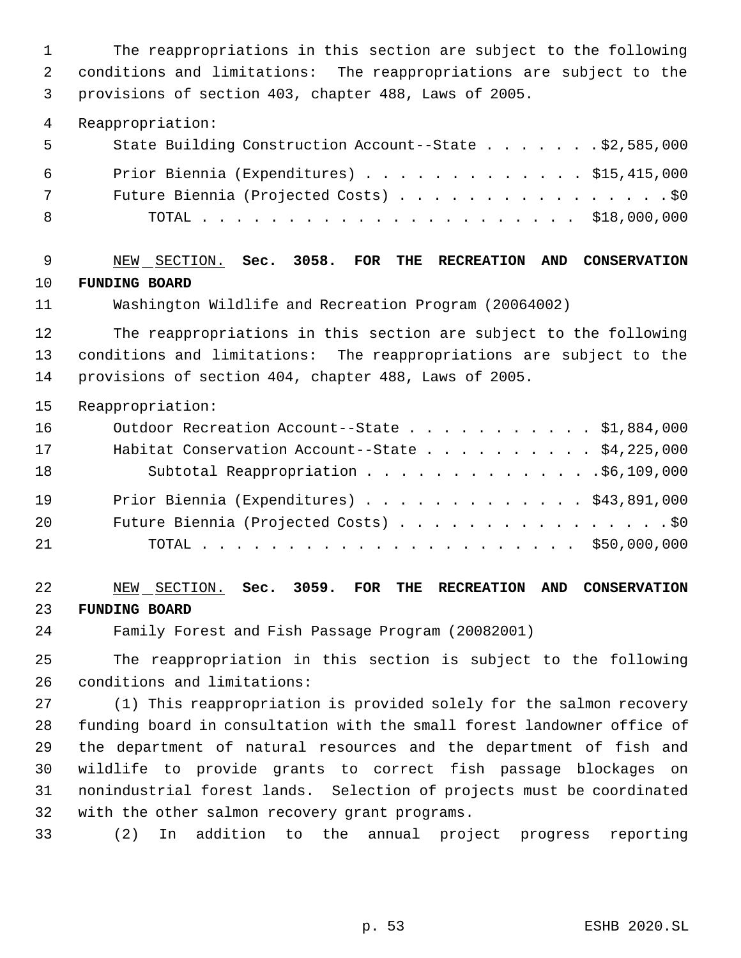The reappropriations in this section are subject to the following conditions and limitations: The reappropriations are subject to the provisions of section 403, chapter 488, Laws of 2005.

Reappropriation:

| - 5 | State Building Construction Account--State \$2,585,000 |
|-----|--------------------------------------------------------|
| - 6 | Prior Biennia (Expenditures) \$15,415,000              |
| 7   | Future Biennia (Projected Costs) \$0                   |
| - 8 |                                                        |

 NEW SECTION. **Sec. 3058. FOR THE RECREATION AND CONSERVATION FUNDING BOARD**

Washington Wildlife and Recreation Program (20064002)

 The reappropriations in this section are subject to the following conditions and limitations: The reappropriations are subject to the provisions of section 404, chapter 488, Laws of 2005.

Reappropriation:

| 16 | Outdoor Recreation Account--State \$1,884,000            |
|----|----------------------------------------------------------|
| 17 | Habitat Conservation Account--State $\ldots$ \$4,225,000 |
| 18 | Subtotal Reappropriation 96,109,000                      |
| 19 | Prior Biennia (Expenditures) \$43,891,000                |
| 20 | Future Biennia (Projected Costs) \$0                     |
| 21 |                                                          |

 NEW SECTION. **Sec. 3059. FOR THE RECREATION AND CONSERVATION FUNDING BOARD**

Family Forest and Fish Passage Program (20082001)

 The reappropriation in this section is subject to the following conditions and limitations:

 (1) This reappropriation is provided solely for the salmon recovery funding board in consultation with the small forest landowner office of the department of natural resources and the department of fish and wildlife to provide grants to correct fish passage blockages on nonindustrial forest lands. Selection of projects must be coordinated with the other salmon recovery grant programs.

(2) In addition to the annual project progress reporting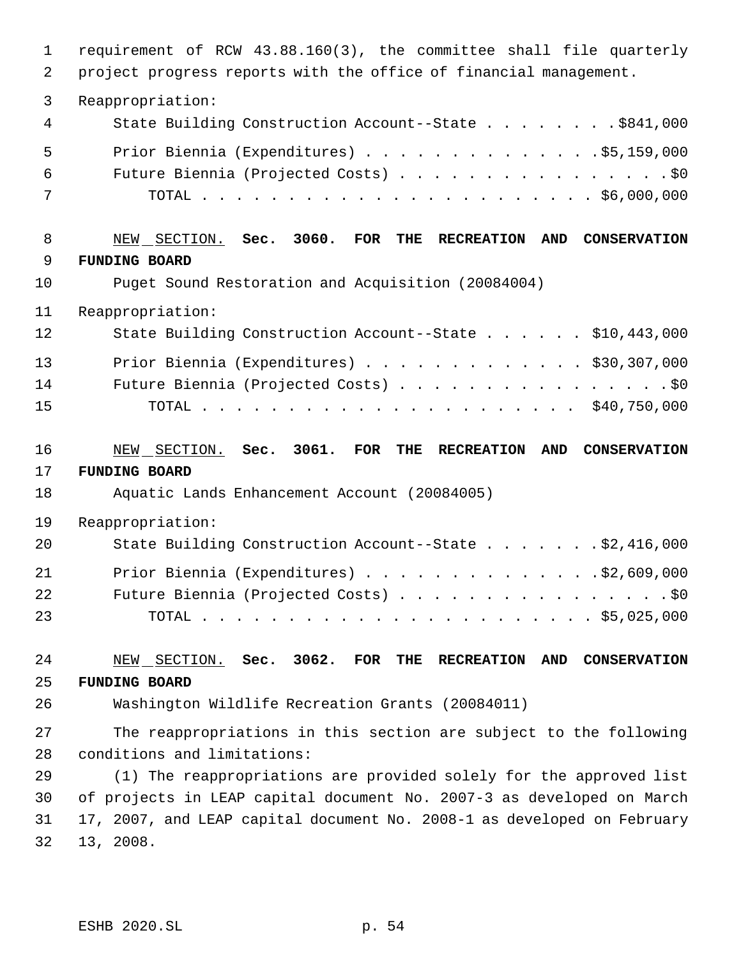| $\mathbf{1}$<br>2 | requirement of RCW 43.88.160(3), the committee shall file quarterly<br>project progress reports with the office of financial management. |
|-------------------|------------------------------------------------------------------------------------------------------------------------------------------|
| $\mathfrak{Z}$    | Reappropriation:                                                                                                                         |
| $\overline{4}$    | State Building Construction Account--State \$841,000                                                                                     |
| 5                 | Prior Biennia (Expenditures) \$5,159,000                                                                                                 |
| 6                 | Future Biennia (Projected Costs) \$0                                                                                                     |
| 7                 |                                                                                                                                          |
| 8                 | NEW SECTION. Sec. 3060.<br>$\overline{\text{FOR}}$<br>THE<br><b>RECREATION</b><br>AND CONSERVATION                                       |
| 9                 | <b>FUNDING BOARD</b>                                                                                                                     |
| 10                | Puget Sound Restoration and Acquisition (20084004)                                                                                       |
| 11                | Reappropriation:                                                                                                                         |
| 12                | State Building Construction Account--State \$10,443,000                                                                                  |
| 13                | Prior Biennia (Expenditures) \$30,307,000                                                                                                |
| 14                | Future Biennia (Projected Costs) \$0                                                                                                     |
| 15                |                                                                                                                                          |
| 16                | NEW SECTION. Sec. 3061. FOR<br>THE<br><b>RECREATION</b><br>AND<br><b>CONSERVATION</b>                                                    |
| 17                | <b>FUNDING BOARD</b>                                                                                                                     |
| 18                | Aquatic Lands Enhancement Account (20084005)                                                                                             |
| 19                | Reappropriation:                                                                                                                         |
| 20                | State Building Construction Account--State \$2,416,000                                                                                   |
| 21                | Prior Biennia (Expenditures) \$2,609,000                                                                                                 |
| 22                | Future Biennia (Projected Costs) \$0                                                                                                     |
| 23                |                                                                                                                                          |
| 24                | NEW SECTION. Sec. 3062. FOR THE RECREATION<br>AND<br><b>CONSERVATION</b>                                                                 |
| 25                | <b>FUNDING BOARD</b>                                                                                                                     |
| 26                | Washington Wildlife Recreation Grants (20084011)                                                                                         |
| 27                | The reappropriations in this section are subject to the following                                                                        |
| 28                | conditions and limitations:                                                                                                              |
| 29                | (1) The reappropriations are provided solely for the approved list                                                                       |
| 30                | of projects in LEAP capital document No. 2007-3 as developed on March                                                                    |
|                   |                                                                                                                                          |
| 31<br>32          | 17, 2007, and LEAP capital document No. 2008-1 as developed on February                                                                  |

ESHB 2020.SL p. 54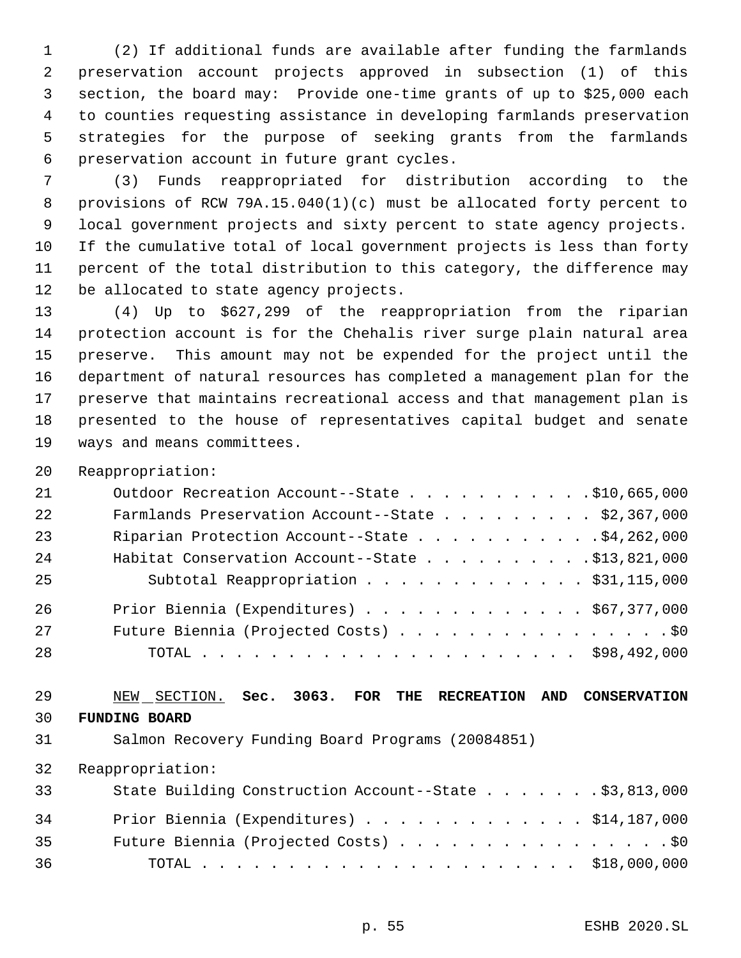(2) If additional funds are available after funding the farmlands preservation account projects approved in subsection (1) of this section, the board may: Provide one-time grants of up to \$25,000 each to counties requesting assistance in developing farmlands preservation strategies for the purpose of seeking grants from the farmlands preservation account in future grant cycles.

 (3) Funds reappropriated for distribution according to the provisions of RCW 79A.15.040(1)(c) must be allocated forty percent to local government projects and sixty percent to state agency projects. If the cumulative total of local government projects is less than forty percent of the total distribution to this category, the difference may be allocated to state agency projects.

 (4) Up to \$627,299 of the reappropriation from the riparian protection account is for the Chehalis river surge plain natural area preserve. This amount may not be expended for the project until the department of natural resources has completed a management plan for the preserve that maintains recreational access and that management plan is presented to the house of representatives capital budget and senate ways and means committees.

Reappropriation:

| 21 | Outdoor Recreation Account--State \$10,665,000    |
|----|---------------------------------------------------|
| 22 | Farmlands Preservation Account--State \$2,367,000 |
| 23 | Riparian Protection Account--State \$4,262,000    |
| 24 | Habitat Conservation Account--State \$13,821,000  |
| 25 | Subtotal Reappropriation \$31,115,000             |
| 26 | Prior Biennia (Expenditures) \$67,377,000         |
| 27 | Future Biennia (Projected Costs) \$0              |
| 28 |                                                   |

 NEW SECTION. **Sec. 3063. FOR THE RECREATION AND CONSERVATION FUNDING BOARD**

Salmon Recovery Funding Board Programs (20084851)

| 33 | State Building Construction Account--State \$3,813,000 |  |
|----|--------------------------------------------------------|--|
| 34 | Prior Biennia (Expenditures) \$14,187,000              |  |
| 35 | Future Biennia (Projected Costs) \$0                   |  |
| 36 |                                                        |  |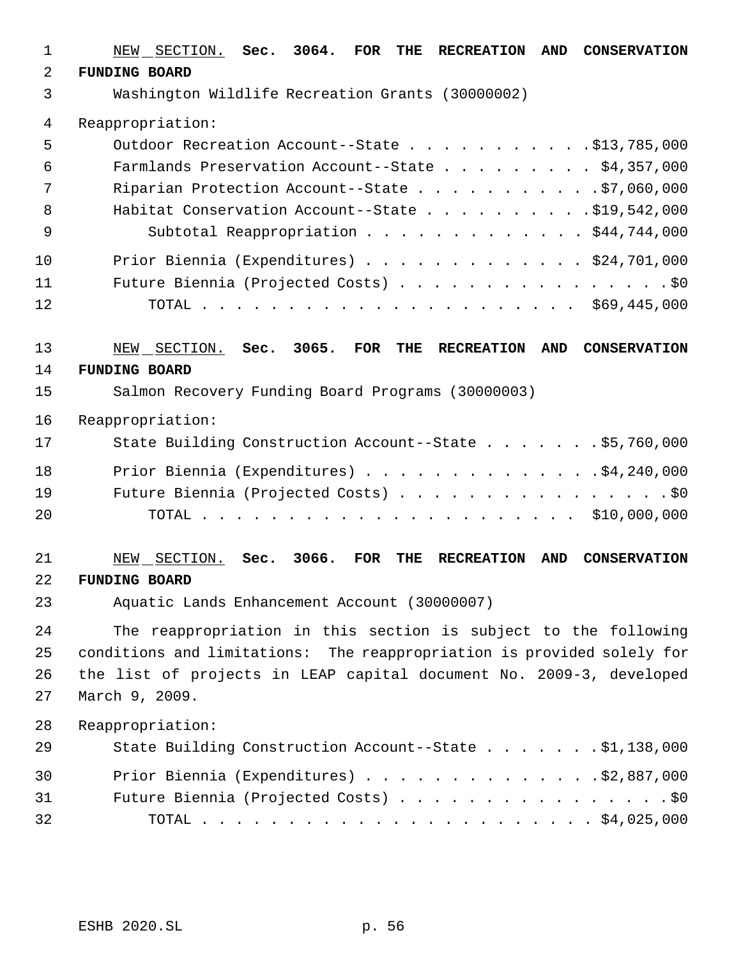| $\mathbf 1$    | NEW SECTION. Sec. 3064.<br>FOR<br>THE<br><b>AND</b><br><b>RECREATION</b><br><b>CONSERVATION</b>                     |
|----------------|---------------------------------------------------------------------------------------------------------------------|
| $\overline{2}$ | <b>FUNDING BOARD</b>                                                                                                |
| 3              | Washington Wildlife Recreation Grants (30000002)                                                                    |
| 4              | Reappropriation:                                                                                                    |
| 5              | Outdoor Recreation Account--State \$13,785,000                                                                      |
| 6              | Farmlands Preservation Account--State \$4,357,000                                                                   |
| 7              | Riparian Protection Account--State \$7,060,000                                                                      |
| 8              | Habitat Conservation Account--State \$19,542,000                                                                    |
| 9              | Subtotal Reappropriation \$44,744,000                                                                               |
| 10             | Prior Biennia (Expenditures) $\ldots$ \$24,701,000                                                                  |
| 11             | Future Biennia (Projected Costs) \$0                                                                                |
| 12             |                                                                                                                     |
| 13             | 3065.<br>NEW SECTION.<br>Sec.<br><b>FOR</b><br><b>THE</b><br><b>RECREATION</b><br><b>AND</b><br><b>CONSERVATION</b> |
| 14             | <b>FUNDING BOARD</b>                                                                                                |
| 15             | Salmon Recovery Funding Board Programs (30000003)                                                                   |
| 16             | Reappropriation:                                                                                                    |
| 17             | State Building Construction Account--State \$5,760,000                                                              |
| 18             | Prior Biennia (Expenditures) \$4,240,000                                                                            |
| 19             | Future Biennia (Projected Costs) \$0                                                                                |
| 20             |                                                                                                                     |
| 21             | 3066.<br>NEW SECTION.<br><b>FOR</b><br><b>AND</b><br>Sec.<br>THE<br><b>RECREATION</b><br><b>CONSERVATION</b>        |
| 22             | <b>FUNDING BOARD</b>                                                                                                |
| 23             | Aquatic Lands Enhancement Account (30000007)                                                                        |
| 24             | The reappropriation in this section is subject to the following                                                     |
| 25             | conditions and limitations: The reappropriation is provided solely for                                              |
| 26             | the list of projects in LEAP capital document No. 2009-3, developed                                                 |
| 27             | March 9, 2009.                                                                                                      |
| 28             | Reappropriation:                                                                                                    |
| 29             | State Building Construction Account--State \$1,138,000                                                              |
| 30             | Prior Biennia (Expenditures) $\ldots$ 92,887,000                                                                    |
| 31             | Future Biennia (Projected Costs) \$0                                                                                |
| 32             |                                                                                                                     |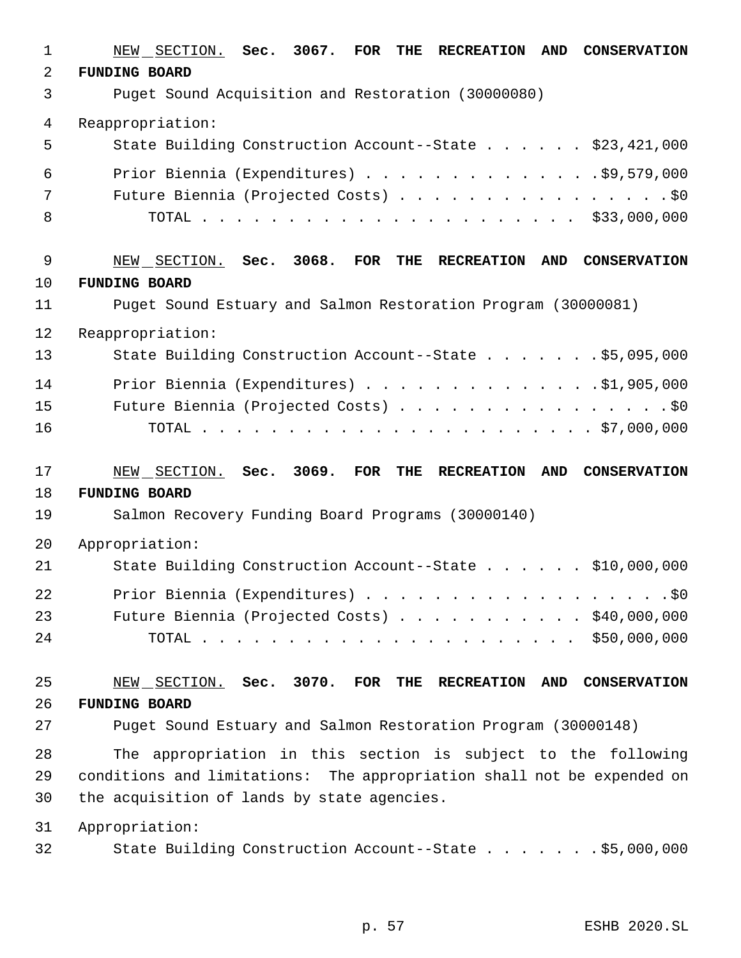| $\mathbf 1$    | NEW SECTION. Sec. 3067. FOR<br><b>RECREATION</b><br>AND<br><b>CONSERVATION</b><br>THE |
|----------------|---------------------------------------------------------------------------------------|
| $\overline{2}$ | <b>FUNDING BOARD</b>                                                                  |
| 3              | Puget Sound Acquisition and Restoration (30000080)                                    |
| $\overline{4}$ | Reappropriation:                                                                      |
| 5              | State Building Construction Account--State \$23,421,000                               |
| 6              | Prior Biennia (Expenditures) $\ldots$ 59,579,000                                      |
| 7              | Future Biennia (Projected Costs) \$0                                                  |
| 8              |                                                                                       |
| 9              | NEW SECTION. Sec. 3068.<br>FOR THE<br><b>RECREATION</b><br>AND CONSERVATION           |
| 10             | <b>FUNDING BOARD</b>                                                                  |
| 11             | Puget Sound Estuary and Salmon Restoration Program (30000081)                         |
| 12             | Reappropriation:                                                                      |
| 13             | State Building Construction Account--State \$5,095,000                                |
| 14             | Prior Biennia (Expenditures) \$1,905,000                                              |
| 15             | Future Biennia (Projected Costs) \$0                                                  |
| 16             |                                                                                       |
| 17             | NEW SECTION. Sec. 3069.<br>FOR<br>THE<br>AND CONSERVATION<br><b>RECREATION</b>        |
| 18             | <b>FUNDING BOARD</b>                                                                  |
| 19             | Salmon Recovery Funding Board Programs (30000140)                                     |
| 20             | Appropriation:                                                                        |
| 21             | State Building Construction Account--State \$10,000,000                               |
| 22             |                                                                                       |
| 23             | Future Biennia (Projected Costs) $\ldots$ \$40,000,000                                |
| 24             |                                                                                       |
| 25             | NEW SECTION. Sec. 3070. FOR THE<br>AND CONSERVATION<br><b>RECREATION</b>              |
| 26             | <b>FUNDING BOARD</b>                                                                  |
| 27             | Puget Sound Estuary and Salmon Restoration Program (30000148)                         |
| 28             | The appropriation in this section is subject to the following                         |
| 29             | conditions and limitations: The appropriation shall not be expended on                |
| 30             | the acquisition of lands by state agencies.                                           |
| 31             | Appropriation:                                                                        |
| 32             | State Building Construction Account--State \$5,000,000                                |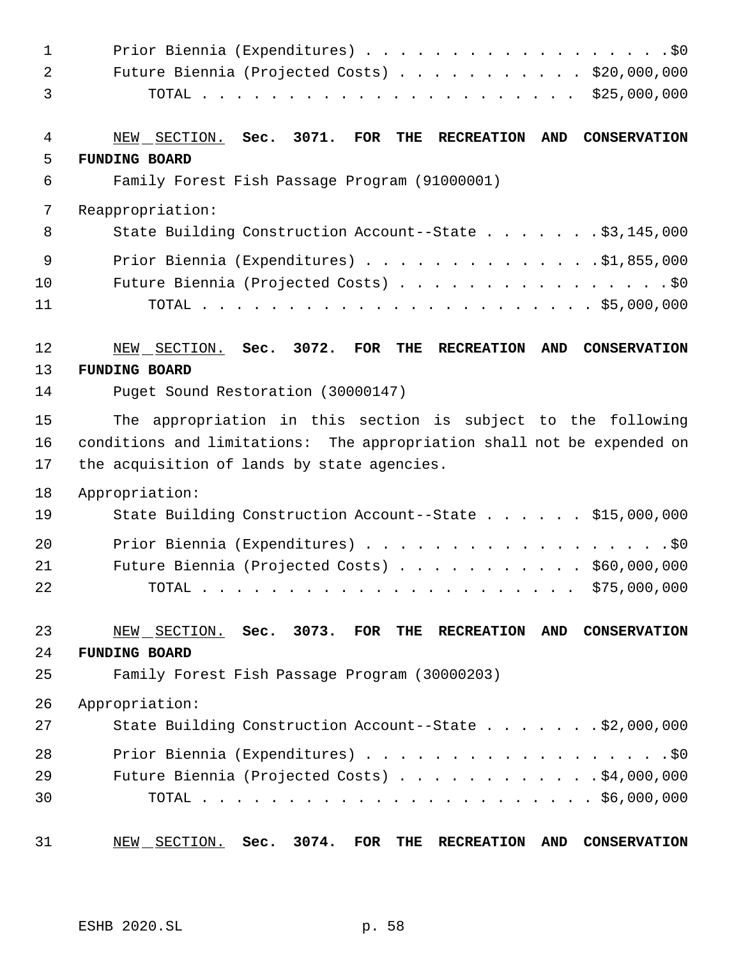| $\mathbf{1}$      | Prior Biennia (Expenditures) \$0                                                                                                                                                                                                                           |
|-------------------|------------------------------------------------------------------------------------------------------------------------------------------------------------------------------------------------------------------------------------------------------------|
| 2                 | Future Biennia (Projected Costs) \$20,000,000                                                                                                                                                                                                              |
| 3                 |                                                                                                                                                                                                                                                            |
| 4                 | NEW SECTION. Sec. 3071. FOR<br>THE<br><b>RECREATION</b><br>AND<br><b>CONSERVATION</b>                                                                                                                                                                      |
| 5                 | <b>FUNDING BOARD</b>                                                                                                                                                                                                                                       |
| 6                 | Family Forest Fish Passage Program (91000001)                                                                                                                                                                                                              |
| 7                 | Reappropriation:                                                                                                                                                                                                                                           |
| 8                 | State Building Construction Account--State \$3,145,000                                                                                                                                                                                                     |
| 9                 | Prior Biennia (Expenditures) $\ldots$ 51,855,000                                                                                                                                                                                                           |
| 10                | Future Biennia (Projected Costs) \$0                                                                                                                                                                                                                       |
| 11                |                                                                                                                                                                                                                                                            |
| $12 \overline{ }$ | NEW SECTION. Sec. 3072. FOR<br>THE<br><b>RECREATION</b><br><b>AND</b><br><b>CONSERVATION</b>                                                                                                                                                               |
| 13                | <b>FUNDING BOARD</b>                                                                                                                                                                                                                                       |
| 14                | Puget Sound Restoration (30000147)                                                                                                                                                                                                                         |
| 15                | The appropriation in this section is subject to the following                                                                                                                                                                                              |
| 16                | conditions and limitations: The appropriation shall not be expended on                                                                                                                                                                                     |
| 17                | the acquisition of lands by state agencies.                                                                                                                                                                                                                |
| 18                | Appropriation:                                                                                                                                                                                                                                             |
| 19                | State Building Construction Account--State \$15,000,000                                                                                                                                                                                                    |
| 20                | Prior Biennia (Expenditures) \$0                                                                                                                                                                                                                           |
| 21                | Future Biennia (Projected Costs) \$60,000,000                                                                                                                                                                                                              |
| 22                | TOTAL<br>$\frac{1}{2}$ . The contract of the contract of the contract of the contract of the contract of the contract of the contract of the contract of the contract of the contract of the contract of the contract of the contract of t<br>\$75,000,000 |
| 23                | NEW SECTION. Sec. 3073. FOR<br>THE<br><b>RECREATION</b><br>AND<br><b>CONSERVATION</b>                                                                                                                                                                      |
| 24                | <b>FUNDING BOARD</b>                                                                                                                                                                                                                                       |
| 25                | Family Forest Fish Passage Program (30000203)                                                                                                                                                                                                              |
| 26                | Appropriation:                                                                                                                                                                                                                                             |
| 27                | State Building Construction Account--State $\ldots$ \$2,000,000                                                                                                                                                                                            |
| 28                | Prior Biennia (Expenditures) \$0                                                                                                                                                                                                                           |
| 29                | Future Biennia (Projected Costs) \$4,000,000                                                                                                                                                                                                               |
| 30                |                                                                                                                                                                                                                                                            |
| 31                | 3074.<br><b>FOR</b><br>NEW SECTION.<br>Sec.<br>THE<br>AND<br><b>CONSERVATION</b><br><b>RECREATION</b>                                                                                                                                                      |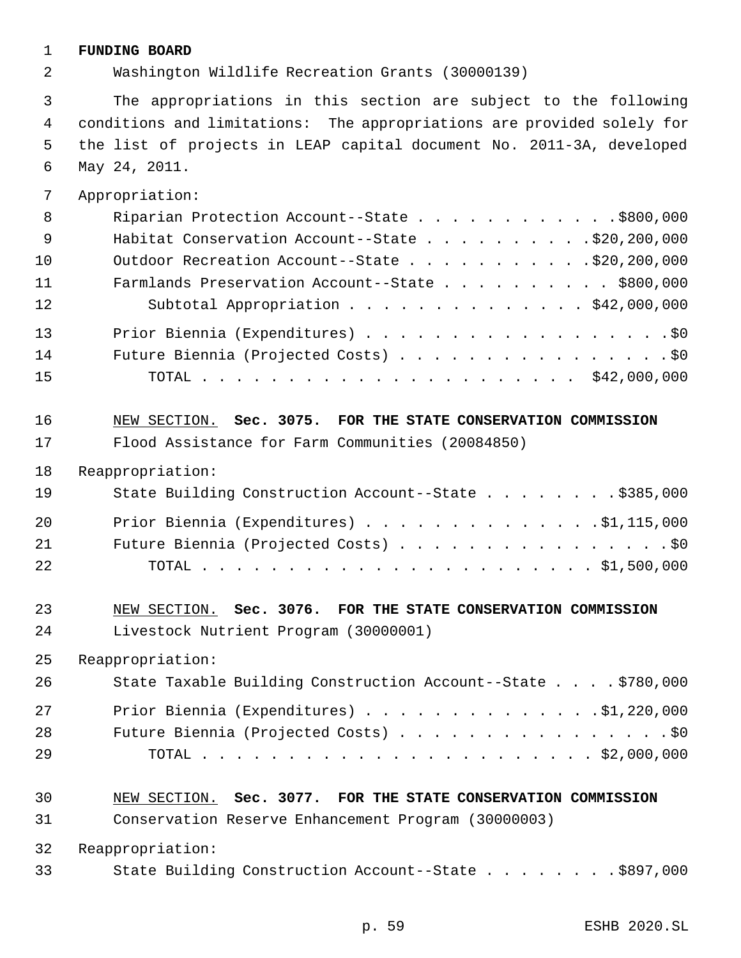#### **FUNDING BOARD**

Washington Wildlife Recreation Grants (30000139)

 The appropriations in this section are subject to the following conditions and limitations: The appropriations are provided solely for the list of projects in LEAP capital document No. 2011-3A, developed May 24, 2011.

Appropriation:

| 8  | Riparian Protection Account--State \$800,000    |
|----|-------------------------------------------------|
| 9  |                                                 |
| 10 | Outdoor Recreation Account--State \$20,200,000  |
| 11 | Farmlands Preservation Account--State \$800,000 |
| 12 | Subtotal Appropriation \$42,000,000             |
| 13 | Prior Biennia (Expenditures) \$0                |
| 14 | Future Biennia (Projected Costs) \$0            |
| 15 |                                                 |

 NEW SECTION. **Sec. 3075. FOR THE STATE CONSERVATION COMMISSION** Flood Assistance for Farm Communities (20084850)

Reappropriation:

| 19 | State Building Construction Account--State \$385,000 |
|----|------------------------------------------------------|
| 20 | Prior Biennia (Expenditures) \$1,115,000             |
| 21 | Future Biennia (Projected Costs) \$0                 |
| 22 |                                                      |

#### NEW SECTION. **Sec. 3076. FOR THE STATE CONSERVATION COMMISSION** Livestock Nutrient Program (30000001)

Reappropriation:

| 26 | State Taxable Building Construction Account--State \$780,000 |
|----|--------------------------------------------------------------|
| 27 | Prior Biennia (Expenditures) 91,220,000                      |
| 28 | Future Biennia (Projected Costs) \$0                         |
| 29 |                                                              |

#### NEW SECTION. **Sec. 3077. FOR THE STATE CONSERVATION COMMISSION**

Conservation Reserve Enhancement Program (30000003)

Reappropriation:

State Building Construction Account--State . . . . . . . . \$897,000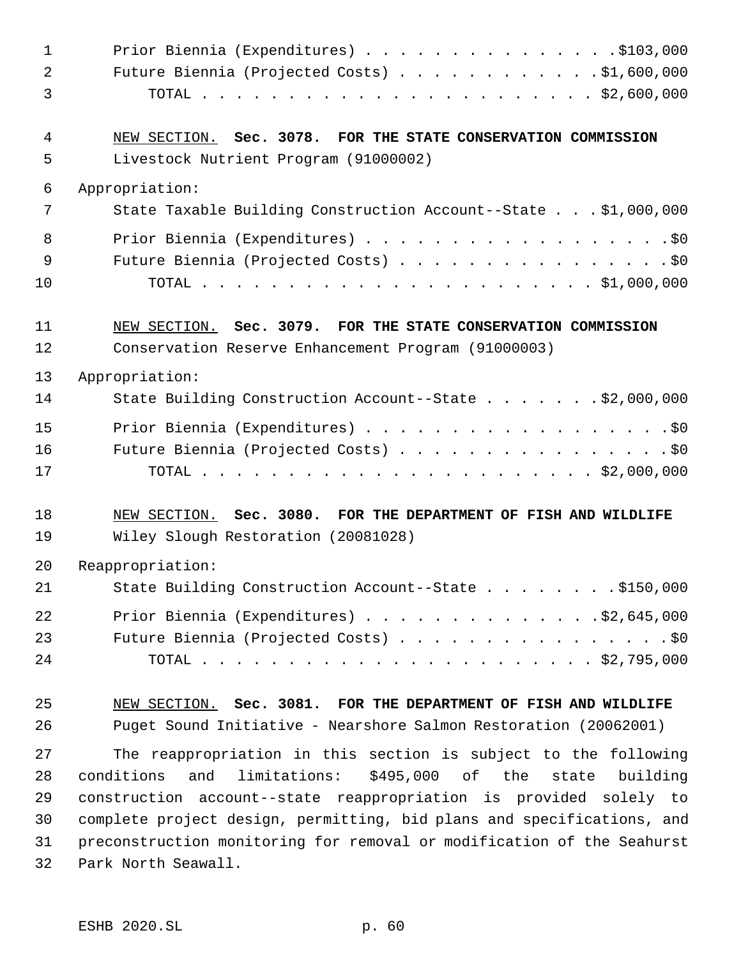| $\mathbf{1}$ | Prior Biennia (Expenditures) \$103,000                                  |
|--------------|-------------------------------------------------------------------------|
| 2            | Future Biennia (Projected Costs) \$1,600,000                            |
| 3            |                                                                         |
| 4            | NEW SECTION. Sec. 3078. FOR THE STATE CONSERVATION COMMISSION           |
| 5            | Livestock Nutrient Program (91000002)                                   |
| 6            | Appropriation:                                                          |
| 7            | State Taxable Building Construction Account--State \$1,000,000          |
| 8            |                                                                         |
| 9            | Future Biennia (Projected Costs) \$0                                    |
| 10           |                                                                         |
| 11           | NEW SECTION. Sec. 3079. FOR THE STATE CONSERVATION COMMISSION           |
| 12           | Conservation Reserve Enhancement Program (91000003)                     |
| 13           | Appropriation:                                                          |
| 14           | State Building Construction Account--State \$2,000,000                  |
| 15           |                                                                         |
| 16           | Future Biennia (Projected Costs) \$0                                    |
| 17           |                                                                         |
| 18           | NEW SECTION. Sec. 3080. FOR THE DEPARTMENT OF FISH AND WILDLIFE         |
| 19           | Wiley Slough Restoration (20081028)                                     |
| 20           | Reappropriation:                                                        |
| 21           | State Building Construction Account--State \$150,000                    |
| 22           | Prior Biennia (Expenditures) \$2,645,000                                |
| 23           | Future Biennia (Projected Costs) \$0                                    |
| 24           |                                                                         |
| 25           | NEW SECTION. Sec. 3081. FOR THE DEPARTMENT OF FISH AND WILDLIFE         |
| 26           | Puget Sound Initiative - Nearshore Salmon Restoration (20062001)        |
| 27           | The reappropriation in this section is subject to the following         |
| 28           | limitations:<br>conditions<br>and<br>\$495,000 of the<br>state building |
| 29           | construction account--state reappropriation is provided solely to       |
| 30           | complete project design, permitting, bid plans and specifications, and  |
| 31           | preconstruction monitoring for removal or modification of the Seahurst  |
| 32           | Park North Seawall.                                                     |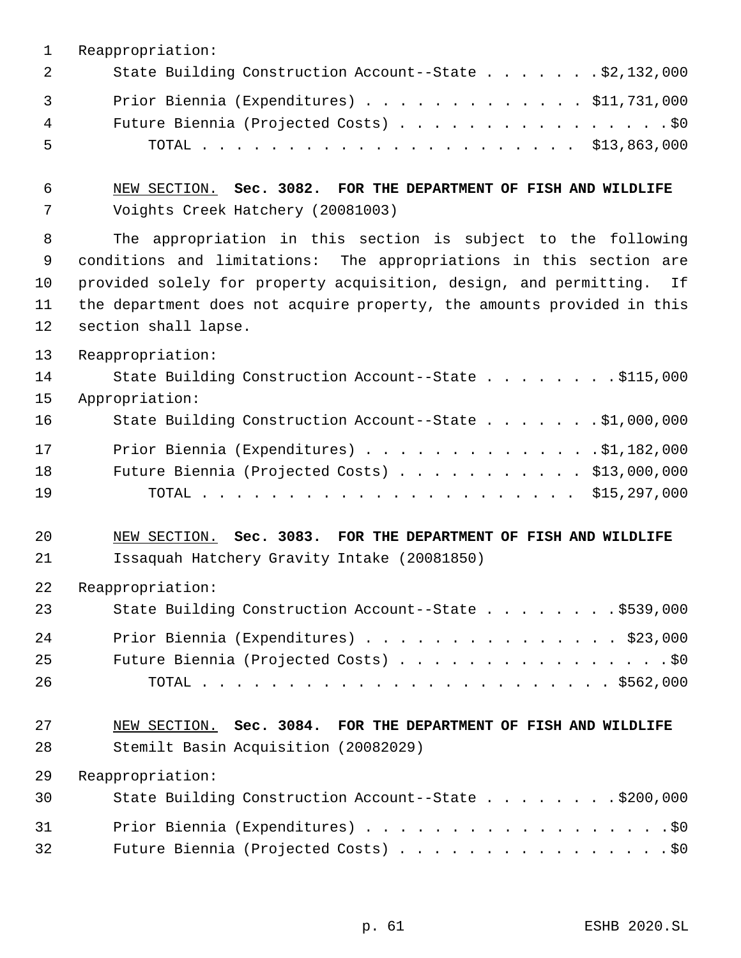|   | Reappropriation:                                       |
|---|--------------------------------------------------------|
|   | State Building Construction Account--State \$2,132,000 |
|   | Prior Biennia (Expenditures) \$11,731,000              |
| 4 | Future Biennia (Projected Costs) \$0                   |
| 5 |                                                        |

 NEW SECTION. **Sec. 3082. FOR THE DEPARTMENT OF FISH AND WILDLIFE** Voights Creek Hatchery (20081003)

 The appropriation in this section is subject to the following conditions and limitations: The appropriations in this section are provided solely for property acquisition, design, and permitting. If the department does not acquire property, the amounts provided in this section shall lapse.

Reappropriation:

| 14 | State Building Construction Account--State \$115,000   |  |
|----|--------------------------------------------------------|--|
| 15 | Appropriation:                                         |  |
| 16 | State Building Construction Account--State \$1,000,000 |  |
| 17 | Prior Biennia (Expenditures) $\ldots$ 91, 182, 000     |  |
| 18 | Future Biennia (Projected Costs) $\ldots$ \$13,000,000 |  |
| 19 |                                                        |  |

 NEW SECTION. **Sec. 3083. FOR THE DEPARTMENT OF FISH AND WILDLIFE** Issaquah Hatchery Gravity Intake (20081850)

Reappropriation:

| 23 | State Building Construction Account--State \$539,000 |
|----|------------------------------------------------------|
| 24 | Prior Biennia (Expenditures) \$23,000                |
| 25 | Future Biennia (Projected Costs) \$0                 |
| 26 |                                                      |

### NEW SECTION. **Sec. 3084. FOR THE DEPARTMENT OF FISH AND WILDLIFE** Stemilt Basin Acquisition (20082029)

| 30 | State Building Construction Account--State \$200,000 |
|----|------------------------------------------------------|
| 31 | Prior Biennia (Expenditures) \$0                     |
| 32 | Future Biennia (Projected Costs) \$0                 |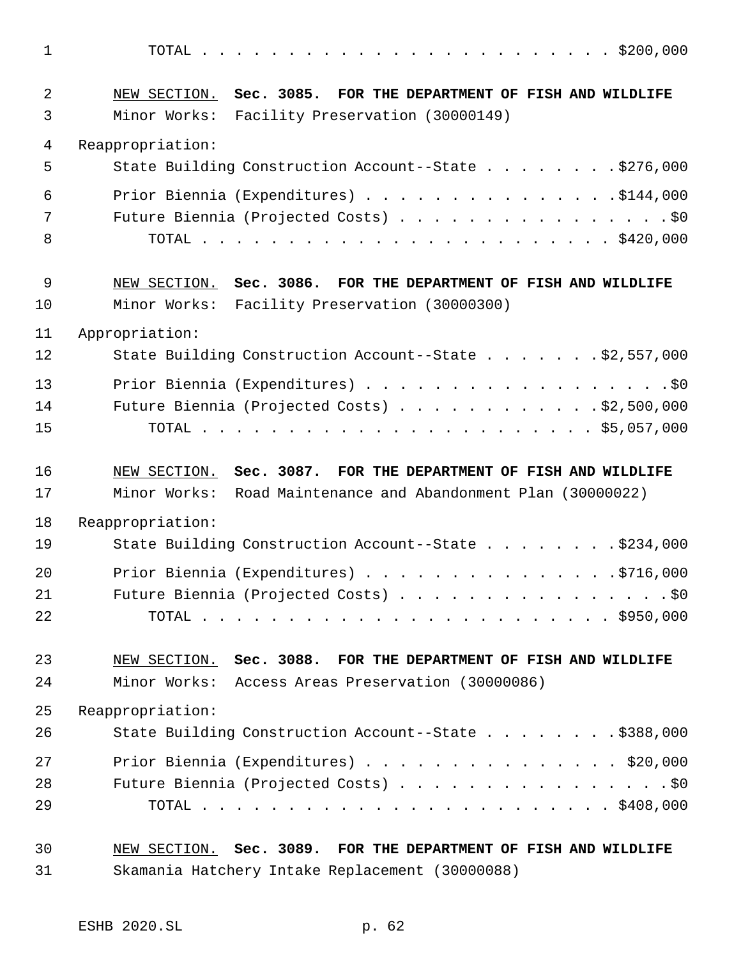| $\mathbf 1$ |                                                                 |
|-------------|-----------------------------------------------------------------|
| 2           | NEW SECTION. Sec. 3085. FOR THE DEPARTMENT OF FISH AND WILDLIFE |
| 3           | Minor Works:<br>Facility Preservation (30000149)                |
| 4           | Reappropriation:                                                |
| 5           | State Building Construction Account--State \$276,000            |
| 6           | Prior Biennia (Expenditures) \$144,000                          |
| 7           | Future Biennia (Projected Costs) \$0                            |
| 8           |                                                                 |
| $\mathsf 9$ | NEW SECTION. Sec. 3086. FOR THE DEPARTMENT OF FISH AND WILDLIFE |
| 10          | Minor Works: Facility Preservation (30000300)                   |
| 11          | Appropriation:                                                  |
| 12          | State Building Construction Account--State \$2,557,000          |
| 13          |                                                                 |
| 14          | Future Biennia (Projected Costs) \$2,500,000                    |
| 15          |                                                                 |
|             |                                                                 |
| 16          | NEW SECTION. Sec. 3087. FOR THE DEPARTMENT OF FISH AND WILDLIFE |
| 17          | Minor Works: Road Maintenance and Abandonment Plan (30000022)   |
| 18          | Reappropriation:                                                |
| 19          | State Building Construction Account--State \$234,000            |
| 20          |                                                                 |
| 21          | Future Biennia (Projected Costs) \$0                            |
| 22          |                                                                 |
| 23          | NEW SECTION. Sec. 3088. FOR THE DEPARTMENT OF FISH AND WILDLIFE |
| 24          | Minor Works: Access Areas Preservation (30000086)               |
| 25          | Reappropriation:                                                |
| 26          | State Building Construction Account--State \$388,000            |
| 27          | Prior Biennia (Expenditures) $\ldots$ \$20,000                  |
| 28          | Future Biennia (Projected Costs) \$0                            |
| 29          |                                                                 |
| 30          | NEW SECTION. Sec. 3089. FOR THE DEPARTMENT OF FISH AND WILDLIFE |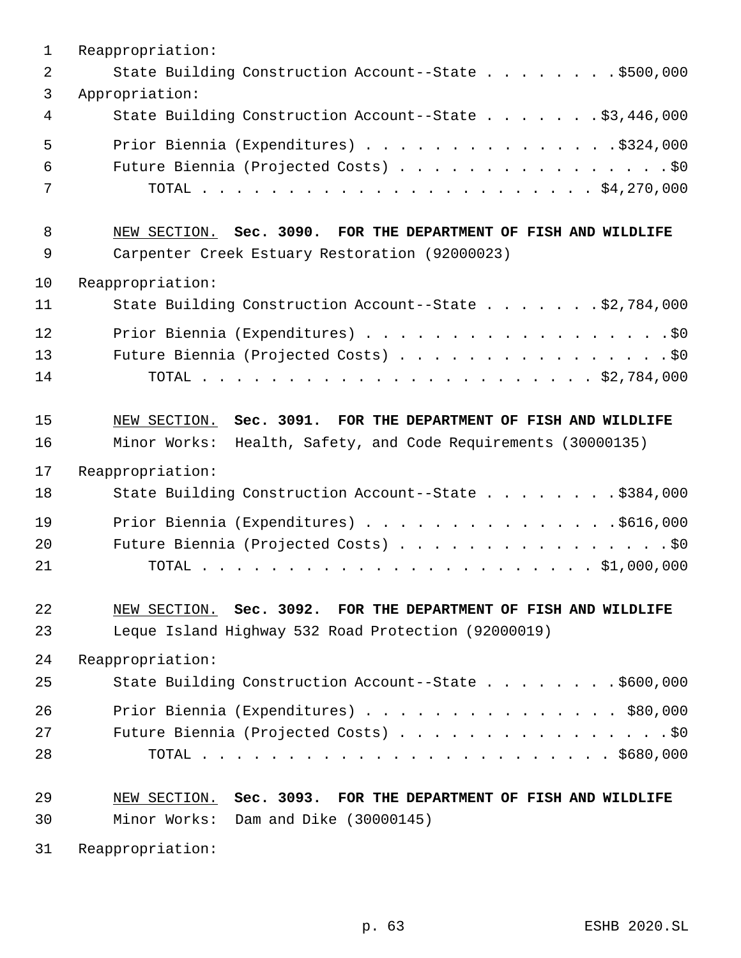| 1  | Reappropriation:                                                 |
|----|------------------------------------------------------------------|
| 2  | State Building Construction Account--State \$500,000             |
| 3  | Appropriation:                                                   |
| 4  | State Building Construction Account--State \$3,446,000           |
| 5  | Prior Biennia (Expenditures) \$324,000                           |
| 6  | Future Biennia (Projected Costs) \$0                             |
| 7  |                                                                  |
| 8  | NEW SECTION. Sec. 3090. FOR THE DEPARTMENT OF FISH AND WILDLIFE  |
| 9  | Carpenter Creek Estuary Restoration (92000023)                   |
| 10 | Reappropriation:                                                 |
| 11 | State Building Construction Account--State \$2,784,000           |
| 12 |                                                                  |
| 13 | Future Biennia (Projected Costs) \$0                             |
| 14 |                                                                  |
| 15 | NEW SECTION. Sec. 3091. FOR THE DEPARTMENT OF FISH AND WILDLIFE  |
| 16 | Minor Works:<br>Health, Safety, and Code Requirements (30000135) |
| 17 | Reappropriation:                                                 |
| 18 | State Building Construction Account--State \$384,000             |
| 19 | Prior Biennia (Expenditures) \$616,000                           |
| 20 | Future Biennia (Projected Costs) \$0                             |
| 21 |                                                                  |
| 22 | NEW SECTION. Sec. 3092. FOR THE DEPARTMENT OF FISH AND WILDLIFE  |
| 23 | Leque Island Highway 532 Road Protection (92000019)              |
| 24 | Reappropriation:                                                 |
| 25 | State Building Construction Account--State \$600,000             |
| 26 | Prior Biennia (Expenditures) \$80,000                            |
| 27 | Future Biennia (Projected Costs) \$0                             |
| 28 |                                                                  |
| 29 | NEW SECTION. Sec. 3093. FOR THE DEPARTMENT OF FISH AND WILDLIFE  |
| 30 | Minor Works: Dam and Dike (30000145)                             |
| 31 | Reappropriation:                                                 |

p. 63 ESHB 2020.SL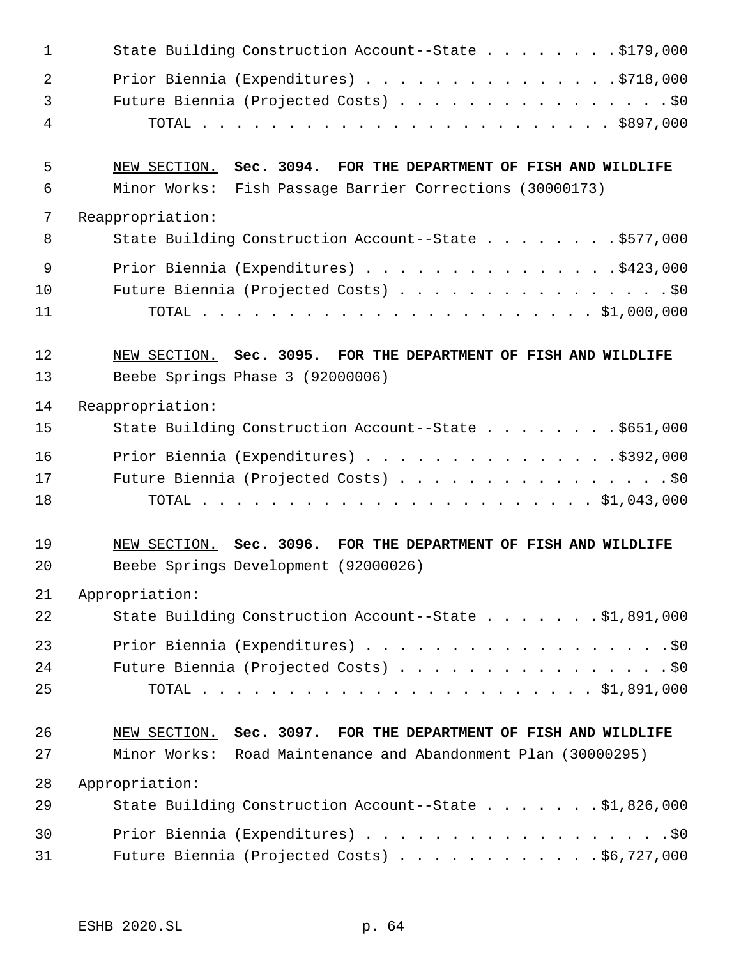| 1              | State Building Construction Account--State \$179,000            |
|----------------|-----------------------------------------------------------------|
| $\overline{2}$ | Prior Biennia (Expenditures) \$718,000                          |
| 3              | Future Biennia (Projected Costs) \$0                            |
| 4              |                                                                 |
| 5              | NEW SECTION. Sec. 3094. FOR THE DEPARTMENT OF FISH AND WILDLIFE |
| 6              | Minor Works: Fish Passage Barrier Corrections (30000173)        |
| 7              | Reappropriation:                                                |
| 8              | State Building Construction Account--State \$577,000            |
| 9              | Prior Biennia (Expenditures) \$423,000                          |
| 10             | Future Biennia (Projected Costs) \$0                            |
| 11             |                                                                 |
| 12             | NEW SECTION. Sec. 3095. FOR THE DEPARTMENT OF FISH AND WILDLIFE |
| 13             | Beebe Springs Phase 3 (92000006)                                |
| 14             | Reappropriation:                                                |
| 15             | State Building Construction Account--State \$651,000            |
| 16             | Prior Biennia (Expenditures) \$392,000                          |
| 17             | Future Biennia (Projected Costs) \$0                            |
| 18             |                                                                 |
| 19             | NEW SECTION. Sec. 3096. FOR THE DEPARTMENT OF FISH AND WILDLIFE |
| 20             | Beebe Springs Development (92000026)                            |
| 21             | Appropriation:                                                  |
| 22             | State Building Construction Account--State \$1,891,000          |
| 23             |                                                                 |
| 24             | Future Biennia (Projected Costs) \$0                            |
| 25             |                                                                 |
| 26             | NEW SECTION. Sec. 3097. FOR THE DEPARTMENT OF FISH AND WILDLIFE |
| 27             | Minor Works: Road Maintenance and Abandonment Plan (30000295)   |
| 28             | Appropriation:                                                  |
| 29             | State Building Construction Account--State \$1,826,000          |
| 30             | Prior Biennia (Expenditures) \$0                                |
| 31             | Future Biennia (Projected Costs) \$6,727,000                    |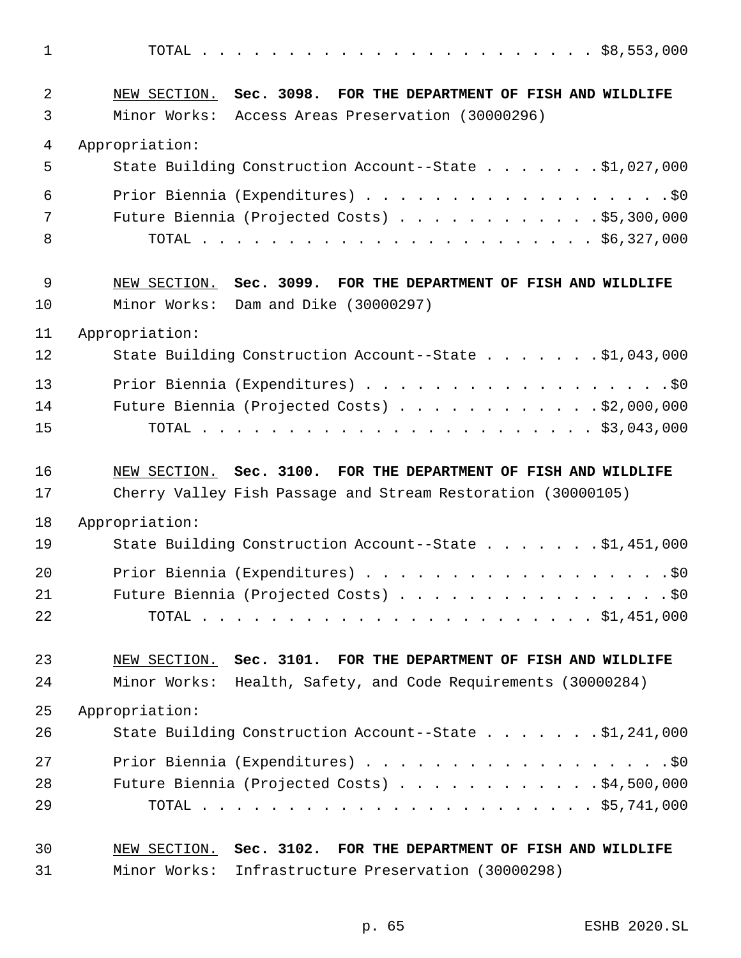| $\mathbf 1$ |                                                                                                                      |
|-------------|----------------------------------------------------------------------------------------------------------------------|
| 2<br>3      | NEW SECTION. Sec. 3098. FOR THE DEPARTMENT OF FISH AND WILDLIFE<br>Minor Works: Access Areas Preservation (30000296) |
| 4           | Appropriation:                                                                                                       |
| 5           | State Building Construction Account--State \$1,027,000                                                               |
| 6           |                                                                                                                      |
| 7           | Future Biennia (Projected Costs) \$5,300,000                                                                         |
| 8           |                                                                                                                      |
| 9           | NEW SECTION. Sec. 3099. FOR THE DEPARTMENT OF FISH AND WILDLIFE                                                      |
| 10          | Minor Works: Dam and Dike (30000297)                                                                                 |
| 11          | Appropriation:                                                                                                       |
| 12          | State Building Construction Account--State $\ldots$ 91,043,000                                                       |
| 13          | Prior Biennia (Expenditures) \$0                                                                                     |
| 14          | Future Biennia (Projected Costs) \$2,000,000                                                                         |
| 15          |                                                                                                                      |
|             |                                                                                                                      |
| 16          | NEW SECTION. Sec. 3100. FOR THE DEPARTMENT OF FISH AND WILDLIFE                                                      |
| 17          | Cherry Valley Fish Passage and Stream Restoration (30000105)                                                         |
| 18          | Appropriation:                                                                                                       |
| 19          | State Building Construction Account--State \$1,451,000                                                               |
| 20          | Prior Biennia (Expenditures) \$0                                                                                     |
| 21          | Future Biennia (Projected Costs) \$0                                                                                 |
| 22          |                                                                                                                      |
| 23          | NEW SECTION. Sec. 3101. FOR THE DEPARTMENT OF FISH AND WILDLIFE                                                      |
| 24          | Minor Works: Health, Safety, and Code Requirements (30000284)                                                        |
| 25          | Appropriation:                                                                                                       |
| 26          | State Building Construction Account--State \$1,241,000                                                               |
| 27          | Prior Biennia (Expenditures) \$0                                                                                     |
| 28          | Future Biennia (Projected Costs) \$4,500,000                                                                         |
| 29          |                                                                                                                      |
| 30          | NEW SECTION. Sec. 3102. FOR THE DEPARTMENT OF FISH AND WILDLIFE                                                      |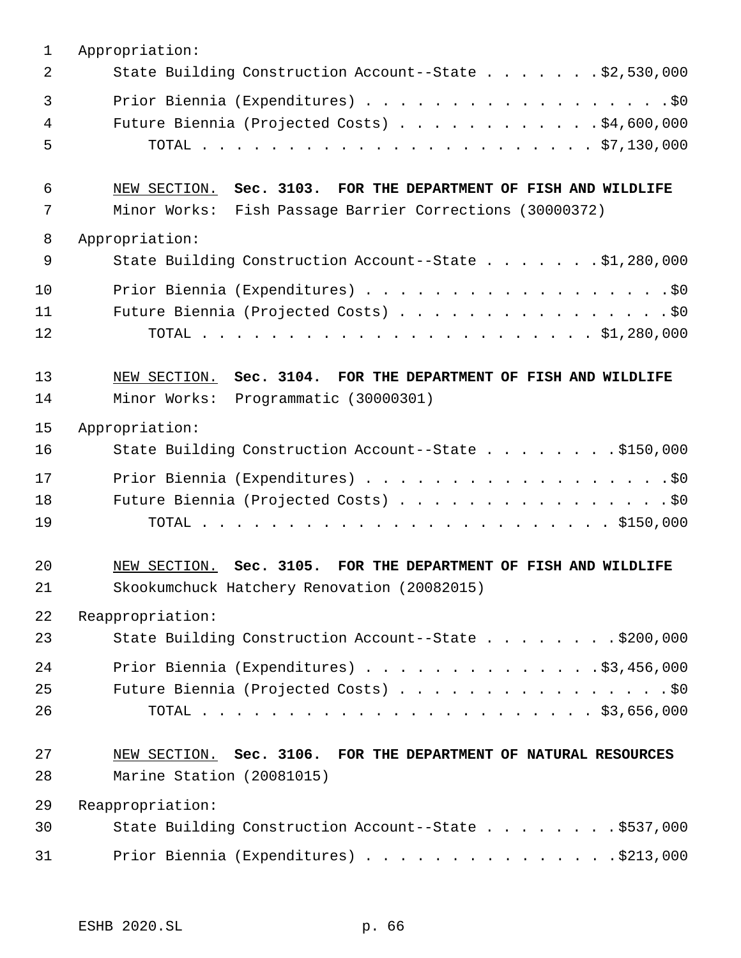| $\mathbf{1}$   | Appropriation:                                                                                                              |
|----------------|-----------------------------------------------------------------------------------------------------------------------------|
| 2              | State Building Construction Account--State \$2,530,000                                                                      |
| 3<br>4<br>5    | Prior Biennia (Expenditures) \$0<br>Future Biennia (Projected Costs) \$4,600,000                                            |
| 6<br>7         | NEW SECTION. Sec. 3103. FOR THE DEPARTMENT OF FISH AND WILDLIFE<br>Minor Works: Fish Passage Barrier Corrections (30000372) |
| 8              | Appropriation:                                                                                                              |
| 9              | State Building Construction Account--State \$1,280,000                                                                      |
| 10<br>11<br>12 | Prior Biennia (Expenditures) \$0<br>Future Biennia (Projected Costs) \$0                                                    |
| 13<br>14       | NEW SECTION. Sec. 3104. FOR THE DEPARTMENT OF FISH AND WILDLIFE<br>Minor Works: Programmatic (30000301)                     |
| 15             | Appropriation:                                                                                                              |
| 16             | State Building Construction Account--State \$150,000                                                                        |
| 17<br>18<br>19 | Prior Biennia (Expenditures) \$0<br>Future Biennia (Projected Costs) \$0                                                    |
| 20<br>21       | NEW SECTION. Sec. 3105. FOR THE DEPARTMENT OF FISH AND WILDLIFE<br>Skookumchuck Hatchery Renovation (20082015)              |
| 22             | Reappropriation:                                                                                                            |
| 23             | State Building Construction Account--State \$200,000                                                                        |
| 24<br>25<br>26 | Prior Biennia (Expenditures) \$3,456,000<br>Future Biennia (Projected Costs) \$0                                            |
| 27<br>28       | NEW SECTION. Sec. 3106. FOR THE DEPARTMENT OF NATURAL RESOURCES<br>Marine Station (20081015)                                |
| 29             | Reappropriation:                                                                                                            |
| 30             | State Building Construction Account--State \$537,000                                                                        |
| 31             | Prior Biennia (Expenditures) \$213,000                                                                                      |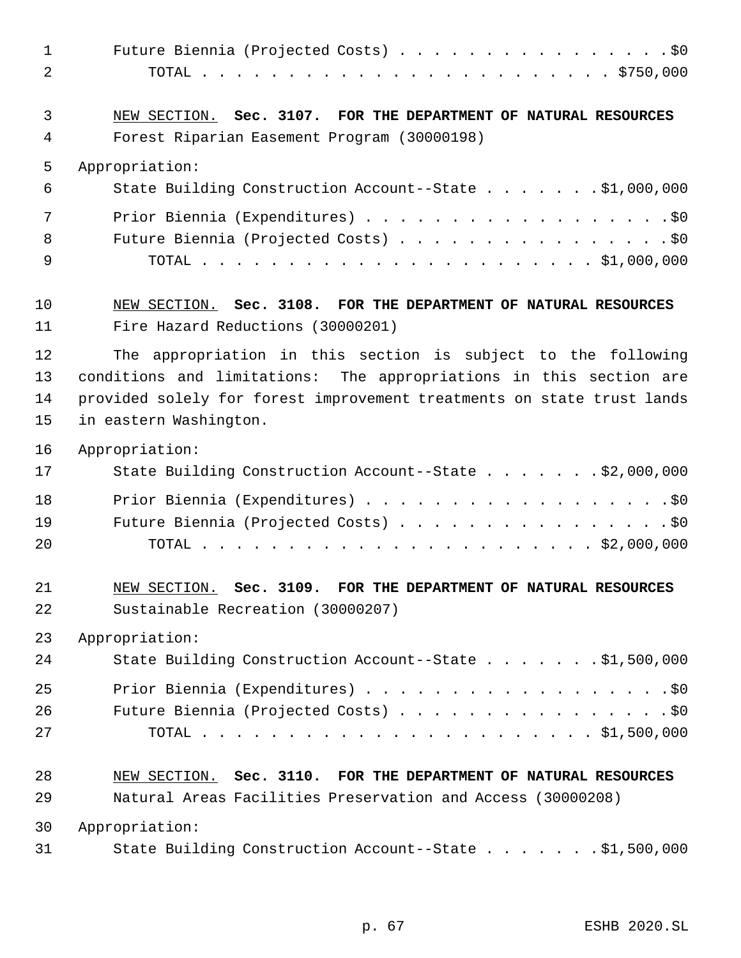| $\mathbf 1$    | Future Biennia (Projected Costs) \$0                                   |
|----------------|------------------------------------------------------------------------|
| $\overline{2}$ |                                                                        |
| 3              | NEW SECTION. Sec. 3107. FOR THE DEPARTMENT OF NATURAL RESOURCES        |
| 4              | Forest Riparian Easement Program (30000198)                            |
| 5              | Appropriation:                                                         |
| 6              | State Building Construction Account--State \$1,000,000                 |
| 7              | Prior Biennia (Expenditures) \$0                                       |
| 8              | Future Biennia (Projected Costs) \$0                                   |
| 9              |                                                                        |
| 10             | NEW SECTION. Sec. 3108. FOR THE DEPARTMENT OF NATURAL RESOURCES        |
| 11             | Fire Hazard Reductions (30000201)                                      |
| 12             | The appropriation in this section is subject to the following          |
| 13             | conditions and limitations: The appropriations in this section are     |
| 14             | provided solely for forest improvement treatments on state trust lands |
| 15             | in eastern Washington.                                                 |
| 16             | Appropriation:                                                         |
| 17             | State Building Construction Account--State \$2,000,000                 |
| 18             | Prior Biennia (Expenditures) \$0                                       |
| 19             | Future Biennia (Projected Costs) \$0                                   |
| 20             |                                                                        |
| 21             | NEW SECTION. Sec. 3109. FOR THE DEPARTMENT OF NATURAL RESOURCES        |
| 22             | Sustainable Recreation (30000207)                                      |
| 23             | Appropriation:                                                         |
| 24             | State Building Construction Account--State \$1,500,000                 |
| 25             | Prior Biennia (Expenditures) \$0                                       |
| 26             | Future Biennia (Projected Costs) \$0                                   |
| 27             |                                                                        |
| 28             | NEW SECTION. Sec. 3110. FOR THE DEPARTMENT OF NATURAL RESOURCES        |
| 29             | Natural Areas Facilities Preservation and Access (30000208)            |
| 30             | Appropriation:                                                         |
| 31             | State Building Construction Account--State \$1,500,000                 |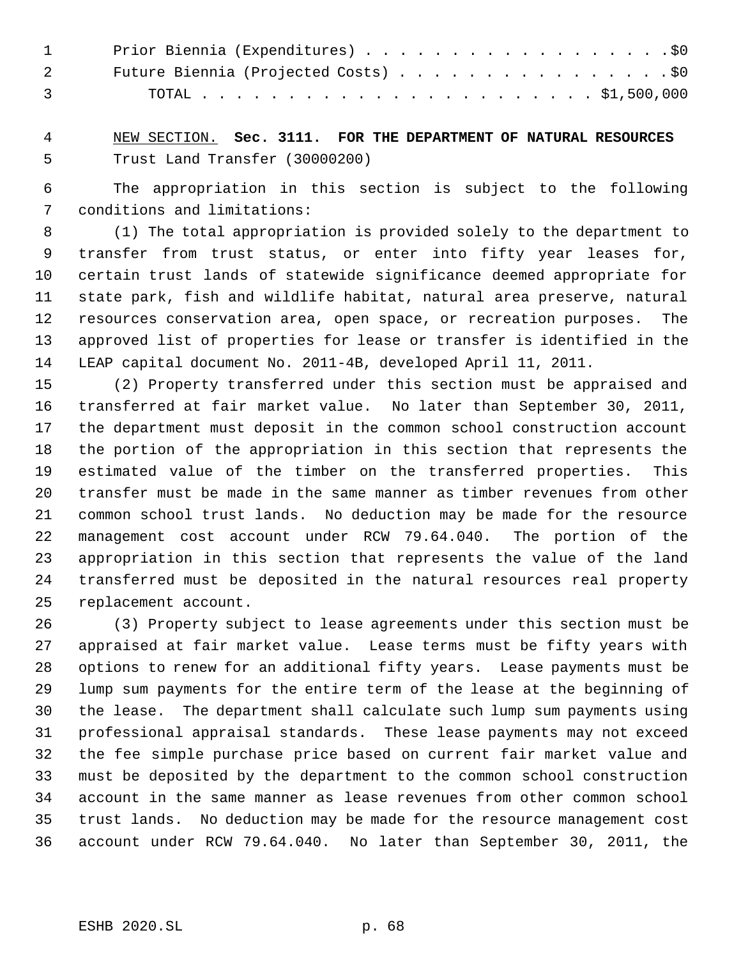| $\mathbf{1}$   | Prior Biennia (Expenditures) \$0     |
|----------------|--------------------------------------|
|                | Future Biennia (Projected Costs) \$0 |
| $\overline{3}$ |                                      |

 NEW SECTION. **Sec. 3111. FOR THE DEPARTMENT OF NATURAL RESOURCES** Trust Land Transfer (30000200)

 The appropriation in this section is subject to the following conditions and limitations:

 (1) The total appropriation is provided solely to the department to transfer from trust status, or enter into fifty year leases for, certain trust lands of statewide significance deemed appropriate for state park, fish and wildlife habitat, natural area preserve, natural resources conservation area, open space, or recreation purposes. The approved list of properties for lease or transfer is identified in the LEAP capital document No. 2011-4B, developed April 11, 2011.

 (2) Property transferred under this section must be appraised and transferred at fair market value. No later than September 30, 2011, the department must deposit in the common school construction account the portion of the appropriation in this section that represents the estimated value of the timber on the transferred properties. This transfer must be made in the same manner as timber revenues from other common school trust lands. No deduction may be made for the resource management cost account under RCW 79.64.040. The portion of the appropriation in this section that represents the value of the land transferred must be deposited in the natural resources real property replacement account.

 (3) Property subject to lease agreements under this section must be appraised at fair market value. Lease terms must be fifty years with options to renew for an additional fifty years. Lease payments must be lump sum payments for the entire term of the lease at the beginning of the lease. The department shall calculate such lump sum payments using professional appraisal standards. These lease payments may not exceed the fee simple purchase price based on current fair market value and must be deposited by the department to the common school construction account in the same manner as lease revenues from other common school trust lands. No deduction may be made for the resource management cost account under RCW 79.64.040. No later than September 30, 2011, the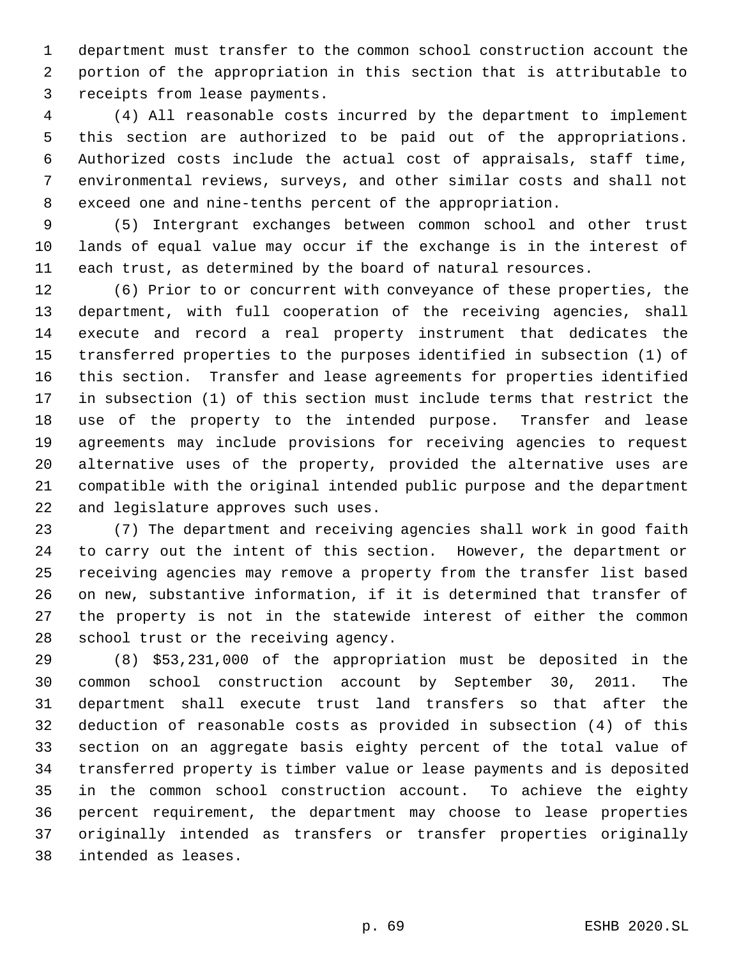department must transfer to the common school construction account the portion of the appropriation in this section that is attributable to receipts from lease payments.

 (4) All reasonable costs incurred by the department to implement this section are authorized to be paid out of the appropriations. Authorized costs include the actual cost of appraisals, staff time, environmental reviews, surveys, and other similar costs and shall not exceed one and nine-tenths percent of the appropriation.

 (5) Intergrant exchanges between common school and other trust lands of equal value may occur if the exchange is in the interest of each trust, as determined by the board of natural resources.

 (6) Prior to or concurrent with conveyance of these properties, the department, with full cooperation of the receiving agencies, shall execute and record a real property instrument that dedicates the transferred properties to the purposes identified in subsection (1) of this section. Transfer and lease agreements for properties identified in subsection (1) of this section must include terms that restrict the use of the property to the intended purpose. Transfer and lease agreements may include provisions for receiving agencies to request alternative uses of the property, provided the alternative uses are compatible with the original intended public purpose and the department and legislature approves such uses.

 (7) The department and receiving agencies shall work in good faith to carry out the intent of this section. However, the department or receiving agencies may remove a property from the transfer list based on new, substantive information, if it is determined that transfer of the property is not in the statewide interest of either the common school trust or the receiving agency.

 (8) \$53,231,000 of the appropriation must be deposited in the common school construction account by September 30, 2011. The department shall execute trust land transfers so that after the deduction of reasonable costs as provided in subsection (4) of this section on an aggregate basis eighty percent of the total value of transferred property is timber value or lease payments and is deposited in the common school construction account. To achieve the eighty percent requirement, the department may choose to lease properties originally intended as transfers or transfer properties originally intended as leases.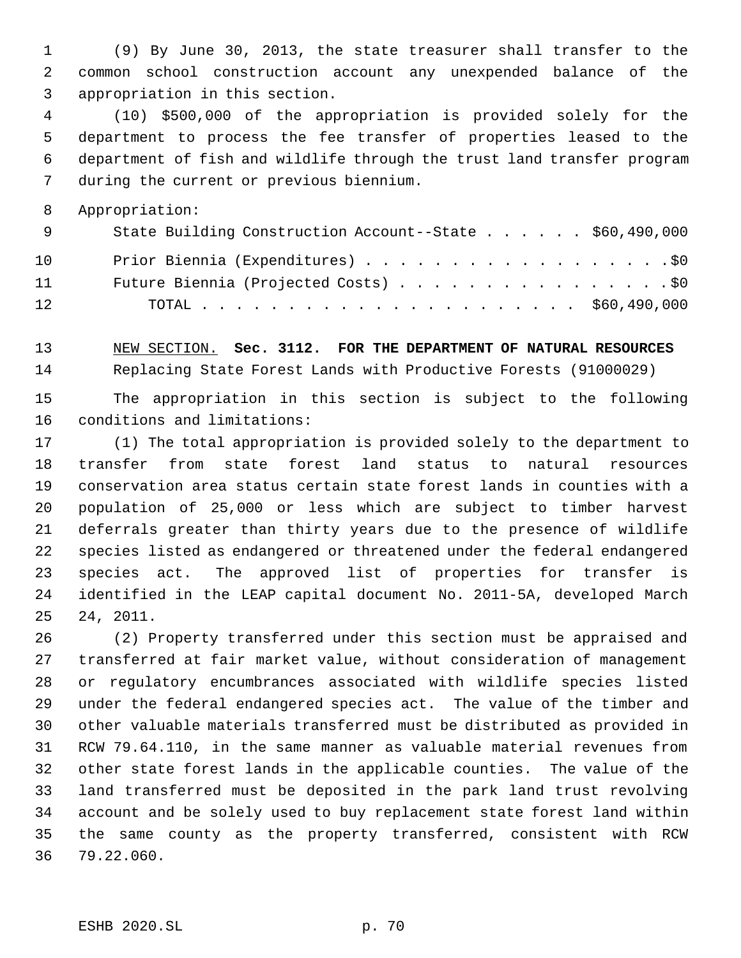(9) By June 30, 2013, the state treasurer shall transfer to the common school construction account any unexpended balance of the appropriation in this section.

 (10) \$500,000 of the appropriation is provided solely for the department to process the fee transfer of properties leased to the department of fish and wildlife through the trust land transfer program during the current or previous biennium.

Appropriation:

| - 9 - | State Building Construction Account--State \$60,490,000 |
|-------|---------------------------------------------------------|
| 10    | Prior Biennia (Expenditures) \$0                        |
| 11    | Future Biennia (Projected Costs) \$0                    |
| 12    |                                                         |

 NEW SECTION. **Sec. 3112. FOR THE DEPARTMENT OF NATURAL RESOURCES** Replacing State Forest Lands with Productive Forests (91000029)

 The appropriation in this section is subject to the following conditions and limitations:

 (1) The total appropriation is provided solely to the department to transfer from state forest land status to natural resources conservation area status certain state forest lands in counties with a population of 25,000 or less which are subject to timber harvest deferrals greater than thirty years due to the presence of wildlife species listed as endangered or threatened under the federal endangered species act. The approved list of properties for transfer is identified in the LEAP capital document No. 2011-5A, developed March 24, 2011.

 (2) Property transferred under this section must be appraised and transferred at fair market value, without consideration of management or regulatory encumbrances associated with wildlife species listed under the federal endangered species act. The value of the timber and other valuable materials transferred must be distributed as provided in RCW 79.64.110, in the same manner as valuable material revenues from other state forest lands in the applicable counties. The value of the land transferred must be deposited in the park land trust revolving account and be solely used to buy replacement state forest land within the same county as the property transferred, consistent with RCW 79.22.060.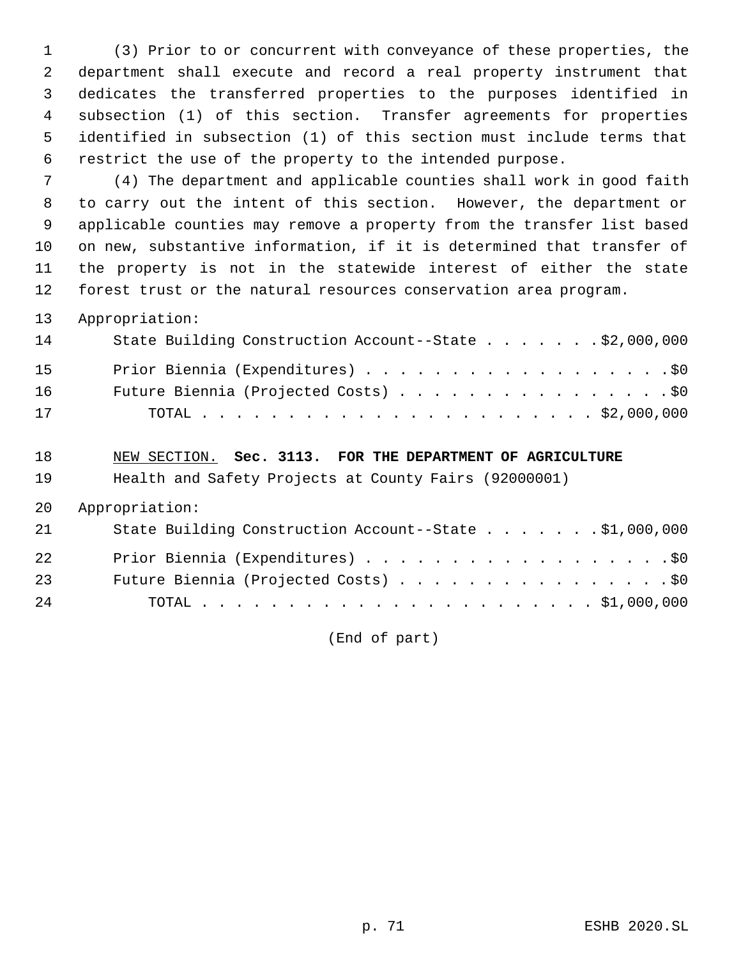(3) Prior to or concurrent with conveyance of these properties, the department shall execute and record a real property instrument that dedicates the transferred properties to the purposes identified in subsection (1) of this section. Transfer agreements for properties identified in subsection (1) of this section must include terms that restrict the use of the property to the intended purpose.

 (4) The department and applicable counties shall work in good faith to carry out the intent of this section. However, the department or applicable counties may remove a property from the transfer list based on new, substantive information, if it is determined that transfer of the property is not in the statewide interest of either the state forest trust or the natural resources conservation area program.

Appropriation:

| 14 | State Building Construction Account--State \$2,000,000 |
|----|--------------------------------------------------------|
| 15 | Prior Biennia (Expenditures) \$0                       |
| 16 | Future Biennia (Projected Costs) \$0                   |
| 17 |                                                        |

NEW SECTION. **Sec. 3113. FOR THE DEPARTMENT OF AGRICULTURE**

Health and Safety Projects at County Fairs (92000001)

Appropriation:

| 21 | State Building Construction Account--State \$1,000,000 |
|----|--------------------------------------------------------|
| 22 | Prior Biennia (Expenditures) \$0                       |
| 23 | Future Biennia (Projected Costs) \$0                   |
| 24 |                                                        |

(End of part)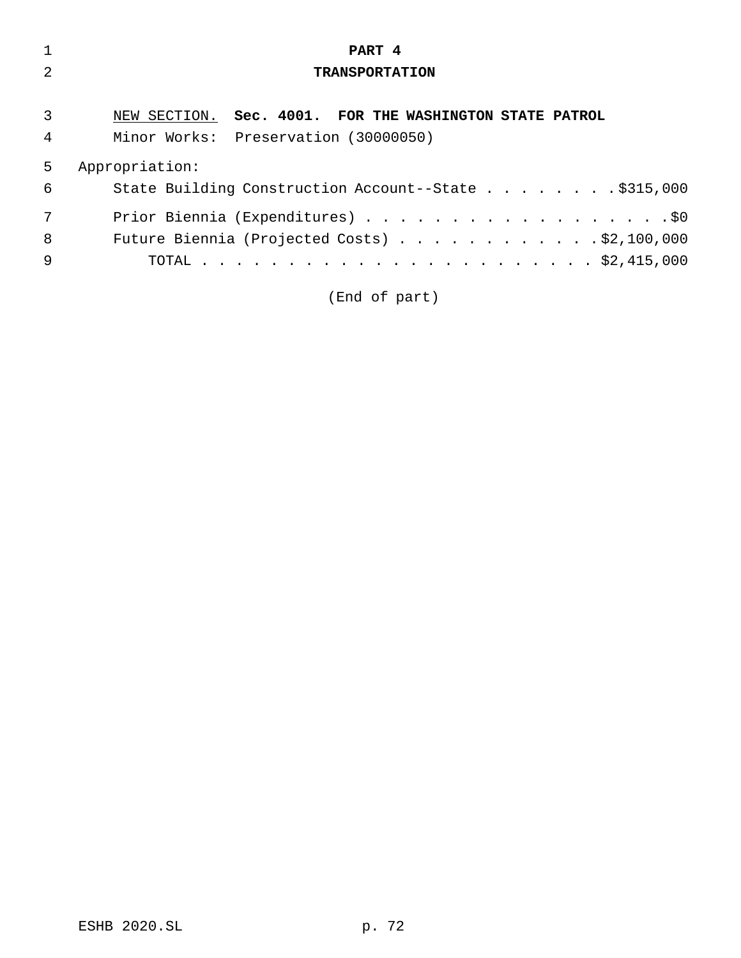|   | PART 4                                                  |
|---|---------------------------------------------------------|
|   | <b>TRANSPORTATION</b>                                   |
|   |                                                         |
| 3 | NEW SECTION. Sec. 4001. FOR THE WASHINGTON STATE PATROL |
| 4 | Minor Works: Preservation (30000050)                    |
| 5 | Appropriation:                                          |
| 6 | State Building Construction Account--State \$315,000    |
| 7 | Prior Biennia (Expenditures) \$0                        |
| 8 | Future Biennia (Projected Costs) $\ldots$ \$2,100,000   |
| 9 |                                                         |
|   |                                                         |

(End of part)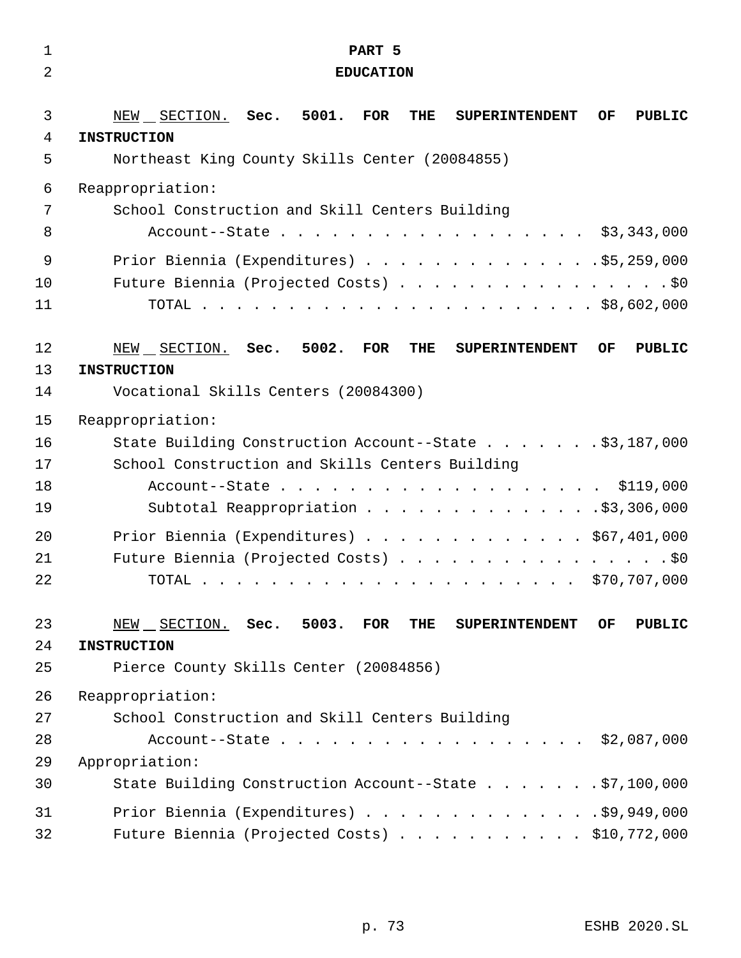| $\mathbf{1}$   | PART 5                                                                                                                                                                                                                                                     |
|----------------|------------------------------------------------------------------------------------------------------------------------------------------------------------------------------------------------------------------------------------------------------------|
| $\overline{2}$ | <b>EDUCATION</b>                                                                                                                                                                                                                                           |
| 3              | NEW SECTION. Sec. 5001. FOR<br>THE<br>OF<br><b>SUPERINTENDENT</b><br>PUBLIC                                                                                                                                                                                |
| 4              | <b>INSTRUCTION</b>                                                                                                                                                                                                                                         |
| 5              | Northeast King County Skills Center (20084855)                                                                                                                                                                                                             |
| 6              | Reappropriation:                                                                                                                                                                                                                                           |
| 7              | School Construction and Skill Centers Building                                                                                                                                                                                                             |
| 8              | Account--State \$3,343,000                                                                                                                                                                                                                                 |
| $\mathsf 9$    | Prior Biennia (Expenditures) \$5,259,000                                                                                                                                                                                                                   |
| 10             | Future Biennia (Projected Costs) \$0                                                                                                                                                                                                                       |
| 11             |                                                                                                                                                                                                                                                            |
| 12             | NEW SECTION. Sec. 5002. FOR<br>THE<br>OF.<br><b>PUBLIC</b><br><b>SUPERINTENDENT</b>                                                                                                                                                                        |
| 13             | <b>INSTRUCTION</b>                                                                                                                                                                                                                                         |
| 14             | Vocational Skills Centers (20084300)                                                                                                                                                                                                                       |
| 15             | Reappropriation:                                                                                                                                                                                                                                           |
| 16             | State Building Construction Account--State \$3,187,000                                                                                                                                                                                                     |
| 17             | School Construction and Skills Centers Building                                                                                                                                                                                                            |
| 18             | Account--State \$119,000                                                                                                                                                                                                                                   |
| 19             | Subtotal Reappropriation \$3,306,000                                                                                                                                                                                                                       |
| 20             | Prior Biennia (Expenditures) $\ldots$ \$67,401,000                                                                                                                                                                                                         |
| 21             | Future Biennia (Projected Costs) \$0                                                                                                                                                                                                                       |
| 22             | \$70,707,000<br>TOTAL<br>$\mathbf{r}$ . The contribution of the contribution of the contribution of the contribution of the contribution of the contribution of the contribution of the contribution of the contribution of the contribution of the contri |
| 23             | NEW SECTION. Sec. 5003. FOR<br>THE<br><b>PUBLIC</b><br><b>SUPERINTENDENT</b><br>OF.                                                                                                                                                                        |
| 24             | <b>INSTRUCTION</b>                                                                                                                                                                                                                                         |
| 25             | Pierce County Skills Center (20084856)                                                                                                                                                                                                                     |
| 26             | Reappropriation:                                                                                                                                                                                                                                           |
| 27             | School Construction and Skill Centers Building                                                                                                                                                                                                             |
| 28             | Account--State \$2,087,000                                                                                                                                                                                                                                 |
| 29             | Appropriation:                                                                                                                                                                                                                                             |
| 30             | State Building Construction Account--State \$7,100,000                                                                                                                                                                                                     |
| 31             | Prior Biennia (Expenditures) \$9,949,000                                                                                                                                                                                                                   |
| 32             | Future Biennia (Projected Costs) $\ldots$ \$10,772,000                                                                                                                                                                                                     |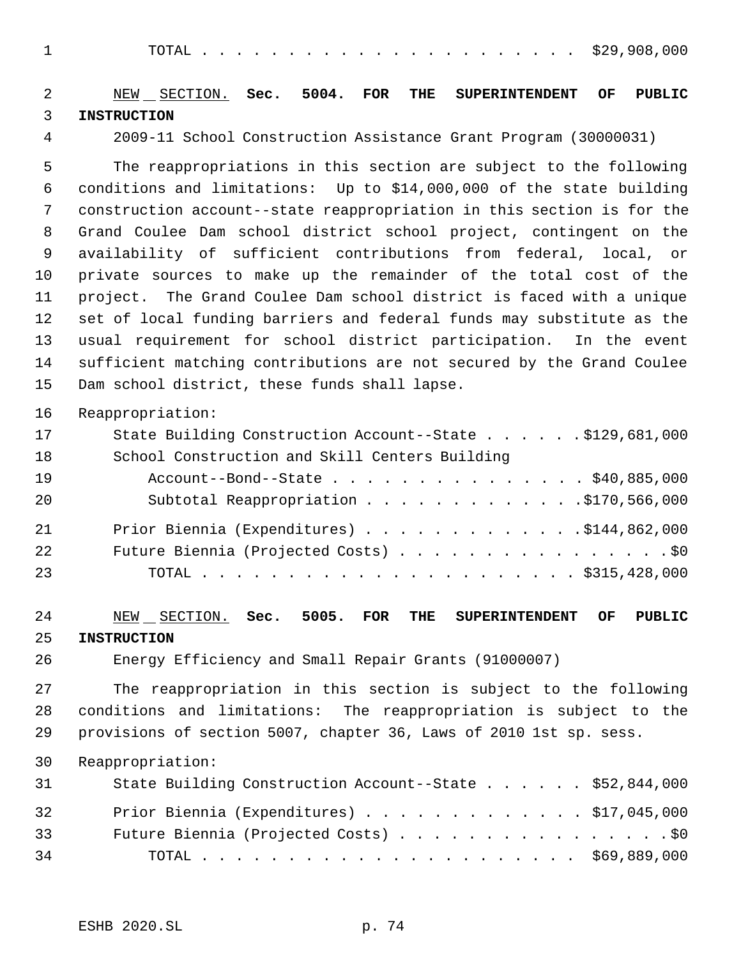TOTAL . . . . . . . . . . . . . . . . . . . . . . \$29,908,000

| $\overline{2}$<br>3 | $NEW$ $SECTION.$ Sec.<br>5004.<br><b>FOR</b><br>THE<br>OF<br><b>PUBLIC</b><br><b>SUPERINTENDENT</b><br><b>INSTRUCTION</b>                                                                                           |
|---------------------|---------------------------------------------------------------------------------------------------------------------------------------------------------------------------------------------------------------------|
| $\overline{4}$      | 2009-11 School Construction Assistance Grant Program (30000031)                                                                                                                                                     |
| 5<br>6<br>7         | The reappropriations in this section are subject to the following<br>conditions and limitations: Up to \$14,000,000 of the state building<br>construction account--state reappropriation in this section is for the |
| 8                   | Grand Coulee Dam school district school project, contingent on the                                                                                                                                                  |
| 9                   | availability of sufficient contributions from federal, local, or                                                                                                                                                    |
| 10                  | private sources to make up the remainder of the total cost of the                                                                                                                                                   |
| 11                  | project. The Grand Coulee Dam school district is faced with a unique                                                                                                                                                |
| 12                  | set of local funding barriers and federal funds may substitute as the                                                                                                                                               |
| 13                  | usual requirement for school district participation. In the event                                                                                                                                                   |
| 14                  | sufficient matching contributions are not secured by the Grand Coulee                                                                                                                                               |
| 15                  | Dam school district, these funds shall lapse.                                                                                                                                                                       |
| 16                  | Reappropriation:                                                                                                                                                                                                    |
| 17                  | State Building Construction Account--State \$129,681,000                                                                                                                                                            |
| 18                  | School Construction and Skill Centers Building                                                                                                                                                                      |
| 19                  | Account--Bond--State \$40,885,000                                                                                                                                                                                   |
| 20                  | Subtotal Reappropriation 5170, 566, 000                                                                                                                                                                             |
| 21                  | Prior Biennia (Expenditures) $\ldots$ 9144,862,000                                                                                                                                                                  |
| 22                  | Future Biennia (Projected Costs) \$0                                                                                                                                                                                |
| 23                  |                                                                                                                                                                                                                     |
| 24<br>25            | 5005.<br><b>SUPERINTENDENT</b><br><b>PUBLIC</b><br>NEW<br>SECTION.<br>Sec.<br><b>FOR</b><br>THE<br>OF.<br><b>INSTRUCTION</b>                                                                                        |
| 26                  | Energy Efficiency and Small Repair Grants (91000007)                                                                                                                                                                |
| 27                  | The reappropriation in this section is subject to the following                                                                                                                                                     |
| 28                  | conditions and limitations: The reappropriation is subject to the                                                                                                                                                   |
| 29                  | provisions of section 5007, chapter 36, Laws of 2010 1st sp. sess.                                                                                                                                                  |
| 30                  | Reappropriation:                                                                                                                                                                                                    |
| 31                  | State Building Construction Account--State \$52,844,000                                                                                                                                                             |
| 32                  | Prior Biennia (Expenditures) $\ldots$ \$17,045,000                                                                                                                                                                  |
| 33                  | Future Biennia (Projected Costs) \$0                                                                                                                                                                                |
| 34                  |                                                                                                                                                                                                                     |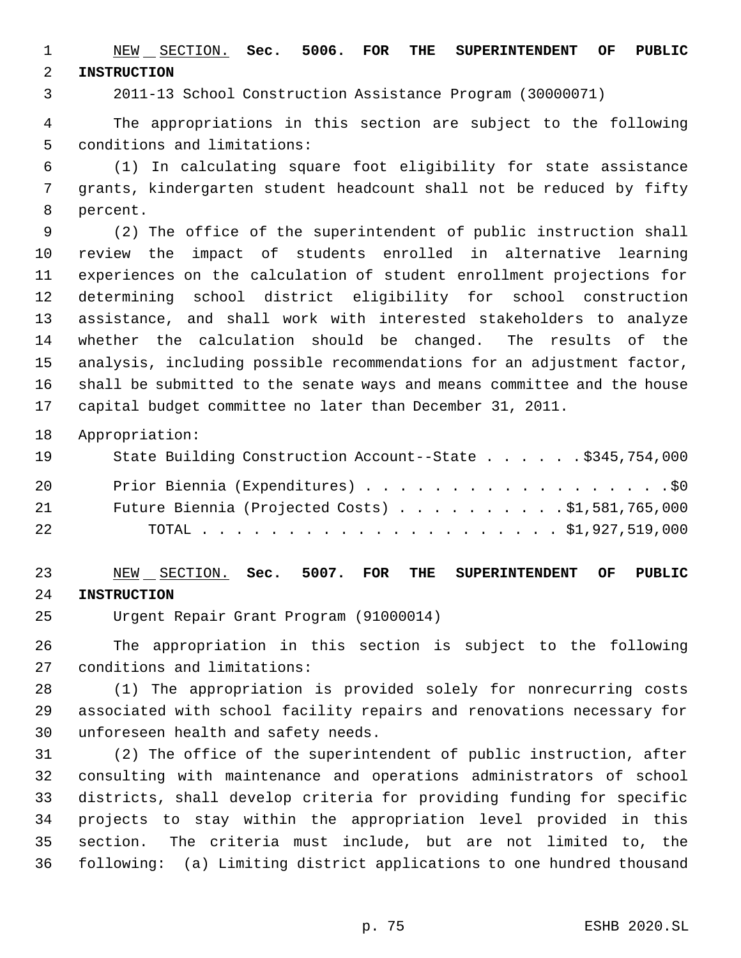NEW SECTION. **Sec. 5006. FOR THE SUPERINTENDENT OF PUBLIC INSTRUCTION**

2011-13 School Construction Assistance Program (30000071)

 The appropriations in this section are subject to the following conditions and limitations:

 (1) In calculating square foot eligibility for state assistance grants, kindergarten student headcount shall not be reduced by fifty percent.

 (2) The office of the superintendent of public instruction shall review the impact of students enrolled in alternative learning experiences on the calculation of student enrollment projections for determining school district eligibility for school construction assistance, and shall work with interested stakeholders to analyze whether the calculation should be changed. The results of the analysis, including possible recommendations for an adjustment factor, shall be submitted to the senate ways and means committee and the house capital budget committee no later than December 31, 2011.

Appropriation:

| 19 | State Building Construction Account--State \$345,754,000 |
|----|----------------------------------------------------------|
| 20 | Prior Biennia (Expenditures) \$0                         |
| 21 | Future Biennia (Projected Costs) $\ldots$ 51,581,765,000 |
| 22 |                                                          |

 NEW SECTION. **Sec. 5007. FOR THE SUPERINTENDENT OF PUBLIC INSTRUCTION**

Urgent Repair Grant Program (91000014)

 The appropriation in this section is subject to the following conditions and limitations:

 (1) The appropriation is provided solely for nonrecurring costs associated with school facility repairs and renovations necessary for unforeseen health and safety needs.

 (2) The office of the superintendent of public instruction, after consulting with maintenance and operations administrators of school districts, shall develop criteria for providing funding for specific projects to stay within the appropriation level provided in this section. The criteria must include, but are not limited to, the following: (a) Limiting district applications to one hundred thousand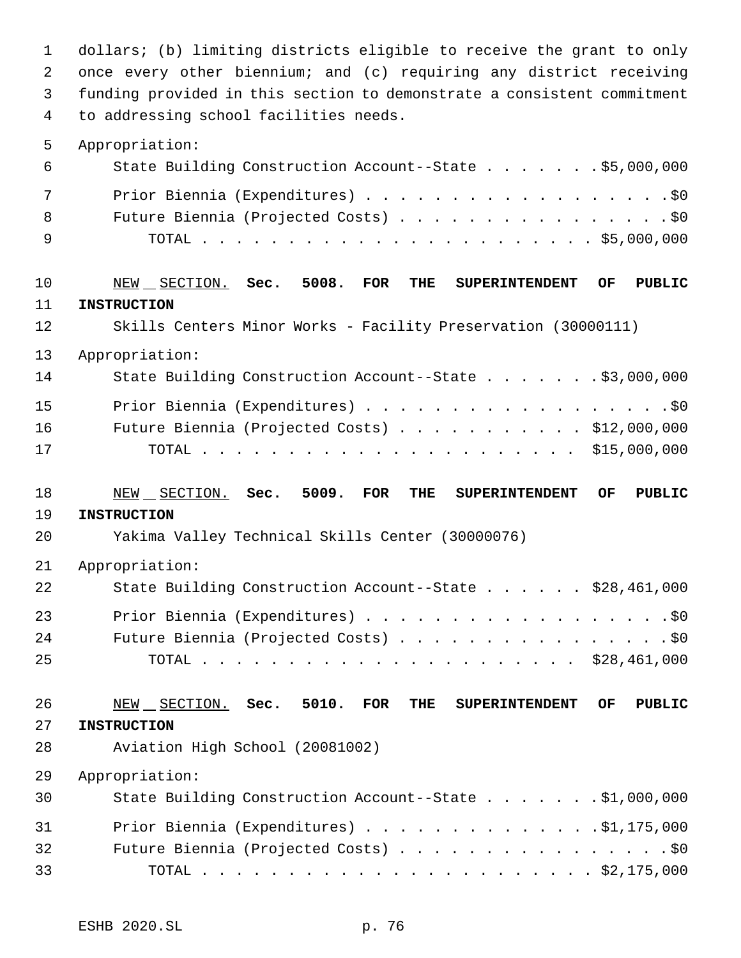dollars; (b) limiting districts eligible to receive the grant to only once every other biennium; and (c) requiring any district receiving funding provided in this section to demonstrate a consistent commitment to addressing school facilities needs.

#### Appropriation:

| 6   | State Building Construction Account--State \$5,000,000 |
|-----|--------------------------------------------------------|
| 7   | Prior Biennia (Expenditures) \$0                       |
| 8   | Future Biennia (Projected Costs) \$0                   |
| − 9 |                                                        |

# NEW SECTION. **Sec. 5008. FOR THE SUPERINTENDENT OF PUBLIC INSTRUCTION** Skills Centers Minor Works - Facility Preservation (30000111)

Appropriation:

| Prior Biennia (Expenditures) \$0<br>15                       |  |
|--------------------------------------------------------------|--|
| Future Biennia (Projected Costs) $\ldots$ \$12,000,000<br>16 |  |
| 17                                                           |  |

## NEW SECTION. **Sec. 5009. FOR THE SUPERINTENDENT OF PUBLIC**

### **INSTRUCTION**

Yakima Valley Technical Skills Center (30000076)

#### Appropriation:

| 22 | State Building Construction Account--State \$28,461,000 |
|----|---------------------------------------------------------|
| 23 | Prior Biennia (Expenditures) \$0                        |
| 24 | Future Biennia (Projected Costs) \$0                    |
| 25 |                                                         |

### NEW SECTION. **Sec. 5010. FOR THE SUPERINTENDENT OF PUBLIC INSTRUCTION**

Aviation High School (20081002)

Appropriation:

| 30 | State Building Construction Account--State \$1,000,000 |
|----|--------------------------------------------------------|
| 31 | Prior Biennia (Expenditures) \$1,175,000               |
| 32 | Future Biennia (Projected Costs) \$0                   |
| 33 |                                                        |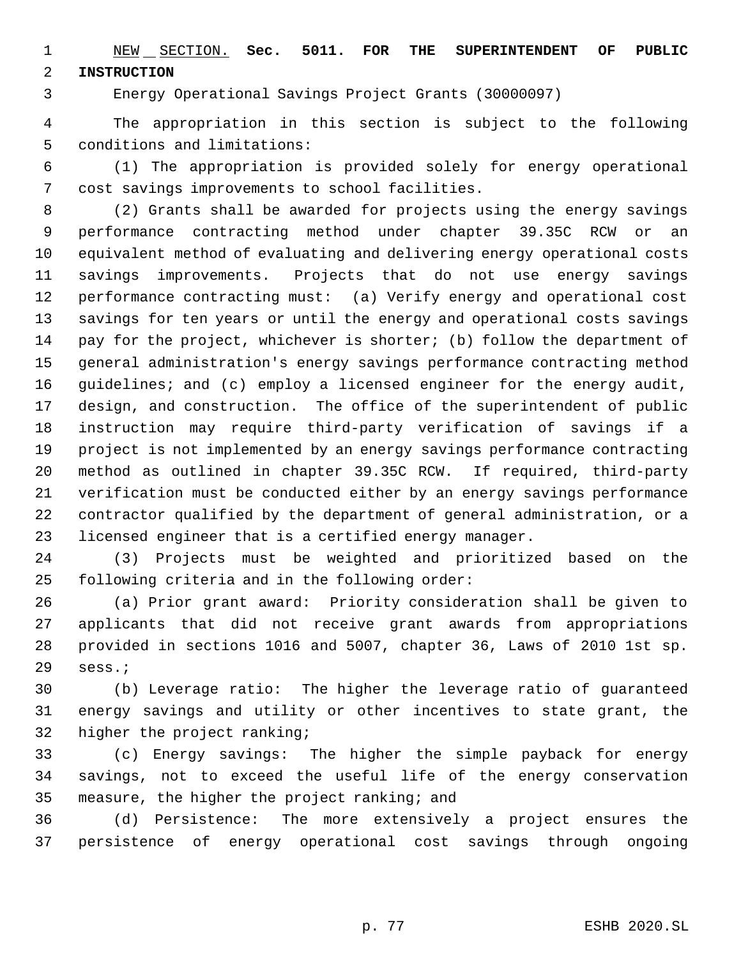NEW SECTION. **Sec. 5011. FOR THE SUPERINTENDENT OF PUBLIC INSTRUCTION**

Energy Operational Savings Project Grants (30000097)

 The appropriation in this section is subject to the following conditions and limitations:

 (1) The appropriation is provided solely for energy operational cost savings improvements to school facilities.

 (2) Grants shall be awarded for projects using the energy savings performance contracting method under chapter 39.35C RCW or an equivalent method of evaluating and delivering energy operational costs savings improvements. Projects that do not use energy savings performance contracting must: (a) Verify energy and operational cost savings for ten years or until the energy and operational costs savings pay for the project, whichever is shorter; (b) follow the department of general administration's energy savings performance contracting method guidelines; and (c) employ a licensed engineer for the energy audit, design, and construction. The office of the superintendent of public instruction may require third-party verification of savings if a project is not implemented by an energy savings performance contracting method as outlined in chapter 39.35C RCW. If required, third-party verification must be conducted either by an energy savings performance contractor qualified by the department of general administration, or a licensed engineer that is a certified energy manager.

 (3) Projects must be weighted and prioritized based on the following criteria and in the following order:

 (a) Prior grant award: Priority consideration shall be given to applicants that did not receive grant awards from appropriations provided in sections 1016 and 5007, chapter 36, Laws of 2010 1st sp. sess.;

 (b) Leverage ratio: The higher the leverage ratio of guaranteed energy savings and utility or other incentives to state grant, the higher the project ranking;

 (c) Energy savings: The higher the simple payback for energy savings, not to exceed the useful life of the energy conservation measure, the higher the project ranking; and

 (d) Persistence: The more extensively a project ensures the persistence of energy operational cost savings through ongoing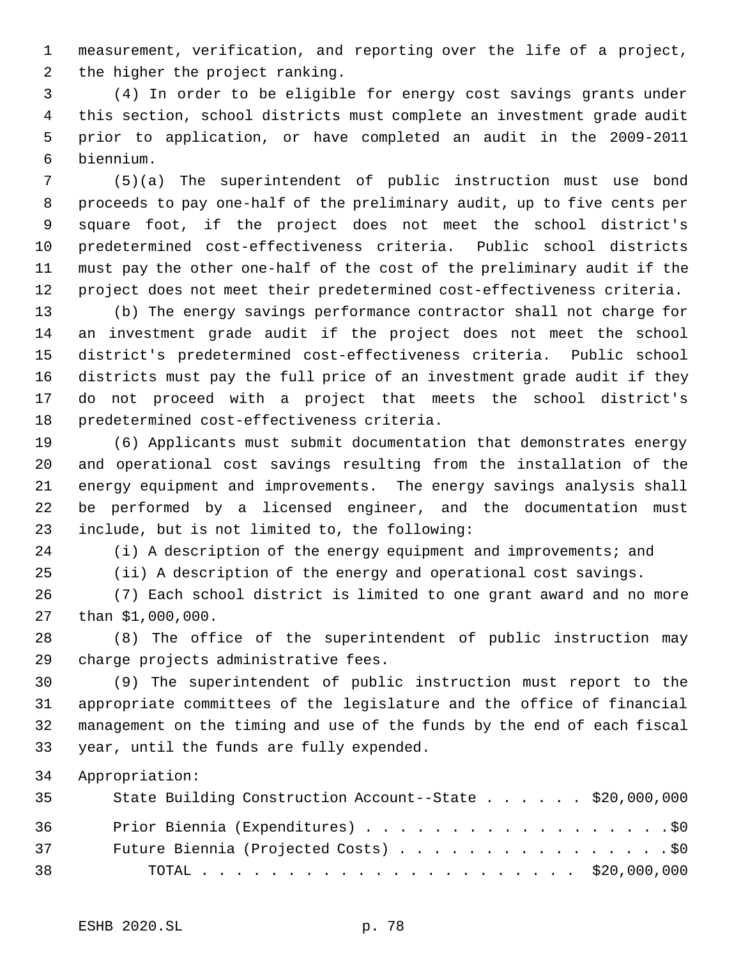measurement, verification, and reporting over the life of a project, the higher the project ranking.

 (4) In order to be eligible for energy cost savings grants under this section, school districts must complete an investment grade audit prior to application, or have completed an audit in the 2009-2011 biennium.

 (5)(a) The superintendent of public instruction must use bond proceeds to pay one-half of the preliminary audit, up to five cents per square foot, if the project does not meet the school district's predetermined cost-effectiveness criteria. Public school districts must pay the other one-half of the cost of the preliminary audit if the project does not meet their predetermined cost-effectiveness criteria.

 (b) The energy savings performance contractor shall not charge for an investment grade audit if the project does not meet the school district's predetermined cost-effectiveness criteria. Public school districts must pay the full price of an investment grade audit if they do not proceed with a project that meets the school district's predetermined cost-effectiveness criteria.

 (6) Applicants must submit documentation that demonstrates energy and operational cost savings resulting from the installation of the energy equipment and improvements. The energy savings analysis shall be performed by a licensed engineer, and the documentation must include, but is not limited to, the following:

(i) A description of the energy equipment and improvements; and

(ii) A description of the energy and operational cost savings.

 (7) Each school district is limited to one grant award and no more than \$1,000,000.

 (8) The office of the superintendent of public instruction may charge projects administrative fees.

 (9) The superintendent of public instruction must report to the appropriate committees of the legislature and the office of financial management on the timing and use of the funds by the end of each fiscal year, until the funds are fully expended.

Appropriation:

| 35 | State Building Construction Account--State \$20,000,000 |  |
|----|---------------------------------------------------------|--|
| 36 | Prior Biennia (Expenditures) \$0                        |  |
| 37 | Future Biennia (Projected Costs) \$0                    |  |
| 38 |                                                         |  |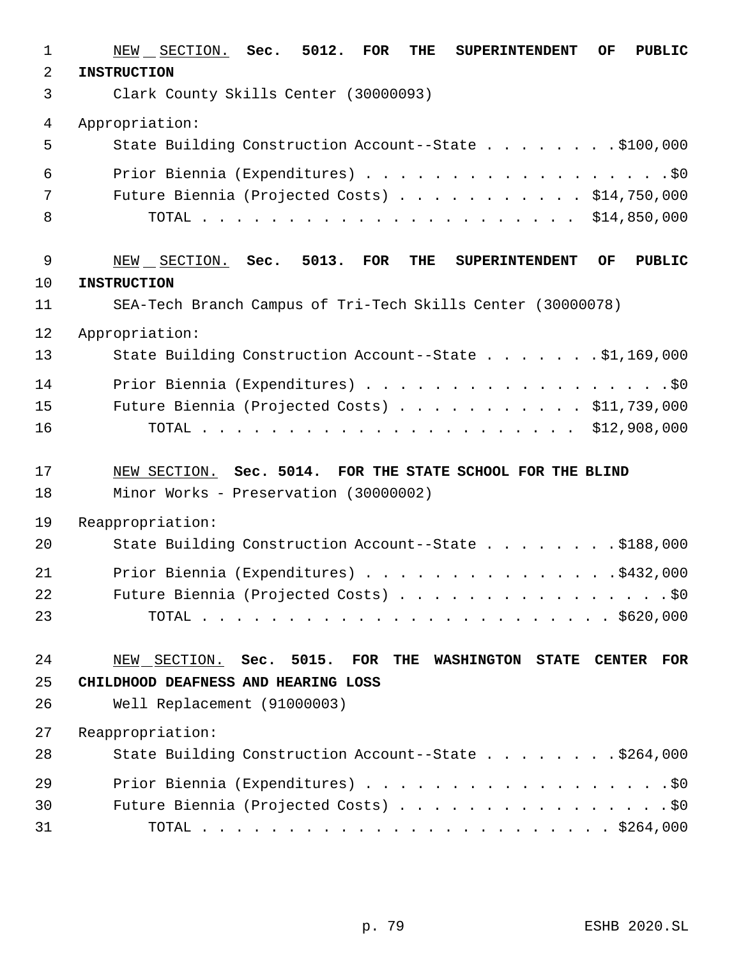| $\mathbf 1$ | NEW SECTION. Sec. 5012. FOR<br>THE<br>OF.<br><b>PUBLIC</b><br><b>SUPERINTENDENT</b>                          |
|-------------|--------------------------------------------------------------------------------------------------------------|
| $\sqrt{2}$  | <b>INSTRUCTION</b>                                                                                           |
| 3           | Clark County Skills Center (30000093)                                                                        |
| 4           | Appropriation:                                                                                               |
| 5           | State Building Construction Account--State \$100,000                                                         |
| 6           | Prior Biennia (Expenditures) \$0                                                                             |
| 7           | Future Biennia (Projected Costs) \$14,750,000                                                                |
| 8           |                                                                                                              |
| $\mathsf 9$ | NEW SECTION. Sec. 5013.<br><b>FOR</b><br>THE<br><b>SUPERINTENDENT</b><br>OF.<br><b>PUBLIC</b>                |
| 10          | <b>INSTRUCTION</b>                                                                                           |
| 11          | SEA-Tech Branch Campus of Tri-Tech Skills Center (30000078)                                                  |
| 12          | Appropriation:                                                                                               |
| 13          | State Building Construction Account--State \$1,169,000                                                       |
| 14          | Prior Biennia (Expenditures) \$0                                                                             |
| 15          | Future Biennia (Projected Costs) \$11,739,000                                                                |
| 16          |                                                                                                              |
| 17          | NEW SECTION. Sec. 5014. FOR THE STATE SCHOOL FOR THE BLIND                                                   |
| 18          | Minor Works - Preservation (30000002)                                                                        |
| 19          | Reappropriation:                                                                                             |
| 20          | State Building Construction Account--State \$188,000                                                         |
| 21          | Prior Biennia (Expenditures) \$432,000                                                                       |
| 22          | Future Biennia (Projected Costs) \$0                                                                         |
| 23          |                                                                                                              |
| 24          | NEW SECTION. Sec. 5015.<br>$\overline{\text{FOR}}$<br>THE<br>WASHINGTON STATE<br><b>CENTER</b><br><b>FOR</b> |
| 25          | CHILDHOOD DEAFNESS AND HEARING LOSS                                                                          |
| 26          | Well Replacement (91000003)                                                                                  |
| 27          | Reappropriation:                                                                                             |
| 28          | State Building Construction Account--State \$264,000                                                         |
| 29          | Prior Biennia (Expenditures) \$0                                                                             |
| 30          | Future Biennia (Projected Costs) \$0                                                                         |
| 31          |                                                                                                              |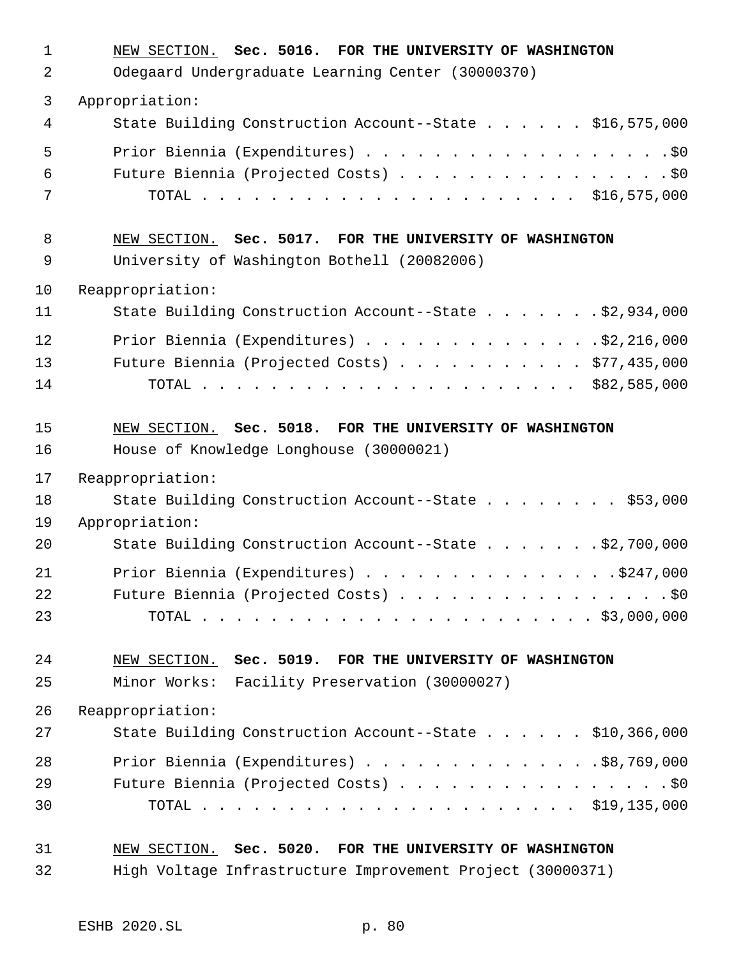| $\mathbf 1$ | NEW SECTION. Sec. 5016. FOR THE UNIVERSITY OF WASHINGTON   |
|-------------|------------------------------------------------------------|
| 2           | Odegaard Undergraduate Learning Center (30000370)          |
| 3           | Appropriation:                                             |
| 4           | State Building Construction Account--State \$16,575,000    |
| 5           | Prior Biennia (Expenditures) \$0                           |
| 6           | Future Biennia (Projected Costs) \$0                       |
| 7           |                                                            |
| 8           | NEW SECTION. Sec. 5017. FOR THE UNIVERSITY OF WASHINGTON   |
| 9           | University of Washington Bothell (20082006)                |
| 10          | Reappropriation:                                           |
| 11          | State Building Construction Account--State \$2,934,000     |
| 12          | Prior Biennia (Expenditures) 32, 216, 000                  |
| 13          | Future Biennia (Projected Costs) \$77,435,000              |
| 14          |                                                            |
| 15          | NEW SECTION. Sec. 5018. FOR THE UNIVERSITY OF WASHINGTON   |
| 16          | House of Knowledge Longhouse (30000021)                    |
| 17          | Reappropriation:                                           |
| 18          | State Building Construction Account--State \$53,000        |
| 19          | Appropriation:                                             |
| 20          | State Building Construction Account--State \$2,700,000     |
| 21          | Prior Biennia (Expenditures) \$247,000                     |
| 22          | Future Biennia (Projected Costs) \$0                       |
| 23          |                                                            |
| 24          | NEW SECTION. Sec. 5019. FOR THE UNIVERSITY OF WASHINGTON   |
| 25          | Minor Works: Facility Preservation (30000027)              |
| 26          | Reappropriation:                                           |
| 27          | State Building Construction Account--State \$10,366,000    |
| 28          | Prior Biennia (Expenditures) $\ldots$ \$8,769,000          |
| 29          | Future Biennia (Projected Costs) \$0                       |
| 30          |                                                            |
| 31          | NEW SECTION. Sec. 5020. FOR THE UNIVERSITY OF WASHINGTON   |
| 32          | High Voltage Infrastructure Improvement Project (30000371) |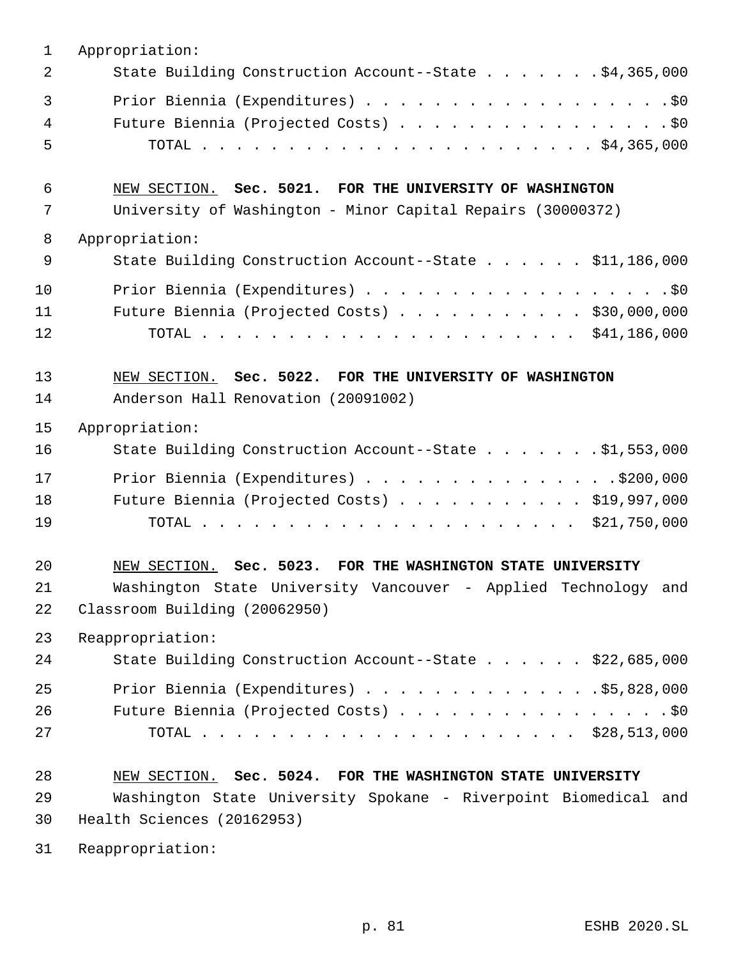| $\mathbf{1}$             | Appropriation:                                                  |
|--------------------------|-----------------------------------------------------------------|
| 2                        | State Building Construction Account--State \$4,365,000          |
| $\overline{3}$<br>4<br>5 | Future Biennia (Projected Costs) \$0                            |
| 6                        | NEW SECTION. Sec. 5021. FOR THE UNIVERSITY OF WASHINGTON        |
| 7                        | University of Washington - Minor Capital Repairs (30000372)     |
| 8                        | Appropriation:                                                  |
| 9                        | State Building Construction Account--State \$11,186,000         |
| 10                       | Prior Biennia (Expenditures) \$0                                |
| 11                       | Future Biennia (Projected Costs) \$30,000,000                   |
| 12                       |                                                                 |
| 13                       | NEW SECTION. Sec. 5022. FOR THE UNIVERSITY OF WASHINGTON        |
| 14                       | Anderson Hall Renovation (20091002)                             |
| 15                       | Appropriation:                                                  |
| 16                       | State Building Construction Account--State \$1,553,000          |
| 17                       | Prior Biennia (Expenditures) $\ldots$ 9200,000                  |
| 18                       | Future Biennia (Projected Costs) \$19,997,000                   |
| 19                       |                                                                 |
| 20                       | NEW SECTION. Sec. 5023. FOR THE WASHINGTON STATE UNIVERSITY     |
| 21                       | Washington State University Vancouver - Applied Technology and  |
| 22                       | Classroom Building (20062950)                                   |
| 23                       | Reappropriation:                                                |
| 24                       | State Building Construction Account--State \$22,685,000         |
| 25                       | Prior Biennia (Expenditures) \$5,828,000                        |
| 26                       | Future Biennia (Projected Costs) \$0                            |
| 27                       |                                                                 |
| 28                       | NEW SECTION. Sec. 5024. FOR THE WASHINGTON STATE UNIVERSITY     |
| 29                       | Washington State University Spokane - Riverpoint Biomedical and |
| 30                       | Health Sciences (20162953)                                      |
| 31                       | Reappropriation:                                                |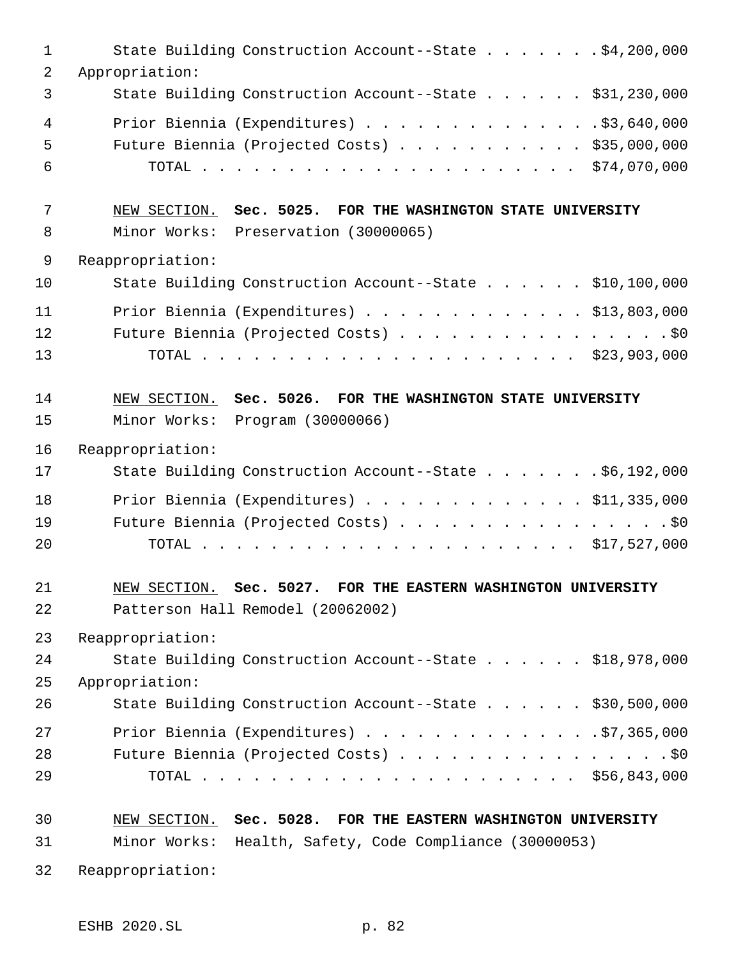| $\mathbf{1}$   | State Building Construction Account--State \$4,200,000        |
|----------------|---------------------------------------------------------------|
| 2              | Appropriation:                                                |
| 3              | State Building Construction Account--State \$31,230,000       |
| $\overline{4}$ | Prior Biennia (Expenditures) \$3,640,000                      |
| 5              | Future Biennia (Projected Costs) \$35,000,000                 |
| 6              |                                                               |
| 7              | NEW SECTION. Sec. 5025. FOR THE WASHINGTON STATE UNIVERSITY   |
| 8              | Minor Works: Preservation (30000065)                          |
| $\mathsf 9$    | Reappropriation:                                              |
| 10             | State Building Construction Account--State \$10,100,000       |
| 11             | Prior Biennia (Expenditures) \$13,803,000                     |
| 12             | Future Biennia (Projected Costs) \$0                          |
| 13             |                                                               |
| 14             | NEW SECTION. Sec. 5026. FOR THE WASHINGTON STATE UNIVERSITY   |
| 15             | Minor Works:<br>Program (30000066)                            |
| 16             | Reappropriation:                                              |
| 17             | State Building Construction Account--State \$6,192,000        |
| 18             | Prior Biennia (Expenditures) \$11,335,000                     |
| 19             | Future Biennia (Projected Costs) \$0                          |
| 20             |                                                               |
| 21             | NEW SECTION. Sec. 5027. FOR THE EASTERN WASHINGTON UNIVERSITY |
| 22             | Patterson Hall Remodel (20062002)                             |
| 23             | Reappropriation:                                              |
| 24             | State Building Construction Account--State \$18,978,000       |
| 25             | Appropriation:                                                |
| 26             | State Building Construction Account--State \$30,500,000       |
| 27             | Prior Biennia (Expenditures) $\ldots$ 97,365,000              |
| 28             | Future Biennia (Projected Costs) \$0                          |
| 29             |                                                               |
| 30             | NEW SECTION. Sec. 5028. FOR THE EASTERN WASHINGTON UNIVERSITY |
| 31             | Minor Works: Health, Safety, Code Compliance (30000053)       |
| 32             | Reappropriation:                                              |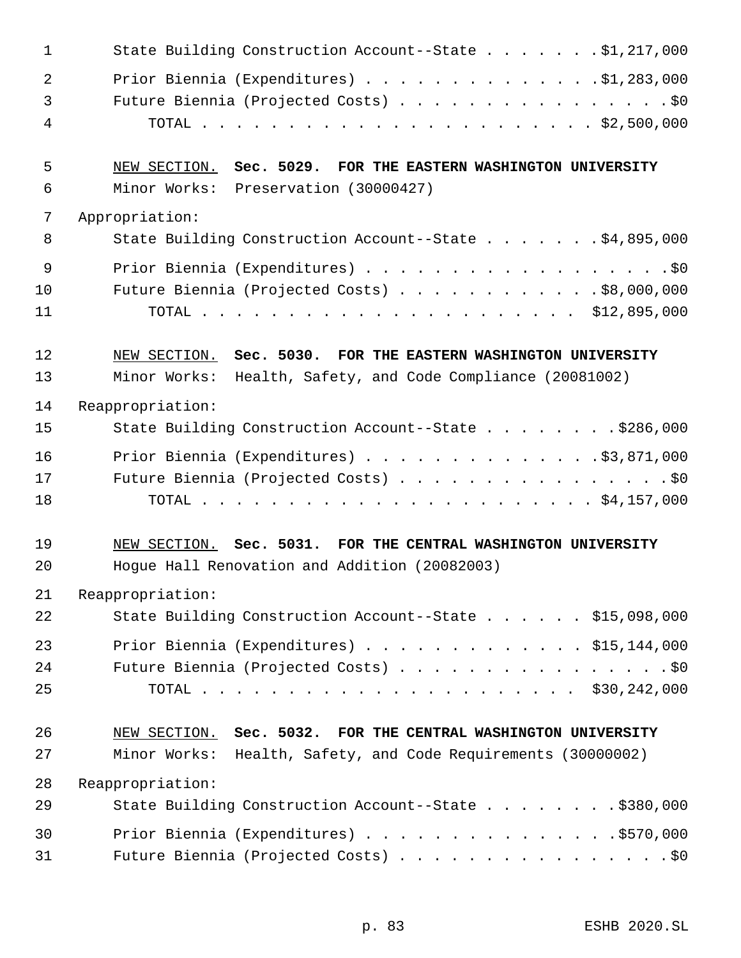| $\mathbf 1$    | State Building Construction Account--State \$1,217,000                                                                         |
|----------------|--------------------------------------------------------------------------------------------------------------------------------|
| $\overline{2}$ | Prior Biennia (Expenditures) \$1,283,000                                                                                       |
| 3              | Future Biennia (Projected Costs) \$0                                                                                           |
| 4              |                                                                                                                                |
|                |                                                                                                                                |
| 5              | NEW SECTION. Sec. 5029. FOR THE EASTERN WASHINGTON UNIVERSITY                                                                  |
| 6              | Minor Works: Preservation (30000427)                                                                                           |
| 7              | Appropriation:                                                                                                                 |
| 8              | State Building Construction Account--State \$4,895,000                                                                         |
| 9              |                                                                                                                                |
| 10             | Future Biennia (Projected Costs) \$8,000,000                                                                                   |
| 11             |                                                                                                                                |
| 12             | NEW SECTION. Sec. 5030. FOR THE EASTERN WASHINGTON UNIVERSITY                                                                  |
| 13             | Minor Works: Health, Safety, and Code Compliance (20081002)                                                                    |
| 14             | Reappropriation:                                                                                                               |
| 15             | State Building Construction Account--State \$286,000                                                                           |
| 16             | Prior Biennia (Expenditures) \$3,871,000                                                                                       |
| 17             | Future Biennia (Projected Costs) \$0                                                                                           |
| 18             |                                                                                                                                |
|                |                                                                                                                                |
| 19             | NEW SECTION. Sec. 5031. FOR THE CENTRAL WASHINGTON UNIVERSITY                                                                  |
| 20             | Hogue Hall Renovation and Addition (20082003)                                                                                  |
| 21             | Reappropriation:                                                                                                               |
| 22             | State Building Construction Account--State \$15,098,000                                                                        |
| 23             | Prior Biennia (Expenditures) $\ldots$ \$15,144,000                                                                             |
| 24             | Future Biennia (Projected Costs) \$0                                                                                           |
| 25             |                                                                                                                                |
|                |                                                                                                                                |
| 26<br>27       | NEW SECTION. Sec. 5032. FOR THE CENTRAL WASHINGTON UNIVERSITY<br>Minor Works: Health, Safety, and Code Requirements (30000002) |
|                |                                                                                                                                |
| 28<br>29       | Reappropriation:<br>State Building Construction Account--State \$380,000                                                       |
|                |                                                                                                                                |
| 30             | Prior Biennia (Expenditures) \$570,000                                                                                         |
| 31             | Future Biennia (Projected Costs) \$0                                                                                           |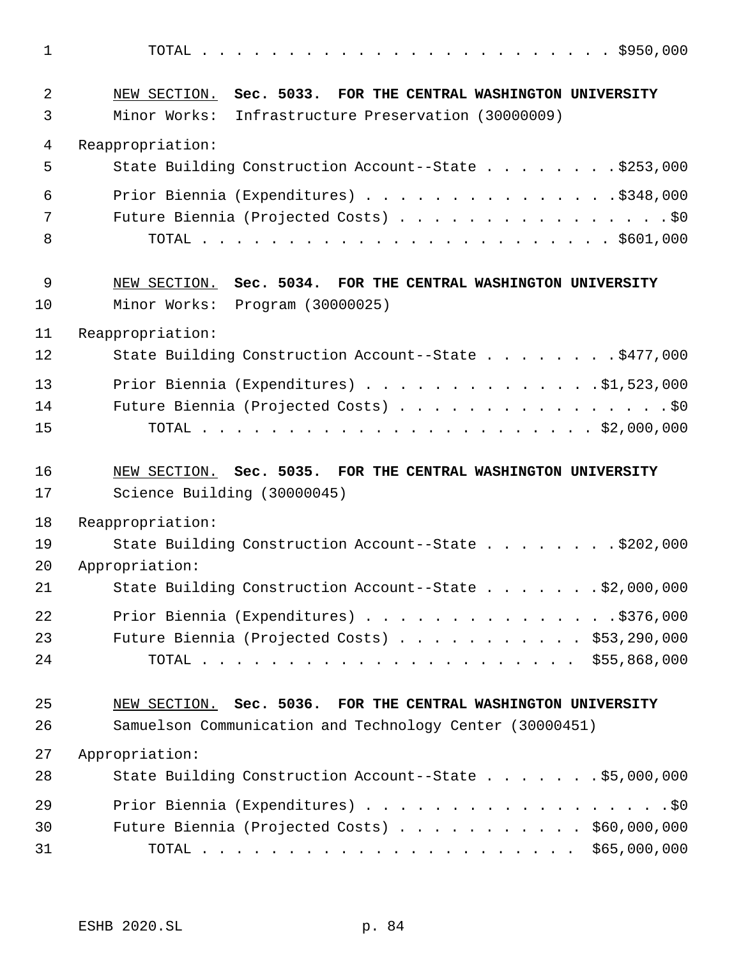| 1  |                                                               |
|----|---------------------------------------------------------------|
| 2  | NEW SECTION. Sec. 5033. FOR THE CENTRAL WASHINGTON UNIVERSITY |
| 3  | Minor Works: Infrastructure Preservation (30000009)           |
| 4  | Reappropriation:                                              |
| 5  | State Building Construction Account--State \$253,000          |
| 6  | Prior Biennia (Expenditures) \$348,000                        |
| 7  | Future Biennia (Projected Costs) \$0                          |
| 8  |                                                               |
| 9  | NEW SECTION. Sec. 5034. FOR THE CENTRAL WASHINGTON UNIVERSITY |
| 10 | Minor Works: Program (30000025)                               |
| 11 | Reappropriation:                                              |
| 12 | State Building Construction Account--State \$477,000          |
| 13 | Prior Biennia (Expenditures) \$1,523,000                      |
| 14 | Future Biennia (Projected Costs) \$0                          |
| 15 |                                                               |
|    |                                                               |
| 16 | NEW SECTION. Sec. 5035. FOR THE CENTRAL WASHINGTON UNIVERSITY |
| 17 | Science Building (30000045)                                   |
| 18 | Reappropriation:                                              |
| 19 | State Building Construction Account--State \$202,000          |
| 20 | Appropriation:                                                |
| 21 | State Building Construction Account--State \$2,000,000        |
| 22 | Prior Biennia (Expenditures) \$376,000                        |
| 23 | Future Biennia (Projected Costs) $\ldots$ \$53,290,000        |
| 24 |                                                               |
| 25 | NEW SECTION. Sec. 5036. FOR THE CENTRAL WASHINGTON UNIVERSITY |
| 26 | Samuelson Communication and Technology Center (30000451)      |
| 27 | Appropriation:                                                |
| 28 | State Building Construction Account--State \$5,000,000        |
| 29 | Prior Biennia (Expenditures) \$0                              |
| 30 | Future Biennia (Projected Costs) \$60,000,000                 |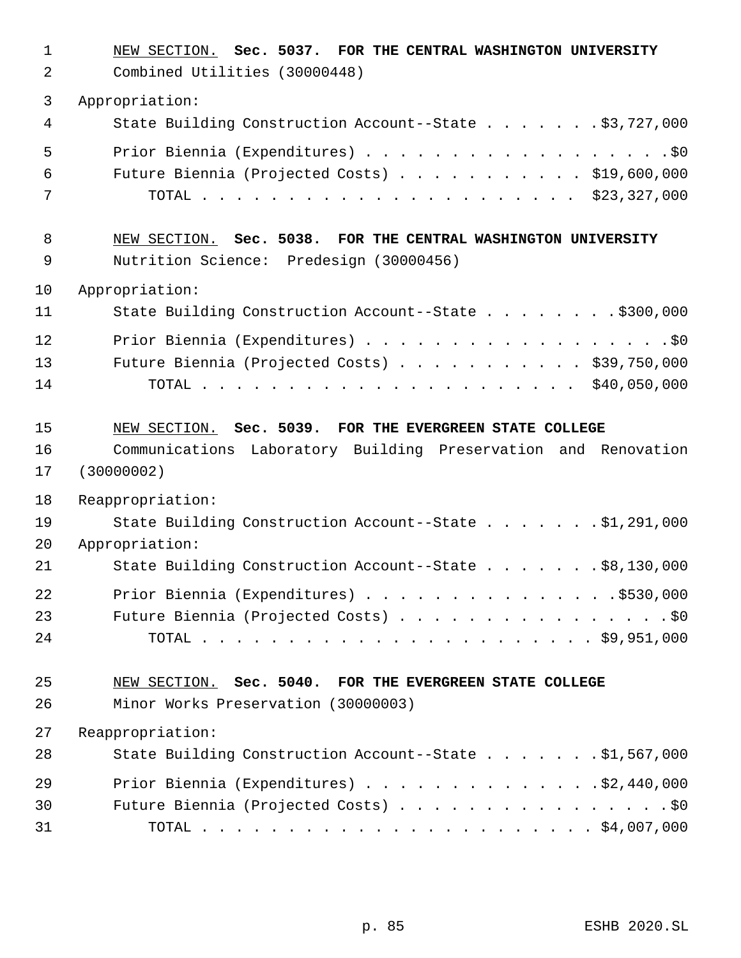| $\mathbf 1$<br>2 | NEW SECTION. Sec. 5037. FOR THE CENTRAL WASHINGTON UNIVERSITY<br>Combined Utilities (30000448)                                          |
|------------------|-----------------------------------------------------------------------------------------------------------------------------------------|
| 3                | Appropriation:                                                                                                                          |
| 4                | State Building Construction Account--State \$3,727,000                                                                                  |
| 5                |                                                                                                                                         |
| 6                | Future Biennia (Projected Costs) \$19,600,000                                                                                           |
| 7                |                                                                                                                                         |
| 8<br>9           | NEW SECTION. Sec. 5038. FOR THE CENTRAL WASHINGTON UNIVERSITY<br>Nutrition Science: Predesign (30000456)                                |
| 10               | Appropriation:                                                                                                                          |
| 11               | State Building Construction Account--State \$300,000                                                                                    |
| 12               |                                                                                                                                         |
| 13               | Future Biennia (Projected Costs) \$39,750,000                                                                                           |
| 14               |                                                                                                                                         |
| 15<br>16<br>17   | NEW SECTION. Sec. 5039. FOR THE EVERGREEN STATE COLLEGE<br>Communications Laboratory Building Preservation and Renovation<br>(30000002) |
| 18               | Reappropriation:                                                                                                                        |
| 19               | State Building Construction Account--State \$1,291,000                                                                                  |
| 20               | Appropriation:                                                                                                                          |
| 21               | State Building Construction Account--State \$8,130,000                                                                                  |
| 22               | Prior Biennia (Expenditures) \$530,000                                                                                                  |
| 23               | Future Biennia (Projected Costs) \$0                                                                                                    |
| 24               |                                                                                                                                         |
| 25               | NEW SECTION. Sec. 5040. FOR THE EVERGREEN STATE COLLEGE                                                                                 |
| 26               | Minor Works Preservation (30000003)                                                                                                     |
| 27               | Reappropriation:                                                                                                                        |
| 28               | State Building Construction Account--State \$1,567,000                                                                                  |
| 29               | Prior Biennia (Expenditures) \$2,440,000                                                                                                |
| 30               | Future Biennia (Projected Costs) \$0                                                                                                    |
| 31               |                                                                                                                                         |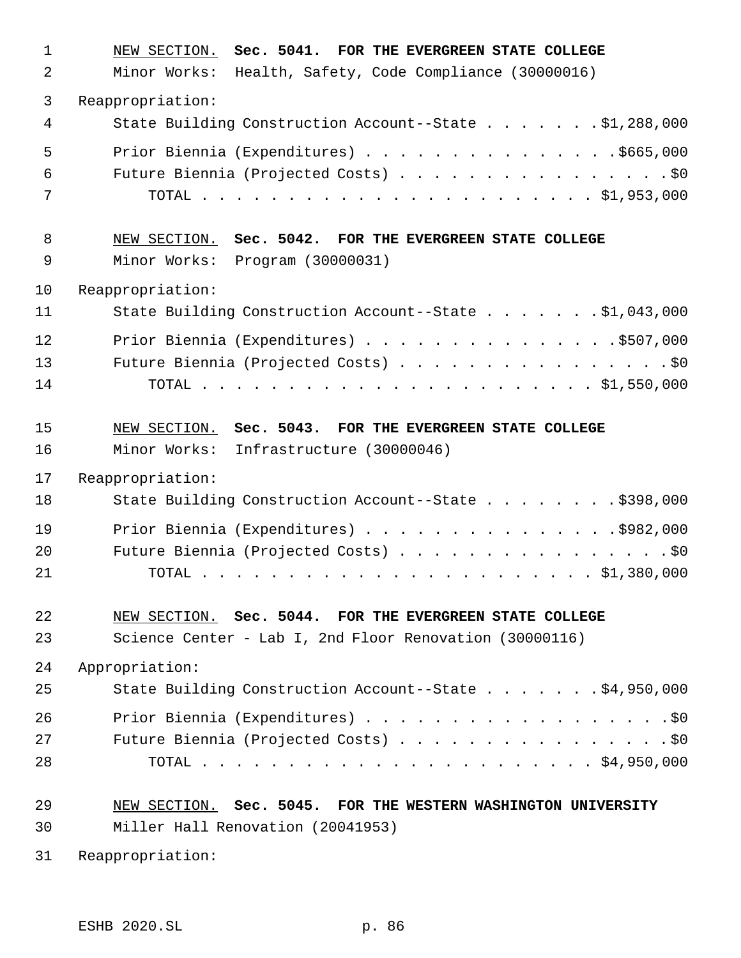| $\mathbf 1$ | NEW SECTION. Sec. 5041. FOR THE EVERGREEN STATE COLLEGE       |
|-------------|---------------------------------------------------------------|
| 2           | Minor Works:<br>Health, Safety, Code Compliance (30000016)    |
| 3           | Reappropriation:                                              |
| 4           | State Building Construction Account--State \$1,288,000        |
| 5           | Prior Biennia (Expenditures) \$665,000                        |
| 6           | Future Biennia (Projected Costs) \$0                          |
| 7           |                                                               |
| 8           | NEW SECTION. Sec. 5042. FOR THE EVERGREEN STATE COLLEGE       |
| $\mathsf 9$ | Minor Works:<br>Program (30000031)                            |
| 10          | Reappropriation:                                              |
| 11          | State Building Construction Account--State \$1,043,000        |
| 12          | Prior Biennia (Expenditures) \$507,000                        |
| 13          | Future Biennia (Projected Costs) \$0                          |
| 14          |                                                               |
| 15          | NEW SECTION. Sec. 5043. FOR THE EVERGREEN STATE COLLEGE       |
| 16          | Minor Works:<br>Infrastructure (30000046)                     |
| 17          | Reappropriation:                                              |
| 18          | State Building Construction Account--State \$398,000          |
| 19          | Prior Biennia (Expenditures) \$982,000                        |
| 20          | Future Biennia (Projected Costs) \$0                          |
| 21          |                                                               |
| 22          | NEW SECTION. Sec. 5044. FOR THE EVERGREEN STATE COLLEGE       |
| 23          | Science Center - Lab I, 2nd Floor Renovation (30000116)       |
| 24          | Appropriation:                                                |
| 25          | State Building Construction Account--State \$4,950,000        |
| 26          |                                                               |
| 27          | Future Biennia (Projected Costs) \$0                          |
| 28          |                                                               |
|             |                                                               |
| 29          | NEW SECTION. Sec. 5045. FOR THE WESTERN WASHINGTON UNIVERSITY |

Reappropriation: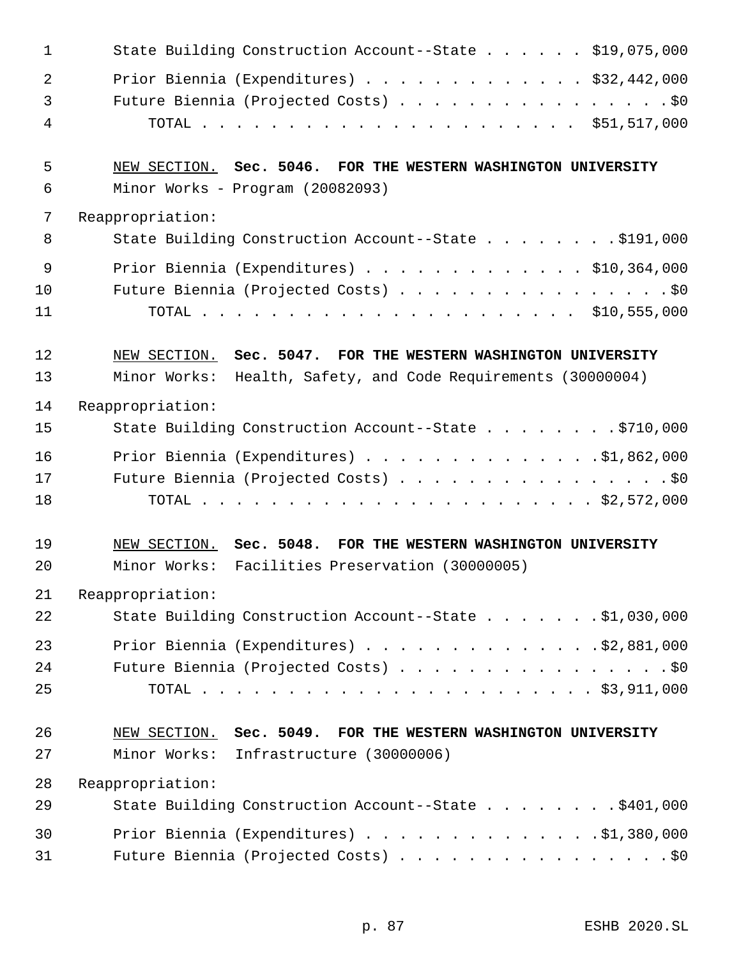| $\mathbf 1$    | State Building Construction Account--State \$19,075,000                                                             |
|----------------|---------------------------------------------------------------------------------------------------------------------|
| $\overline{2}$ | Prior Biennia (Expenditures) \$32,442,000                                                                           |
| 3              | Future Biennia (Projected Costs) \$0                                                                                |
| 4              |                                                                                                                     |
| 5              | NEW SECTION. Sec. 5046. FOR THE WESTERN WASHINGTON UNIVERSITY                                                       |
| 6              | Minor Works - Program (20082093)                                                                                    |
| 7              | Reappropriation:                                                                                                    |
| 8              | State Building Construction Account--State \$191,000                                                                |
| 9              | Prior Biennia (Expenditures) $\ldots$ \$10,364,000                                                                  |
| 10             | Future Biennia (Projected Costs) \$0                                                                                |
| 11             |                                                                                                                     |
| 12             | NEW SECTION. Sec. 5047. FOR THE WESTERN WASHINGTON UNIVERSITY                                                       |
| 13             | Minor Works: Health, Safety, and Code Requirements (30000004)                                                       |
| 14             | Reappropriation:                                                                                                    |
| 15             | State Building Construction Account--State \$710,000                                                                |
| 16             | Prior Biennia (Expenditures) $\ldots$ 91,862,000                                                                    |
| 17             | Future Biennia (Projected Costs) \$0                                                                                |
| 18             |                                                                                                                     |
| 19<br>20       | NEW SECTION. Sec. 5048.<br>FOR THE WESTERN WASHINGTON UNIVERSITY<br>Minor Works: Facilities Preservation (30000005) |
| 21             | Reappropriation:                                                                                                    |
| 22             | State Building Construction Account--State \$1,030,000                                                              |
| 23             | Prior Biennia (Expenditures) $\ldots$ 92,881,000                                                                    |
| 24             | Future Biennia (Projected Costs) \$0                                                                                |
| 25             |                                                                                                                     |
| 26             | NEW SECTION. Sec. 5049. FOR THE WESTERN WASHINGTON UNIVERSITY                                                       |
| 27             | Minor Works: Infrastructure (30000006)                                                                              |
| 28             | Reappropriation:                                                                                                    |
| 29             | State Building Construction Account--State \$401,000                                                                |
| 30             | Prior Biennia (Expenditures) \$1,380,000                                                                            |
| 31             | Future Biennia (Projected Costs) \$0                                                                                |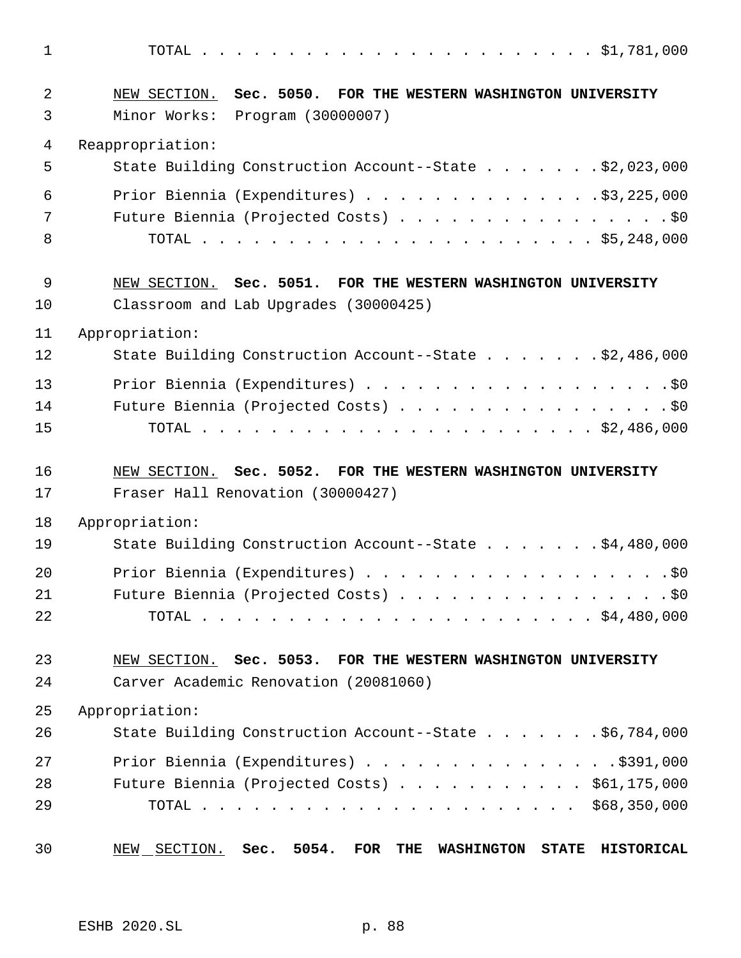| $\mathbf{1}$ |                                                               |
|--------------|---------------------------------------------------------------|
| 2            | NEW SECTION. Sec. 5050. FOR THE WESTERN WASHINGTON UNIVERSITY |
| 3            | Minor Works: Program (30000007)                               |
| 4            | Reappropriation:                                              |
| 5            | State Building Construction Account--State \$2,023,000        |
| 6            | Prior Biennia (Expenditures) $\ldots$ 93, 225, 000            |
| 7            | Future Biennia (Projected Costs) \$0                          |
| 8            |                                                               |
| 9            | NEW SECTION. Sec. 5051. FOR THE WESTERN WASHINGTON UNIVERSITY |
| 10           | Classroom and Lab Upgrades (30000425)                         |
| 11           | Appropriation:                                                |
| 12           | State Building Construction Account--State \$2,486,000        |
| 13           | Prior Biennia (Expenditures) \$0                              |
| 14           | Future Biennia (Projected Costs) \$0                          |
| 15           |                                                               |
| 16           | NEW SECTION. Sec. 5052. FOR THE WESTERN WASHINGTON UNIVERSITY |
| 17           | Fraser Hall Renovation (30000427)                             |
| 18           | Appropriation:                                                |
| 19           | State Building Construction Account--State \$4,480,000        |
| 20           |                                                               |
| 21           | Future Biennia (Projected Costs) \$0                          |
| 22           |                                                               |
| 23           | NEW SECTION. Sec. 5053. FOR THE WESTERN WASHINGTON UNIVERSITY |
| 24           | Carver Academic Renovation (20081060)                         |
| 25           | Appropriation:                                                |
| 26           | State Building Construction Account--State \$6,784,000        |
| 27           | Prior Biennia (Expenditures) \$391,000                        |
| 28           | Future Biennia (Projected Costs) $\ldots$ \$61,175,000        |
| 29           |                                                               |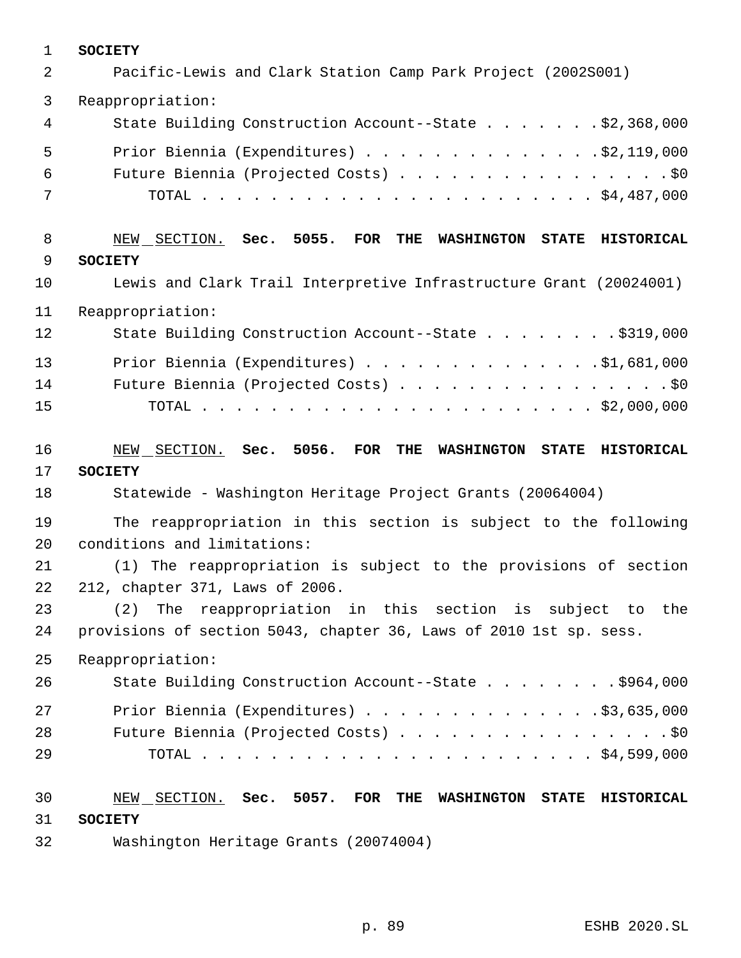| $\mathbf 1$    | <b>SOCIETY</b>                                                                    |
|----------------|-----------------------------------------------------------------------------------|
| $\overline{2}$ | Pacific-Lewis and Clark Station Camp Park Project (2002S001)                      |
| 3              | Reappropriation:                                                                  |
| 4              | State Building Construction Account--State \$2,368,000                            |
| 5              | Prior Biennia (Expenditures) $\ldots$ 92, 119, 000                                |
| 6              | Future Biennia (Projected Costs) \$0                                              |
| 7              |                                                                                   |
| 8              | NEW SECTION. Sec. 5055.<br>FOR<br>THE<br><b>WASHINGTON</b><br>STATE HISTORICAL    |
| 9              | <b>SOCIETY</b>                                                                    |
| 10             | Lewis and Clark Trail Interpretive Infrastructure Grant (20024001)                |
| 11             | Reappropriation:                                                                  |
| 12             | State Building Construction Account--State \$319,000                              |
| 13             | Prior Biennia (Expenditures) $\ldots$ 91,681,000                                  |
| 14             | Future Biennia (Projected Costs) \$0                                              |
| 15             |                                                                                   |
|                |                                                                                   |
| 16             | SECTION. Sec. 5056.<br>FOR<br>THE<br><b>WASHINGTON</b><br>STATE HISTORICAL<br>NEW |
| 17             | <b>SOCIETY</b>                                                                    |
| 18             | Statewide - Washington Heritage Project Grants (20064004)                         |
| 19             | The reappropriation in this section is subject to the following                   |
| 20             | conditions and limitations:                                                       |
| 21             | The reappropriation is subject to the provisions of section<br>(1)                |
| 22             | 212, chapter 371, Laws of 2006.                                                   |
| 23             | (2)<br>The reappropriation in this section is subject to<br>the                   |
| 24             | provisions of section 5043, chapter 36, Laws of 2010 1st sp. sess.                |
| 25             | Reappropriation:                                                                  |
| 26             | State Building Construction Account--State \$964,000                              |
| 27             | Prior Biennia (Expenditures) $\ldots$ \$3,635,000                                 |
| 28             | Future Biennia (Projected Costs) \$0                                              |
| 29             |                                                                                   |
| 30             | NEW SECTION. Sec. 5057. FOR<br>THE<br><b>WASHINGTON</b><br>STATE HISTORICAL       |
| 31             | <b>SOCIETY</b>                                                                    |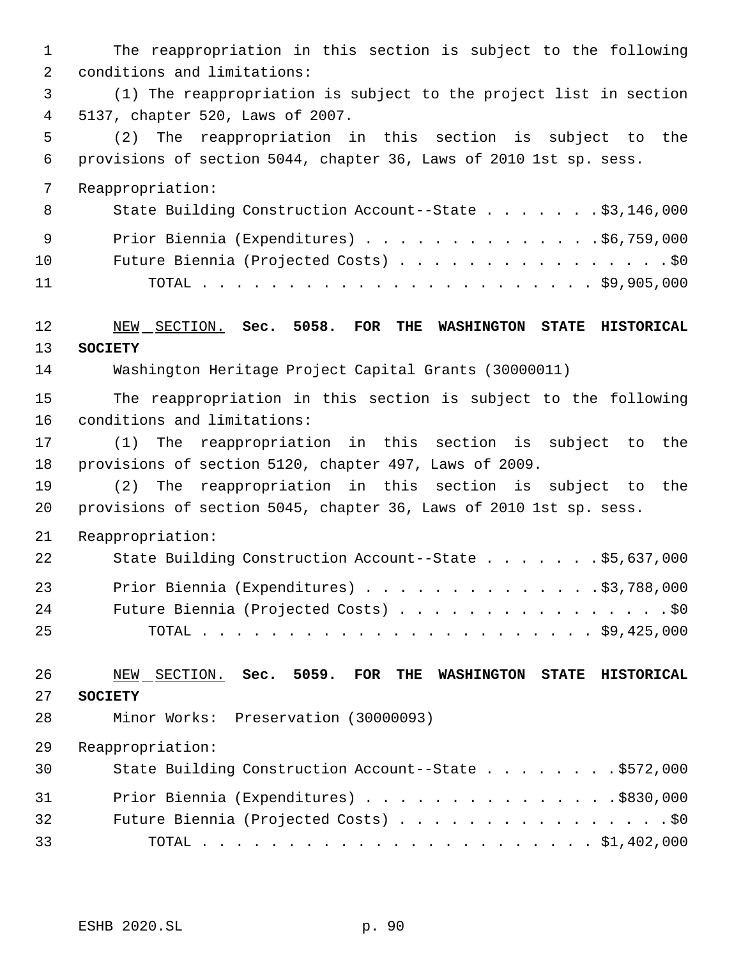The reappropriation in this section is subject to the following conditions and limitations: (1) The reappropriation is subject to the project list in section 5137, chapter 520, Laws of 2007. (2) The reappropriation in this section is subject to the provisions of section 5044, chapter 36, Laws of 2010 1st sp. sess. Reappropriation: 8 State Building Construction Account--State . . . . . . \$3,146,000 9 Prior Biennia (Expenditures) . . . . . . . . . . . . . . \$6,759,000 10 Future Biennia (Projected Costs) . . . . . . . . . . . . . . . . \$0 TOTAL . . . . . . . . . . . . . . . . . . . . . . . \$9,905,000 NEW SECTION. **Sec. 5058. FOR THE WASHINGTON STATE HISTORICAL SOCIETY** Washington Heritage Project Capital Grants (30000011) The reappropriation in this section is subject to the following conditions and limitations: (1) The reappropriation in this section is subject to the provisions of section 5120, chapter 497, Laws of 2009. (2) The reappropriation in this section is subject to the provisions of section 5045, chapter 36, Laws of 2010 1st sp. sess. Reappropriation: 22 State Building Construction Account--State . . . . . . \$5,637,000 Prior Biennia (Expenditures) . . . . . . . . . . . . . .\$3,788,000 24 Future Biennia (Projected Costs) . . . . . . . . . . . . . . . . \$0 TOTAL . . . . . . . . . . . . . . . . . . . . . . . \$9,425,000 NEW SECTION. **Sec. 5059. FOR THE WASHINGTON STATE HISTORICAL SOCIETY** Minor Works: Preservation (30000093) Reappropriation: 30 State Building Construction Account--State . . . . . . . \$572,000 31 Prior Biennia (Expenditures) . . . . . . . . . . . . . . . . \$830,000 32 Future Biennia (Projected Costs) . . . . . . . . . . . . . . . . \$0 TOTAL . . . . . . . . . . . . . . . . . . . . . . . \$1,402,000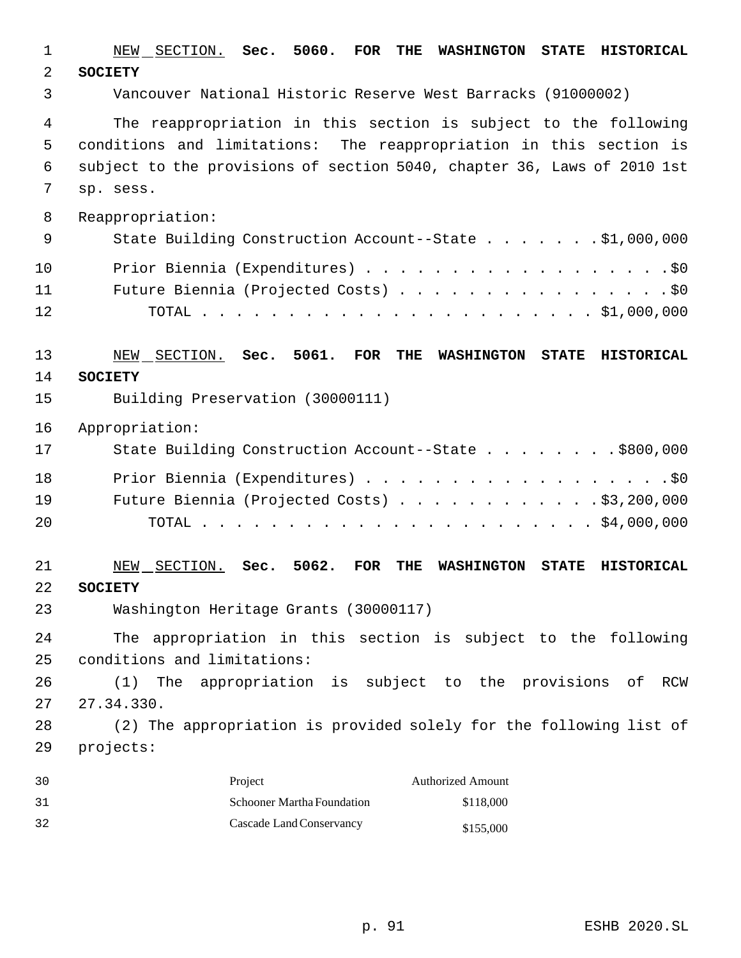| $\mathbf 1$    | NEW SECTION. Sec. 5060.<br><b>FOR</b><br>THE<br><b>WASHINGTON</b><br><b>STATE</b><br><b>HISTORICAL</b>       |
|----------------|--------------------------------------------------------------------------------------------------------------|
| $\overline{2}$ | <b>SOCIETY</b>                                                                                               |
| 3              | Vancouver National Historic Reserve West Barracks (91000002)                                                 |
| 4              | The reappropriation in this section is subject to the following                                              |
| 5              | conditions and limitations: The reappropriation in this section is                                           |
| $\epsilon$     | subject to the provisions of section 5040, chapter 36, Laws of 2010 1st                                      |
| 7              | sp. sess.                                                                                                    |
| 8              | Reappropriation:                                                                                             |
| $\mathsf 9$    | State Building Construction Account--State \$1,000,000                                                       |
| 10             | Prior Biennia (Expenditures) \$0                                                                             |
| 11             | Future Biennia (Projected Costs) \$0                                                                         |
| 12             |                                                                                                              |
| 13             | Sec. 5061.<br>FOR<br>THE<br><b>STATE</b><br><b>HISTORICAL</b><br>NEW SECTION.<br><b>WASHINGTON</b>           |
| 14             | <b>SOCIETY</b>                                                                                               |
| 15             | Building Preservation (30000111)                                                                             |
| 16             | Appropriation:                                                                                               |
| 17             | State Building Construction Account--State \$800,000                                                         |
| 18             | Prior Biennia (Expenditures) \$0                                                                             |
| 19             | Future Biennia (Projected Costs) \$3,200,000                                                                 |
| 20             |                                                                                                              |
| 21             | 5062.<br><b>FOR</b><br>NEW SECTION.<br>THE<br><b>WASHINGTON</b><br><b>STATE</b><br><b>HISTORICAL</b><br>Sec. |
| 22             | <b>SOCIETY</b>                                                                                               |
| 23             | Washington Heritage Grants (30000117)                                                                        |
| 24             | The appropriation in this section is subject to the following                                                |
| 25             | conditions and limitations:                                                                                  |
| 26             | The appropriation is subject to the provisions<br>of<br>(1)<br><b>RCW</b>                                    |
| 27             | 27.34.330.                                                                                                   |
| 28             | (2) The appropriation is provided solely for the following list of                                           |
| 29             | projects:                                                                                                    |
| 30             | Project<br><b>Authorized Amount</b>                                                                          |
| 31             | <b>Schooner Martha Foundation</b><br>\$118,000                                                               |
| 32             | Cascade Land Conservancy<br>\$155,000                                                                        |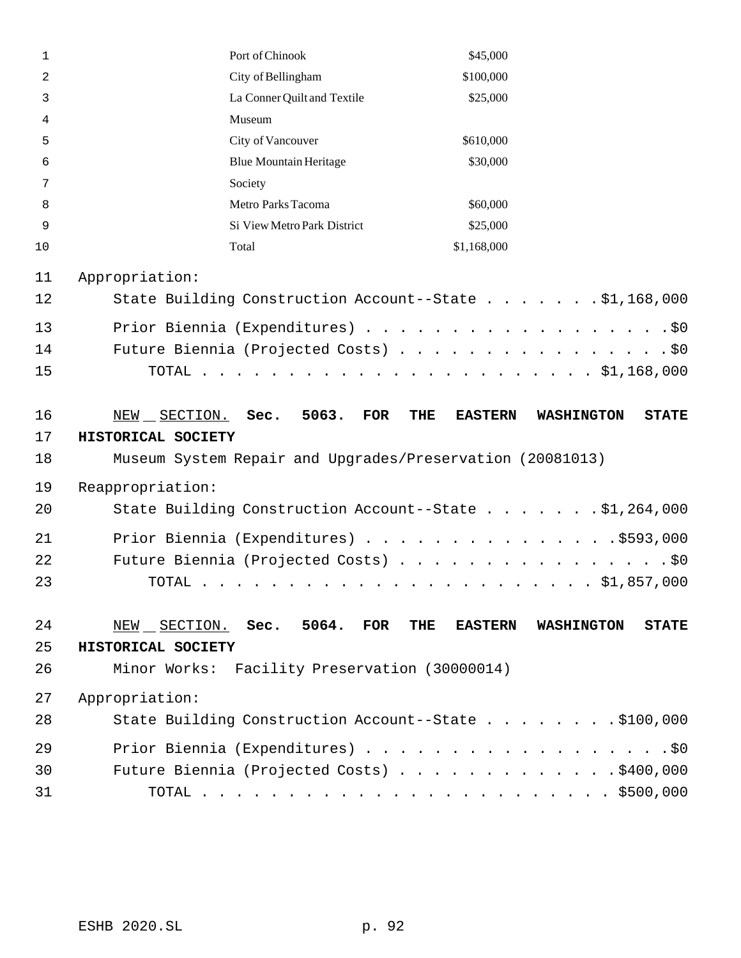| $\mathbf{1}$ | Port of Chinook                                           | \$45,000              |                                   |
|--------------|-----------------------------------------------------------|-----------------------|-----------------------------------|
| 2            | City of Bellingham                                        | \$100,000             |                                   |
| 3            | La Conner Quilt and Textile                               | \$25,000              |                                   |
| 4            | Museum                                                    |                       |                                   |
| 5            | City of Vancouver                                         | \$610,000             |                                   |
| 6            | <b>Blue Mountain Heritage</b>                             | \$30,000              |                                   |
| 7            | Society                                                   |                       |                                   |
| 8            | Metro Parks Tacoma                                        | \$60,000              |                                   |
| 9            | Si View Metro Park District                               | \$25,000              |                                   |
| 10           | Total                                                     | \$1,168,000           |                                   |
| 11           | Appropriation:                                            |                       |                                   |
| 12           | State Building Construction Account--State \$1,168,000    |                       |                                   |
| 13           | Prior Biennia (Expenditures) \$0                          |                       |                                   |
| 14           | Future Biennia (Projected Costs) \$0                      |                       |                                   |
| 15           |                                                           |                       |                                   |
|              |                                                           |                       |                                   |
| 16           | NEW SECTION.<br>Sec.<br>5063.<br>FOR                      | THE<br><b>EASTERN</b> | <b>STATE</b><br><b>WASHINGTON</b> |
| 17           | HISTORICAL SOCIETY                                        |                       |                                   |
| 18           | Museum System Repair and Upgrades/Preservation (20081013) |                       |                                   |
| 19           | Reappropriation:                                          |                       |                                   |
| 20           | State Building Construction Account--State \$1,264,000    |                       |                                   |
| 21           | Prior Biennia (Expenditures) \$593,000                    |                       |                                   |
| 22           | Future Biennia (Projected Costs) \$0                      |                       |                                   |
| 23           | TOTAL                                                     |                       |                                   |
|              |                                                           |                       |                                   |
| 24           | NEW SECTION. Sec. 5064.<br>FOR                            | THE<br><b>EASTERN</b> | <b>WASHINGTON</b><br><b>STATE</b> |
| 25           | HISTORICAL SOCIETY                                        |                       |                                   |
| 26           | Minor Works: Facility Preservation (30000014)             |                       |                                   |
|              |                                                           |                       |                                   |
|              |                                                           |                       |                                   |
| 27           | Appropriation:                                            |                       |                                   |
| 28           | State Building Construction Account--State \$100,000      |                       |                                   |
| 29           | Prior Biennia (Expenditures) \$0                          |                       |                                   |
| 30           | Future Biennia (Projected Costs) \$400,000                |                       |                                   |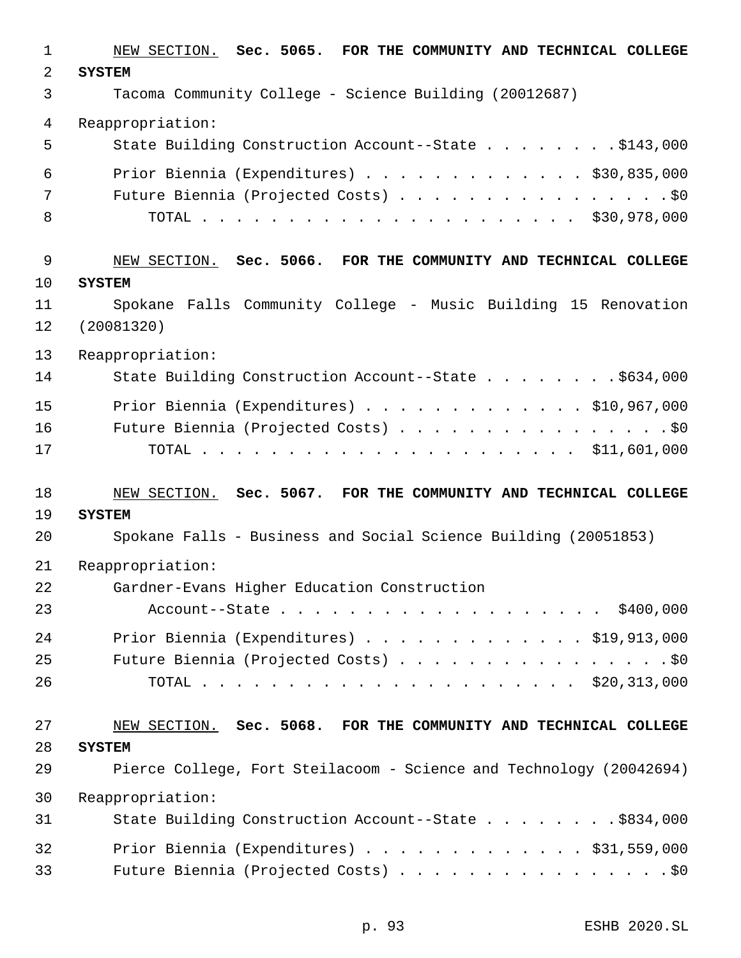| 1           | NEW SECTION. Sec. 5065. FOR THE COMMUNITY AND TECHNICAL COLLEGE              |
|-------------|------------------------------------------------------------------------------|
| 2           | <b>SYSTEM</b>                                                                |
| 3           | Tacoma Community College - Science Building (20012687)                       |
| 4           | Reappropriation:                                                             |
| 5           | State Building Construction Account--State \$143,000                         |
| 6           | Prior Biennia (Expenditures) \$30,835,000                                    |
| 7           | Future Biennia (Projected Costs) \$0                                         |
| 8           |                                                                              |
| $\mathsf 9$ | NEW SECTION. Sec. 5066. FOR THE COMMUNITY AND TECHNICAL COLLEGE              |
| 10          | <b>SYSTEM</b>                                                                |
| 11<br>12    | Spokane Falls Community College - Music Building 15 Renovation<br>(20081320) |
| 13          | Reappropriation:                                                             |
| 14          | State Building Construction Account--State \$634,000                         |
| 15          | Prior Biennia (Expenditures) \$10,967,000                                    |
| 16          | Future Biennia (Projected Costs) \$0                                         |
| 17          |                                                                              |
| 18          | NEW SECTION. Sec. 5067. FOR THE COMMUNITY AND TECHNICAL COLLEGE              |
| 19          | <b>SYSTEM</b>                                                                |
| 20          | Spokane Falls - Business and Social Science Building (20051853)              |
| 21          | Reappropriation:                                                             |
| 22          | Gardner-Evans Higher Education Construction                                  |
| 23          | Account--State \$400,000                                                     |
| 24          | Prior Biennia (Expenditures) \$19,913,000                                    |
| 25          | Future Biennia (Projected Costs) \$0                                         |
| 26          |                                                                              |
| 27          | NEW SECTION. Sec. 5068. FOR THE COMMUNITY AND TECHNICAL COLLEGE              |
| 28          | <b>SYSTEM</b>                                                                |
| 29          | Pierce College, Fort Steilacoom - Science and Technology (20042694)          |
| 30          | Reappropriation:                                                             |
| 31          | State Building Construction Account--State \$834,000                         |
| 32          | Prior Biennia (Expenditures) \$31,559,000                                    |
| 33          | Future Biennia (Projected Costs) \$0                                         |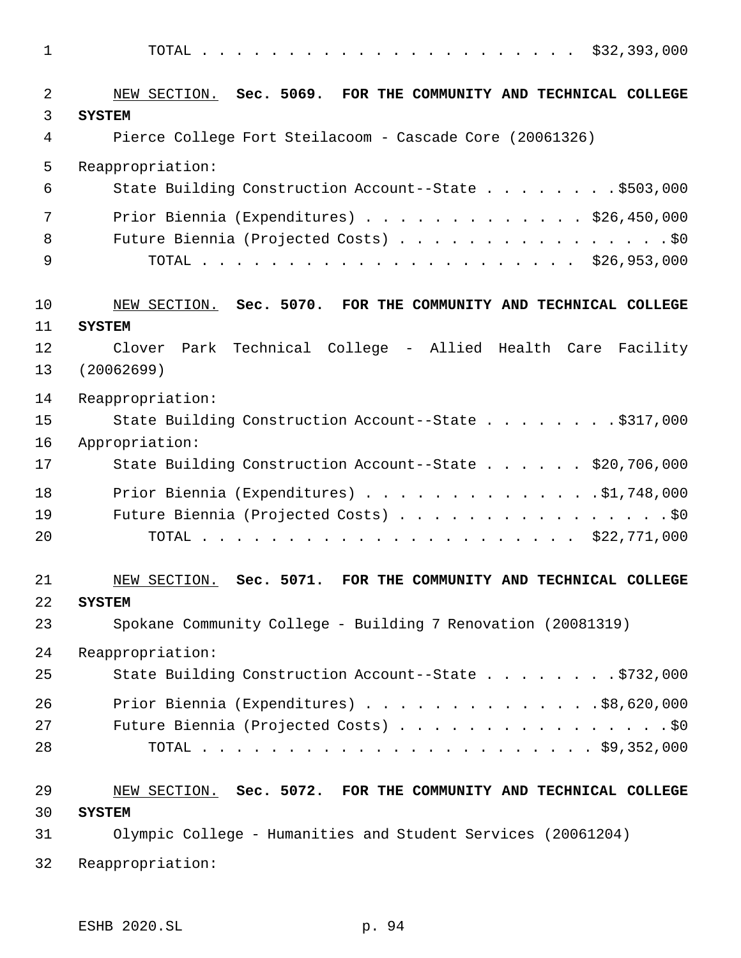| $\mathbf 1$ |                                                                 |
|-------------|-----------------------------------------------------------------|
| 2           | NEW SECTION. Sec. 5069. FOR THE COMMUNITY AND TECHNICAL COLLEGE |
| 3           | <b>SYSTEM</b>                                                   |
| 4           | Pierce College Fort Steilacoom - Cascade Core (20061326)        |
| 5           | Reappropriation:                                                |
| 6           | State Building Construction Account--State \$503,000            |
| 7           | Prior Biennia (Expenditures) \$26,450,000                       |
| 8           | Future Biennia (Projected Costs) \$0                            |
| 9           |                                                                 |
| 10          | NEW SECTION. Sec. 5070. FOR THE COMMUNITY AND TECHNICAL COLLEGE |
| 11          | <b>SYSTEM</b>                                                   |
| 12          | Park Technical College - Allied Health Care Facility<br>Clover  |
| 13          | (20062699)                                                      |
| 14          | Reappropriation:                                                |
| 15          | State Building Construction Account--State \$317,000            |
| 16          | Appropriation:                                                  |
| 17          | State Building Construction Account--State \$20,706,000         |
| 18          | Prior Biennia (Expenditures) $\ldots$ 91,748,000                |
| 19          | Future Biennia (Projected Costs) \$0                            |
| 20          |                                                                 |
| 21          | NEW SECTION. Sec. 5071. FOR THE COMMUNITY AND TECHNICAL COLLEGE |
| 22          | <b>SYSTEM</b>                                                   |
| 23          | Spokane Community College - Building 7 Renovation (20081319)    |
| 24          | Reappropriation:                                                |
| 25          | State Building Construction Account--State \$732,000            |
| 26          | Prior Biennia (Expenditures) \$8,620,000                        |
| 27          | Future Biennia (Projected Costs) \$0                            |
| 28          |                                                                 |
| 29          | NEW SECTION. Sec. 5072. FOR THE COMMUNITY AND TECHNICAL COLLEGE |
| 30          | <b>SYSTEM</b>                                                   |
| 31          | Olympic College - Humanities and Student Services (20061204)    |
| 32          | Reappropriation:                                                |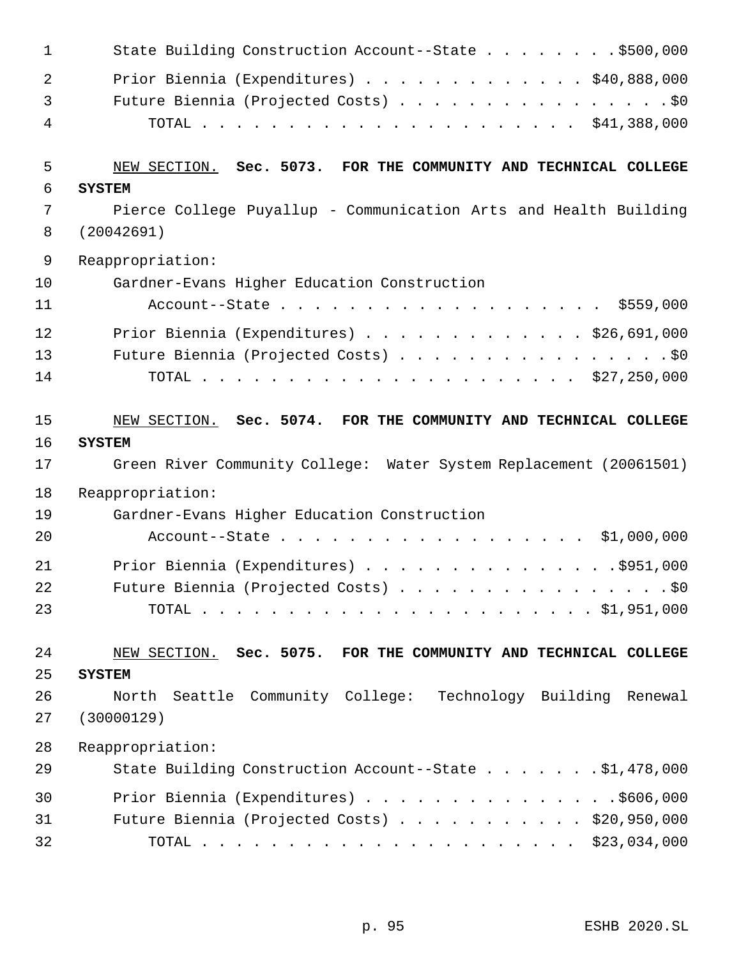| 1              | State Building Construction Account--State \$500,000                                |
|----------------|-------------------------------------------------------------------------------------|
| $\overline{2}$ | Prior Biennia (Expenditures) \$40,888,000                                           |
| 3              | Future Biennia (Projected Costs) \$0                                                |
| 4              |                                                                                     |
| 5              | NEW SECTION. Sec. 5073. FOR THE COMMUNITY AND TECHNICAL COLLEGE                     |
| 6              | <b>SYSTEM</b>                                                                       |
| 7              | Pierce College Puyallup - Communication Arts and Health Building                    |
| 8              | (20042691)                                                                          |
| 9              | Reappropriation:                                                                    |
| 10             | Gardner-Evans Higher Education Construction                                         |
| 11             | Account--State \$559,000                                                            |
| 12             | Prior Biennia (Expenditures) \$26,691,000                                           |
| 13             | Future Biennia (Projected Costs) \$0                                                |
| 14             |                                                                                     |
|                |                                                                                     |
| 15             | NEW SECTION. Sec. 5074. FOR THE COMMUNITY AND TECHNICAL COLLEGE                     |
| 16<br>17       | <b>SYSTEM</b><br>Green River Community College: Water System Replacement (20061501) |
|                |                                                                                     |
| 18             | Reappropriation:                                                                    |
| 19<br>20       | Gardner-Evans Higher Education Construction                                         |
|                |                                                                                     |
|                | Account--State \$1,000,000                                                          |
| 21             | Prior Biennia (Expenditures) \$951,000                                              |
| 22             | Future Biennia (Projected Costs) \$0                                                |
| 23             |                                                                                     |
|                |                                                                                     |
| 24<br>25       | NEW SECTION. Sec. 5075. FOR THE COMMUNITY AND TECHNICAL COLLEGE<br><b>SYSTEM</b>    |
| 26             | North Seattle Community College: Technology Building Renewal                        |
| 27             | (30000129)                                                                          |
| 28             | Reappropriation:                                                                    |
| 29             | State Building Construction Account--State \$1,478,000                              |
| 30             | Prior Biennia (Expenditures) \$606,000                                              |
| 31             | Future Biennia (Projected Costs) \$20,950,000                                       |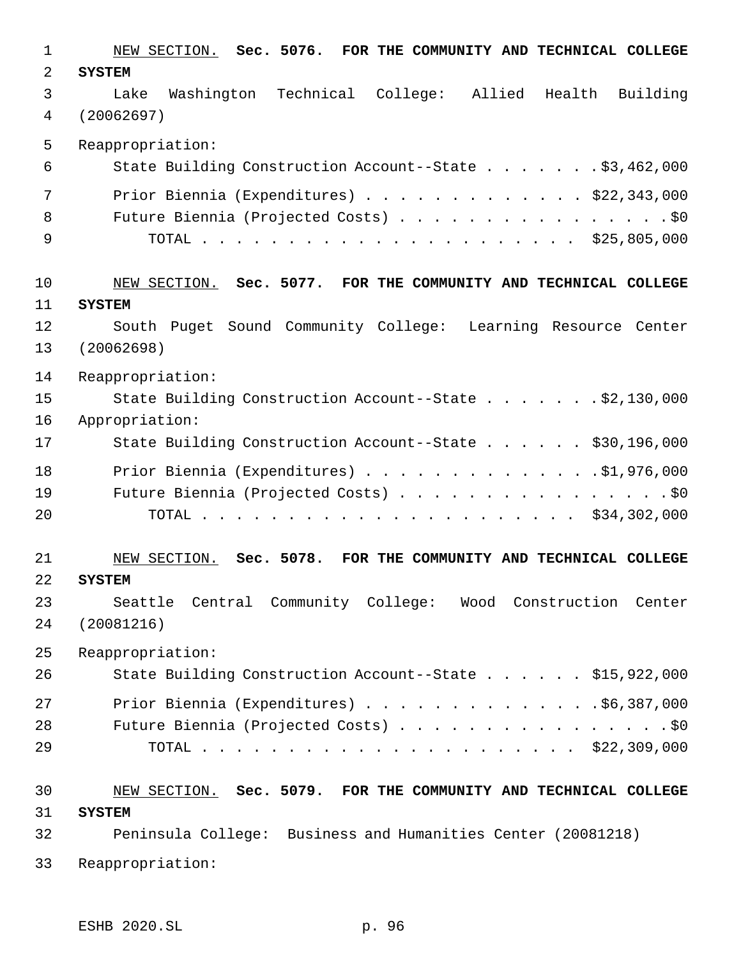NEW SECTION. **Sec. 5076. FOR THE COMMUNITY AND TECHNICAL COLLEGE SYSTEM** Lake Washington Technical College: Allied Health Building (20062697) Reappropriation: State Building Construction Account--State . . . . . . . \$3,462,000 Prior Biennia (Expenditures) . . . . . . . . . . . . . \$22,343,000 8 Future Biennia (Projected Costs) . . . . . . . . . . . . . . . . \$0 TOTAL . . . . . . . . . . . . . . . . . . . . . . \$25,805,000 NEW SECTION. **Sec. 5077. FOR THE COMMUNITY AND TECHNICAL COLLEGE SYSTEM** South Puget Sound Community College: Learning Resource Center (20062698) Reappropriation: State Building Construction Account--State . . . . . . . \$2,130,000 Appropriation: State Building Construction Account--State . . . . . . \$30,196,000 18 Prior Biennia (Expenditures) . . . . . . . . . . . . . . \$1,976,000 19 Future Biennia (Projected Costs) . . . . . . . . . . . . . . . . \$0 TOTAL . . . . . . . . . . . . . . . . . . . . . . \$34,302,000 NEW SECTION. **Sec. 5078. FOR THE COMMUNITY AND TECHNICAL COLLEGE SYSTEM** Seattle Central Community College: Wood Construction Center (20081216) Reappropriation: State Building Construction Account--State . . . . . . \$15,922,000 Prior Biennia (Expenditures) . . . . . . . . . . . . . .\$6,387,000 28 Future Biennia (Projected Costs) . . . . . . . . . . . . . . . . \$0 TOTAL . . . . . . . . . . . . . . . . . . . . . . \$22,309,000 NEW SECTION. **Sec. 5079. FOR THE COMMUNITY AND TECHNICAL COLLEGE SYSTEM** Peninsula College: Business and Humanities Center (20081218) Reappropriation: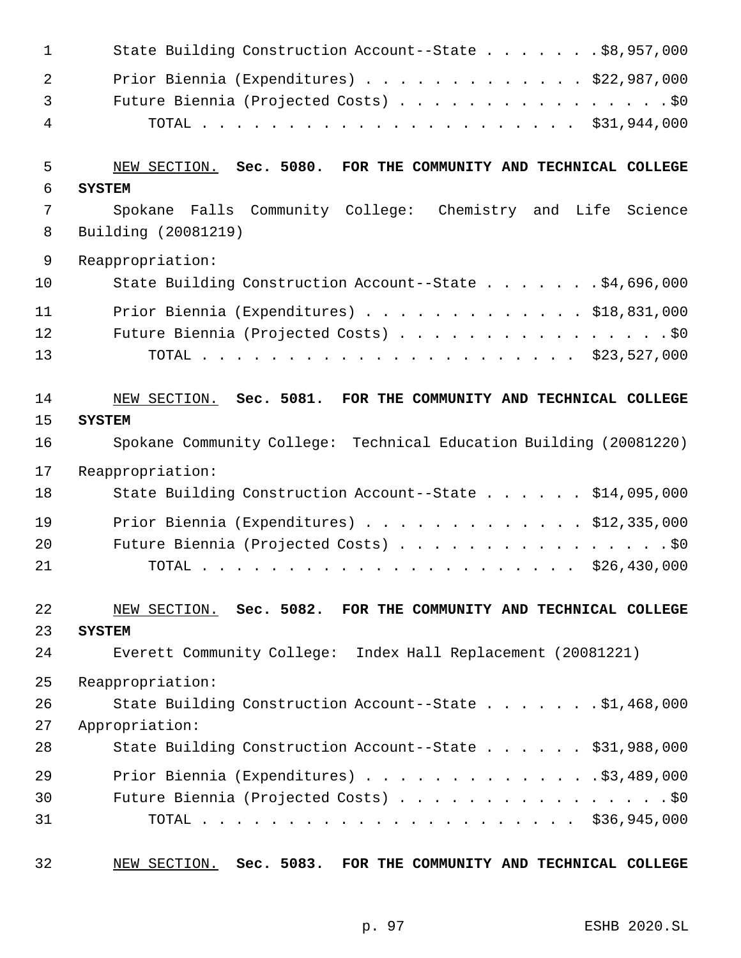| 1              | State Building Construction Account--State \$8,957,000             |
|----------------|--------------------------------------------------------------------|
| $\overline{a}$ | Prior Biennia (Expenditures) \$22,987,000                          |
| $\mathfrak{Z}$ | Future Biennia (Projected Costs) \$0                               |
| 4              |                                                                    |
| 5              | NEW SECTION. Sec. 5080. FOR THE COMMUNITY AND TECHNICAL COLLEGE    |
| 6              | <b>SYSTEM</b>                                                      |
| 7              | Spokane Falls Community College: Chemistry and Life Science        |
| 8              | Building (20081219)                                                |
| $\mathsf 9$    | Reappropriation:                                                   |
| 10             | State Building Construction Account--State \$4,696,000             |
| 11             | Prior Biennia (Expenditures) $\ldots$ \$18,831,000                 |
| 12             | Future Biennia (Projected Costs) \$0                               |
| 13             |                                                                    |
| 14             | NEW SECTION. Sec. 5081. FOR THE COMMUNITY AND TECHNICAL COLLEGE    |
| 15             | <b>SYSTEM</b>                                                      |
| 16             | Spokane Community College: Technical Education Building (20081220) |
| 17             | Reappropriation:                                                   |
| 18             | State Building Construction Account--State \$14,095,000            |
| 19             | Prior Biennia (Expenditures) $\ldots$ \$12,335,000                 |
| 20             | Future Biennia (Projected Costs) \$0                               |
| 21             |                                                                    |
| 22             | NEW SECTION. Sec. 5082. FOR THE COMMUNITY AND TECHNICAL COLLEGE    |
| 23             | <b>SYSTEM</b>                                                      |
| 24             | Everett Community College: Index Hall Replacement (20081221)       |
| 25             | Reappropriation:                                                   |
| 26             | State Building Construction Account--State \$1,468,000             |
| 27             | Appropriation:                                                     |
| 28             | State Building Construction Account--State \$31,988,000            |
| 29             | Prior Biennia (Expenditures) \$3,489,000                           |
| 30             | Future Biennia (Projected Costs) \$0                               |
| 31             |                                                                    |
| 32             | NEW SECTION. Sec. 5083. FOR THE COMMUNITY AND TECHNICAL COLLEGE    |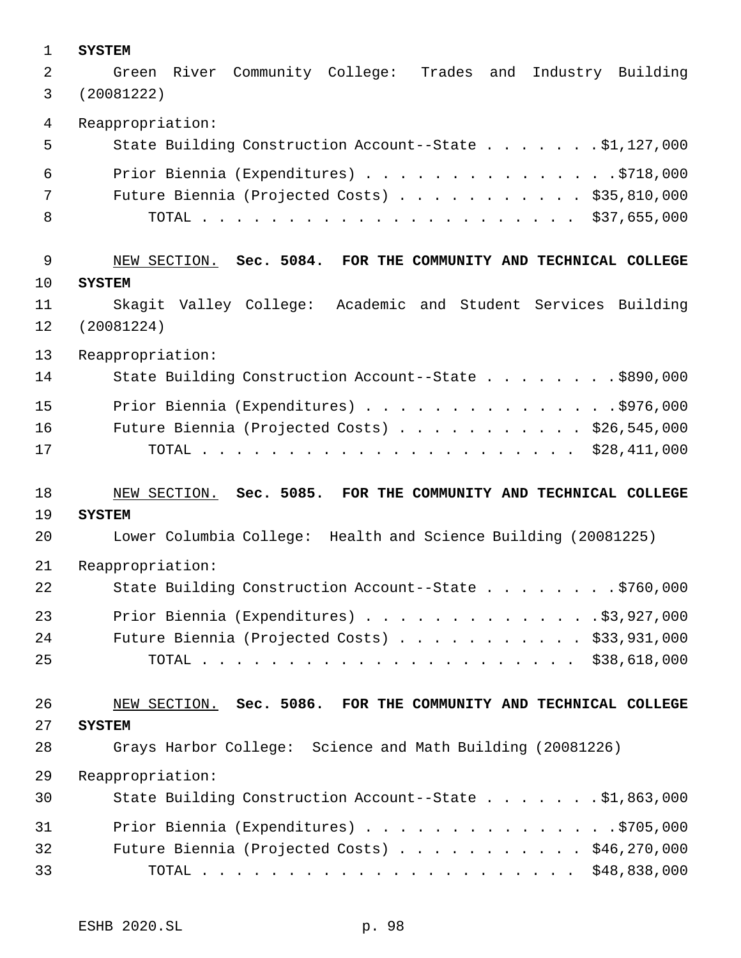| $\mathbf 1$ | <b>SYSTEM</b>                                                     |  |  |  |
|-------------|-------------------------------------------------------------------|--|--|--|
| 2           | River Community College: Trades<br>and Industry Building<br>Green |  |  |  |
| 3           | (20081222)                                                        |  |  |  |
|             |                                                                   |  |  |  |
| 4           | Reappropriation:                                                  |  |  |  |
| 5           | State Building Construction Account--State \$1,127,000            |  |  |  |
| 6           | Prior Biennia (Expenditures) \$718,000                            |  |  |  |
| 7           | Future Biennia (Projected Costs) \$35,810,000                     |  |  |  |
| 8           |                                                                   |  |  |  |
|             |                                                                   |  |  |  |
| $\mathsf 9$ | NEW SECTION. Sec. 5084. FOR THE COMMUNITY AND TECHNICAL COLLEGE   |  |  |  |
| 10          | <b>SYSTEM</b>                                                     |  |  |  |
| 11          | Skagit Valley College: Academic and Student Services Building     |  |  |  |
|             |                                                                   |  |  |  |
| 12          | (20081224)                                                        |  |  |  |
| 13          | Reappropriation:                                                  |  |  |  |
| 14          | State Building Construction Account--State \$890,000              |  |  |  |
| 15          | Prior Biennia (Expenditures) \$976,000                            |  |  |  |
| 16          | Future Biennia (Projected Costs) $\ldots$ \$26,545,000            |  |  |  |
| 17          |                                                                   |  |  |  |
|             |                                                                   |  |  |  |
| 18          | NEW SECTION. Sec. 5085. FOR THE COMMUNITY AND TECHNICAL COLLEGE   |  |  |  |
| 19          | <b>SYSTEM</b>                                                     |  |  |  |
|             |                                                                   |  |  |  |
| 20          | Lower Columbia College: Health and Science Building (20081225)    |  |  |  |
| 21          | Reappropriation:                                                  |  |  |  |
| 22          | State Building Construction Account--State \$760,000              |  |  |  |
| 23          | Prior Biennia (Expenditures) \$3,927,000                          |  |  |  |
| 24          | Future Biennia (Projected Costs) \$33,931,000                     |  |  |  |
| 25          |                                                                   |  |  |  |
|             |                                                                   |  |  |  |
| 26          | NEW SECTION. Sec. 5086. FOR THE COMMUNITY AND TECHNICAL COLLEGE   |  |  |  |
| 27          | <b>SYSTEM</b>                                                     |  |  |  |
|             |                                                                   |  |  |  |
| 28          | Grays Harbor College: Science and Math Building (20081226)        |  |  |  |
| 29          | Reappropriation:                                                  |  |  |  |
| 30          | State Building Construction Account--State \$1,863,000            |  |  |  |
| 31          | Prior Biennia (Expenditures) \$705,000                            |  |  |  |
| 32          | Future Biennia (Projected Costs) \$46,270,000                     |  |  |  |
| 33          |                                                                   |  |  |  |
|             |                                                                   |  |  |  |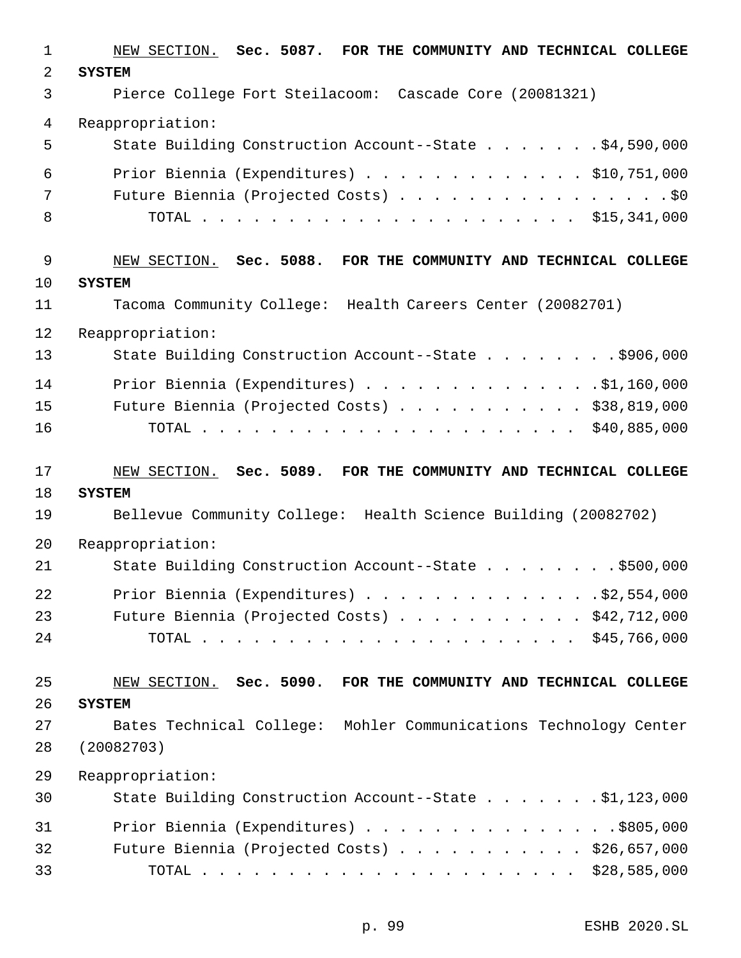| $\mathbf 1$    | NEW SECTION. Sec. 5087. FOR THE COMMUNITY AND TECHNICAL COLLEGE    |
|----------------|--------------------------------------------------------------------|
| $\overline{a}$ | <b>SYSTEM</b>                                                      |
| 3              | Pierce College Fort Steilacoom: Cascade Core (20081321)            |
| 4              | Reappropriation:                                                   |
| 5              | State Building Construction Account--State \$4,590,000             |
| 6              | Prior Biennia (Expenditures) \$10,751,000                          |
| 7              | Future Biennia (Projected Costs) \$0                               |
| 8              |                                                                    |
| 9              | NEW SECTION. Sec. 5088. FOR THE COMMUNITY AND TECHNICAL COLLEGE    |
| 10             | <b>SYSTEM</b>                                                      |
| 11             | Tacoma Community College: Health Careers Center (20082701)         |
| 12             | Reappropriation:                                                   |
| 13             | State Building Construction Account--State \$906,000               |
| 14             | Prior Biennia (Expenditures) \$1,160,000                           |
| 15             | Future Biennia (Projected Costs) \$38,819,000                      |
| 16             |                                                                    |
| 17             | NEW SECTION. Sec. 5089. FOR THE COMMUNITY AND TECHNICAL COLLEGE    |
| 18             | <b>SYSTEM</b>                                                      |
| 19             | Bellevue Community College: Health Science Building (20082702)     |
| 20             | Reappropriation:                                                   |
| 21             | State Building Construction Account--State \$500,000               |
| 22             | Prior Biennia (Expenditures) $\ldots$ \$2,554,000                  |
| 23             | Future Biennia (Projected Costs) \$42,712,000                      |
| 24             |                                                                    |
| 25             | FOR THE COMMUNITY AND TECHNICAL COLLEGE<br>NEW SECTION. Sec. 5090. |
| 26             | <b>SYSTEM</b>                                                      |
| 27             | Bates Technical College: Mohler Communications Technology Center   |
| 28             | (20082703)                                                         |
| 29             | Reappropriation:                                                   |
| 30             | State Building Construction Account--State \$1,123,000             |
| 31             | Prior Biennia (Expenditures) \$805,000                             |
| 32             | Future Biennia (Projected Costs) \$26,657,000                      |
|                |                                                                    |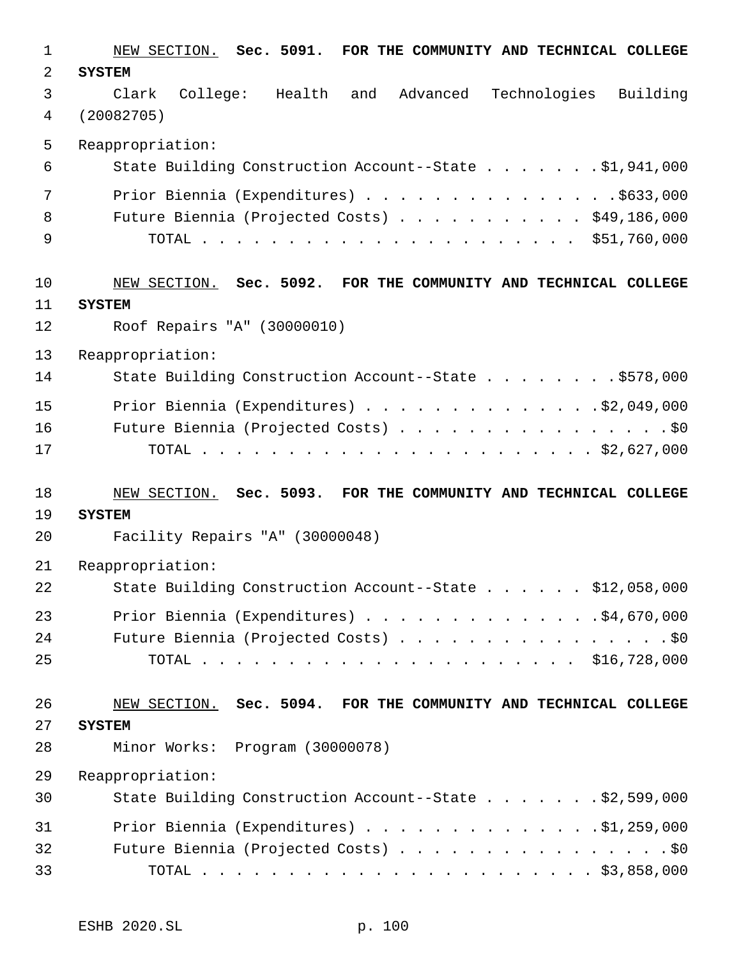| $\mathbf{1}$ | NEW SECTION. Sec. 5091. FOR THE COMMUNITY AND TECHNICAL COLLEGE |
|--------------|-----------------------------------------------------------------|
| 2            | <b>SYSTEM</b>                                                   |
| 3            | College: Health and Advanced Technologies Building<br>Clark     |
| 4            | (20082705)                                                      |
| 5            | Reappropriation:                                                |
| 6            | State Building Construction Account--State \$1,941,000          |
| 7            | Prior Biennia (Expenditures) \$633,000                          |
| 8            | Future Biennia (Projected Costs) \$49,186,000                   |
| 9            |                                                                 |
| 10           | NEW SECTION. Sec. 5092. FOR THE COMMUNITY AND TECHNICAL COLLEGE |
| 11           | <b>SYSTEM</b>                                                   |
| 12           | Roof Repairs "A" (30000010)                                     |
| 13           | Reappropriation:                                                |
| 14           | State Building Construction Account--State \$578,000            |
| 15           | Prior Biennia (Expenditures) \$2,049,000                        |
| 16           | Future Biennia (Projected Costs) \$0                            |
| 17           |                                                                 |
|              |                                                                 |
| 18           | NEW SECTION. Sec. 5093. FOR THE COMMUNITY AND TECHNICAL COLLEGE |
| 19           | <b>SYSTEM</b>                                                   |
| 20           | Facility Repairs "A" (30000048)                                 |
| 21           | Reappropriation:                                                |
| 22           | State Building Construction Account--State \$12,058,000         |
| 23           | Prior Biennia (Expenditures) \$4,670,000                        |
| 24           | Future Biennia (Projected Costs) \$0                            |
| 25           |                                                                 |
| 26           | NEW SECTION. Sec. 5094. FOR THE COMMUNITY AND TECHNICAL COLLEGE |
| 27           | <b>SYSTEM</b>                                                   |
| 28           | Minor Works: Program (30000078)                                 |
| 29           | Reappropriation:                                                |
| 30           | State Building Construction Account--State \$2,599,000          |
| 31           | Prior Biennia (Expenditures) \$1,259,000                        |
| 32           | Future Biennia (Projected Costs) \$0                            |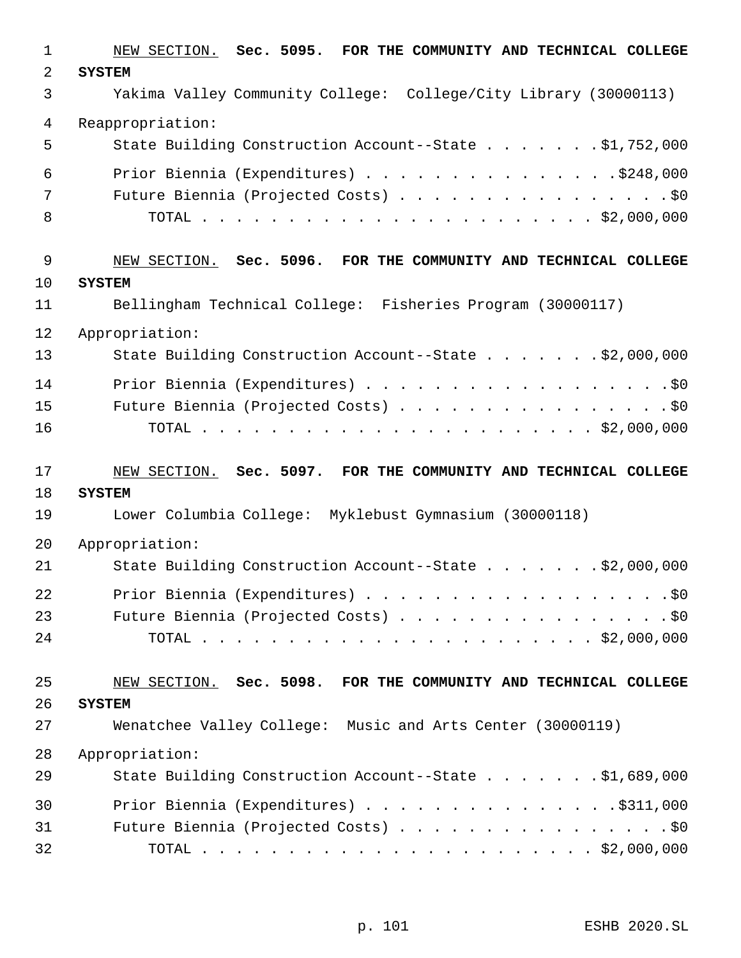| 1              | NEW SECTION. Sec. 5095. FOR THE COMMUNITY AND TECHNICAL COLLEGE  |
|----------------|------------------------------------------------------------------|
| $\overline{a}$ | <b>SYSTEM</b>                                                    |
| 3              | Yakima Valley Community College: College/City Library (30000113) |
| 4              | Reappropriation:                                                 |
| 5              | State Building Construction Account--State \$1,752,000           |
| 6              | Prior Biennia (Expenditures) \$248,000                           |
| 7              | Future Biennia (Projected Costs) \$0                             |
| 8              |                                                                  |
| 9              | NEW SECTION. Sec. 5096. FOR THE COMMUNITY AND TECHNICAL COLLEGE  |
| 10             | <b>SYSTEM</b>                                                    |
| 11             | Bellingham Technical College: Fisheries Program (30000117)       |
| 12             | Appropriation:                                                   |
| 13             | State Building Construction Account--State \$2,000,000           |
| 14             | Prior Biennia (Expenditures) \$0                                 |
| 15             | Future Biennia (Projected Costs) \$0                             |
| 16             |                                                                  |
|                |                                                                  |
| 17             | NEW SECTION. Sec. 5097. FOR THE COMMUNITY AND TECHNICAL COLLEGE  |
| 18             | <b>SYSTEM</b>                                                    |
| 19             | Lower Columbia College: Myklebust Gymnasium (30000118)           |
| 20             | Appropriation:                                                   |
| 21             | State Building Construction Account--State \$2,000,000           |
| 22             | Prior Biennia (Expenditures) \$0                                 |
| 23             | Future Biennia (Projected Costs) \$0                             |
| 24             |                                                                  |
| 25             | NEW SECTION. Sec. 5098. FOR THE COMMUNITY AND TECHNICAL COLLEGE  |
| 26             | <b>SYSTEM</b>                                                    |
| 27             | Wenatchee Valley College: Music and Arts Center (30000119)       |
| 28             | Appropriation:                                                   |
| 29             | State Building Construction Account--State \$1,689,000           |
| 30             | Prior Biennia (Expenditures) $\ldots$ 9311,000                   |
| 31             | Future Biennia (Projected Costs) \$0                             |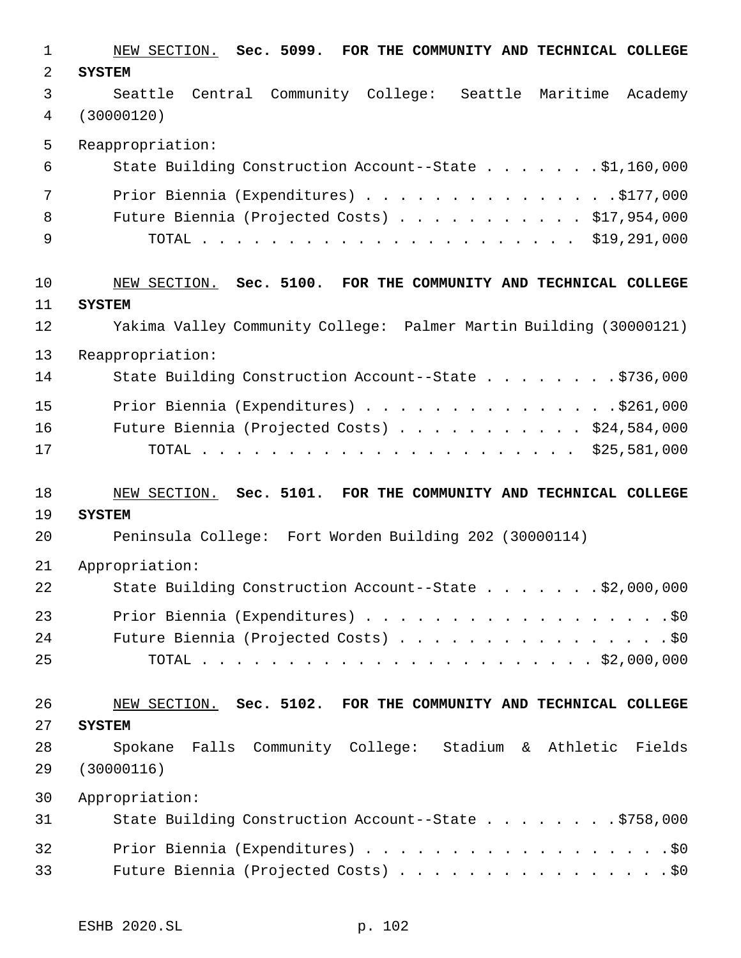| $\mathbf 1$ | NEW SECTION. Sec. 5099. FOR THE COMMUNITY AND TECHNICAL COLLEGE    |
|-------------|--------------------------------------------------------------------|
| 2           | <b>SYSTEM</b>                                                      |
| 3           | Seattle Central Community College: Seattle Maritime Academy        |
| 4           | (30000120)                                                         |
| 5           | Reappropriation:                                                   |
| 6           | State Building Construction Account--State \$1,160,000             |
| 7           | Prior Biennia (Expenditures) \$177,000                             |
| 8           | Future Biennia (Projected Costs) \$17,954,000                      |
| 9           |                                                                    |
| 10          | NEW SECTION. Sec. 5100. FOR THE COMMUNITY AND TECHNICAL COLLEGE    |
| 11          | <b>SYSTEM</b>                                                      |
| 12          | Yakima Valley Community College: Palmer Martin Building (30000121) |
| 13          | Reappropriation:                                                   |
| 14          | State Building Construction Account--State \$736,000               |
| 15          | Prior Biennia (Expenditures) \$261,000                             |
| 16          | Future Biennia (Projected Costs) \$24,584,000                      |
| 17          |                                                                    |
| 18          | NEW SECTION. Sec. 5101. FOR THE COMMUNITY AND TECHNICAL COLLEGE    |
| 19          | <b>SYSTEM</b>                                                      |
| 20          | Peninsula College: Fort Worden Building 202 (30000114)             |
| 21          | Appropriation:                                                     |
| 22          | State Building Construction Account--State \$2,000,000             |
| 23          | Prior Biennia (Expenditures) \$0                                   |
| 24          | Future Biennia (Projected Costs) \$0                               |
| 25          |                                                                    |
| 26          | NEW SECTION. Sec. 5102. FOR THE COMMUNITY AND TECHNICAL COLLEGE    |
| 27          | <b>SYSTEM</b>                                                      |
| 28          | Spokane Falls Community College: Stadium & Athletic Fields         |
| 29          | (30000116)                                                         |
| 30          | Appropriation:                                                     |
| 31          | State Building Construction Account--State \$758,000               |
| 32          | Prior Biennia (Expenditures) \$0                                   |
|             |                                                                    |
| 33          | Future Biennia (Projected Costs) \$0                               |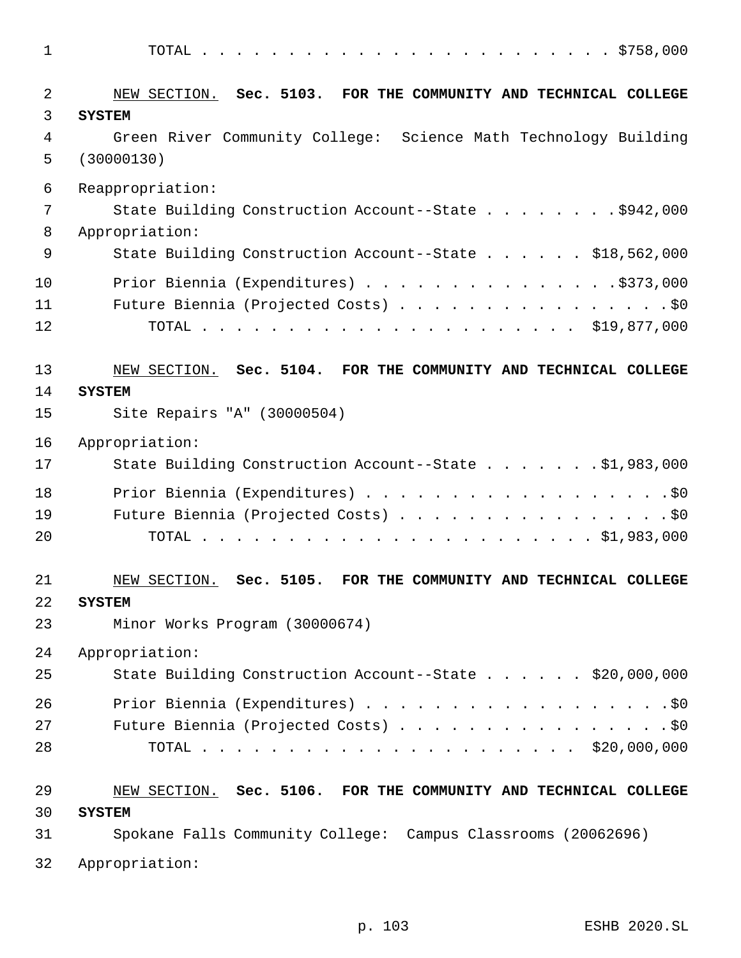| $\mathbf 1$ |                                                                       |
|-------------|-----------------------------------------------------------------------|
| 2           | NEW SECTION. Sec. 5103. FOR THE COMMUNITY AND TECHNICAL COLLEGE       |
| 3           | <b>SYSTEM</b>                                                         |
| 4           | Green River Community College: Science Math Technology Building       |
| 5           | (30000130)                                                            |
| 6           | Reappropriation:                                                      |
| 7           | State Building Construction Account--State \$942,000                  |
| 8           | Appropriation:                                                        |
| 9           | State Building Construction Account--State \$18,562,000               |
| 10          | Prior Biennia (Expenditures) \$373,000                                |
| 11          | Future Biennia (Projected Costs) \$0                                  |
| 12          |                                                                       |
| 13          | NEW SECTION. Sec. 5104. FOR THE COMMUNITY AND TECHNICAL COLLEGE       |
| 14          | <b>SYSTEM</b>                                                         |
| 15          | Site Repairs "A" (30000504)                                           |
| 16          | Appropriation:                                                        |
| 17          | State Building Construction Account--State \$1,983,000                |
| 18          | Prior Biennia (Expenditures) \$0                                      |
| 19          | Future Biennia (Projected Costs) \$0                                  |
| 20          |                                                                       |
| 21          | Sec. 5105.<br>FOR THE COMMUNITY AND TECHNICAL COLLEGE<br>NEW SECTION. |
| 22          | <b>SYSTEM</b>                                                         |
| 23          | Minor Works Program (30000674)                                        |
| 24          | Appropriation:                                                        |
| 25          | State Building Construction Account--State \$20,000,000               |
| 26          | Prior Biennia (Expenditures) \$0                                      |
| 27          | Future Biennia (Projected Costs) \$0                                  |
| 28          |                                                                       |
| 29          | NEW SECTION. Sec. 5106. FOR THE COMMUNITY AND TECHNICAL COLLEGE       |
| 30          | <b>SYSTEM</b>                                                         |
| 31          | Spokane Falls Community College: Campus Classrooms (20062696)         |
| 32          | Appropriation:                                                        |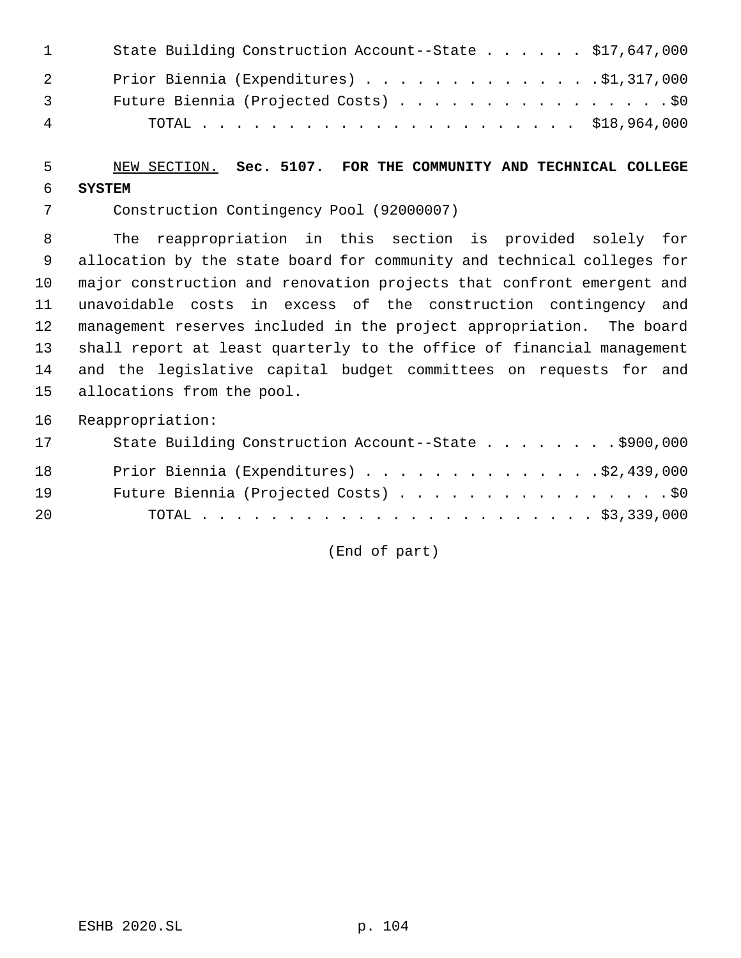| $\sim$ 1 $\sim$ | State Building Construction Account--State \$17,647,000 |
|-----------------|---------------------------------------------------------|
| $\overline{2}$  | Prior Biennia (Expenditures) \$1,317,000                |
| $\overline{3}$  | Future Biennia (Projected Costs) \$0                    |
| $\overline{4}$  |                                                         |

## NEW SECTION. **Sec. 5107. FOR THE COMMUNITY AND TECHNICAL COLLEGE SYSTEM**

Construction Contingency Pool (92000007)

 The reappropriation in this section is provided solely for allocation by the state board for community and technical colleges for major construction and renovation projects that confront emergent and unavoidable costs in excess of the construction contingency and management reserves included in the project appropriation. The board shall report at least quarterly to the office of financial management and the legislative capital budget committees on requests for and allocations from the pool.

Reappropriation:

| 17 | State Building Construction Account--State \$900,000 |
|----|------------------------------------------------------|
| 18 | Prior Biennia (Expenditures) \$2,439,000             |
| 19 | Future Biennia (Projected Costs) \$0                 |
| 20 |                                                      |

(End of part)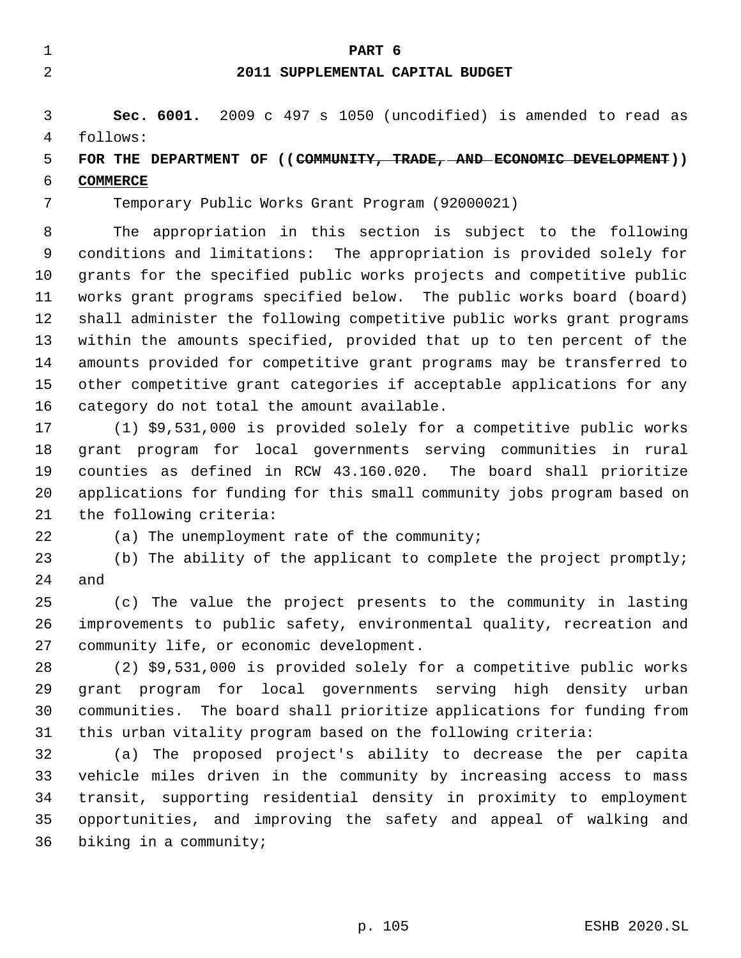|   |          | PART 6                                                          |
|---|----------|-----------------------------------------------------------------|
|   |          | 2011 SUPPLEMENTAL CAPITAL BUDGET                                |
| 4 | follows: | Sec. 6001. 2009 c 497 s 1050 (uncodified) is amended to read as |

# **FOR THE DEPARTMENT OF ((COMMUNITY, TRADE, AND ECONOMIC DEVELOPMENT))**

# **COMMERCE**

Temporary Public Works Grant Program (92000021)

 The appropriation in this section is subject to the following conditions and limitations: The appropriation is provided solely for grants for the specified public works projects and competitive public works grant programs specified below. The public works board (board) shall administer the following competitive public works grant programs within the amounts specified, provided that up to ten percent of the amounts provided for competitive grant programs may be transferred to other competitive grant categories if acceptable applications for any category do not total the amount available.

 (1) \$9,531,000 is provided solely for a competitive public works grant program for local governments serving communities in rural counties as defined in RCW 43.160.020. The board shall prioritize applications for funding for this small community jobs program based on the following criteria:

(a) The unemployment rate of the community;

 (b) The ability of the applicant to complete the project promptly; and

 (c) The value the project presents to the community in lasting improvements to public safety, environmental quality, recreation and community life, or economic development.

 (2) \$9,531,000 is provided solely for a competitive public works grant program for local governments serving high density urban communities. The board shall prioritize applications for funding from this urban vitality program based on the following criteria:

 (a) The proposed project's ability to decrease the per capita vehicle miles driven in the community by increasing access to mass transit, supporting residential density in proximity to employment opportunities, and improving the safety and appeal of walking and biking in a community;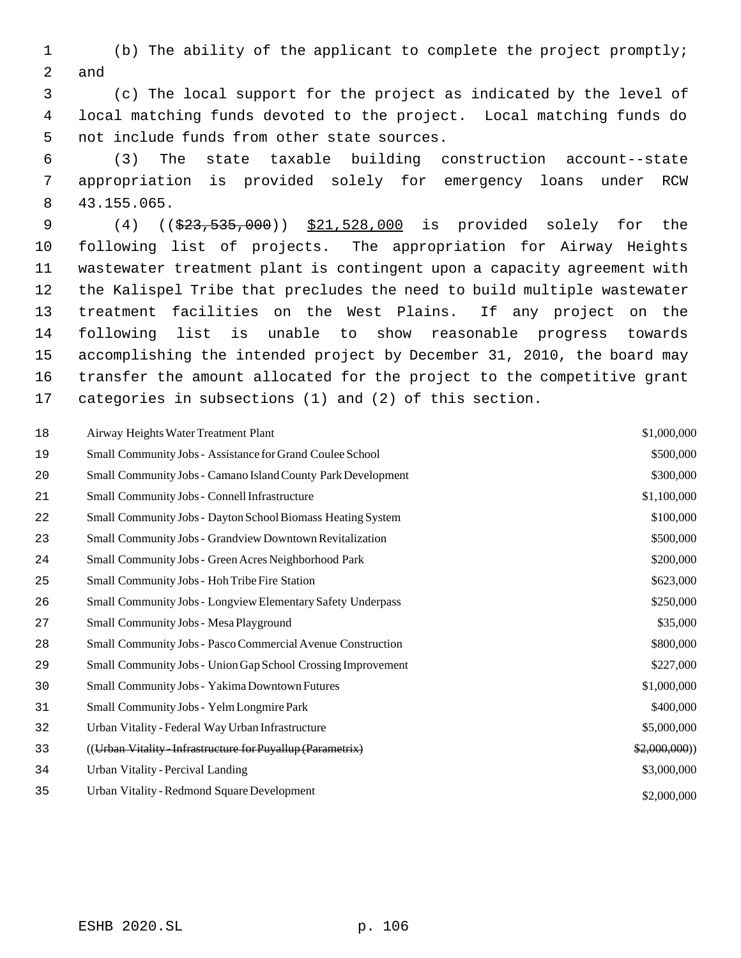(b) The ability of the applicant to complete the project promptly; and

 (c) The local support for the project as indicated by the level of local matching funds devoted to the project. Local matching funds do not include funds from other state sources.

 (3) The state taxable building construction account--state appropriation is provided solely for emergency loans under RCW 43.155.065.

9 (4) ((\$23,535,000)) \$21,528,000 is provided solely for the following list of projects. The appropriation for Airway Heights wastewater treatment plant is contingent upon a capacity agreement with the Kalispel Tribe that precludes the need to build multiple wastewater treatment facilities on the West Plains. If any project on the following list is unable to show reasonable progress towards accomplishing the intended project by December 31, 2010, the board may transfer the amount allocated for the project to the competitive grant categories in subsections (1) and (2) of this section.

| 18 | Airway Heights Water Treatment Plant                               | \$1,000,000  |
|----|--------------------------------------------------------------------|--------------|
| 19 | Small Community Jobs - Assistance for Grand Coulee School          | \$500,000    |
| 20 | Small Community Jobs - Camano Island County Park Development       | \$300,000    |
| 21 | Small Community Jobs - Connell Infrastructure                      | \$1,100,000  |
| 22 | Small Community Jobs - Dayton School Biomass Heating System        | \$100,000    |
| 23 | Small Community Jobs - Grandview Downtown Revitalization           | \$500,000    |
| 24 | <b>Small Community Jobs - Green Acres Neighborhood Park</b>        | \$200,000    |
| 25 | Small Community Jobs - Hoh Tribe Fire Station                      | \$623,000    |
| 26 | <b>Small Community Jobs - Longview Elementary Safety Underpass</b> | \$250,000    |
| 27 | Small Community Jobs - Mesa Playground                             | \$35,000     |
| 28 | Small Community Jobs - Pasco Commercial Avenue Construction        | \$800,000    |
| 29 | Small Community Jobs - Union Gap School Crossing Improvement       | \$227,000    |
| 30 | Small Community Jobs - Yakima Downtown Futures                     | \$1,000,000  |
| 31 | Small Community Jobs - Yelm Longmire Park                          | \$400,000    |
| 32 | Urban Vitality - Federal Way Urban Infrastructure                  | \$5,000,000  |
| 33 | ((Urban Vitality - Infrastructure for Puyallup (Parametrix)        | \$2,000,000) |
| 34 | <b>Urban Vitality - Percival Landing</b>                           | \$3,000,000  |
| 35 | Urban Vitality - Redmond Square Development                        | \$2,000,000  |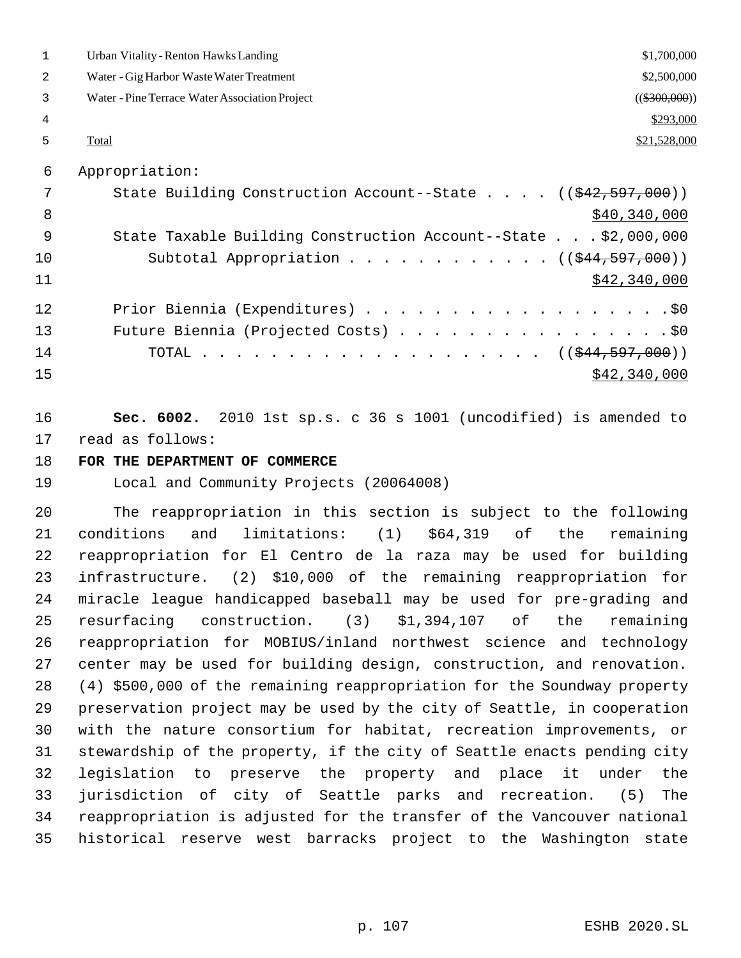| $\mathbf{1}$ | <b>Urban Vitality - Renton Hawks Landing</b><br>\$1,700,000            |  |
|--------------|------------------------------------------------------------------------|--|
| 2            | \$2,500,000<br>Water - Gig Harbor Waste Water Treatment                |  |
| 3            | Water - Pine Terrace Water Association Project<br>$((\$300,000))$      |  |
| 4            | \$293,000                                                              |  |
| 5            | \$21,528,000<br>Total                                                  |  |
| 6            | Appropriation:                                                         |  |
| 7            | State Building Construction Account--State $((\frac{242.597,000}{s}))$ |  |
| 8            | \$40,340,000                                                           |  |
| 9            | State Taxable Building Construction Account--State \$2,000,000         |  |
| 10           | Subtotal Appropriation ( $(\frac{1244,597,000}{1})$                    |  |
| 11           | \$42,340,000                                                           |  |
| 12           | Prior Biennia (Expenditures) \$0                                       |  |
| 13           | Future Biennia (Projected Costs) \$0                                   |  |
| 14           | TOTAL ( $(\frac{1}{244}, \frac{597}{1000})$ )                          |  |
| 15           | \$42,340,000                                                           |  |

 **Sec. 6002.** 2010 1st sp.s. c 36 s 1001 (uncodified) is amended to read as follows:

#### **FOR THE DEPARTMENT OF COMMERCE**

Local and Community Projects (20064008)

 The reappropriation in this section is subject to the following conditions and limitations: (1) \$64,319 of the remaining reappropriation for El Centro de la raza may be used for building infrastructure. (2) \$10,000 of the remaining reappropriation for miracle league handicapped baseball may be used for pre-grading and resurfacing construction. (3) \$1,394,107 of the remaining reappropriation for MOBIUS/inland northwest science and technology center may be used for building design, construction, and renovation. (4) \$500,000 of the remaining reappropriation for the Soundway property preservation project may be used by the city of Seattle, in cooperation with the nature consortium for habitat, recreation improvements, or stewardship of the property, if the city of Seattle enacts pending city legislation to preserve the property and place it under the jurisdiction of city of Seattle parks and recreation. (5) The reappropriation is adjusted for the transfer of the Vancouver national historical reserve west barracks project to the Washington state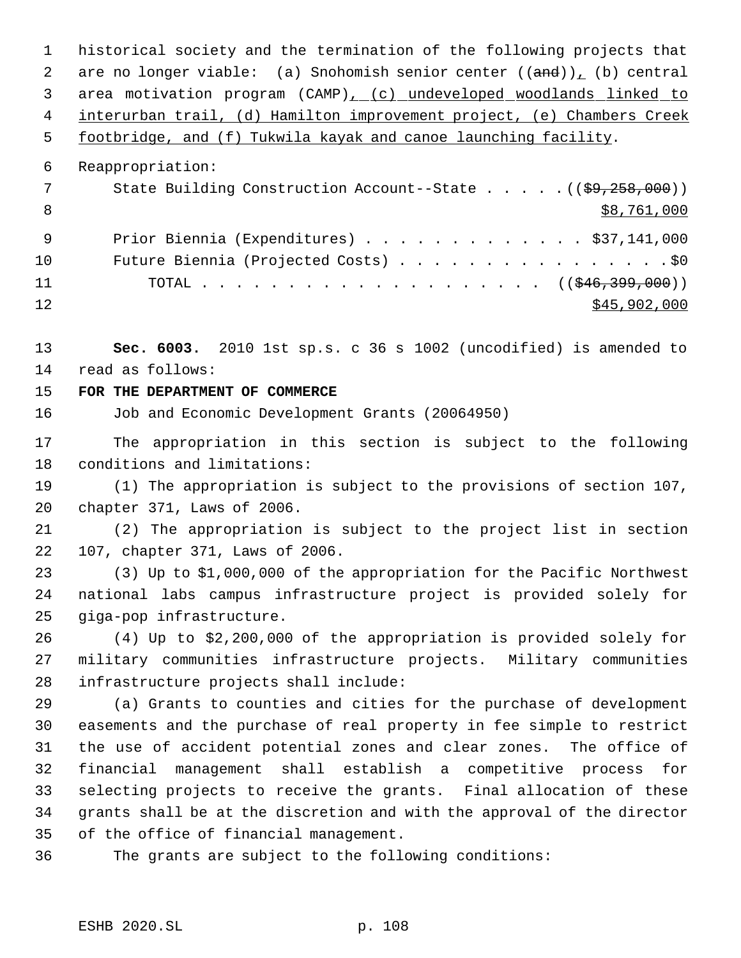historical society and the termination of the following projects that 2 are no longer viable: (a) Snohomish senior center  $((and))_L$  (b) central area motivation program (CAMP), (c) undeveloped woodlands linked to interurban trail, (d) Hamilton improvement project, (e) Chambers Creek footbridge, and (f) Tukwila kayak and canoe launching facility. Reappropriation: 7 State Building Construction Account--State . . . . . ((\$9,258,000))  $\frac{$8,761,000}{ }$  Prior Biennia (Expenditures) . . . . . . . . . . . . . \$37,141,000 10 Future Biennia (Projected Costs) . . . . . . . . . . . . . . . . \$0 11 TOTAL . . . . . . . . . . . . . . . . . . ((\$46,399,000))  $\frac{$45,902,000}{2}$  **Sec. 6003.** 2010 1st sp.s. c 36 s 1002 (uncodified) is amended to read as follows: **FOR THE DEPARTMENT OF COMMERCE** Job and Economic Development Grants (20064950)

 The appropriation in this section is subject to the following conditions and limitations:

 (1) The appropriation is subject to the provisions of section 107, chapter 371, Laws of 2006.

 (2) The appropriation is subject to the project list in section 107, chapter 371, Laws of 2006.

 (3) Up to \$1,000,000 of the appropriation for the Pacific Northwest national labs campus infrastructure project is provided solely for giga-pop infrastructure.

 (4) Up to \$2,200,000 of the appropriation is provided solely for military communities infrastructure projects. Military communities infrastructure projects shall include:

 (a) Grants to counties and cities for the purchase of development easements and the purchase of real property in fee simple to restrict the use of accident potential zones and clear zones. The office of financial management shall establish a competitive process for selecting projects to receive the grants. Final allocation of these grants shall be at the discretion and with the approval of the director of the office of financial management.

The grants are subject to the following conditions: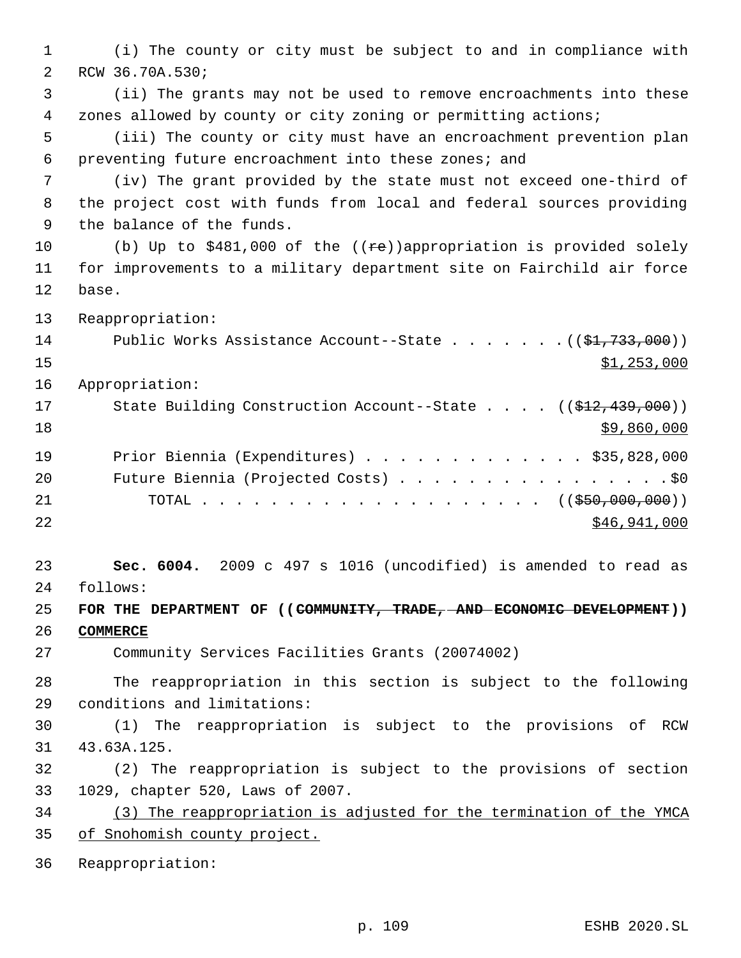(i) The county or city must be subject to and in compliance with RCW 36.70A.530; (ii) The grants may not be used to remove encroachments into these zones allowed by county or city zoning or permitting actions; (iii) The county or city must have an encroachment prevention plan preventing future encroachment into these zones; and (iv) The grant provided by the state must not exceed one-third of the project cost with funds from local and federal sources providing the balance of the funds. 10 (b) Up to \$481,000 of the ((re))appropriation is provided solely for improvements to a military department site on Fairchild air force base. Reappropriation: 14 Public Works Assistance Account--State . . . . . . . ((\$1,733,000)) \$1,253,000 Appropriation: 17 State Building Construction Account--State . . . . ((\$12,439,000))  $\frac{$9,860,000}{ }$  Prior Biennia (Expenditures) . . . . . . . . . . . . . \$35,828,000 20 Future Biennia (Projected Costs) . . . . . . . . . . . . . . . . \$0 21 TOTAL . . . . . . . . . . . . . . . . . . ((\$50,000,000)) \$46,941,000 **Sec. 6004.** 2009 c 497 s 1016 (uncodified) is amended to read as follows: **FOR THE DEPARTMENT OF ((COMMUNITY, TRADE, AND ECONOMIC DEVELOPMENT)) COMMERCE** Community Services Facilities Grants (20074002) The reappropriation in this section is subject to the following conditions and limitations: (1) The reappropriation is subject to the provisions of RCW 43.63A.125. (2) The reappropriation is subject to the provisions of section 1029, chapter 520, Laws of 2007. (3) The reappropriation is adjusted for the termination of the YMCA of Snohomish county project. Reappropriation: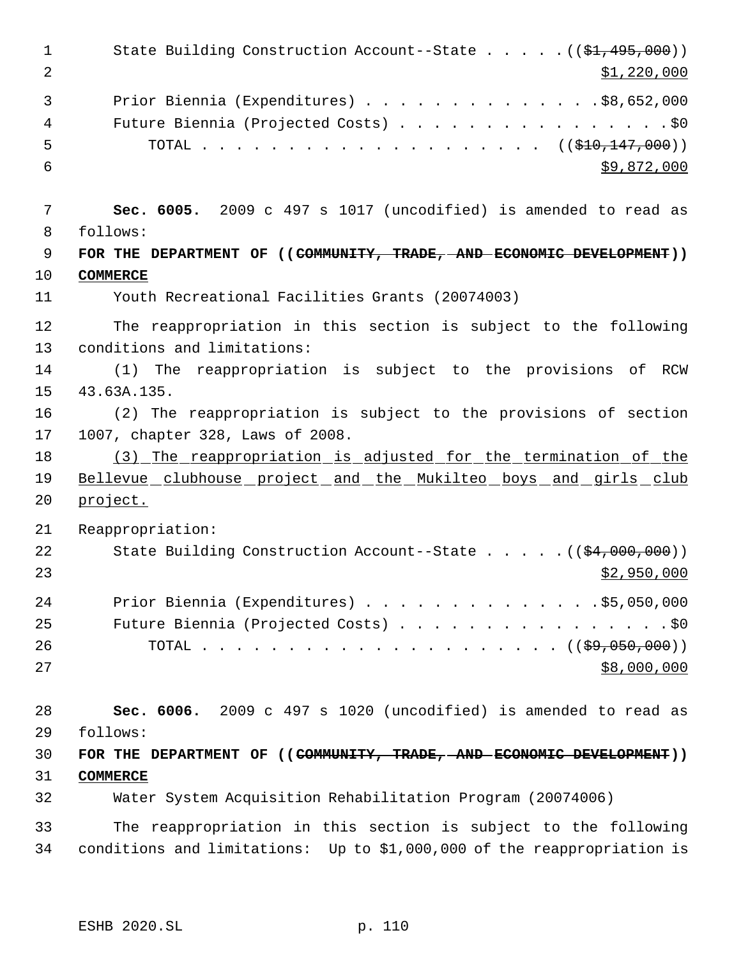1 State Building Construction Account--State . . . . . ((\$1,495,000))  $\frac{1}{2}$   $\frac{1}{220,000}$  Prior Biennia (Expenditures) . . . . . . . . . . . . . .\$8,652,000 Future Biennia (Projected Costs) . . . . . . . . . . . . . . . . \$0 5 TOTAL . . . . . . . . . . . . . . . . . . (  $(\frac{210}{110}, \frac{147}{100})$  )  $\frac{1}{59}$ , 872, 000 **Sec. 6005.** 2009 c 497 s 1017 (uncodified) is amended to read as follows: **FOR THE DEPARTMENT OF ((COMMUNITY, TRADE, AND ECONOMIC DEVELOPMENT)) COMMERCE** Youth Recreational Facilities Grants (20074003) The reappropriation in this section is subject to the following conditions and limitations: (1) The reappropriation is subject to the provisions of RCW 43.63A.135. (2) The reappropriation is subject to the provisions of section 1007, chapter 328, Laws of 2008. 18 (3) The reappropriation is adjusted for the termination of the 19 Bellevue clubhouse project and the Mukilteo boys and girls club project. Reappropriation: 22 State Building Construction Account--State . . . . . ((\$4,000,000))  $\frac{1}{2}$ ,950,000 Prior Biennia (Expenditures) . . . . . . . . . . . . . .\$5,050,000 25 Future Biennia (Projected Costs) . . . . . . . . . . . . . . . . \$0 26 TOTAL . . . . . . . . . . . . . . . . . . ( (<del>\$9,050,000</del>)) \$8,000,000 **Sec. 6006.** 2009 c 497 s 1020 (uncodified) is amended to read as follows: **FOR THE DEPARTMENT OF ((COMMUNITY, TRADE, AND ECONOMIC DEVELOPMENT)) COMMERCE** Water System Acquisition Rehabilitation Program (20074006) The reappropriation in this section is subject to the following conditions and limitations: Up to \$1,000,000 of the reappropriation is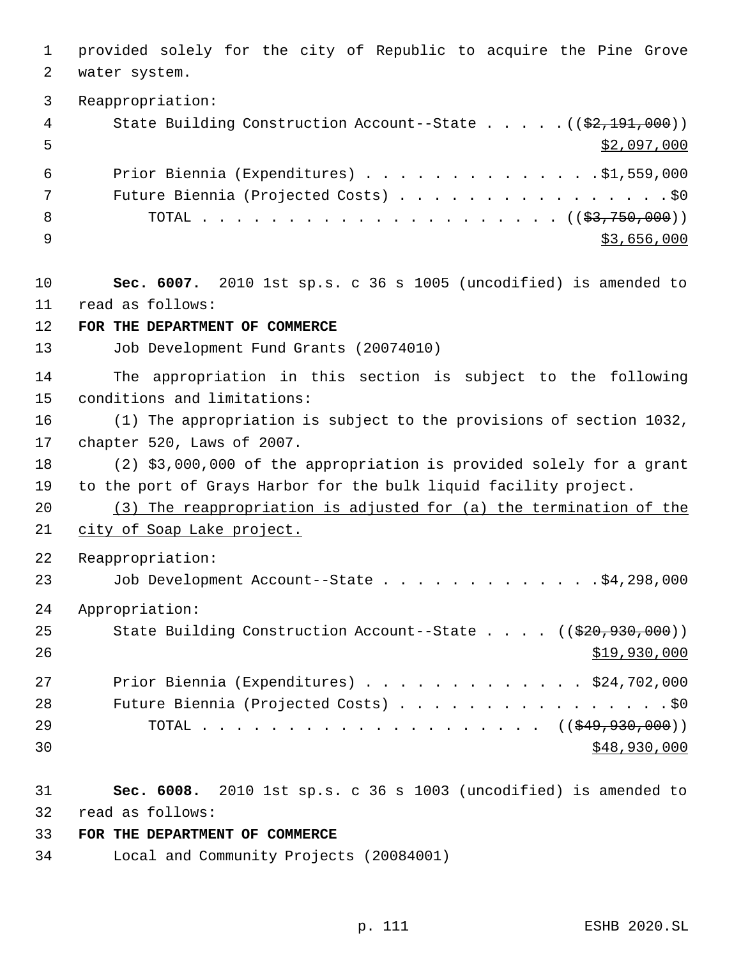provided solely for the city of Republic to acquire the Pine Grove water system. Reappropriation: 4 State Building Construction Account--State . . . . . ((\$2,191,000))  $\frac{1}{2}$ ,097,000 Prior Biennia (Expenditures) . . . . . . . . . . . . . .\$1,559,000 Future Biennia (Projected Costs) . . . . . . . . . . . . . . . . \$0 TOTAL . . . . . . . . . . . . . . . . . . . . . ((\$3,750,000))  $\frac{$3,656,000}{ }$  **Sec. 6007.** 2010 1st sp.s. c 36 s 1005 (uncodified) is amended to read as follows: **FOR THE DEPARTMENT OF COMMERCE** Job Development Fund Grants (20074010) The appropriation in this section is subject to the following conditions and limitations: (1) The appropriation is subject to the provisions of section 1032, chapter 520, Laws of 2007. (2) \$3,000,000 of the appropriation is provided solely for a grant to the port of Grays Harbor for the bulk liquid facility project. (3) The reappropriation is adjusted for (a) the termination of the 21 city of Soap Lake project. Reappropriation: 23 Job Development Account--State . . . . . . . . . . . . . \$4,298,000 Appropriation: 25 State Building Construction Account--State . . . . ((\$20,930,000)) \$19,930,000 Prior Biennia (Expenditures) . . . . . . . . . . . . . \$24,702,000 28 Future Biennia (Projected Costs) . . . . . . . . . . . . . . . . \$0 29 TOTAL . . . . . . . . . . . . . . . . . . ((<del>\$49,930,000</del>)) \$48,930,000 \$48,930,000 \$48,930,000 \$48,930,000 \$48,930,000 \$48,930,000 \$48,930,000 \$48,930,000 \$48,930,000 \$100  $\pm 0.00$  **Sec. 6008.** 2010 1st sp.s. c 36 s 1003 (uncodified) is amended to read as follows: **FOR THE DEPARTMENT OF COMMERCE** Local and Community Projects (20084001)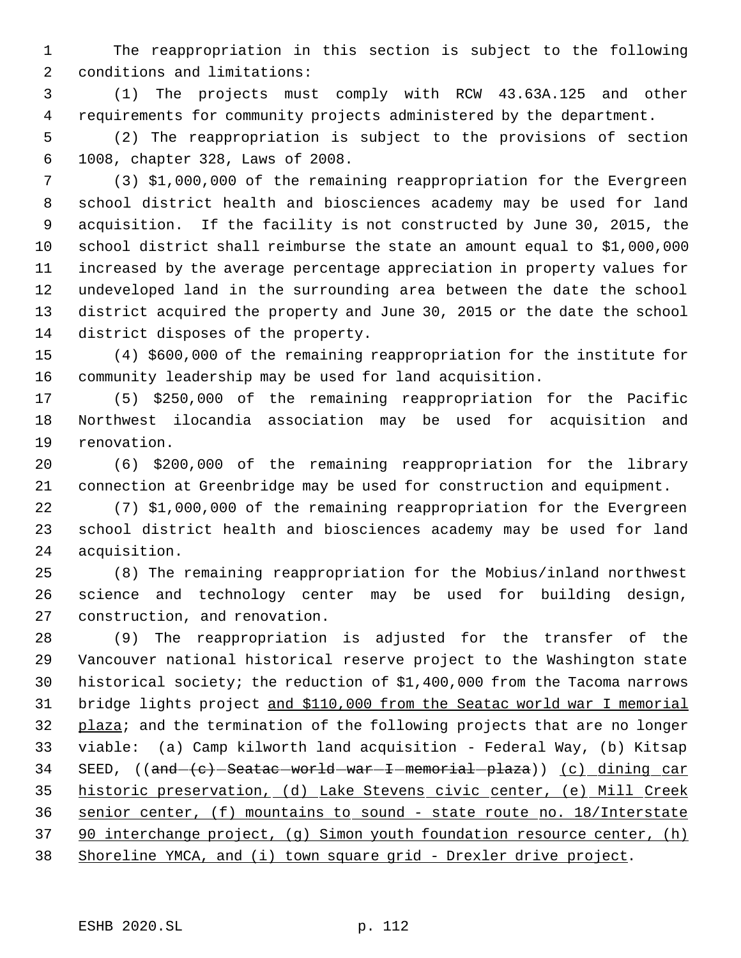The reappropriation in this section is subject to the following conditions and limitations:

 (1) The projects must comply with RCW 43.63A.125 and other requirements for community projects administered by the department.

 (2) The reappropriation is subject to the provisions of section 1008, chapter 328, Laws of 2008.

 (3) \$1,000,000 of the remaining reappropriation for the Evergreen school district health and biosciences academy may be used for land acquisition. If the facility is not constructed by June 30, 2015, the school district shall reimburse the state an amount equal to \$1,000,000 increased by the average percentage appreciation in property values for undeveloped land in the surrounding area between the date the school district acquired the property and June 30, 2015 or the date the school district disposes of the property.

 (4) \$600,000 of the remaining reappropriation for the institute for community leadership may be used for land acquisition.

 (5) \$250,000 of the remaining reappropriation for the Pacific Northwest ilocandia association may be used for acquisition and renovation.

 (6) \$200,000 of the remaining reappropriation for the library connection at Greenbridge may be used for construction and equipment.

 (7) \$1,000,000 of the remaining reappropriation for the Evergreen school district health and biosciences academy may be used for land acquisition.

 (8) The remaining reappropriation for the Mobius/inland northwest science and technology center may be used for building design, construction, and renovation.

 (9) The reappropriation is adjusted for the transfer of the Vancouver national historical reserve project to the Washington state historical society; the reduction of \$1,400,000 from the Tacoma narrows bridge lights project and \$110,000 from the Seatac world war I memorial 32 plaza; and the termination of the following projects that are no longer viable: (a) Camp kilworth land acquisition - Federal Way, (b) Kitsap 34 SEED, ((and (c) Seatac world war I memorial plaza)) (c) dining car historic preservation, (d) Lake Stevens civic center, (e) Mill Creek senior center, (f) mountains to sound - state route no. 18/Interstate 90 interchange project, (g) Simon youth foundation resource center, (h) Shoreline YMCA, and (i) town square grid - Drexler drive project.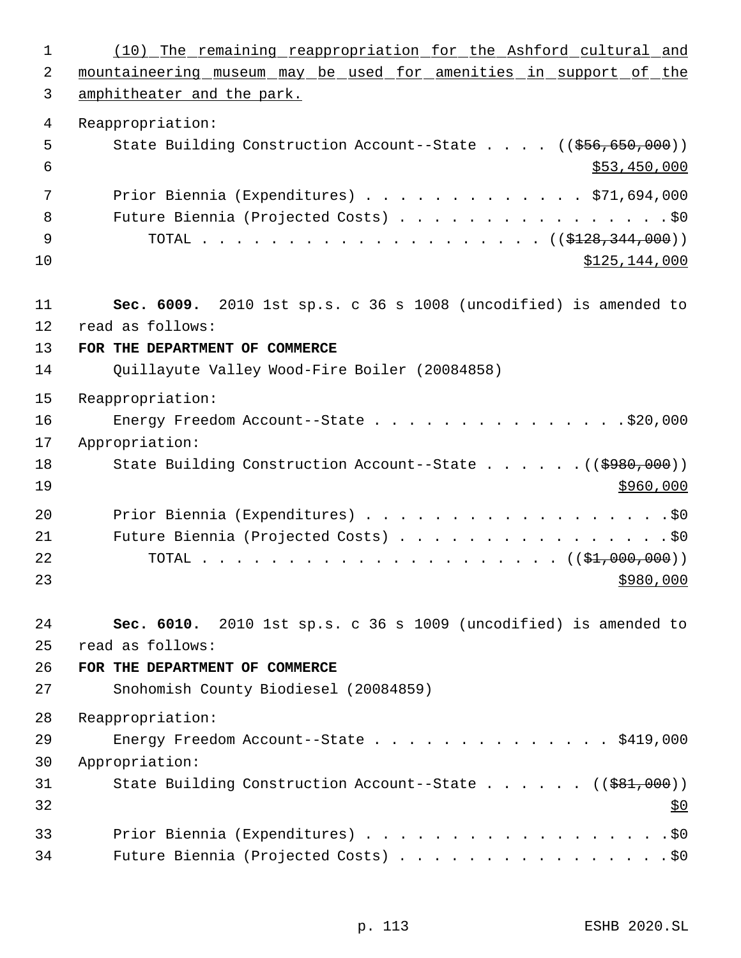(10) The remaining reappropriation for the Ashford cultural and 2 mountaineering museum may be used for amenities in support of the amphitheater and the park. Reappropriation: 5 State Building Construction Account--State . . . . ((\$56,650,000))  $\frac{1}{553,450,000}$  Prior Biennia (Expenditures) . . . . . . . . . . . . . \$71,694,000 8 Future Biennia (Projected Costs) . . . . . . . . . . . . . . . . \$0 9 TOTAL . . . . . . . . . . . . . . . . . . (  $(\frac{128}{128}, \frac{344}{1000})$  \$125,144,000 **Sec. 6009.** 2010 1st sp.s. c 36 s 1008 (uncodified) is amended to read as follows: **FOR THE DEPARTMENT OF COMMERCE** Quillayute Valley Wood-Fire Boiler (20084858) Reappropriation: 16 Energy Freedom Account--State . . . . . . . . . . . . . . \$20,000 Appropriation: 18 State Building Construction Account--State . . . . . . ((\$980,000))  $\frac{$960,000}{ }$  Prior Biennia (Expenditures) . . . . . . . . . . . . . . . . . .\$0 21 Future Biennia (Projected Costs) . . . . . . . . . . . . . . . . \$0 TOTAL . . . . . . . . . . . . . . . . . . . . . ((\$1,000,000)) **Sec. 6010.** 2010 1st sp.s. c 36 s 1009 (uncodified) is amended to read as follows: **FOR THE DEPARTMENT OF COMMERCE** Snohomish County Biodiesel (20084859) Reappropriation: Energy Freedom Account--State . . . . . . . . . . . . . . \$419,000 Appropriation: 31 State Building Construction Account--State . . . . . ((\$81,000))  $32 \frac{\text{S}}{0}$  Prior Biennia (Expenditures) . . . . . . . . . . . . . . . . . .\$0 Future Biennia (Projected Costs) . . . . . . . . . . . . . . . . \$0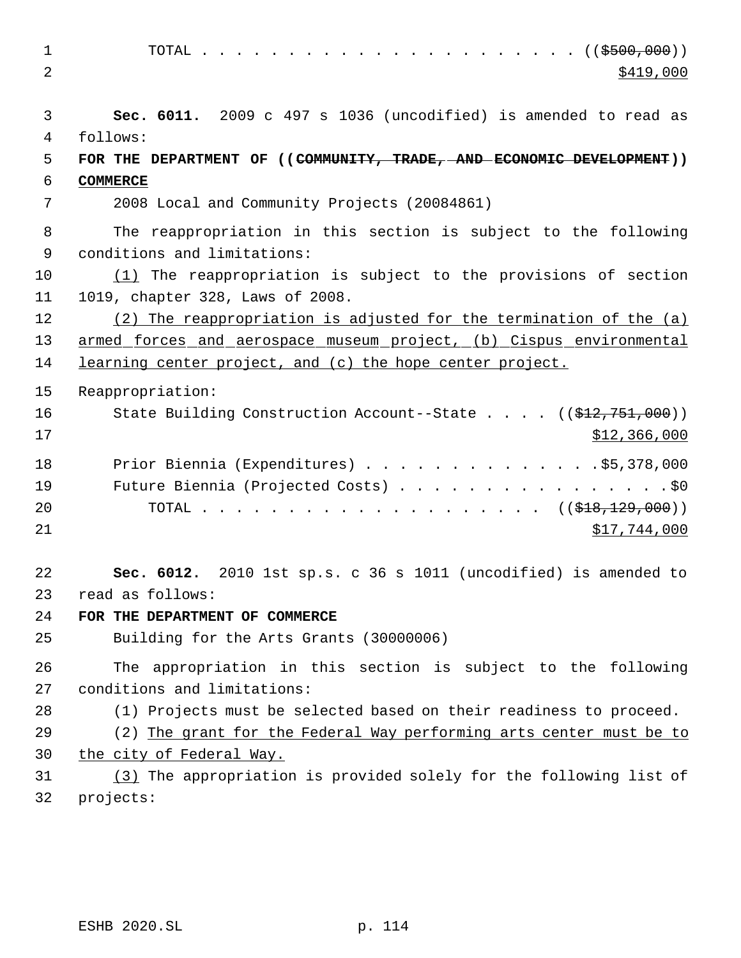TOTAL . . . . . . . . . . . . . . . . . . . . . . ((\$500,000))  $\frac{$419,000}{ }$  **Sec. 6011.** 2009 c 497 s 1036 (uncodified) is amended to read as follows: **FOR THE DEPARTMENT OF ((COMMUNITY, TRADE, AND ECONOMIC DEVELOPMENT)) COMMERCE** 2008 Local and Community Projects (20084861) The reappropriation in this section is subject to the following conditions and limitations: (1) The reappropriation is subject to the provisions of section 1019, chapter 328, Laws of 2008. 12 (2) The reappropriation is adjusted for the termination of the (a) armed forces and aerospace museum project, (b) Cispus environmental 14 learning center project, and (c) the hope center project. Reappropriation: 16 State Building Construction Account--State . . . . ((\$12,751,000)) \$12,366,000 18 Prior Biennia (Expenditures) . . . . . . . . . . . . . . \$5,378,000 19 Future Biennia (Projected Costs) . . . . . . . . . . . . . . . . \$0 20 TOTAL . . . . . . . . . . . . . . . . . . (  $(\frac{218}{129}, \frac{129}{100})$  )  $517,744,000$  **Sec. 6012.** 2010 1st sp.s. c 36 s 1011 (uncodified) is amended to read as follows: **FOR THE DEPARTMENT OF COMMERCE** Building for the Arts Grants (30000006) The appropriation in this section is subject to the following conditions and limitations: (1) Projects must be selected based on their readiness to proceed. (2) The grant for the Federal Way performing arts center must be to the city of Federal Way. (3) The appropriation is provided solely for the following list of projects: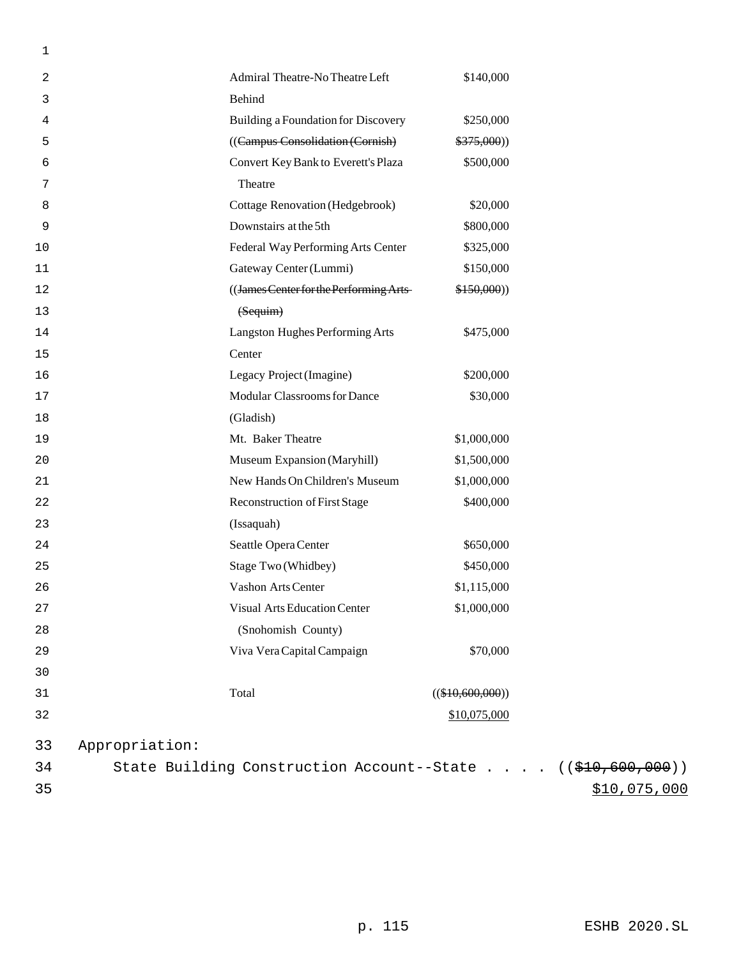| 1  |                                                                            |                    |              |
|----|----------------------------------------------------------------------------|--------------------|--------------|
| 2  | Admiral Theatre-No Theatre Left                                            | \$140,000          |              |
| 3  | Behind                                                                     |                    |              |
| 4  | Building a Foundation for Discovery                                        | \$250,000          |              |
| 5  | ((Campus Consolidation (Cornish)                                           | \$375,000)         |              |
| 6  | Convert Key Bank to Everett's Plaza                                        | \$500,000          |              |
| 7  | Theatre                                                                    |                    |              |
| 8  | <b>Cottage Renovation (Hedgebrook)</b>                                     | \$20,000           |              |
| 9  | Downstairs at the 5th                                                      | \$800,000          |              |
| 10 | Federal Way Performing Arts Center                                         | \$325,000          |              |
| 11 | Gateway Center (Lummi)                                                     | \$150,000          |              |
| 12 | ((James Center for the Performing Arts-                                    | \$150,000)         |              |
| 13 | (Sequim)                                                                   |                    |              |
| 14 | Langston Hughes Performing Arts                                            | \$475,000          |              |
| 15 | Center                                                                     |                    |              |
| 16 | Legacy Project (Imagine)                                                   | \$200,000          |              |
| 17 | Modular Classrooms for Dance                                               | \$30,000           |              |
| 18 | (Gladish)                                                                  |                    |              |
| 19 | Mt. Baker Theatre                                                          | \$1,000,000        |              |
| 20 | Museum Expansion (Maryhill)                                                | \$1,500,000        |              |
| 21 | New Hands On Children's Museum                                             | \$1,000,000        |              |
| 22 | Reconstruction of First Stage                                              | \$400,000          |              |
| 23 | (Issaquah)                                                                 |                    |              |
| 24 | Seattle Opera Center                                                       | \$650,000          |              |
| 25 | Stage Two (Whidbey)                                                        | \$450,000          |              |
| 26 | Vashon Arts Center                                                         | \$1,115,000        |              |
| 27 | <b>Visual Arts Education Center</b>                                        | \$1,000,000        |              |
| 28 | (Snohomish County)                                                         |                    |              |
| 29 | Viva Vera Capital Campaign                                                 | \$70,000           |              |
| 30 |                                                                            |                    |              |
| 31 | Total                                                                      | $((\$10,600,000))$ |              |
| 32 |                                                                            | \$10,075,000       |              |
| 33 | Appropriation:                                                             |                    |              |
| 34 | State Building Construction Account--State $((\frac{210}{600}, 600, 000))$ |                    |              |
| 35 |                                                                            |                    | \$10,075,000 |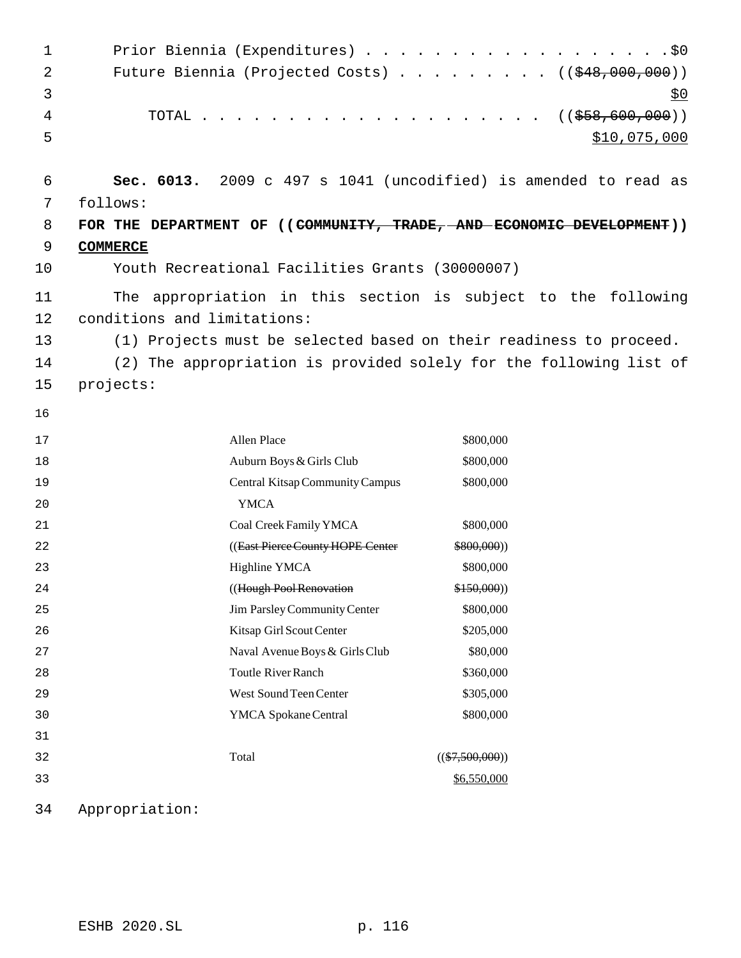| 1  |                             | Prior Biennia (Expenditures) \$0                                             |                   |                                     |
|----|-----------------------------|------------------------------------------------------------------------------|-------------------|-------------------------------------|
| 2  |                             | Future Biennia (Projected Costs) $\cdots$ ( $(\frac{248,000,000)}{100,000})$ |                   |                                     |
| 3  |                             |                                                                              |                   | <u>\$0</u>                          |
| 4  | TOTAL                       |                                                                              |                   | $\ldots$ $((\frac{258}{600}, 000))$ |
| 5  |                             |                                                                              |                   | \$10,075,000                        |
|    |                             |                                                                              |                   |                                     |
| 6  |                             | Sec. 6013. 2009 c 497 s 1041 (uncodified) is amended to read as              |                   |                                     |
| 7  | follows:                    |                                                                              |                   |                                     |
| 8  |                             | FOR THE DEPARTMENT OF ((COMMUNITY, TRADE, AND ECONOMIC DEVELOPMENT))         |                   |                                     |
| 9  | <b>COMMERCE</b>             |                                                                              |                   |                                     |
| 10 |                             | Youth Recreational Facilities Grants (30000007)                              |                   |                                     |
| 11 |                             | The appropriation in this section is subject to the following                |                   |                                     |
| 12 | conditions and limitations: |                                                                              |                   |                                     |
| 13 |                             | (1) Projects must be selected based on their readiness to proceed.           |                   |                                     |
| 14 |                             | (2) The appropriation is provided solely for the following list of           |                   |                                     |
| 15 | projects:                   |                                                                              |                   |                                     |
| 16 |                             |                                                                              |                   |                                     |
|    |                             |                                                                              |                   |                                     |
| 17 |                             | Allen Place                                                                  | \$800,000         |                                     |
| 18 |                             | Auburn Boys & Girls Club                                                     | \$800,000         |                                     |
| 19 |                             | Central Kitsap Community Campus                                              | \$800,000         |                                     |
| 20 |                             | <b>YMCA</b>                                                                  |                   |                                     |
| 21 |                             | Coal Creek Family YMCA                                                       | \$800,000         |                                     |
| 22 |                             | ((East Pierce County HOPE Center                                             | \$800,000)        |                                     |
| 23 |                             | Highline YMCA                                                                | \$800,000         |                                     |
| 24 |                             | ((Hough Pool Renovation                                                      | \$150,000)        |                                     |
| 25 |                             | Jim Parsley Community Center                                                 | \$800,000         |                                     |
| 26 |                             | Kitsap Girl Scout Center                                                     | \$205,000         |                                     |
| 27 |                             | Naval Avenue Boys & Girls Club                                               | \$80,000          |                                     |
| 28 |                             | <b>Toutle River Ranch</b>                                                    | \$360,000         |                                     |
| 29 |                             | West Sound Teen Center                                                       | \$305,000         |                                     |
| 30 |                             | YMCA Spokane Central                                                         | \$800,000         |                                     |
| 31 |                             |                                                                              |                   |                                     |
| 32 |                             | Total                                                                        | $((\$7,500,000))$ |                                     |
| 33 |                             |                                                                              | \$6,550,000       |                                     |
| 34 | Appropriation:              |                                                                              |                   |                                     |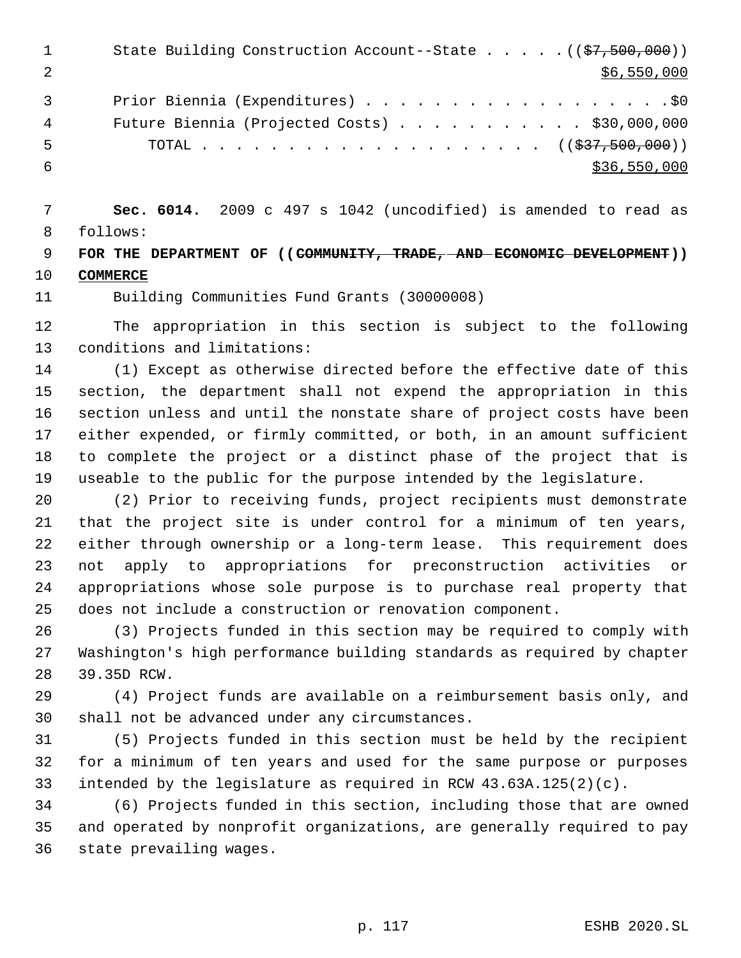|    | State Building Construction Account--State $((\frac{27}{57}, 500, 000))$ |
|----|--------------------------------------------------------------------------|
|    | \$6,550,000                                                              |
|    | Prior Biennia (Expenditures) \$0                                         |
| 4  | Future Biennia (Projected Costs) $\ldots$ \$30,000,000                   |
| -5 | TOTAL ( $(\frac{237}{537}, \frac{500}{500})$ )                           |
|    | \$36,550,000                                                             |

 **Sec. 6014.** 2009 c 497 s 1042 (uncodified) is amended to read as follows:

 **FOR THE DEPARTMENT OF ((COMMUNITY, TRADE, AND ECONOMIC DEVELOPMENT)) COMMERCE**

Building Communities Fund Grants (30000008)

 The appropriation in this section is subject to the following conditions and limitations:

 (1) Except as otherwise directed before the effective date of this section, the department shall not expend the appropriation in this section unless and until the nonstate share of project costs have been either expended, or firmly committed, or both, in an amount sufficient to complete the project or a distinct phase of the project that is useable to the public for the purpose intended by the legislature.

 (2) Prior to receiving funds, project recipients must demonstrate that the project site is under control for a minimum of ten years, either through ownership or a long-term lease. This requirement does not apply to appropriations for preconstruction activities or appropriations whose sole purpose is to purchase real property that does not include a construction or renovation component.

 (3) Projects funded in this section may be required to comply with Washington's high performance building standards as required by chapter 39.35D RCW.

 (4) Project funds are available on a reimbursement basis only, and shall not be advanced under any circumstances.

 (5) Projects funded in this section must be held by the recipient for a minimum of ten years and used for the same purpose or purposes intended by the legislature as required in RCW 43.63A.125(2)(c).

 (6) Projects funded in this section, including those that are owned and operated by nonprofit organizations, are generally required to pay state prevailing wages.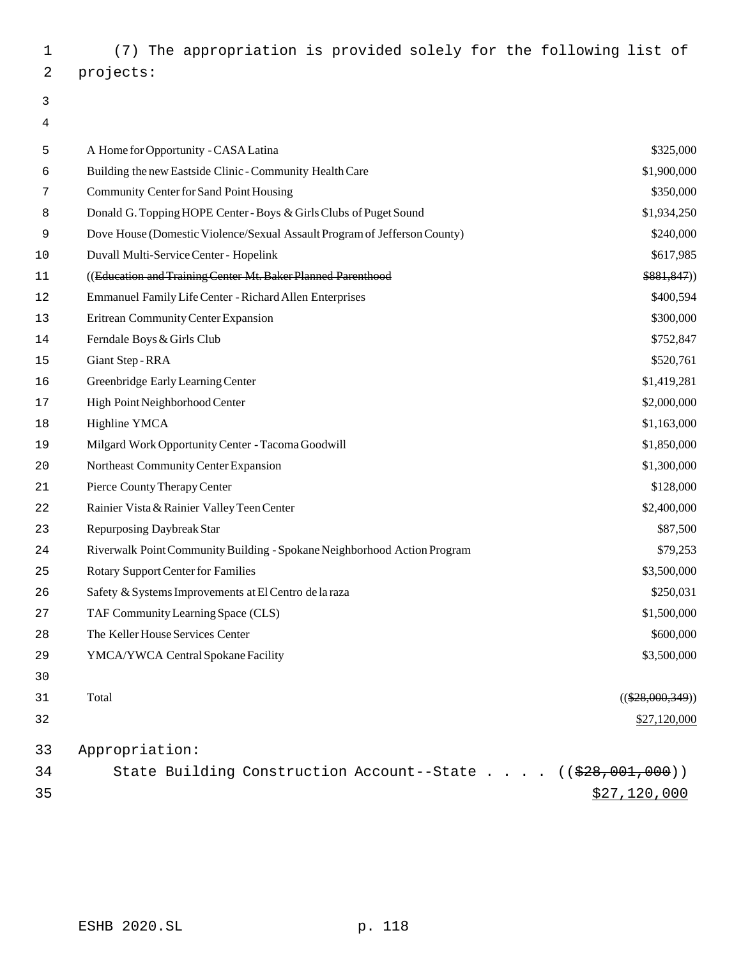(7) The appropriation is provided solely for the following list of projects:

# 

| 5  | A Home for Opportunity - CASA Latina                                          | \$325,000          |
|----|-------------------------------------------------------------------------------|--------------------|
| 6  | Building the new Eastside Clinic - Community Health Care                      | \$1,900,000        |
| 7  | Community Center for Sand Point Housing                                       | \$350,000          |
| 8  | Donald G. Topping HOPE Center - Boys & Girls Clubs of Puget Sound             | \$1,934,250        |
| 9  | Dove House (Domestic Violence/Sexual Assault Program of Jefferson County)     | \$240,000          |
| 10 | Duvall Multi-Service Center - Hopelink                                        | \$617,985          |
| 11 | ((Education and Training Center Mt. Baker Planned Parenthood                  | \$881,847)         |
| 12 | Emmanuel Family Life Center - Richard Allen Enterprises                       | \$400,594          |
| 13 | Eritrean Community Center Expansion                                           | \$300,000          |
| 14 | Ferndale Boys & Girls Club                                                    | \$752,847          |
| 15 | Giant Step - RRA                                                              | \$520,761          |
| 16 | Greenbridge Early Learning Center                                             | \$1,419,281        |
| 17 | High Point Neighborhood Center                                                | \$2,000,000        |
| 18 | Highline YMCA                                                                 | \$1,163,000        |
| 19 | Milgard Work Opportunity Center - Tacoma Goodwill                             | \$1,850,000        |
| 20 | Northeast Community Center Expansion                                          | \$1,300,000        |
| 21 | Pierce County Therapy Center                                                  | \$128,000          |
| 22 | Rainier Vista & Rainier Valley Teen Center                                    | \$2,400,000        |
| 23 | Repurposing Daybreak Star                                                     | \$87,500           |
| 24 | Riverwalk Point Community Building - Spokane Neighborhood Action Program      | \$79,253           |
| 25 | <b>Rotary Support Center for Families</b>                                     | \$3,500,000        |
| 26 | Safety & Systems Improvements at El Centro de la raza                         | \$250,031          |
| 27 | TAF Community Learning Space (CLS)                                            | \$1,500,000        |
| 28 | The Keller House Services Center                                              | \$600,000          |
| 29 | YMCA/YWCA Central Spokane Facility                                            | \$3,500,000        |
| 30 |                                                                               |                    |
| 31 | Total                                                                         | $((\$28,000,349))$ |
| 32 |                                                                               | \$27,120,000       |
| 33 | Appropriation:                                                                |                    |
| 34 | State Building Construction Account--State $($ $($ $\frac{228}{1001}$ , 000)) |                    |
| 35 |                                                                               | \$27,120,000       |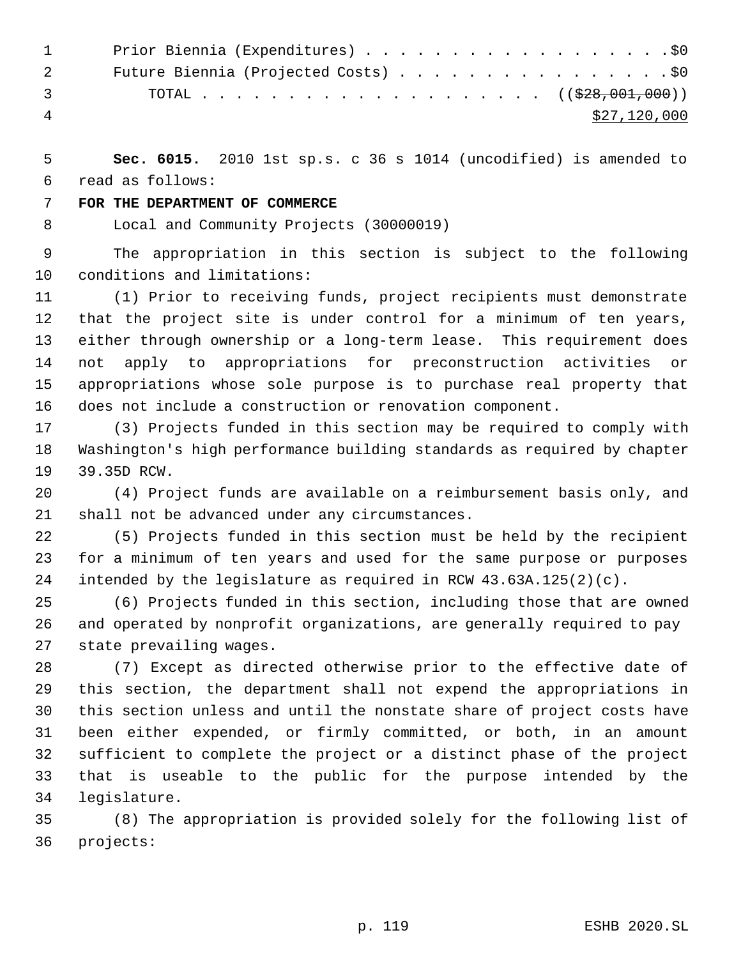|                | 1 Prior Biennia (Expenditures) \$0   |
|----------------|--------------------------------------|
| $\overline{2}$ | Future Biennia (Projected Costs) \$0 |
|                | $\mathbf{3}$ and $\mathbf{3}$        |
| 4              | \$27,120,000                         |
|                |                                      |

 **Sec. 6015.** 2010 1st sp.s. c 36 s 1014 (uncodified) is amended to read as follows:

### **FOR THE DEPARTMENT OF COMMERCE**

Local and Community Projects (30000019)

 The appropriation in this section is subject to the following conditions and limitations:

 (1) Prior to receiving funds, project recipients must demonstrate that the project site is under control for a minimum of ten years, either through ownership or a long-term lease. This requirement does not apply to appropriations for preconstruction activities or appropriations whose sole purpose is to purchase real property that does not include a construction or renovation component.

 (3) Projects funded in this section may be required to comply with Washington's high performance building standards as required by chapter 39.35D RCW.

 (4) Project funds are available on a reimbursement basis only, and shall not be advanced under any circumstances.

 (5) Projects funded in this section must be held by the recipient for a minimum of ten years and used for the same purpose or purposes intended by the legislature as required in RCW 43.63A.125(2)(c).

 (6) Projects funded in this section, including those that are owned and operated by nonprofit organizations, are generally required to pay state prevailing wages.

 (7) Except as directed otherwise prior to the effective date of this section, the department shall not expend the appropriations in this section unless and until the nonstate share of project costs have been either expended, or firmly committed, or both, in an amount sufficient to complete the project or a distinct phase of the project that is useable to the public for the purpose intended by the legislature.

 (8) The appropriation is provided solely for the following list of projects: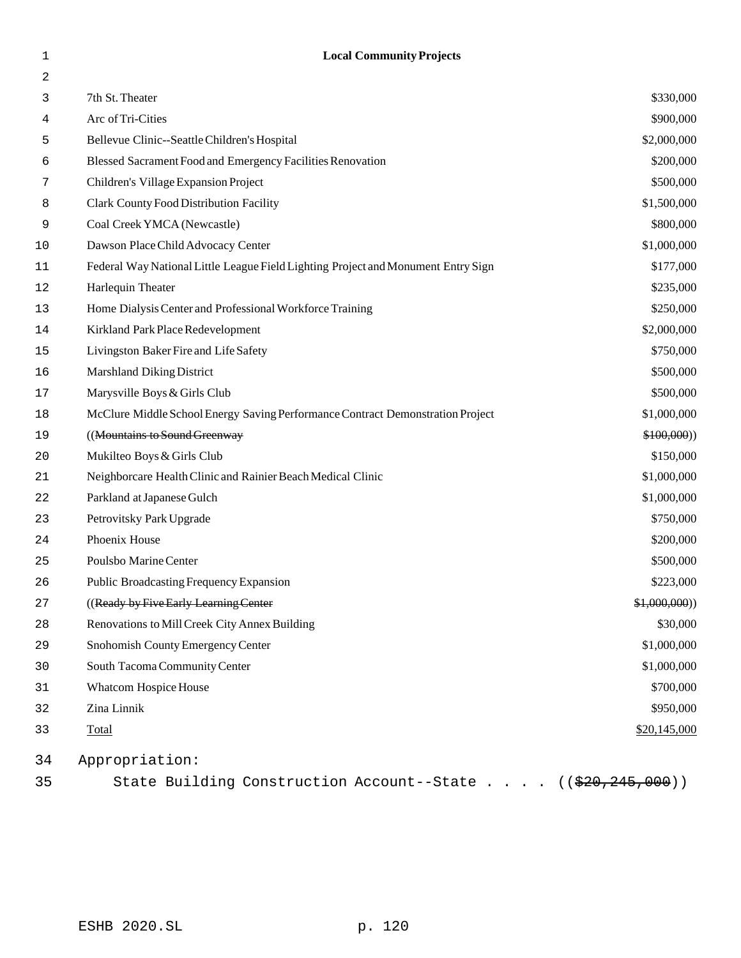2 3 7th St. Theater \$330,000 4 Arc of Tri-Cities \$900,000 5 Bellevue Clinic--Seattle Children's Hospital \$2,000,000 6 Blessed Sacrament Food and Emergency Facilities Renovation \$200,000 7 Children's Village Expansion Project \$500,000 8 Clark County Food Distribution Facility  $$1,500,000$  9 Coal Creek YMCA (Newcastle) \$800,000 10 Dawson Place Child Advocacy Center \$1,000,000  $\frac{10}{1000}$ 11 Federal Way National Little League Field Lighting Project and Monument Entry Sign \$177,000 12 Harlequin Theater \$235,000 13 Home Dialysis Center and Professional Workforce Training \$250,000 14 Kirkland Park Place Redevelopment \$2,000,000 15 Livingston Baker Fire and Life Safety **6.12 States** 6.000 and the Safety **6.000** Livingston Baker Fire and Life Safety 16 Marshland Diking District **\$500,000** Marshland Diking District 17 Marysville Boys & Girls Club **\$500,000** Marysville Boys & Girls Club **\$500,000** Marysville Boys & Girls Club 18 McClure Middle School Energy Saving Performance Contract Demonstration Project \$1,000,000 19 ((Mountains to Sound Greenway  $$100,000)$ ) 20 Mukilteo Boys & Girls Club  $$150,000$ 21 Neighborcare Health Clinic and Rainier Beach Medical Clinic \$1,000,000 22 Parkland at Japanese Gulch  $$1,000,000$ 23 Petrovitsky Park Upgrade  $$750,000$ 24 Phoenix House \$200,000 25 Poulsbo Marine Center \$500,000 26 Public Broadcasting Frequency Expansion \$223,000 \$223,000 27 ((Ready by Five Early Learning Center  $\frac{1}{2}$ ) (Ready by Five Early Learning Center  $\frac{1}{2}$ ) 28 Renovations to Mill Creek City Annex Building \$30,000 and \$30,000 \$30,000 \$30,000 \$30,000 \$30,000 \$50,000 \$ 29 Snohomish County Emergency Center \$1,000,000 30 South Tacoma Community Center \$1,000,000 31 Whatcom Hospice House  $$700,000$ 32 Zina Linnik \$950,000 **33** Total \$20,145,000 34 Appropriation:

1 **Local Community Projects**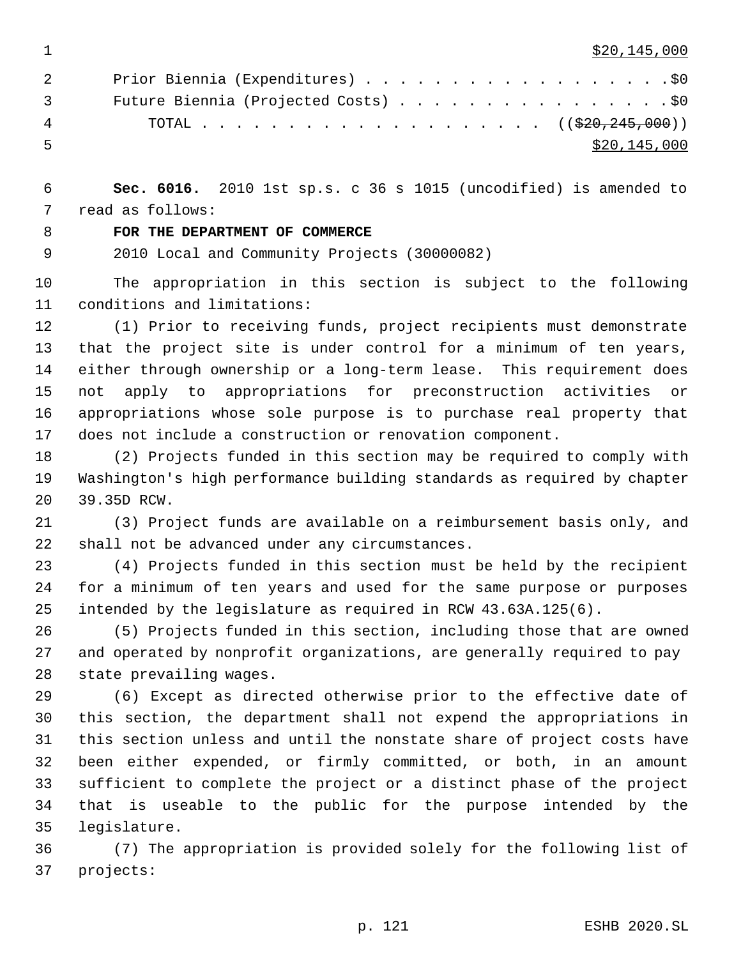$\frac{$20,145,000}{20}$ 

| $\overline{2}$ | Prior Biennia (Expenditures) \$0     |
|----------------|--------------------------------------|
| $\overline{3}$ | Future Biennia (Projected Costs) \$0 |
| 4              |                                      |
| - 5.           | \$20,145,000                         |

 **Sec. 6016.** 2010 1st sp.s. c 36 s 1015 (uncodified) is amended to read as follows:

# **FOR THE DEPARTMENT OF COMMERCE**

2010 Local and Community Projects (30000082)

 The appropriation in this section is subject to the following conditions and limitations:

 (1) Prior to receiving funds, project recipients must demonstrate that the project site is under control for a minimum of ten years, either through ownership or a long-term lease. This requirement does not apply to appropriations for preconstruction activities or appropriations whose sole purpose is to purchase real property that does not include a construction or renovation component.

 (2) Projects funded in this section may be required to comply with Washington's high performance building standards as required by chapter 39.35D RCW.

 (3) Project funds are available on a reimbursement basis only, and shall not be advanced under any circumstances.

 (4) Projects funded in this section must be held by the recipient for a minimum of ten years and used for the same purpose or purposes intended by the legislature as required in RCW 43.63A.125(6).

 (5) Projects funded in this section, including those that are owned and operated by nonprofit organizations, are generally required to pay state prevailing wages.

 (6) Except as directed otherwise prior to the effective date of this section, the department shall not expend the appropriations in this section unless and until the nonstate share of project costs have been either expended, or firmly committed, or both, in an amount sufficient to complete the project or a distinct phase of the project that is useable to the public for the purpose intended by the legislature.

 (7) The appropriation is provided solely for the following list of projects: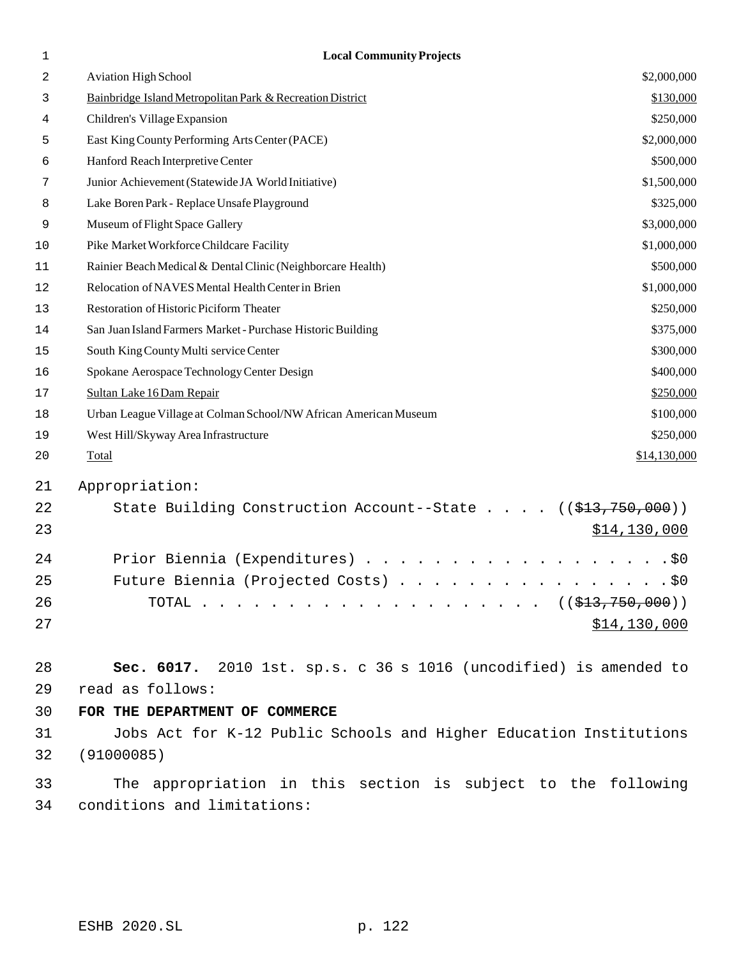| 1  | <b>Local Community Projects</b>                                    |              |
|----|--------------------------------------------------------------------|--------------|
| 2  | <b>Aviation High School</b>                                        | \$2,000,000  |
| 3  | Bainbridge Island Metropolitan Park & Recreation District          | \$130,000    |
| 4  | Children's Village Expansion                                       | \$250,000    |
| 5  | East King County Performing Arts Center (PACE)                     | \$2,000,000  |
| 6  | Hanford Reach Interpretive Center                                  | \$500,000    |
| 7  | Junior Achievement (Statewide JA World Initiative)                 | \$1,500,000  |
| 8  | Lake Boren Park - Replace Unsafe Playground                        | \$325,000    |
| 9  | Museum of Flight Space Gallery                                     | \$3,000,000  |
| 10 | Pike Market Workforce Childcare Facility                           | \$1,000,000  |
| 11 | Rainier Beach Medical & Dental Clinic (Neighborcare Health)        | \$500,000    |
| 12 | Relocation of NAVES Mental Health Center in Brien                  | \$1,000,000  |
| 13 | Restoration of Historic Piciform Theater                           | \$250,000    |
| 14 | San Juan Island Farmers Market - Purchase Historic Building        | \$375,000    |
| 15 | South King County Multi service Center                             | \$300,000    |
| 16 | Spokane Aerospace Technology Center Design                         | \$400,000    |
| 17 | Sultan Lake 16 Dam Repair                                          | \$250,000    |
| 18 | Urban League Village at Colman School/NW African American Museum   | \$100,000    |
| 19 | West Hill/Skyway Area Infrastructure                               | \$250,000    |
| 20 | Total                                                              | \$14,130,000 |
| 21 | Appropriation:                                                     |              |
| 22 | State Building Construction Account--State ((\$13,750,000))        |              |
| 23 |                                                                    | \$14,130,000 |
| 24 | Prior Biennia (Expenditures) \$0                                   |              |
| 25 | Future Biennia (Projected Costs) \$0                               |              |
| 26 |                                                                    |              |
| 27 |                                                                    | \$14,130,000 |
| 28 | Sec. 6017. 2010 1st. sp.s. c 36 s 1016 (uncodified) is amended to  |              |
| 29 | read as follows:                                                   |              |
| 30 | FOR THE DEPARTMENT OF COMMERCE                                     |              |
| 31 | Jobs Act for K-12 Public Schools and Higher Education Institutions |              |
| 32 | (91000085)                                                         |              |
| 33 | The appropriation in this section is subject to the following      |              |
| 34 | conditions and limitations:                                        |              |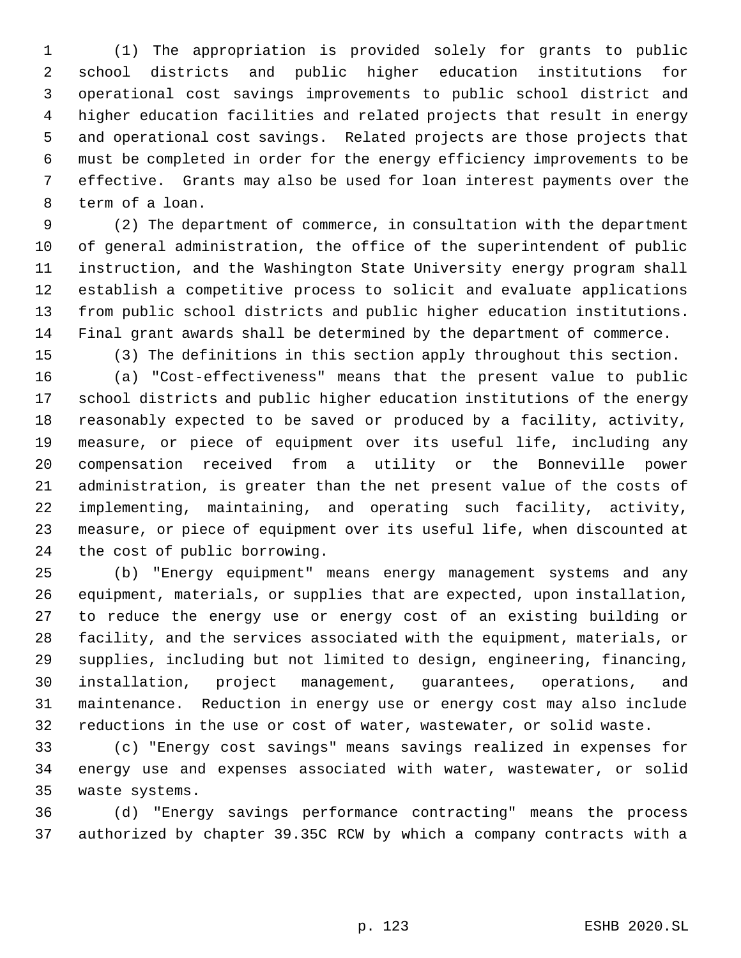(1) The appropriation is provided solely for grants to public school districts and public higher education institutions for operational cost savings improvements to public school district and higher education facilities and related projects that result in energy and operational cost savings. Related projects are those projects that must be completed in order for the energy efficiency improvements to be effective. Grants may also be used for loan interest payments over the term of a loan.

 (2) The department of commerce, in consultation with the department of general administration, the office of the superintendent of public instruction, and the Washington State University energy program shall establish a competitive process to solicit and evaluate applications from public school districts and public higher education institutions. Final grant awards shall be determined by the department of commerce.

(3) The definitions in this section apply throughout this section.

 (a) "Cost-effectiveness" means that the present value to public school districts and public higher education institutions of the energy reasonably expected to be saved or produced by a facility, activity, measure, or piece of equipment over its useful life, including any compensation received from a utility or the Bonneville power administration, is greater than the net present value of the costs of implementing, maintaining, and operating such facility, activity, measure, or piece of equipment over its useful life, when discounted at the cost of public borrowing.

 (b) "Energy equipment" means energy management systems and any equipment, materials, or supplies that are expected, upon installation, to reduce the energy use or energy cost of an existing building or facility, and the services associated with the equipment, materials, or supplies, including but not limited to design, engineering, financing, installation, project management, guarantees, operations, and maintenance. Reduction in energy use or energy cost may also include reductions in the use or cost of water, wastewater, or solid waste.

 (c) "Energy cost savings" means savings realized in expenses for energy use and expenses associated with water, wastewater, or solid waste systems.

 (d) "Energy savings performance contracting" means the process authorized by chapter 39.35C RCW by which a company contracts with a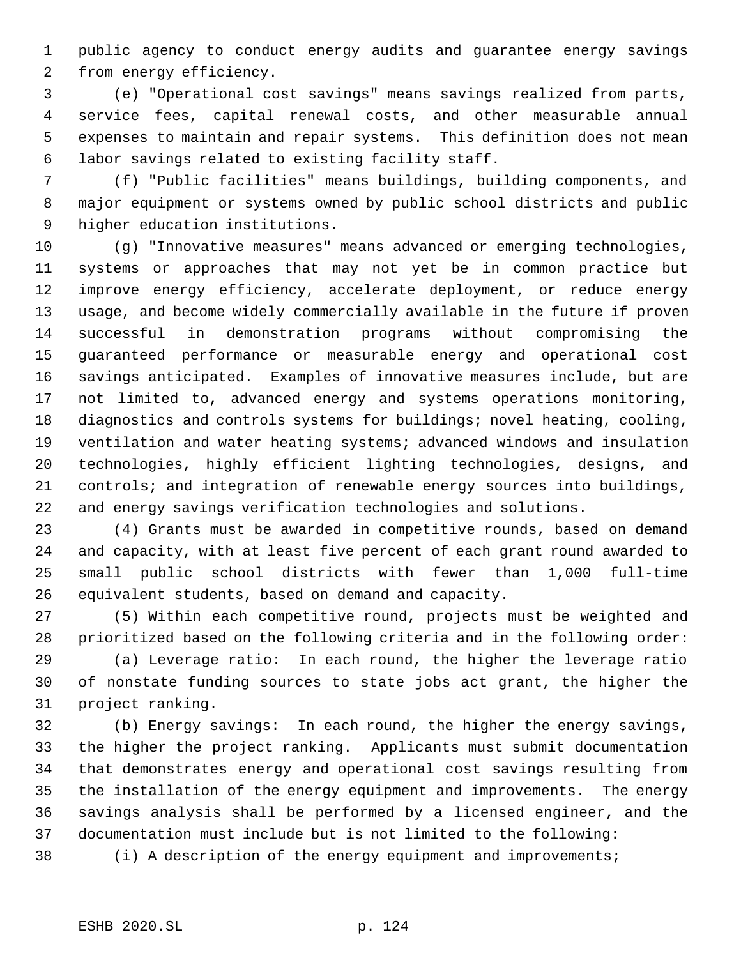public agency to conduct energy audits and guarantee energy savings from energy efficiency.

 (e) "Operational cost savings" means savings realized from parts, service fees, capital renewal costs, and other measurable annual expenses to maintain and repair systems. This definition does not mean labor savings related to existing facility staff.

 (f) "Public facilities" means buildings, building components, and major equipment or systems owned by public school districts and public higher education institutions.

 (g) "Innovative measures" means advanced or emerging technologies, systems or approaches that may not yet be in common practice but improve energy efficiency, accelerate deployment, or reduce energy usage, and become widely commercially available in the future if proven successful in demonstration programs without compromising the guaranteed performance or measurable energy and operational cost savings anticipated. Examples of innovative measures include, but are not limited to, advanced energy and systems operations monitoring, diagnostics and controls systems for buildings; novel heating, cooling, ventilation and water heating systems; advanced windows and insulation technologies, highly efficient lighting technologies, designs, and controls; and integration of renewable energy sources into buildings, and energy savings verification technologies and solutions.

 (4) Grants must be awarded in competitive rounds, based on demand and capacity, with at least five percent of each grant round awarded to small public school districts with fewer than 1,000 full-time equivalent students, based on demand and capacity.

 (5) Within each competitive round, projects must be weighted and prioritized based on the following criteria and in the following order:

 (a) Leverage ratio: In each round, the higher the leverage ratio of nonstate funding sources to state jobs act grant, the higher the project ranking.

 (b) Energy savings: In each round, the higher the energy savings, the higher the project ranking. Applicants must submit documentation that demonstrates energy and operational cost savings resulting from the installation of the energy equipment and improvements. The energy savings analysis shall be performed by a licensed engineer, and the documentation must include but is not limited to the following:

(i) A description of the energy equipment and improvements;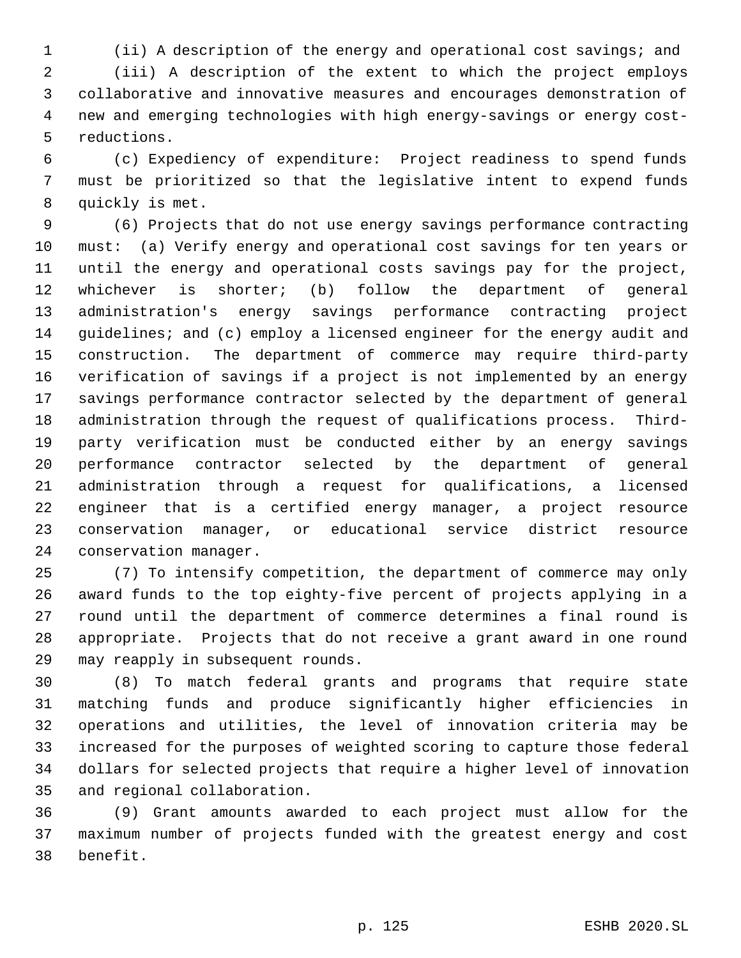(ii) A description of the energy and operational cost savings; and

 (iii) A description of the extent to which the project employs collaborative and innovative measures and encourages demonstration of new and emerging technologies with high energy-savings or energy cost- reductions.

 (c) Expediency of expenditure: Project readiness to spend funds must be prioritized so that the legislative intent to expend funds quickly is met.

 (6) Projects that do not use energy savings performance contracting must: (a) Verify energy and operational cost savings for ten years or until the energy and operational costs savings pay for the project, whichever is shorter; (b) follow the department of general administration's energy savings performance contracting project guidelines; and (c) employ a licensed engineer for the energy audit and construction. The department of commerce may require third-party verification of savings if a project is not implemented by an energy savings performance contractor selected by the department of general administration through the request of qualifications process. Third- party verification must be conducted either by an energy savings performance contractor selected by the department of general administration through a request for qualifications, a licensed engineer that is a certified energy manager, a project resource conservation manager, or educational service district resource conservation manager.

 (7) To intensify competition, the department of commerce may only award funds to the top eighty-five percent of projects applying in a round until the department of commerce determines a final round is appropriate. Projects that do not receive a grant award in one round may reapply in subsequent rounds.

 (8) To match federal grants and programs that require state matching funds and produce significantly higher efficiencies in operations and utilities, the level of innovation criteria may be increased for the purposes of weighted scoring to capture those federal dollars for selected projects that require a higher level of innovation and regional collaboration.

 (9) Grant amounts awarded to each project must allow for the maximum number of projects funded with the greatest energy and cost benefit.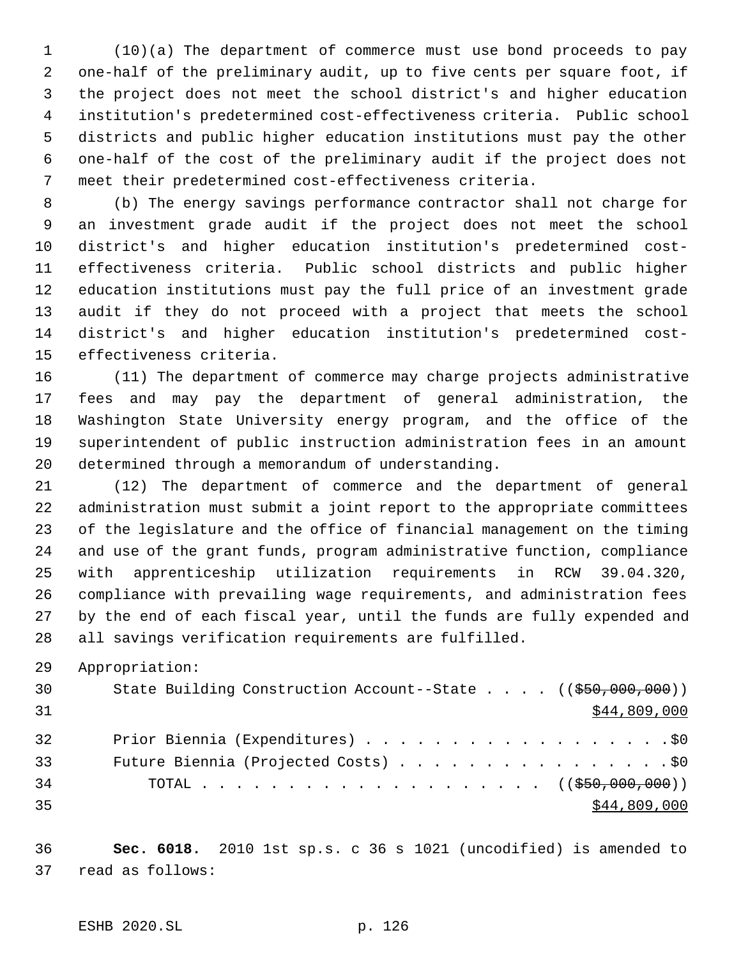(10)(a) The department of commerce must use bond proceeds to pay one-half of the preliminary audit, up to five cents per square foot, if the project does not meet the school district's and higher education institution's predetermined cost-effectiveness criteria. Public school districts and public higher education institutions must pay the other one-half of the cost of the preliminary audit if the project does not meet their predetermined cost-effectiveness criteria.

 (b) The energy savings performance contractor shall not charge for an investment grade audit if the project does not meet the school district's and higher education institution's predetermined cost- effectiveness criteria. Public school districts and public higher education institutions must pay the full price of an investment grade audit if they do not proceed with a project that meets the school district's and higher education institution's predetermined cost-effectiveness criteria.

 (11) The department of commerce may charge projects administrative fees and may pay the department of general administration, the Washington State University energy program, and the office of the superintendent of public instruction administration fees in an amount determined through a memorandum of understanding.

 (12) The department of commerce and the department of general administration must submit a joint report to the appropriate committees of the legislature and the office of financial management on the timing and use of the grant funds, program administrative function, compliance with apprenticeship utilization requirements in RCW 39.04.320, compliance with prevailing wage requirements, and administration fees by the end of each fiscal year, until the funds are fully expended and all savings verification requirements are fulfilled.

Appropriation:

| 30 | State Building Construction Account--State $((\frac{250}{100}, 000, 000))$ |
|----|----------------------------------------------------------------------------|
| 31 | \$44,809,000                                                               |
| 32 | Prior Biennia (Expenditures) \$0                                           |
| 33 | Future Biennia (Projected Costs) \$0                                       |
| 34 | TOTAL ( $(\frac{250,000,000}{1})$                                          |
| 35 | \$44,809,000                                                               |

 **Sec. 6018.** 2010 1st sp.s. c 36 s 1021 (uncodified) is amended to read as follows: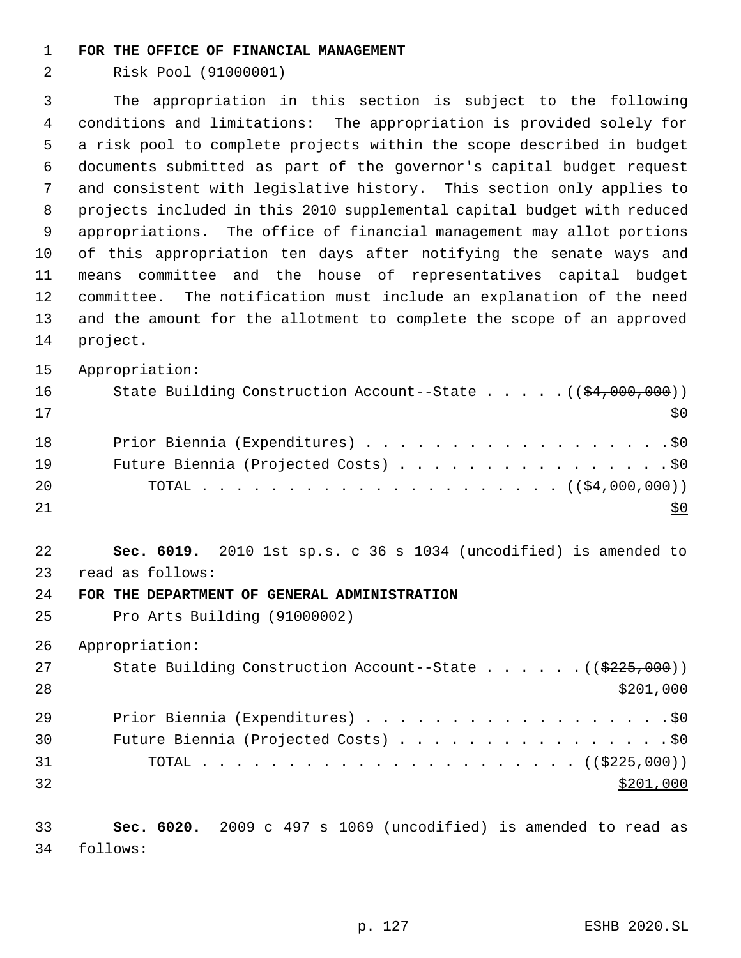#### **FOR THE OFFICE OF FINANCIAL MANAGEMENT**

Risk Pool (91000001)

 The appropriation in this section is subject to the following conditions and limitations: The appropriation is provided solely for a risk pool to complete projects within the scope described in budget documents submitted as part of the governor's capital budget request and consistent with legislative history. This section only applies to projects included in this 2010 supplemental capital budget with reduced appropriations. The office of financial management may allot portions of this appropriation ten days after notifying the senate ways and means committee and the house of representatives capital budget committee. The notification must include an explanation of the need and the amount for the allotment to complete the scope of an approved project.

Appropriation:

| 16 | State Building Construction Account--State $($ $($ \$4,000,000) $)$ |
|----|---------------------------------------------------------------------|
| 17 | SO.                                                                 |
| 18 | Prior Biennia (Expenditures) \$0                                    |
| 19 | Future Biennia (Projected Costs) \$0                                |
| 20 |                                                                     |
| 21 |                                                                     |

 **Sec. 6019.** 2010 1st sp.s. c 36 s 1034 (uncodified) is amended to read as follows:

#### **FOR THE DEPARTMENT OF GENERAL ADMINISTRATION**

Pro Arts Building (91000002)

Appropriation:

| 27 | State Building Construction Account--State $($ $($ $\frac{2225}{700})$ |
|----|------------------------------------------------------------------------|
| 28 | \$201,000                                                              |
| 29 | Prior Biennia (Expenditures) \$0                                       |
| 30 | Future Biennia (Projected Costs) \$0                                   |
| 31 |                                                                        |
| 32 | \$201,000                                                              |

 **Sec. 6020.** 2009 c 497 s 1069 (uncodified) is amended to read as follows: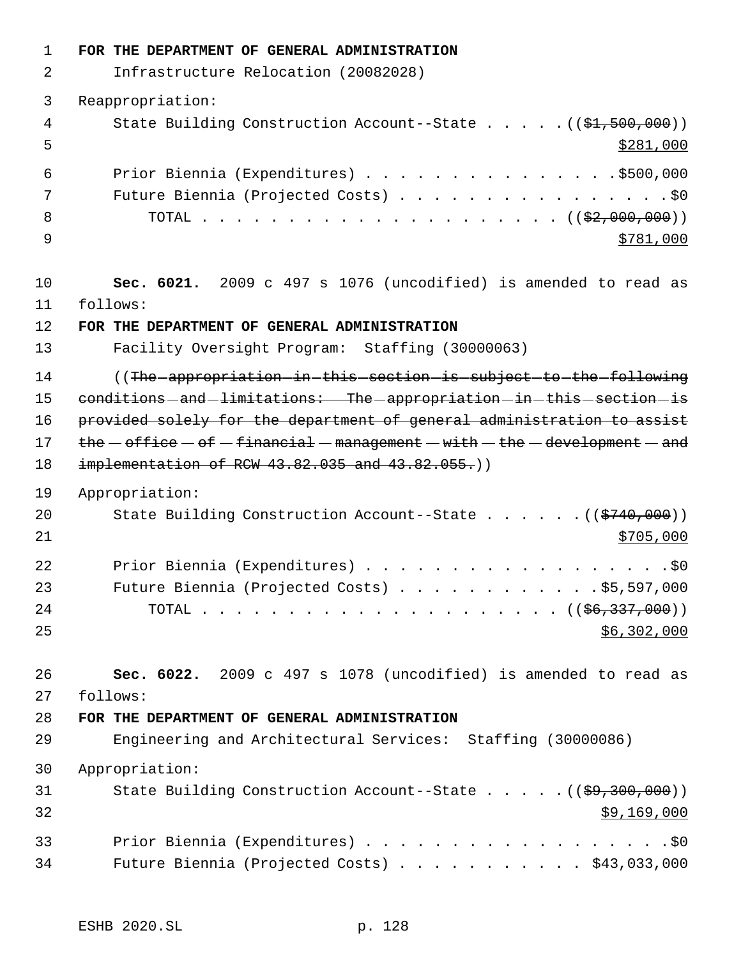**FOR THE DEPARTMENT OF GENERAL ADMINISTRATION** Infrastructure Relocation (20082028) Reappropriation: 4 State Building Construction Account--State . . . . . ((\$1,500,000))  $5 - 5$  Prior Biennia (Expenditures) . . . . . . . . . . . . . . .\$500,000 7 Future Biennia (Projected Costs) . . . . . . . . . . . . . . . . \$0 TOTAL . . . . . . . . . . . . . . . . . . . . . ((\$2,000,000)) 9 \$781,000 **Sec. 6021.** 2009 c 497 s 1076 (uncodified) is amended to read as follows: **FOR THE DEPARTMENT OF GENERAL ADMINISTRATION** Facility Oversight Program: Staffing (30000063) 14 (The appropriation in this section is subject to the following 15 conditions and limitations: The appropriation in this section is 16 provided solely for the department of general administration to assist  $the - of$   $f = -f$  inancial  $-$  management  $-$  with  $-$  the  $-$  development  $-$  and 18 implementation of RCW 43.82.035 and 43.82.055.) Appropriation: 20 State Building Construction Account--State . . . . . . ((\$740,000))  $\frac{$705,000}{}$ 22 Prior Biennia (Expenditures) . . . . . . . . . . . . . . . . . . \$0 Future Biennia (Projected Costs) . . . . . . . . . . . . \$5,597,000 TOTAL . . . . . . . . . . . . . . . . . . . . . ((\$6,337,000)) \$6,302,000 **Sec. 6022.** 2009 c 497 s 1078 (uncodified) is amended to read as follows: **FOR THE DEPARTMENT OF GENERAL ADMINISTRATION** Engineering and Architectural Services: Staffing (30000086) Appropriation: 31 State Building Construction Account--State . . . . . ((\$9,300,000)) \$9,169,000 Prior Biennia (Expenditures) . . . . . . . . . . . . . . . . . .\$0 Future Biennia (Projected Costs) . . . . . . . . . . . \$43,033,000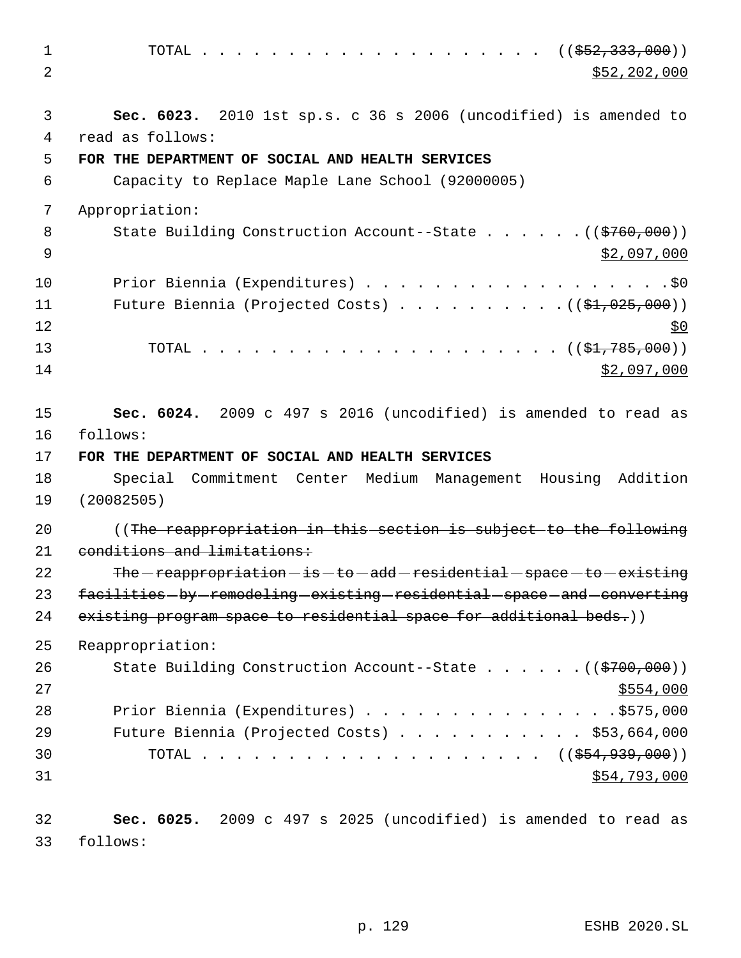1 TOTAL . . . . . . . . . . . . . . . . . ((<del>\$52,333,000</del>))  $2 \times 52,202,000$  3 **Sec. 6023.** 2010 1st sp.s. c 36 s 2006 (uncodified) is amended to 4 read as follows: 5 **FOR THE DEPARTMENT OF SOCIAL AND HEALTH SERVICES** 6 Capacity to Replace Maple Lane School (92000005) 7 Appropriation: 8 State Building Construction Account--State . . . . . . ((\$760,000)) 9  $\frac{1}{2}$  , 097,000 10 Prior Biennia (Expenditures) . . . . . . . . . . . . . . . . . . \$0 11 Future Biennia (Projected Costs) . . . . . . . . . . ((\$1,025,000))  $12 \frac{$0}{9}$ 13 TOTAL . . . . . . . . . . . . . . . . . . . . . ((\$1,785,000))  $14$  \$2,097,000 15 **Sec. 6024.** 2009 c 497 s 2016 (uncodified) is amended to read as 16 follows: 17 **FOR THE DEPARTMENT OF SOCIAL AND HEALTH SERVICES** 18 Special Commitment Center Medium Management Housing Addition 19 (20082505) 20 ((The reappropriation in this section is subject to the following 21 conditions and limitations: 22 The  $-$  reappropriation  $-$  is  $-$  to  $-$  add  $-$  residential  $-$  space  $-$  to  $-$  existing 23 facilities - by - remodeling - existing - residential - space - and - converting 24 existing program space to residential space for additional beds.)) 25 Reappropriation: 26 State Building Construction Account--State . . . . . . ((\$700,000))  $27$   $\frac{$554,000}{ }$ 28 Prior Biennia (Expenditures) . . . . . . . . . . . . . . . \$575,000 29 Future Biennia (Projected Costs) . . . . . . . . . . . \$53,664,000 30 TOTAL . . . . . . . . . . . . . . . . . . ((\$<del>54,939,000</del>))  $31$  \$54,793,000 32 **Sec. 6025.** 2009 c 497 s 2025 (uncodified) is amended to read as 33 follows: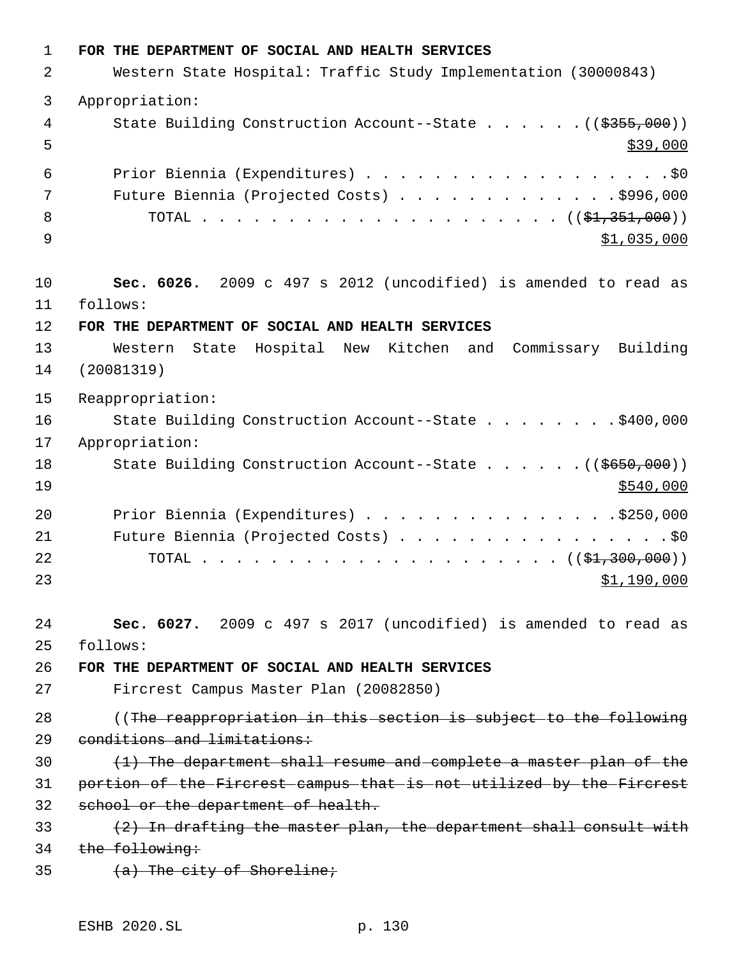**FOR THE DEPARTMENT OF SOCIAL AND HEALTH SERVICES** Western State Hospital: Traffic Study Implementation (30000843) Appropriation: 4 State Building Construction Account--State . . . . . . ((\$355,000))  $5 - 5$  Prior Biennia (Expenditures) . . . . . . . . . . . . . . . . . .\$0 Future Biennia (Projected Costs) . . . . . . . . . . . . . \$996,000 TOTAL . . . . . . . . . . . . . . . . . . . . . ((\$1,351,000))  $\frac{1}{2}$  ,035,000 **Sec. 6026.** 2009 c 497 s 2012 (uncodified) is amended to read as follows: **FOR THE DEPARTMENT OF SOCIAL AND HEALTH SERVICES** Western State Hospital New Kitchen and Commissary Building (20081319) Reappropriation: State Building Construction Account--State . . . . . . . . \$400,000 Appropriation: 18 State Building Construction Account--State . . . . . ((\$650,000))  $\frac{$540,000}{ }$ 20 Prior Biennia (Expenditures) . . . . . . . . . . . . . . . \$250,000 21 Future Biennia (Projected Costs) . . . . . . . . . . . . . . . . \$0 TOTAL . . . . . . . . . . . . . . . . . . . . . ((\$1,300,000)) \$1,190,000 **Sec. 6027.** 2009 c 497 s 2017 (uncodified) is amended to read as follows: **FOR THE DEPARTMENT OF SOCIAL AND HEALTH SERVICES** Fircrest Campus Master Plan (20082850) 28 ((The reappropriation in this section is subject to the following conditions and limitations:  $(1)$  The department shall resume and complete a master plan of the portion of the Fircrest campus that is not utilized by the Fircrest school or the department of health.  $(2)$  In drafting the master plan, the department shall consult with 34 the following:  $(a)$  The city of Shoreline;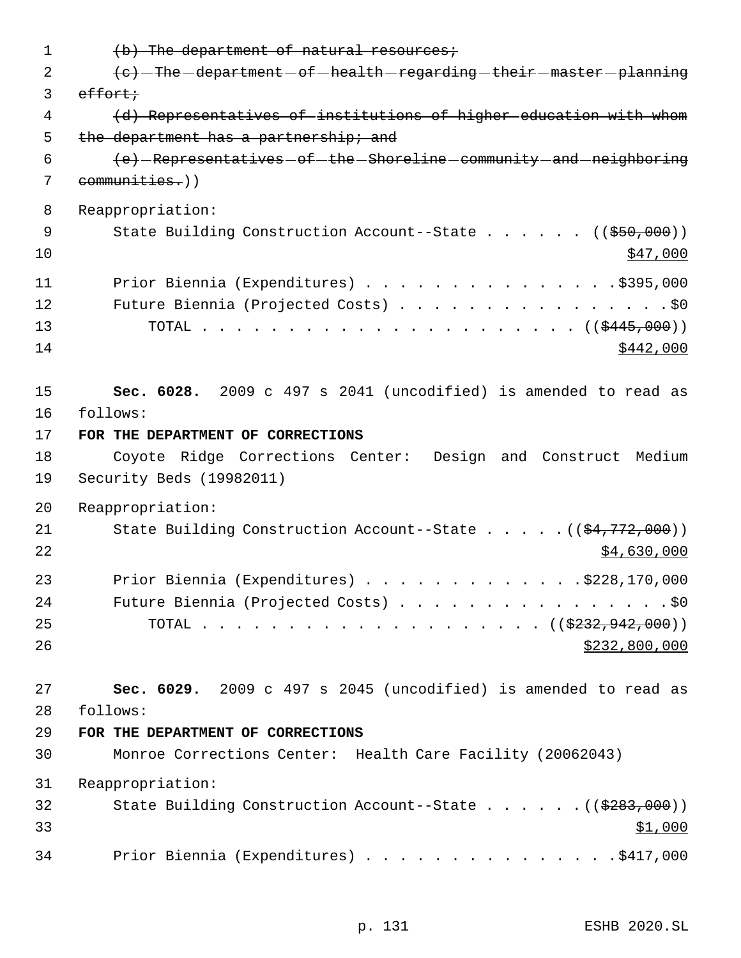| $\mathbf 1$ | (b) The department of natural resources;                                                 |
|-------------|------------------------------------------------------------------------------------------|
| 2           | (e) -The -department - of -health - regarding - their - master - planning                |
| 3           | effort;                                                                                  |
| 4           | (d) Representatives of institutions of higher education with whom                        |
| 5           | the department has a partnership; and                                                    |
| 6           | (e) -Representatives - of - the - Shoreline - community - and - neighboring              |
| 7           | communities.))                                                                           |
| 8           | Reappropriation:                                                                         |
| 9           | State Building Construction Account--State ( $(\frac{250}{100})$ )                       |
| 10          | \$47,000                                                                                 |
| 11          | Prior Biennia (Expenditures) \$395,000                                                   |
| 12          | Future Biennia (Projected Costs) \$0                                                     |
| 13          |                                                                                          |
| 14          | \$442,000                                                                                |
|             |                                                                                          |
| 15          | Sec. 6028. 2009 c 497 s 2041 (uncodified) is amended to read as                          |
| 16          | follows:                                                                                 |
| 17          | FOR THE DEPARTMENT OF CORRECTIONS                                                        |
| 18          | Coyote Ridge Corrections Center: Design and Construct Medium                             |
| 19          | Security Beds (19982011)                                                                 |
| 20          | Reappropriation:                                                                         |
| 21          | State Building Construction Account--State $((\frac{24,772,000}{$                        |
| 22          | \$4,630,000                                                                              |
| 23          | Prior Biennia (Expenditures) \$228,170,000                                               |
| 24          |                                                                                          |
| 25          | $\cdots$ $\cdots$ $\cdots$ $\cdots$ $\cdots$ $\cdots$ $\frac{1}{2322,942,000)}$<br>TOTAL |
| 26          | \$232,800,000                                                                            |
|             |                                                                                          |
| 27          | Sec. 6029. 2009 c 497 s 2045 (uncodified) is amended to read as                          |
| 28          | follows:                                                                                 |
| 29          | FOR THE DEPARTMENT OF CORRECTIONS                                                        |
| 30          | Monroe Corrections Center: Health Care Facility (20062043)                               |
| 31          | Reappropriation:                                                                         |
| 32          | State Building Construction Account--State ((\$283,000))                                 |
| 33          | \$1,000                                                                                  |
| 34          | Prior Biennia (Expenditures) \$417,000                                                   |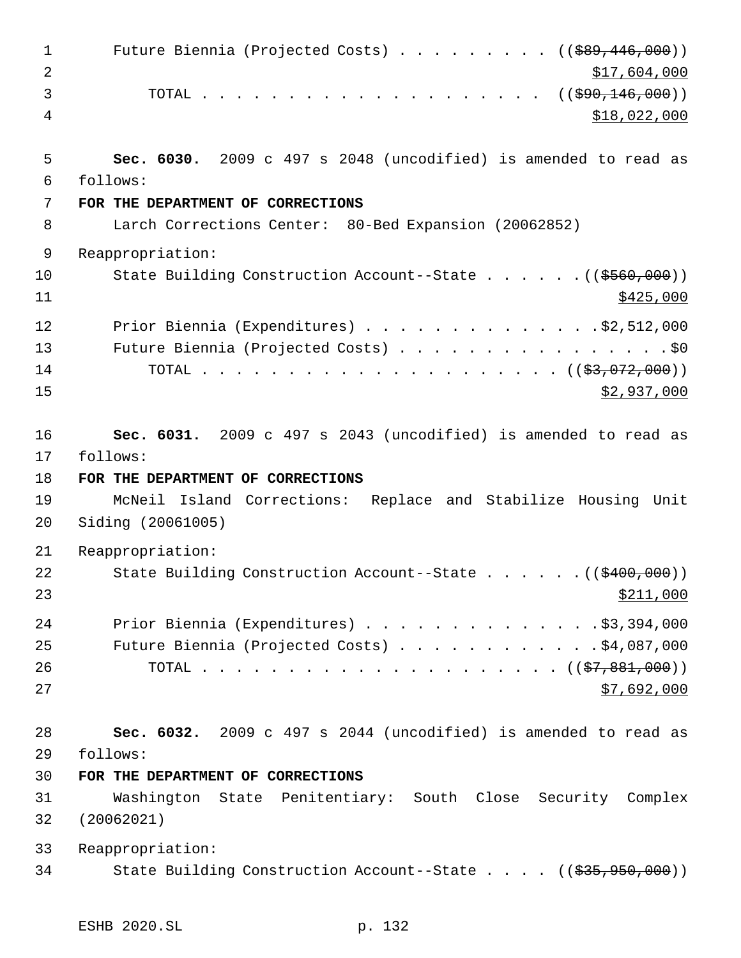| $\mathbf 1$<br>$\overline{2}$ | Future Biennia (Projected Costs) $($ $($ $\frac{1}{6}89, 446, 000) )$<br>\$17,604,000 |
|-------------------------------|---------------------------------------------------------------------------------------|
| 3                             | TOTAL ( $(\frac{290}{146}, \frac{146}{000}))$                                         |
| 4                             | \$18,022,000                                                                          |
| 5<br>6                        | Sec. 6030. 2009 c 497 s 2048 (uncodified) is amended to read as<br>follows:           |
| 7                             | FOR THE DEPARTMENT OF CORRECTIONS                                                     |
| 8                             | Larch Corrections Center: 80-Bed Expansion (20062852)                                 |
| 9                             | Reappropriation:                                                                      |
| 10<br>11                      | State Building Construction Account--State ((\$560,000))<br>\$425,000                 |
| 12                            | Prior Biennia (Expenditures) \$2,512,000                                              |
| 13                            | Future Biennia (Projected Costs) \$0                                                  |
| 14                            |                                                                                       |
| 15                            | \$2,937,000                                                                           |
| 16                            | Sec. 6031. 2009 c 497 s 2043 (uncodified) is amended to read as                       |
| 17                            | follows:                                                                              |
| 18                            | FOR THE DEPARTMENT OF CORRECTIONS                                                     |
| 19<br>20                      | McNeil Island Corrections: Replace and Stabilize Housing Unit<br>Siding (20061005)    |
| 21                            | Reappropriation:                                                                      |
| 22<br>23                      | State Building Construction Account--State $($ $($ $\frac{400}{100})$<br>\$211,000    |
| 24                            | Prior Biennia (Expenditures) \$3,394,000                                              |
| 25                            | Future Biennia (Projected Costs) \$4,087,000                                          |
| 26                            |                                                                                       |
| 27                            | \$7,692,000                                                                           |
| 28                            | Sec. 6032. 2009 c 497 s 2044 (uncodified) is amended to read as                       |
| 29                            | follows:                                                                              |
| 30                            | FOR THE DEPARTMENT OF CORRECTIONS                                                     |
| 31                            | Washington State Penitentiary: South Close Security Complex                           |
| 32                            | (20062021)                                                                            |
| 33                            | Reappropriation:                                                                      |
| 34                            | State Building Construction Account--State $((\frac{235}{735}, \frac{950}{900}))$     |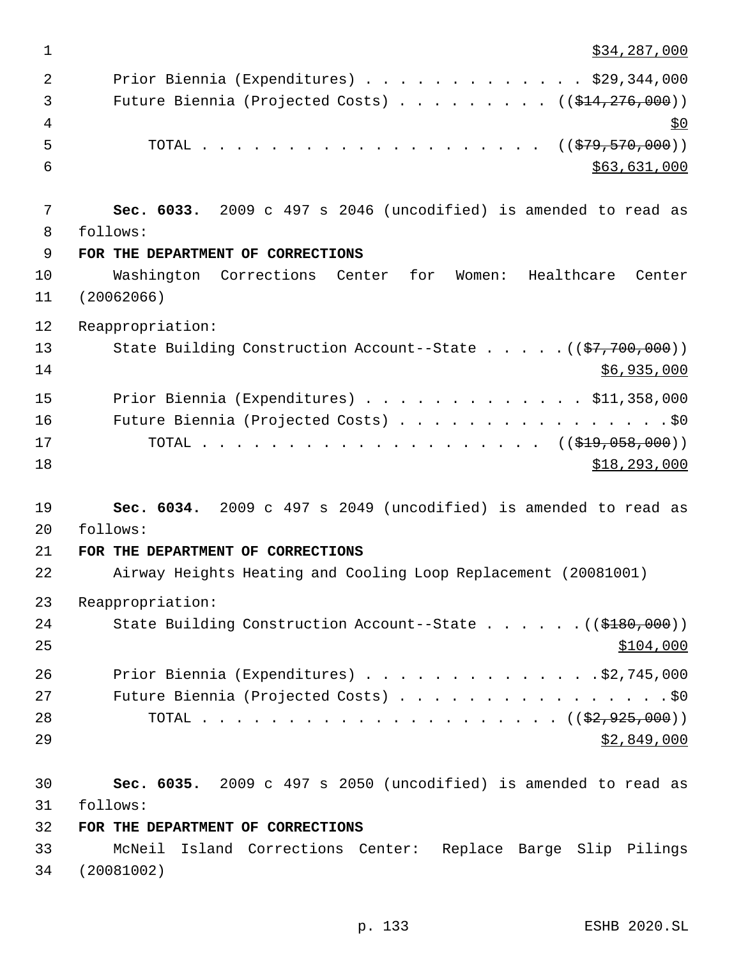$\frac{1}{2}34,287,000$  Prior Biennia (Expenditures) . . . . . . . . . . . . . \$29,344,000 3 Future Biennia (Projected Costs) . . . . . . . . ((\$14,276,000))  $\frac{1}{2}$   $\frac{1}{2}$   $\frac{1}{2}$   $\frac{1}{2}$   $\frac{1}{2}$   $\frac{1}{2}$   $\frac{1}{2}$   $\frac{1}{2}$   $\frac{1}{2}$   $\frac{1}{2}$   $\frac{1}{2}$   $\frac{1}{2}$   $\frac{1}{2}$   $\frac{1}{2}$   $\frac{1}{2}$   $\frac{1}{2}$   $\frac{1}{2}$   $\frac{1}{2}$   $\frac{1}{2}$   $\frac{1}{2}$   $\frac{1}{2}$   $\frac{1}{2}$  5 TOTAL . . . . . . . . . . . . . . . . . . ((\$79,570,000))  $\frac{1}{563,631,000}$  **Sec. 6033.** 2009 c 497 s 2046 (uncodified) is amended to read as follows: **FOR THE DEPARTMENT OF CORRECTIONS** Washington Corrections Center for Women: Healthcare Center (20062066) Reappropriation: 13 State Building Construction Account--State . . . . . ((\$7,700,000)) \$6,935,000 Prior Biennia (Expenditures) . . . . . . . . . . . . . \$11,358,000 Future Biennia (Projected Costs) . . . . . . . . . . . . . . . . \$0 17 TOTAL . . . . . . . . . . . . . . . . . . ((<del>\$19,058,000</del>))  $\frac{$18,293,000}{2}$  **Sec. 6034.** 2009 c 497 s 2049 (uncodified) is amended to read as follows: **FOR THE DEPARTMENT OF CORRECTIONS** Airway Heights Heating and Cooling Loop Replacement (20081001) Reappropriation: 24 State Building Construction Account--State . . . . . . ((\$180,000))  $\frac{$104,000}{.}$  Prior Biennia (Expenditures) . . . . . . . . . . . . . .\$2,745,000 27 Future Biennia (Projected Costs) . . . . . . . . . . . . . . . . \$0 TOTAL . . . . . . . . . . . . . . . . . . . . . ((\$2,925,000)) \$2,849,000 **Sec. 6035.** 2009 c 497 s 2050 (uncodified) is amended to read as follows: **FOR THE DEPARTMENT OF CORRECTIONS** McNeil Island Corrections Center: Replace Barge Slip Pilings (20081002)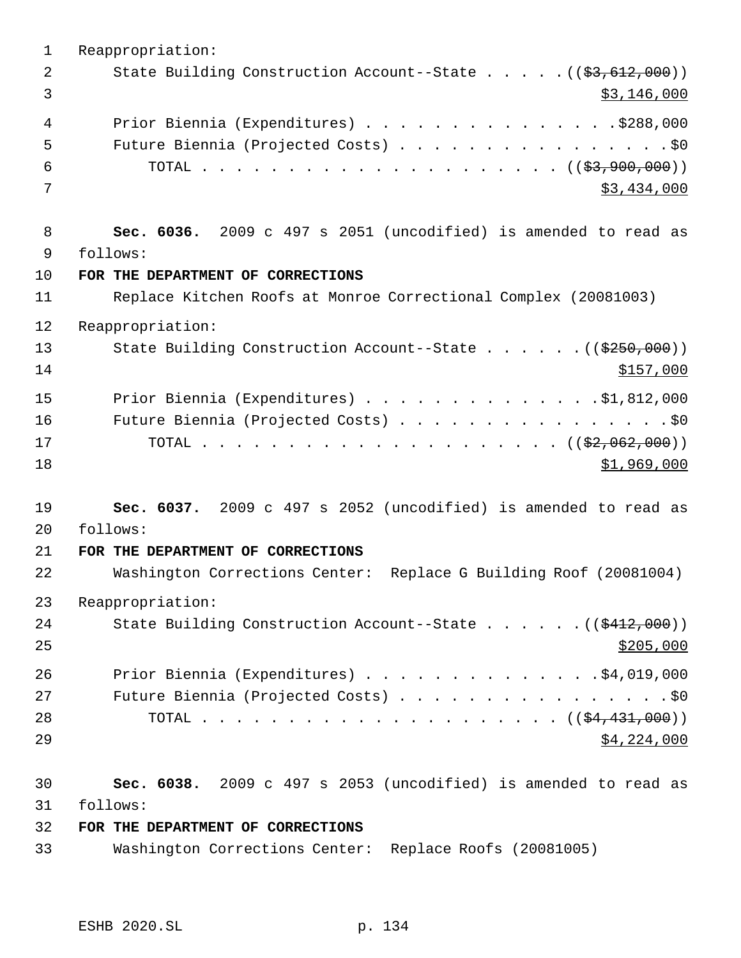Reappropriation: 2 State Building Construction Account--State . . . . . ((\$3,612,000))  $\frac{1}{3}$  3 Prior Biennia (Expenditures) . . . . . . . . . . . . . . .\$288,000 Future Biennia (Projected Costs) . . . . . . . . . . . . . . . . \$0 TOTAL . . . . . . . . . . . . . . . . . . . . . ((\$3,900,000))  $3,434,000$  **Sec. 6036.** 2009 c 497 s 2051 (uncodified) is amended to read as follows: **FOR THE DEPARTMENT OF CORRECTIONS** Replace Kitchen Roofs at Monroe Correctional Complex (20081003) Reappropriation: 13 State Building Construction Account--State . . . . . . ((\$250,000)) \$157,000 Prior Biennia (Expenditures) . . . . . . . . . . . . . .\$1,812,000 Future Biennia (Projected Costs) . . . . . . . . . . . . . . . . \$0 TOTAL . . . . . . . . . . . . . . . . . . . . . ((\$2,062,000)) \$1,969,000 **Sec. 6037.** 2009 c 497 s 2052 (uncodified) is amended to read as follows: **FOR THE DEPARTMENT OF CORRECTIONS** Washington Corrections Center: Replace G Building Roof (20081004) Reappropriation: 24 State Building Construction Account--State . . . . . . ((\$412,000)) Prior Biennia (Expenditures) . . . . . . . . . . . . . .\$4,019,000 27 Future Biennia (Projected Costs) . . . . . . . . . . . . . . . . \$0 TOTAL . . . . . . . . . . . . . . . . . . . . . ((\$4,431,000))  $$4,224,000$  **Sec. 6038.** 2009 c 497 s 2053 (uncodified) is amended to read as follows: **FOR THE DEPARTMENT OF CORRECTIONS** Washington Corrections Center: Replace Roofs (20081005)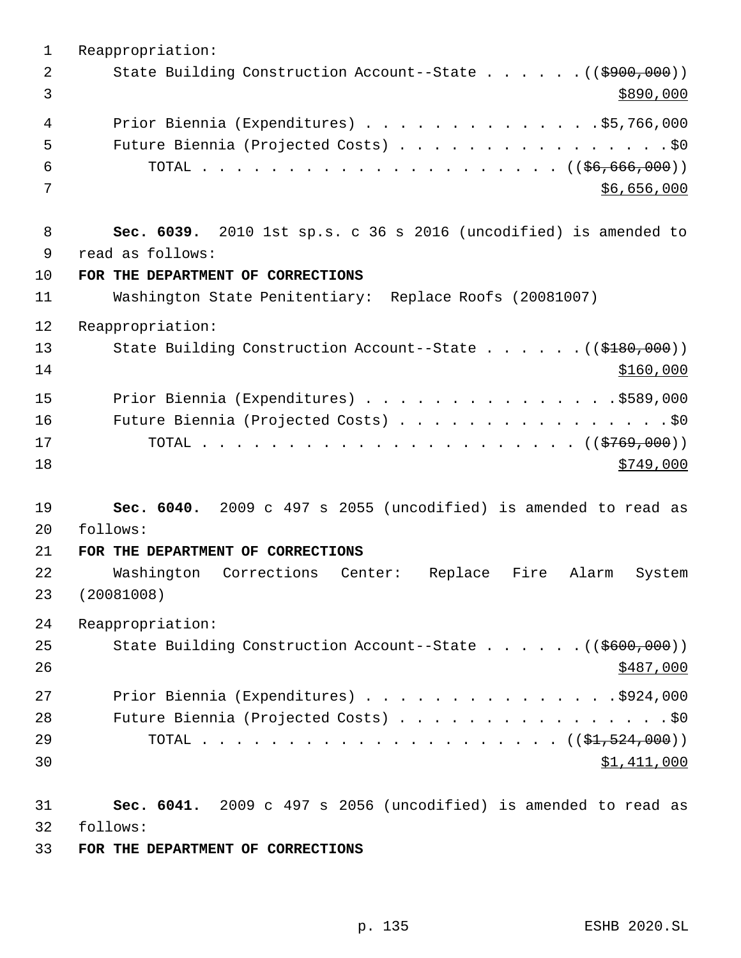Reappropriation: 2 State Building Construction Account--State . . . . . . ((\$900,000))  $\frac{$890,000}{ }$  Prior Biennia (Expenditures) . . . . . . . . . . . . . .\$5,766,000 Future Biennia (Projected Costs) . . . . . . . . . . . . . . . . \$0 TOTAL . . . . . . . . . . . . . . . . . . . . . ((\$6,666,000))  $86,656,000$  **Sec. 6039.** 2010 1st sp.s. c 36 s 2016 (uncodified) is amended to read as follows: **FOR THE DEPARTMENT OF CORRECTIONS** Washington State Penitentiary: Replace Roofs (20081007) Reappropriation: 13 State Building Construction Account--State . . . . . . ((\$180,000)) \$160,000 15 Prior Biennia (Expenditures) . . . . . . . . . . . . . . . \$589,000 Future Biennia (Projected Costs) . . . . . . . . . . . . . . . . \$0 TOTAL . . . . . . . . . . . . . . . . . . . . . . ((\$769,000))  $\frac{$749,000}{}$  **Sec. 6040.** 2009 c 497 s 2055 (uncodified) is amended to read as follows: **FOR THE DEPARTMENT OF CORRECTIONS** Washington Corrections Center: Replace Fire Alarm System (20081008) Reappropriation: 25 State Building Construction Account--State . . . . . . ((\$600,000)) 27 Prior Biennia (Expenditures) . . . . . . . . . . . . . . . \$924,000 28 Future Biennia (Projected Costs) . . . . . . . . . . . . . . . . \$0 TOTAL . . . . . . . . . . . . . . . . . . . . . ((\$1,524,000)) \$1,411,000 **Sec. 6041.** 2009 c 497 s 2056 (uncodified) is amended to read as follows:

**FOR THE DEPARTMENT OF CORRECTIONS**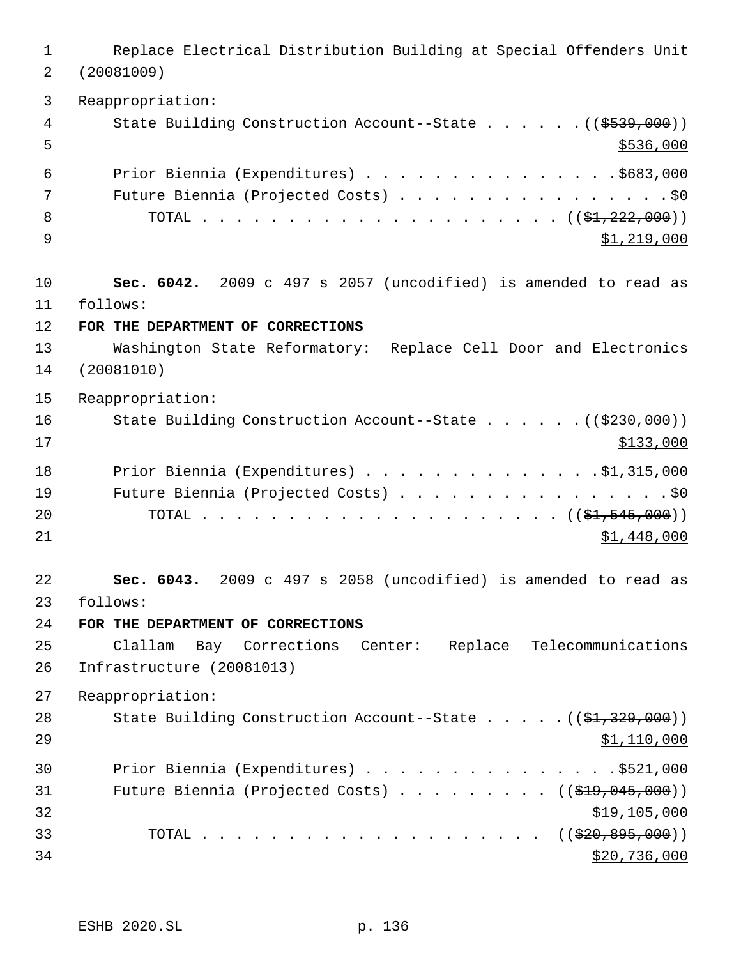Replace Electrical Distribution Building at Special Offenders Unit (20081009) Reappropriation: 4 State Building Construction Account--State . . . . . . ((\$539,000))  $5 - 5$  Prior Biennia (Expenditures) . . . . . . . . . . . . . . .\$683,000 7 Future Biennia (Projected Costs) . . . . . . . . . . . . . . . . \$0 TOTAL . . . . . . . . . . . . . . . . . . . . . ((\$1,222,000))  $\frac{1}{2}$   $\frac{1}{219,000}$  **Sec. 6042.** 2009 c 497 s 2057 (uncodified) is amended to read as follows: **FOR THE DEPARTMENT OF CORRECTIONS** Washington State Reformatory: Replace Cell Door and Electronics (20081010) Reappropriation: 16 State Building Construction Account--State . . . . . . ((\$230,000)) \$133,000 Prior Biennia (Expenditures) . . . . . . . . . . . . . .\$1,315,000 19 Future Biennia (Projected Costs) . . . . . . . . . . . . . . . . \$0 TOTAL . . . . . . . . . . . . . . . . . . . . . ((\$1,545,000))  $\frac{$1,448,000}{ }$  **Sec. 6043.** 2009 c 497 s 2058 (uncodified) is amended to read as follows: **FOR THE DEPARTMENT OF CORRECTIONS** Clallam Bay Corrections Center: Replace Telecommunications Infrastructure (20081013) Reappropriation: 28 State Building Construction Account--State . . . . . ((\$1,329,000))  $\frac{$1,110,000}{9}$  Prior Biennia (Expenditures) . . . . . . . . . . . . . . .\$521,000 31 Future Biennia (Projected Costs) . . . . . . . . . ((\$19,045,000)) \$19,105,000 33 TOTAL . . . . . . . . . . . . . . . . . . ((<del>\$20,895,000</del>))  $$20,736,000$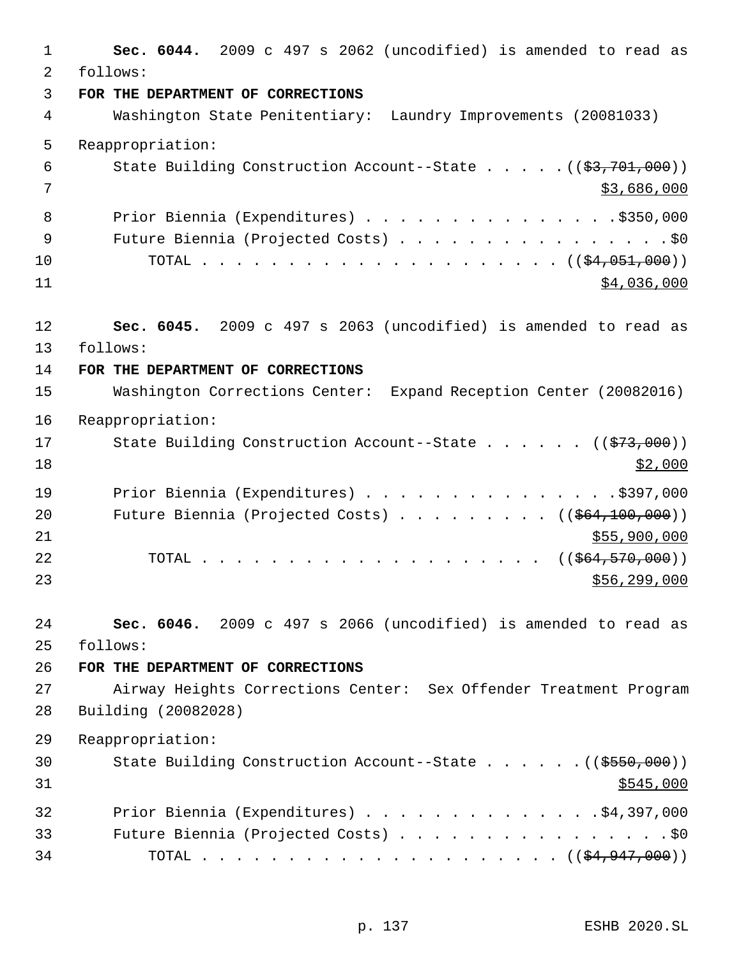| 1        | Sec. 6044. 2009 c 497 s 2062 (uncodified) is amended to read as                                                       |
|----------|-----------------------------------------------------------------------------------------------------------------------|
| 2        | follows:                                                                                                              |
| 3        | FOR THE DEPARTMENT OF CORRECTIONS                                                                                     |
| 4        | Washington State Penitentiary: Laundry Improvements (20081033)                                                        |
| 5        | Reappropriation:                                                                                                      |
| 6        | State Building Construction Account--State $($ $($ \$3,701,000) $)$                                                   |
| 7        | \$3,686,000                                                                                                           |
| 8        | Prior Biennia (Expenditures) \$350,000                                                                                |
| 9        | Future Biennia (Projected Costs) \$0                                                                                  |
| 10       |                                                                                                                       |
| 11       | \$4,036,000                                                                                                           |
|          |                                                                                                                       |
| 12       | Sec. 6045. 2009 c 497 s 2063 (uncodified) is amended to read as                                                       |
| 13<br>14 | follows:<br>FOR THE DEPARTMENT OF CORRECTIONS                                                                         |
| 15       | Washington Corrections Center: Expand Reception Center (20082016)                                                     |
|          |                                                                                                                       |
| 16       | Reappropriation:                                                                                                      |
| 17       | State Building Construction Account--State ( $(\frac{273}{100})$ )                                                    |
| 18       | \$2,000                                                                                                               |
| 19       | Prior Biennia (Expenditures) \$397,000                                                                                |
| 20       | Future Biennia (Projected Costs) ( $(\frac{264,100,000}{2})$                                                          |
| 21       | \$55,900,000                                                                                                          |
| 22       | ((\$64,570,000))<br>TOTAL<br>$\mathbf{r}$ , and $\mathbf{r}$ , and $\mathbf{r}$ , and $\mathbf{r}$ , and $\mathbf{r}$ |
| 23       | \$56, 299, 000                                                                                                        |
| 24       | Sec. 6046. 2009 c 497 s 2066 (uncodified) is amended to read as                                                       |
| 25       | follows:                                                                                                              |
| 26       | FOR THE DEPARTMENT OF CORRECTIONS                                                                                     |
| 27       | Airway Heights Corrections Center: Sex Offender Treatment Program                                                     |
| 28       | Building (20082028)                                                                                                   |
| 29       | Reappropriation:                                                                                                      |
| 30       | State Building Construction Account--State $($ $($ \$550,000) $)$                                                     |
| 31       | \$545,000                                                                                                             |
| 32       | Prior Biennia (Expenditures) \$4,397,000                                                                              |
| 33       | Future Biennia (Projected Costs) \$0                                                                                  |
| 34       |                                                                                                                       |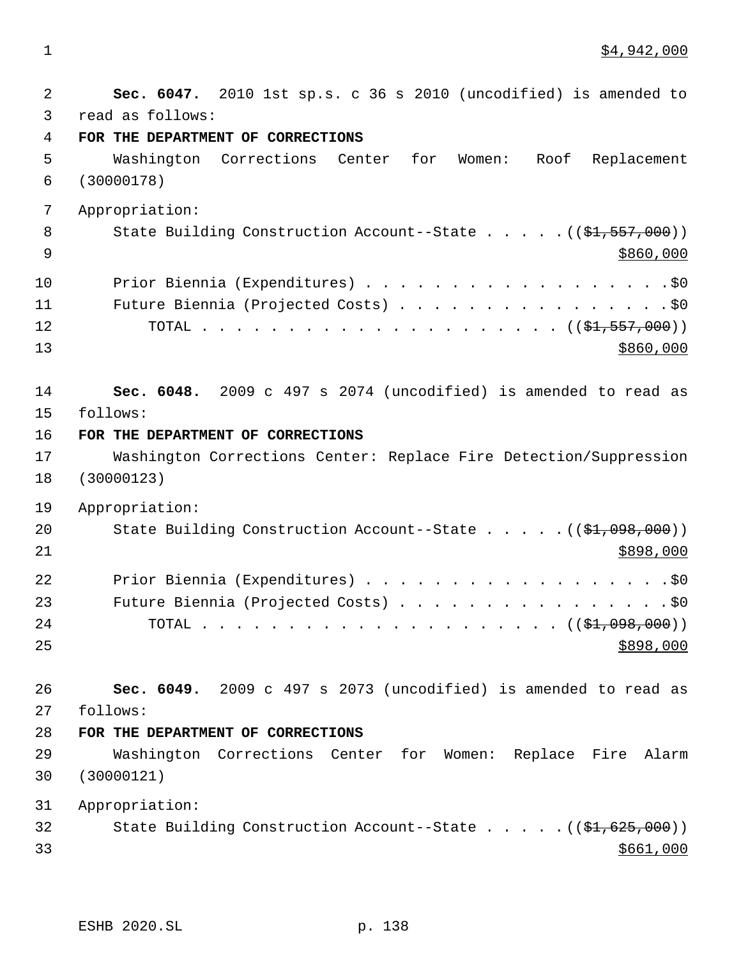1 \$4,942,000

| $\overline{a}$ | Sec. 6047. 2010 1st sp.s. c 36 s 2010 (uncodified) is amended to                |
|----------------|---------------------------------------------------------------------------------|
| 3              | read as follows:                                                                |
| 4              | FOR THE DEPARTMENT OF CORRECTIONS                                               |
| 5              | Washington Corrections Center<br>for<br>Women: Roof<br>Replacement              |
| 6              | (30000178)                                                                      |
| 7              | Appropriation:                                                                  |
| 8              | State Building Construction Account--State $((\frac{21}{51}, \frac{557}{500}))$ |
| $\overline{9}$ | \$860,000                                                                       |
| 10             | Prior Biennia (Expenditures) \$0                                                |
| 11             | Future Biennia (Projected Costs) \$0                                            |
| 12             |                                                                                 |
| 13             | \$860,000                                                                       |
| 14             | Sec. 6048. 2009 c 497 s 2074 (uncodified) is amended to read as                 |
| 15             | follows:                                                                        |
| 16             | FOR THE DEPARTMENT OF CORRECTIONS                                               |
| 17             | Washington Corrections Center: Replace Fire Detection/Suppression               |
| 18             | (30000123)                                                                      |
| 19             | Appropriation:                                                                  |
| 20             | State Building Construction Account--State $($ $($ \$1,098,000) $)$             |
| 21             | \$898,000                                                                       |
| 22             | Prior Biennia (Expenditures) \$0                                                |
| 23             | Future Biennia (Projected Costs) \$0                                            |
| 24             |                                                                                 |
| 25             | \$898,000                                                                       |
| 26             | Sec. 6049. 2009 c 497 s 2073 (uncodified) is amended to read as                 |
| 27             | follows:                                                                        |
| 28             | FOR THE DEPARTMENT OF CORRECTIONS                                               |
| 29             | Washington Corrections Center for Women: Replace Fire Alarm                     |
| 30             | (30000121)                                                                      |
| 31             | Appropriation:                                                                  |
| 32             | State Building Construction Account--State $((\frac{21}{61}, 625, 000))$        |
| 33             | \$661,000                                                                       |
|                |                                                                                 |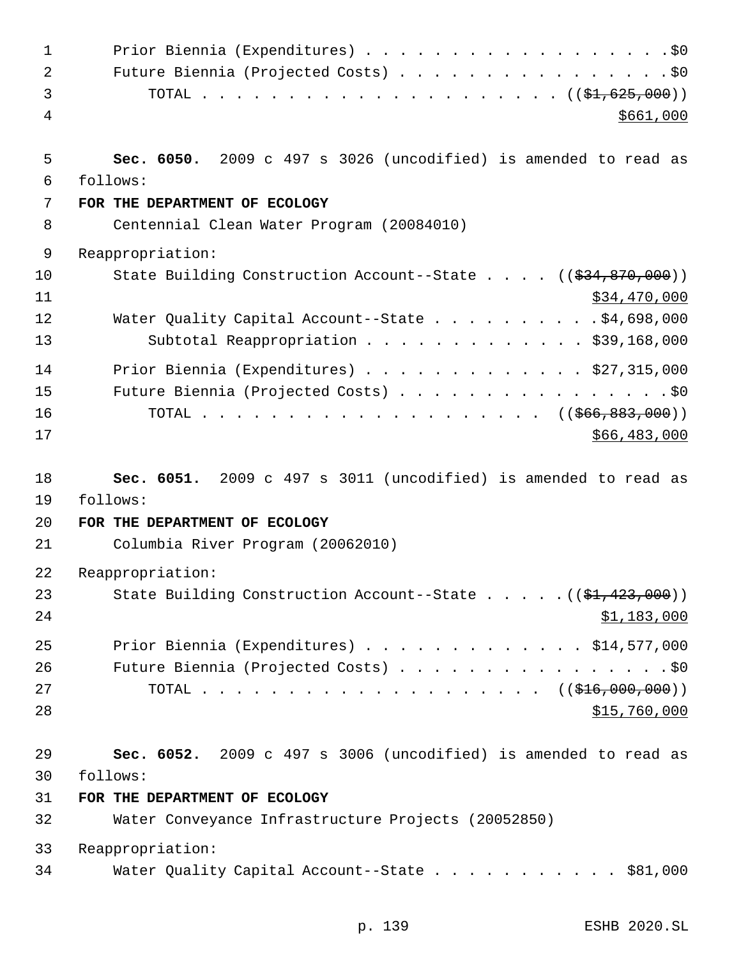| 1                    |                                                                                                                                                              |
|----------------------|--------------------------------------------------------------------------------------------------------------------------------------------------------------|
| 2                    | Future Biennia (Projected Costs) \$0                                                                                                                         |
| 3                    |                                                                                                                                                              |
| 4                    | \$661,000                                                                                                                                                    |
| 5                    | Sec. 6050. 2009 c 497 s 3026 (uncodified) is amended to read as                                                                                              |
| 6                    | follows:                                                                                                                                                     |
| 7                    | FOR THE DEPARTMENT OF ECOLOGY                                                                                                                                |
| 8                    | Centennial Clean Water Program (20084010)                                                                                                                    |
| 9                    | Reappropriation:                                                                                                                                             |
| 10<br>11             | State Building Construction Account--State $($ $($ $\frac{234}{834}, \frac{870}{100})$<br>\$34,470,000                                                       |
| 12<br>13             | Water Quality Capital Account--State \$4,698,000<br>Subtotal Reappropriation \$39,168,000                                                                    |
| 14<br>15<br>16<br>17 | Prior Biennia (Expenditures) $\ldots$ \$27,315,000<br>Future Biennia (Projected Costs) \$0<br>TOTAL ( $(\frac{666}{683}, \frac{883}{600})$ )<br>\$66,483,000 |
| 18<br>19             | Sec. 6051. 2009 c 497 s 3011 (uncodified) is amended to read as<br>follows:                                                                                  |
| 20                   | FOR THE DEPARTMENT OF ECOLOGY                                                                                                                                |
| 21                   | Columbia River Program (20062010)                                                                                                                            |
| 22                   | Reappropriation:                                                                                                                                             |
| 23<br>24             | State Building Construction Account--State $($ $($ \$1,423,000) $)$<br>\$1,183,000                                                                           |
| 25<br>26<br>27<br>28 | Prior Biennia (Expenditures) $\ldots$ \$14,577,000<br>Future Biennia (Projected Costs) \$0<br>TOTAL ( $(\frac{216}{100}, 000, 000)$ )<br>\$15,760,000        |
| 29<br>30<br>31       | Sec. 6052. 2009 c 497 s 3006 (uncodified) is amended to read as<br>follows:<br>FOR THE DEPARTMENT OF ECOLOGY                                                 |
|                      |                                                                                                                                                              |
| 32                   | Water Conveyance Infrastructure Projects (20052850)                                                                                                          |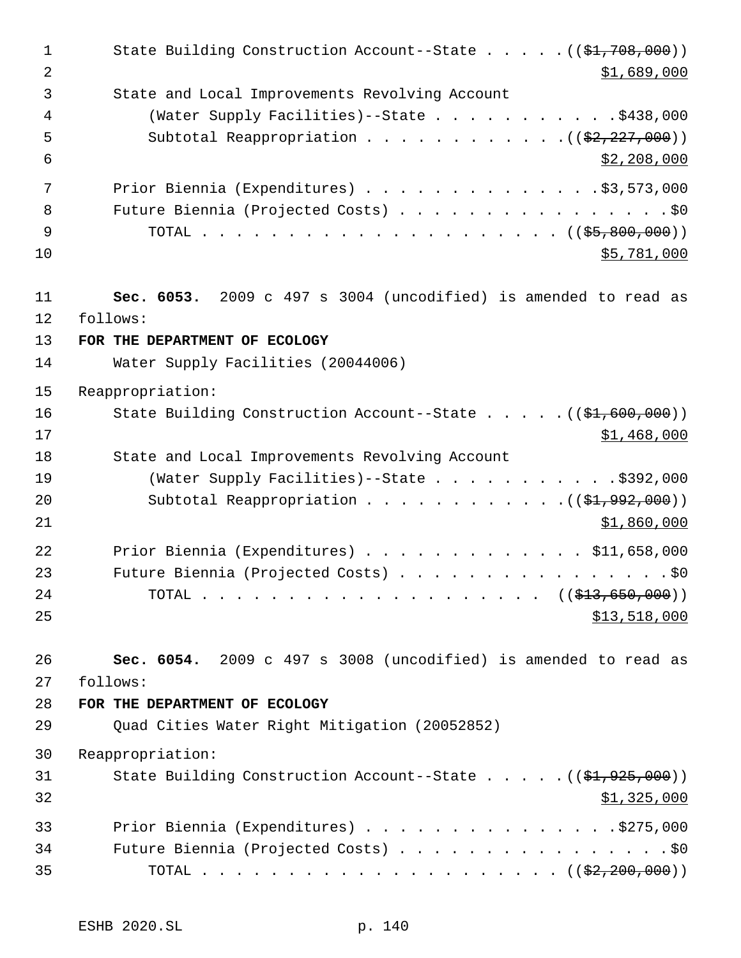1 State Building Construction Account--State . . . . . ((\$1,708,000))  $\text{51,689,000}$  State and Local Improvements Revolving Account (Water Supply Facilities)--State . . . . . . . . . . .\$438,000 5 Subtotal Reappropriation . . . . . . . . . . . . ((\$2,227,000))  $\frac{1}{52}$ , 208,000 7 Prior Biennia (Expenditures) . . . . . . . . . . . . . \$3,573,000 8 Future Biennia (Projected Costs) . . . . . . . . . . . . . . . . \$0 TOTAL . . . . . . . . . . . . . . . . . . . . . ((\$5,800,000)) \$5,781,000 **Sec. 6053.** 2009 c 497 s 3004 (uncodified) is amended to read as follows: **FOR THE DEPARTMENT OF ECOLOGY** Water Supply Facilities (20044006) Reappropriation: 16 State Building Construction Account--State . . . . . ((\$1,600,000)) \$1,468,000 State and Local Improvements Revolving Account 19 (Water Supply Facilities) -- State . . . . . . . . . . . \$392,000 Subtotal Reappropriation . . . . . . . . . . . .((\$1,992,000)) \$1,860,000 Prior Biennia (Expenditures) . . . . . . . . . . . . . \$11,658,000 Future Biennia (Projected Costs) . . . . . . . . . . . . . . . . \$0 24 TOTAL . . . . . . . . . . . . . . . . . . ((<del>\$13,650,000</del>)) \$13,518,000 **Sec. 6054.** 2009 c 497 s 3008 (uncodified) is amended to read as follows: **FOR THE DEPARTMENT OF ECOLOGY** Quad Cities Water Right Mitigation (20052852) Reappropriation: 31 State Building Construction Account--State . . . . . ((\$1,925,000)) 32 \$1,325,000 Prior Biennia (Expenditures) . . . . . . . . . . . . . . .\$275,000 34 Future Biennia (Projected Costs) . . . . . . . . . . . . . . . . \$0 TOTAL . . . . . . . . . . . . . . . . . . . . . ((\$2,200,000))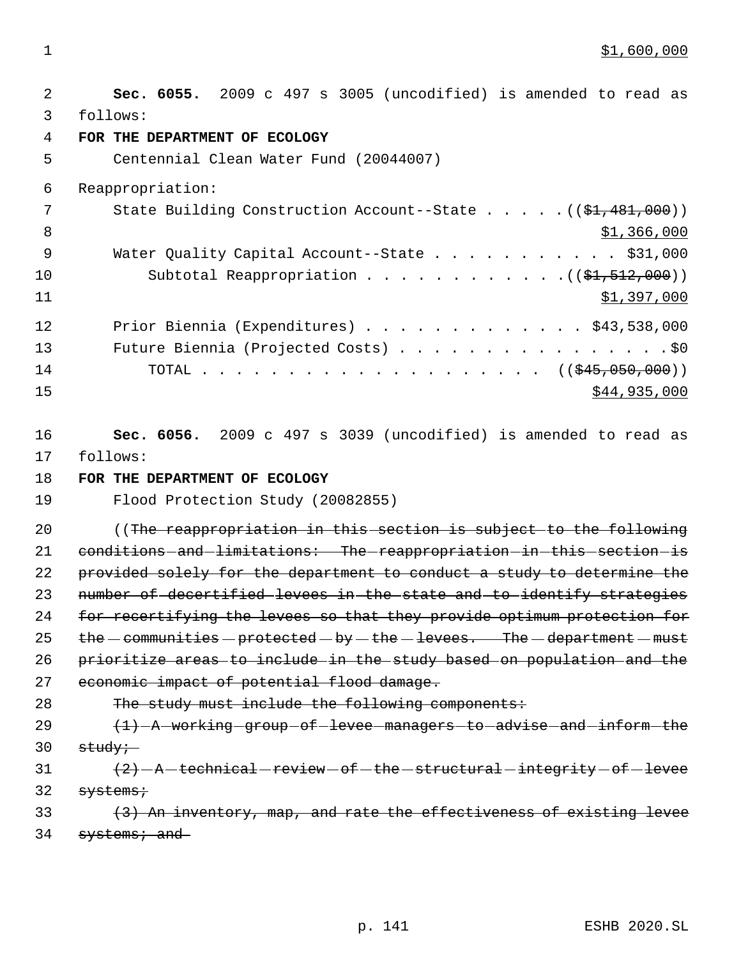$1 \quad$  \$1,600,000

 2 **Sec. 6055.** 2009 c 497 s 3005 (uncodified) is amended to read as 3 follows: 4 **FOR THE DEPARTMENT OF ECOLOGY** 5 Centennial Clean Water Fund (20044007) 6 Reappropriation: 7 State Building Construction Account--State . . . . . ((\$1,481,000)) 8  $\frac{1}{366,000}$ 9 Water Quality Capital Account--State . . . . . . . . . . \$31,000 10 Subtotal Reappropriation . . . . . . . . . . . . . . ((\$1,512,000))  $11$   $\frac{$1,397,000}{1}$ 12 Prior Biennia (Expenditures) . . . . . . . . . . . . . \$43,538,000 13 Future Biennia (Projected Costs) . . . . . . . . . . . . . . . . \$0 14 TOTAL . . . . . . . . . . . . . . . . . . ((\$45,050,000))  $15$  \$44,935,000 16 **Sec. 6056.** 2009 c 497 s 3039 (uncodified) is amended to read as 17 follows: 18 **FOR THE DEPARTMENT OF ECOLOGY** 19 Flood Protection Study (20082855) 20 (The reappropriation in this section is subject to the following 21 conditions and limitations: The reappropriation in this section is 22 provided solely for the department to conduct a study to determine the 23 number of decertified levees in the state and to identify strategies 24 for recertifying the levees so that they provide optimum protection for 25  $the$  - communities - protected - by - the - levees. The - department - must 26 prioritize areas to include in the study based on population and the 27 economic impact of potential flood damage. 28 The study must include the following components: 29  $(1)$  -A working group of levee managers to advise and inform the  $30$  study;  $(2) - A - \text{technical}-\text{review}-\text{of}-\text{the}-\text{structural}-\text{integrity}-\text{of}-\text{levec}$  $32$  systems; 33 (3) An inventory, map, and rate the effectiveness of existing levee 34 systems; and

p. 141 ESHB 2020.SL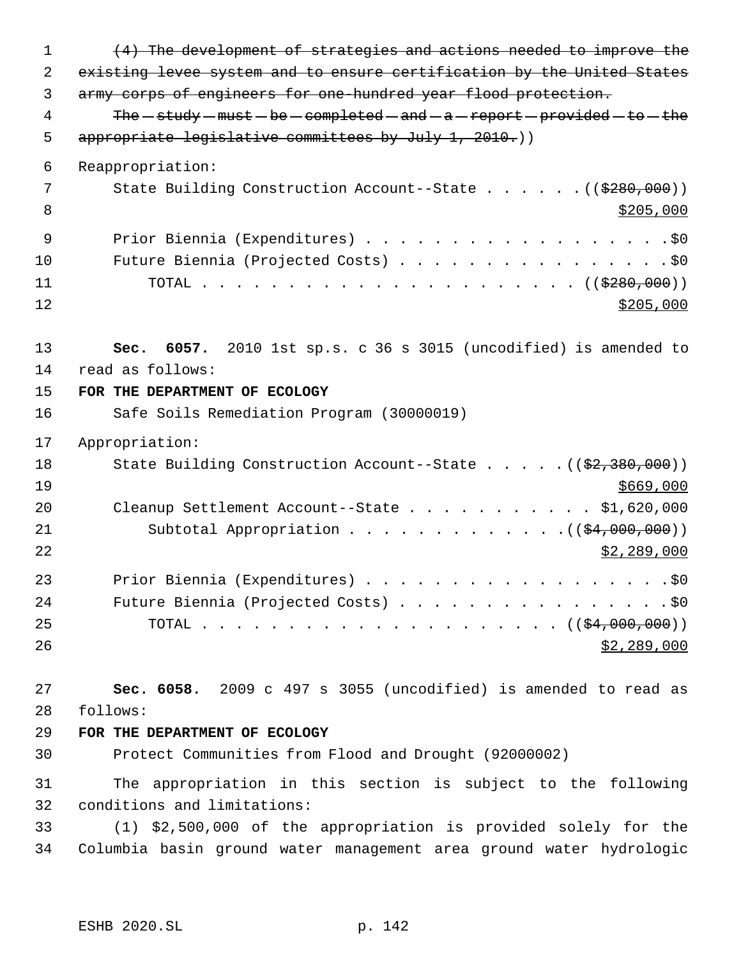| $\mathbf{1}$ | (4) The development of strategies and actions needed to improve the                             |
|--------------|-------------------------------------------------------------------------------------------------|
| 2            | existing levee system and to ensure certification by the United States                          |
| 3            | army corps of engineers for one hundred year flood protection.                                  |
| 4            | The $-$ study $-$ must $-$ be $-$ completed $-$ and $-a$ $-$ report $-$ provided $-$ to $-$ the |
| 5            | appropriate legislative committees by July 1, 2010.))                                           |
| 6            | Reappropriation:                                                                                |
| 7            | State Building Construction Account--State ( $(\frac{280}{100})$ )                              |
| 8            | \$205,000                                                                                       |
| 9            | Prior Biennia (Expenditures) \$0                                                                |
| 10           | Future Biennia (Projected Costs) \$0                                                            |
| 11           |                                                                                                 |
| 12           | \$205,000                                                                                       |
| 13           | 6057. 2010 1st sp.s. c 36 s 3015 (uncodified) is amended to<br>Sec.                             |
| 14           | read as follows:                                                                                |
| 15           | FOR THE DEPARTMENT OF ECOLOGY                                                                   |
| 16           | Safe Soils Remediation Program (30000019)                                                       |
| 17           | Appropriation:                                                                                  |
| 18           | State Building Construction Account--State ( $(\frac{2}{7}\cdot 380,000)$ )                     |
| 19           | \$669,000                                                                                       |
| 20           | Cleanup Settlement Account--State \$1,620,000                                                   |
| 21           | Subtotal Appropriation $($ $($ $\frac{24,000,000)}{100,000})$                                   |
| 22           | \$2,289,000                                                                                     |
| 23           |                                                                                                 |
| 24           | Future Biennia (Projected Costs) \$0                                                            |
| 25           |                                                                                                 |
| 26           | \$2,289,000                                                                                     |
| 27           | Sec. 6058. 2009 c 497 s 3055 (uncodified) is amended to read as                                 |
| 28           | follows:                                                                                        |
| 29           | FOR THE DEPARTMENT OF ECOLOGY                                                                   |
| 30           | Protect Communities from Flood and Drought (92000002)                                           |
| 31           | The appropriation in this section is subject to the following                                   |
| 32           | conditions and limitations:                                                                     |
| 33           | (1) \$2,500,000 of the appropriation is provided solely for the                                 |
| 34           | Columbia basin ground water management area ground water hydrologic                             |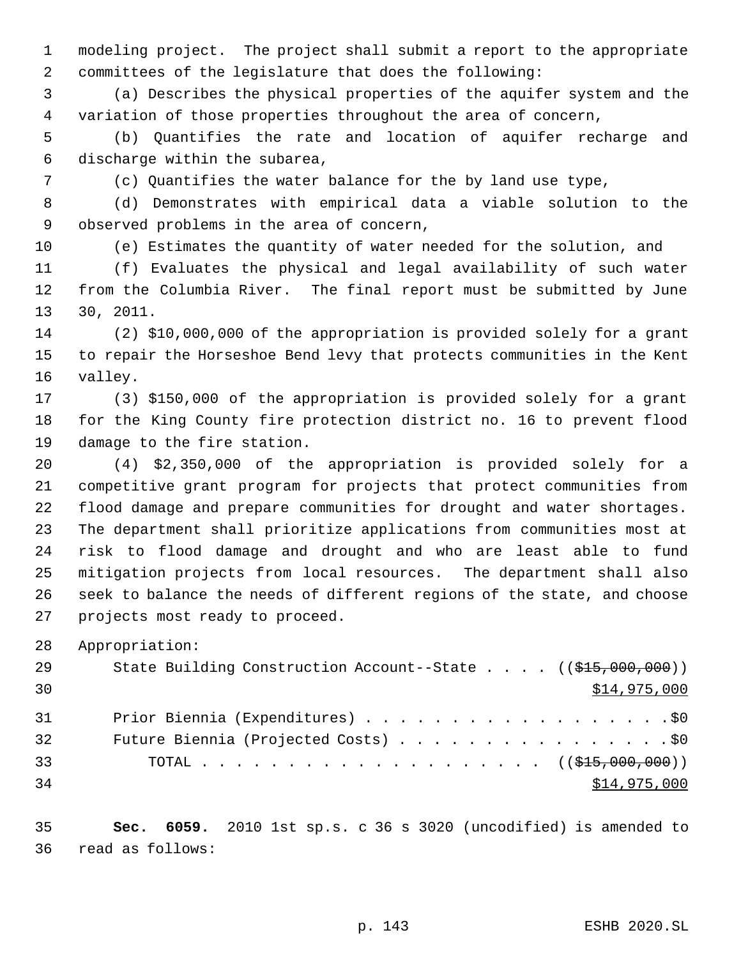modeling project. The project shall submit a report to the appropriate committees of the legislature that does the following:

 (a) Describes the physical properties of the aquifer system and the variation of those properties throughout the area of concern,

 (b) Quantifies the rate and location of aquifer recharge and discharge within the subarea,

(c) Quantifies the water balance for the by land use type,

 (d) Demonstrates with empirical data a viable solution to the observed problems in the area of concern,

(e) Estimates the quantity of water needed for the solution, and

 (f) Evaluates the physical and legal availability of such water from the Columbia River. The final report must be submitted by June 30, 2011.

 (2) \$10,000,000 of the appropriation is provided solely for a grant to repair the Horseshoe Bend levy that protects communities in the Kent valley.

 (3) \$150,000 of the appropriation is provided solely for a grant for the King County fire protection district no. 16 to prevent flood damage to the fire station.

 (4) \$2,350,000 of the appropriation is provided solely for a competitive grant program for projects that protect communities from flood damage and prepare communities for drought and water shortages. The department shall prioritize applications from communities most at risk to flood damage and drought and who are least able to fund mitigation projects from local resources. The department shall also seek to balance the needs of different regions of the state, and choose projects most ready to proceed.

Appropriation:

| 29 | State Building Construction Account--State $((\frac{25}{700}, 000, 000))$ |
|----|---------------------------------------------------------------------------|
| 30 | \$14,975,000                                                              |
| 31 | Prior Biennia (Expenditures) \$0                                          |
| 32 | Future Biennia (Projected Costs) \$0                                      |
| 33 |                                                                           |
| 34 | \$14,975,000                                                              |

 **Sec. 6059.** 2010 1st sp.s. c 36 s 3020 (uncodified) is amended to read as follows: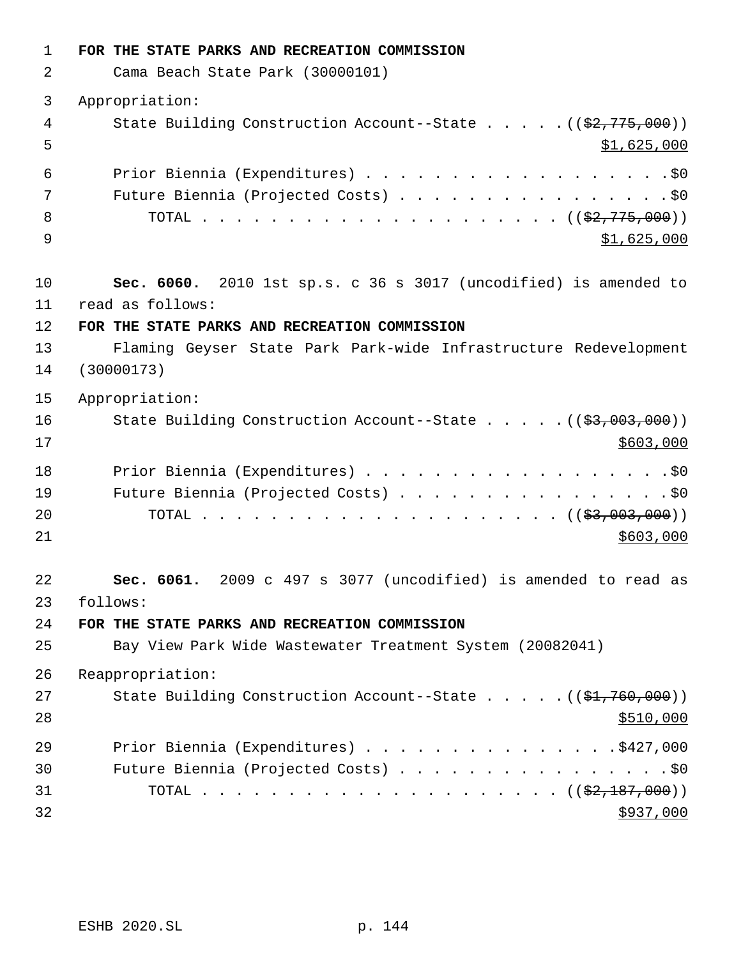| $\mathbf 1$ | FOR THE STATE PARKS AND RECREATION COMMISSION                                      |
|-------------|------------------------------------------------------------------------------------|
| 2           | Cama Beach State Park (30000101)                                                   |
| 3           | Appropriation:                                                                     |
| 4<br>5      | State Building Construction Account--State $($ $($ \$2,775,000) $)$<br>\$1,625,000 |
| 6           |                                                                                    |
| 7           | Future Biennia (Projected Costs) \$0                                               |
| 8<br>9      | \$1,625,000                                                                        |
| 10          | Sec. 6060. 2010 1st sp.s. c 36 s 3017 (uncodified) is amended to                   |
| 11          | read as follows:                                                                   |
| 12          | FOR THE STATE PARKS AND RECREATION COMMISSION                                      |
| 13<br>14    | Flaming Geyser State Park Park-wide Infrastructure Redevelopment<br>(30000173)     |
| 15          | Appropriation:                                                                     |
| 16<br>17    | State Building Construction Account--State ((\$3,003,000))<br>\$603,000            |
| 18          | Prior Biennia (Expenditures) \$0                                                   |
| 19          | Future Biennia (Projected Costs) \$0                                               |
| 20<br>21    | \$603,000                                                                          |
| 22          | 2009 c 497 s 3077 (uncodified) is amended to read as<br>Sec. 6061.                 |
| 23<br>24    | follows:<br>FOR THE STATE PARKS AND RECREATION COMMISSION                          |
| 25          | Bay View Park Wide Wastewater Treatment System (20082041)                          |
| 26          | Reappropriation:                                                                   |
| 27<br>28    | State Building Construction Account--State $((\frac{21}{760}, 000))$<br>\$510,000  |
| 29          | Prior Biennia (Expenditures) \$427,000                                             |
| 30          | Future Biennia (Projected Costs) \$0                                               |
| 31          |                                                                                    |
| 32          | \$937,000                                                                          |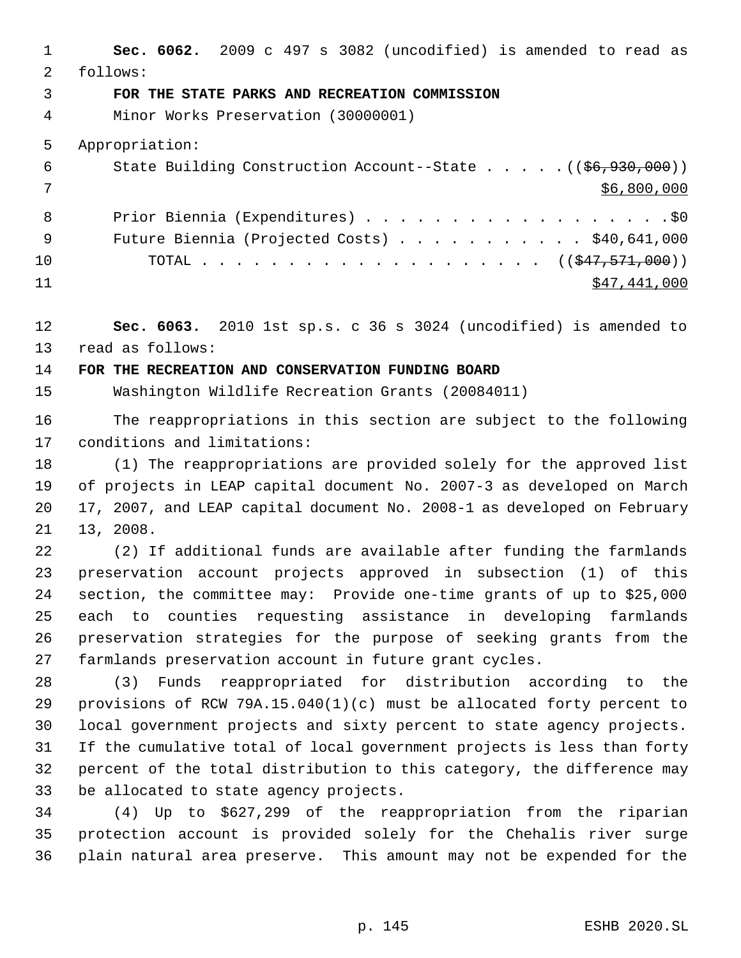**Sec. 6062.** 2009 c 497 s 3082 (uncodified) is amended to read as follows: **FOR THE STATE PARKS AND RECREATION COMMISSION** Minor Works Preservation (30000001) Appropriation: 6 State Building Construction Account--State . . . . . ((\$6,930,000))  $\frac{1}{2}$   $\frac{1}{2}$   $\frac{1}{2}$   $\frac{1}{2}$   $\frac{1}{2}$   $\frac{1}{2}$   $\frac{1}{2}$   $\frac{1}{2}$   $\frac{1}{2}$   $\frac{1}{2}$   $\frac{1}{2}$   $\frac{1}{2}$   $\frac{1}{2}$   $\frac{1}{2}$   $\frac{1}{2}$   $\frac{1}{2}$   $\frac{1}{2}$   $\frac{1}{2}$   $\frac{1}{2}$   $\frac{1}{2}$   $\frac{1}{2}$   $\frac{1}{2$ 8 Prior Biennia (Expenditures) . . . . . . . . . . . . . . . . . . \$0 Future Biennia (Projected Costs) . . . . . . . . . . . \$40,641,000 10 TOTAL . . . . . . . . . . . . . . . . . . ((<del>\$47,571,000</del>)) \$47,441,000 **Sec. 6063.** 2010 1st sp.s. c 36 s 3024 (uncodified) is amended to read as follows: **FOR THE RECREATION AND CONSERVATION FUNDING BOARD**

Washington Wildlife Recreation Grants (20084011)

 The reappropriations in this section are subject to the following conditions and limitations:

 (1) The reappropriations are provided solely for the approved list of projects in LEAP capital document No. 2007-3 as developed on March 17, 2007, and LEAP capital document No. 2008-1 as developed on February 13, 2008.

 (2) If additional funds are available after funding the farmlands preservation account projects approved in subsection (1) of this section, the committee may: Provide one-time grants of up to \$25,000 each to counties requesting assistance in developing farmlands preservation strategies for the purpose of seeking grants from the farmlands preservation account in future grant cycles.

 (3) Funds reappropriated for distribution according to the provisions of RCW 79A.15.040(1)(c) must be allocated forty percent to local government projects and sixty percent to state agency projects. If the cumulative total of local government projects is less than forty percent of the total distribution to this category, the difference may be allocated to state agency projects.

 (4) Up to \$627,299 of the reappropriation from the riparian protection account is provided solely for the Chehalis river surge plain natural area preserve. This amount may not be expended for the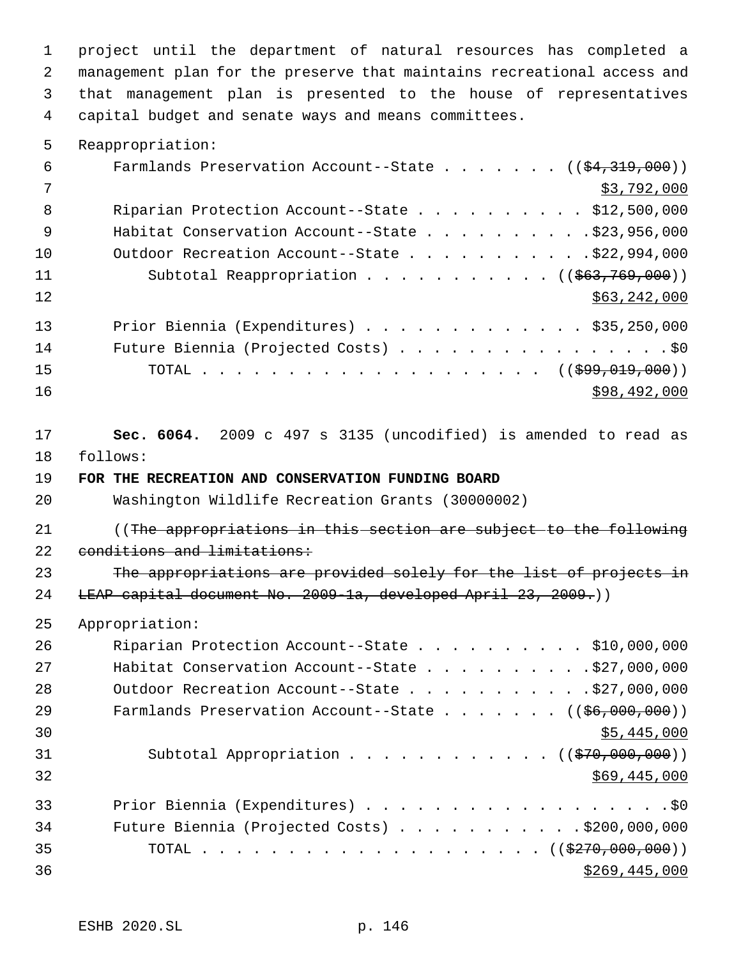project until the department of natural resources has completed a management plan for the preserve that maintains recreational access and that management plan is presented to the house of representatives capital budget and senate ways and means committees.

5 Reappropriation:

| 6   | Farmlands Preservation Account--State $($ $($ \$4,319,000) $)$       |
|-----|----------------------------------------------------------------------|
| - 7 | \$3,792,000                                                          |
| 8   | Riparian Protection Account--State \$12,500,000                      |
| - 9 |                                                                      |
| 10  | Outdoor Recreation Account--State \$22,994,000                       |
| 11  | Subtotal Reappropriation $($ $($ $\frac{663}{769}, \frac{769}{100})$ |
| 12  | \$63,242,000                                                         |
| 13  | Prior Biennia (Expenditures) \$35,250,000                            |
| 14  | Future Biennia (Projected Costs) \$0                                 |
| 15  |                                                                      |
| 16  | \$98,492,000                                                         |

17 **Sec. 6064.** 2009 c 497 s 3135 (uncodified) is amended to read as 18 follows:

19 **FOR THE RECREATION AND CONSERVATION FUNDING BOARD**

20 Washington Wildlife Recreation Grants (30000002)

21 ((The appropriations in this section are subject to the following 22 conditions and limitations:

23 The appropriations are provided solely for the list of projects in 24 LEAP capital document No. 2009-1a, developed April 23, 2009.))

25 Appropriation:

| 26 | Riparian Protection Account--State \$10,000,000                          |
|----|--------------------------------------------------------------------------|
| 27 |                                                                          |
| 28 | Outdoor Recreation Account--State \$27,000,000                           |
| 29 | Farmlands Preservation Account--State $($ $($ $\frac{6}{5}$ , 000, 000)) |
| 30 | \$5,445,000                                                              |
| 31 | Subtotal Appropriation $($ $($ $\frac{270}{000},000)$                    |
| 32 | \$69,445,000                                                             |
| 33 | Prior Biennia (Expenditures) \$0                                         |
| 34 | Future Biennia (Projected Costs) \$200,000,000                           |
| 35 |                                                                          |
| 36 | \$269,445,000                                                            |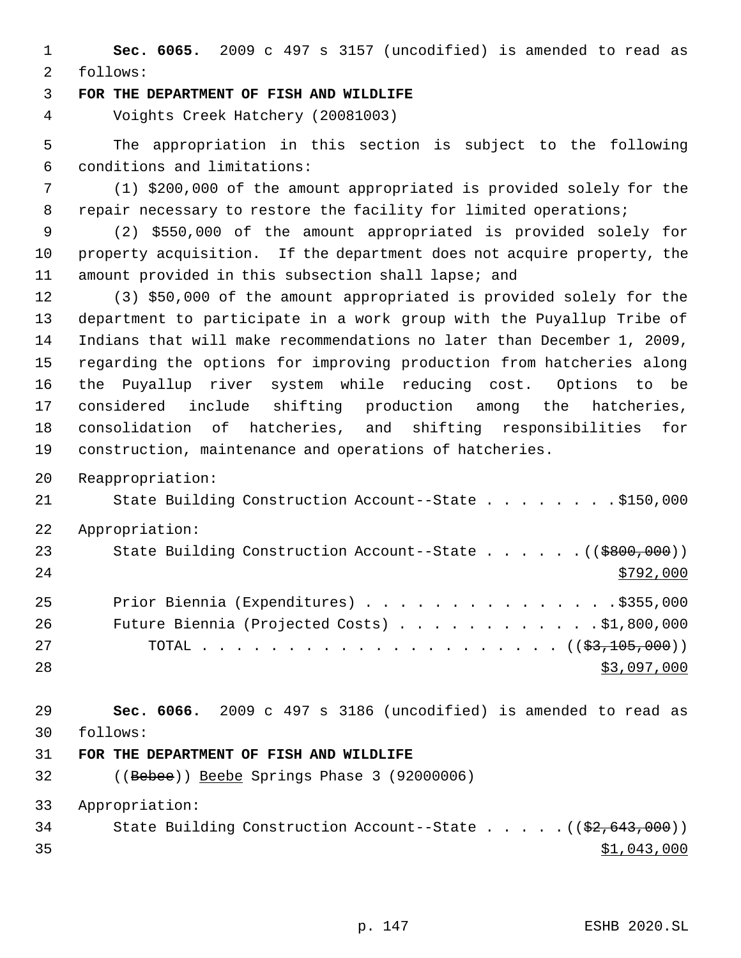**Sec. 6065.** 2009 c 497 s 3157 (uncodified) is amended to read as follows:

**FOR THE DEPARTMENT OF FISH AND WILDLIFE**

Voights Creek Hatchery (20081003)

 The appropriation in this section is subject to the following conditions and limitations:

 (1) \$200,000 of the amount appropriated is provided solely for the 8 repair necessary to restore the facility for limited operations;

 (2) \$550,000 of the amount appropriated is provided solely for property acquisition. If the department does not acquire property, the amount provided in this subsection shall lapse; and

 (3) \$50,000 of the amount appropriated is provided solely for the department to participate in a work group with the Puyallup Tribe of Indians that will make recommendations no later than December 1, 2009, regarding the options for improving production from hatcheries along the Puyallup river system while reducing cost. Options to be considered include shifting production among the hatcheries, consolidation of hatcheries, and shifting responsibilities for construction, maintenance and operations of hatcheries.

Reappropriation:

State Building Construction Account--State . . . . . . . . \$150,000

Appropriation:

| 23 | State Building Construction Account--State $($ $($ \$800,000)) |
|----|----------------------------------------------------------------|
| 24 | \$792,000                                                      |
| 25 | Prior Biennia (Expenditures) \$355,000                         |
| 26 | Future Biennia (Projected Costs) $\ldots$ \$1,800,000          |
| 27 |                                                                |
| 28 | \$3,097,000                                                    |

 **Sec. 6066.** 2009 c 497 s 3186 (uncodified) is amended to read as follows:

## **FOR THE DEPARTMENT OF FISH AND WILDLIFE**

((Bebee)) Beebe Springs Phase 3 (92000006)

Appropriation:

34 State Building Construction Account--State . . . . . ((\$2,643,000)) \$1,043,000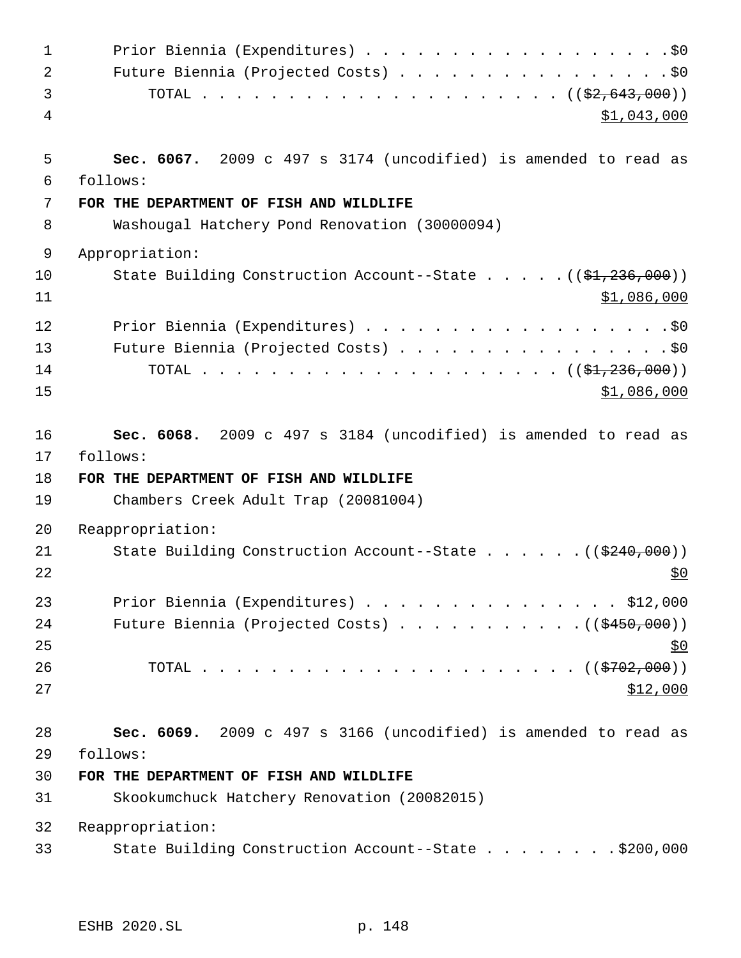| $\mathbf{1}$ | Prior Biennia (Expenditures) \$0                                          |
|--------------|---------------------------------------------------------------------------|
| 2            | Future Biennia (Projected Costs) \$0                                      |
| 3            |                                                                           |
| 4            | <u>\$1,043,000</u>                                                        |
| 5            | Sec. 6067. 2009 c 497 s 3174 (uncodified) is amended to read as           |
| 6            | follows:                                                                  |
| 7            | FOR THE DEPARTMENT OF FISH AND WILDLIFE                                   |
| 8            | Washougal Hatchery Pond Renovation (30000094)                             |
| 9            | Appropriation:                                                            |
| 10<br>11     | State Building Construction Account--State ((\$1,236,000))<br>\$1,086,000 |
| 12           | Prior Biennia (Expenditures) \$0                                          |
| 13           | Future Biennia (Projected Costs) \$0                                      |
| 14<br>15     | <u>\$1,086,000</u>                                                        |
| 16           | Sec. 6068. 2009 c 497 s 3184 (uncodified) is amended to read as           |
| 17           | follows:                                                                  |
| 18           | FOR THE DEPARTMENT OF FISH AND WILDLIFE                                   |
| 19           | Chambers Creek Adult Trap (20081004)                                      |
| 20           | Reappropriation:                                                          |
| 21<br>22     | State Building Construction Account--State ((\$240,000))<br><u>\$0</u>    |
| 23           | Prior Biennia (Expenditures) \$12,000                                     |
| 24           |                                                                           |
| 25           | <u>\$0</u>                                                                |
| 26           |                                                                           |
| 27           | \$12,000                                                                  |
| 28           | Sec. 6069. 2009 c 497 s 3166 (uncodified) is amended to read as           |
| 29           | follows:                                                                  |
| 30           | FOR THE DEPARTMENT OF FISH AND WILDLIFE                                   |
| 31           | Skookumchuck Hatchery Renovation (20082015)                               |
| 32           | Reappropriation:                                                          |
| 33           | State Building Construction Account--State \$200,000                      |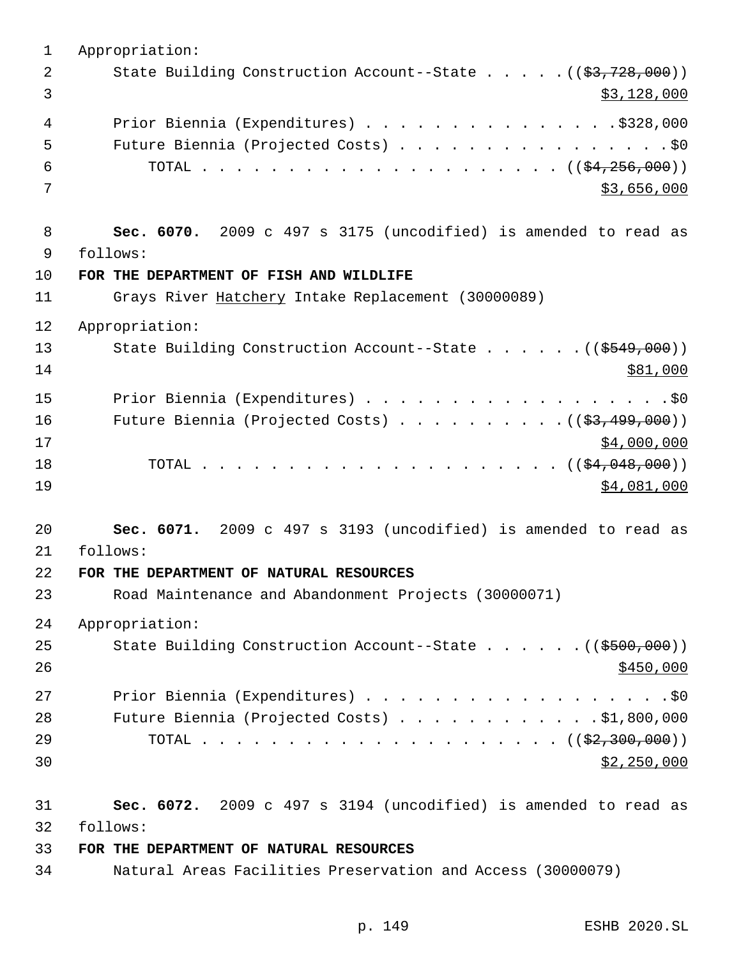Appropriation: 2 State Building Construction Account--State . . . . . ((\$3,728,000))  $\frac{1}{3}$  3 Prior Biennia (Expenditures) . . . . . . . . . . . . . . .\$328,000 5 Future Biennia (Projected Costs) . . . . . . . . . . . . . . . . \$0 TOTAL . . . . . . . . . . . . . . . . . . . . . ((\$4,256,000))  $3,656,000$  **Sec. 6070.** 2009 c 497 s 3175 (uncodified) is amended to read as follows: **FOR THE DEPARTMENT OF FISH AND WILDLIFE** Grays River Hatchery Intake Replacement (30000089) Appropriation: 13 State Building Construction Account--State . . . . . . ((\$549,000)) \$81,000 15 Prior Biennia (Expenditures) . . . . . . . . . . . . . . . . . . \$0 16 Future Biennia (Projected Costs) . . . . . . . . . ((<del>\$3,499,000</del>)) \$4,000,000 TOTAL . . . . . . . . . . . . . . . . . . . . . ((\$4,048,000)) 19 \$4,081,000 **Sec. 6071.** 2009 c 497 s 3193 (uncodified) is amended to read as follows: **FOR THE DEPARTMENT OF NATURAL RESOURCES** Road Maintenance and Abandonment Projects (30000071) Appropriation: 25 State Building Construction Account--State . . . . . . ((\$500,000)) Prior Biennia (Expenditures) . . . . . . . . . . . . . . . . . .\$0 Future Biennia (Projected Costs) . . . . . . . . . . . . \$1,800,000 TOTAL . . . . . . . . . . . . . . . . . . . . . ((\$2,300,000)) \$2,250,000 **Sec. 6072.** 2009 c 497 s 3194 (uncodified) is amended to read as follows: **FOR THE DEPARTMENT OF NATURAL RESOURCES**

Natural Areas Facilities Preservation and Access (30000079)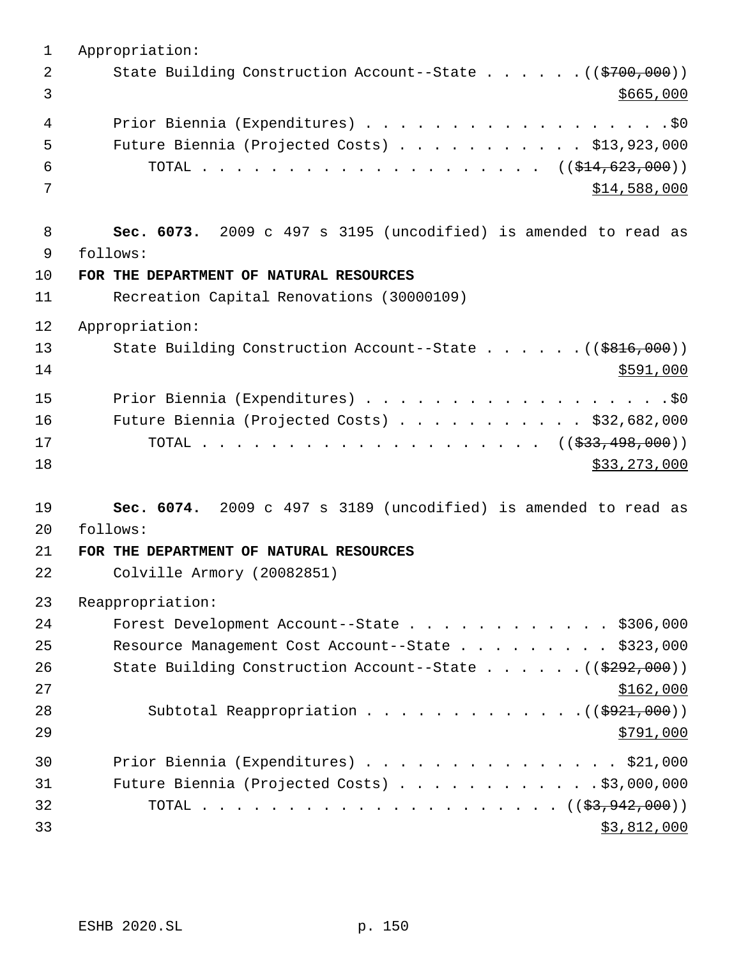| $\overline{2}$<br>3<br>4<br>5<br>6<br>7<br>8<br>9<br>follows:<br>10<br>FOR THE DEPARTMENT OF NATURAL RESOURCES<br>Recreation Capital Renovations (30000109)<br>11<br>12<br>Appropriation:<br>13<br>14<br>15<br>Prior Biennia (Expenditures) \$0<br>Future Biennia (Projected Costs) \$32,682,000<br>16<br>17<br>18<br>\$33, 273, 000<br>19<br>20<br>follows:<br>21<br>FOR THE DEPARTMENT OF NATURAL RESOURCES<br>22<br>Colville Armory (20082851)<br>23<br>Reappropriation:<br>24 | 1  | Appropriation:                                                        |
|-----------------------------------------------------------------------------------------------------------------------------------------------------------------------------------------------------------------------------------------------------------------------------------------------------------------------------------------------------------------------------------------------------------------------------------------------------------------------------------|----|-----------------------------------------------------------------------|
|                                                                                                                                                                                                                                                                                                                                                                                                                                                                                   |    | State Building Construction Account--State ((\$700,000))              |
|                                                                                                                                                                                                                                                                                                                                                                                                                                                                                   |    | \$665,000                                                             |
|                                                                                                                                                                                                                                                                                                                                                                                                                                                                                   |    | Prior Biennia (Expenditures) \$0                                      |
|                                                                                                                                                                                                                                                                                                                                                                                                                                                                                   |    | Future Biennia (Projected Costs) \$13,923,000                         |
|                                                                                                                                                                                                                                                                                                                                                                                                                                                                                   |    |                                                                       |
|                                                                                                                                                                                                                                                                                                                                                                                                                                                                                   |    | \$14,588,000                                                          |
|                                                                                                                                                                                                                                                                                                                                                                                                                                                                                   |    |                                                                       |
|                                                                                                                                                                                                                                                                                                                                                                                                                                                                                   |    | Sec. 6073. 2009 c 497 s 3195 (uncodified) is amended to read as       |
|                                                                                                                                                                                                                                                                                                                                                                                                                                                                                   |    |                                                                       |
|                                                                                                                                                                                                                                                                                                                                                                                                                                                                                   |    |                                                                       |
|                                                                                                                                                                                                                                                                                                                                                                                                                                                                                   |    |                                                                       |
|                                                                                                                                                                                                                                                                                                                                                                                                                                                                                   |    |                                                                       |
|                                                                                                                                                                                                                                                                                                                                                                                                                                                                                   |    | State Building Construction Account--State ((\$816,000))              |
|                                                                                                                                                                                                                                                                                                                                                                                                                                                                                   |    | \$591,000                                                             |
|                                                                                                                                                                                                                                                                                                                                                                                                                                                                                   |    |                                                                       |
|                                                                                                                                                                                                                                                                                                                                                                                                                                                                                   |    |                                                                       |
|                                                                                                                                                                                                                                                                                                                                                                                                                                                                                   |    |                                                                       |
|                                                                                                                                                                                                                                                                                                                                                                                                                                                                                   |    |                                                                       |
|                                                                                                                                                                                                                                                                                                                                                                                                                                                                                   |    |                                                                       |
|                                                                                                                                                                                                                                                                                                                                                                                                                                                                                   |    | Sec. 6074. 2009 c 497 s 3189 (uncodified) is amended to read as       |
|                                                                                                                                                                                                                                                                                                                                                                                                                                                                                   |    |                                                                       |
|                                                                                                                                                                                                                                                                                                                                                                                                                                                                                   |    |                                                                       |
|                                                                                                                                                                                                                                                                                                                                                                                                                                                                                   |    |                                                                       |
|                                                                                                                                                                                                                                                                                                                                                                                                                                                                                   |    |                                                                       |
|                                                                                                                                                                                                                                                                                                                                                                                                                                                                                   |    | Forest Development Account--State \$306,000                           |
|                                                                                                                                                                                                                                                                                                                                                                                                                                                                                   | 25 | Resource Management Cost Account--State \$323,000                     |
| 26                                                                                                                                                                                                                                                                                                                                                                                                                                                                                |    | State Building Construction Account--State $($ $($ $\frac{292}{700})$ |
| 27                                                                                                                                                                                                                                                                                                                                                                                                                                                                                |    | \$162,000                                                             |
| 28                                                                                                                                                                                                                                                                                                                                                                                                                                                                                |    | Subtotal Reappropriation $($ $($ $\frac{1}{2}921,000)$ $)$            |
| 29                                                                                                                                                                                                                                                                                                                                                                                                                                                                                |    | \$791,000                                                             |
| 30                                                                                                                                                                                                                                                                                                                                                                                                                                                                                |    | Prior Biennia (Expenditures) \$21,000                                 |
| 31                                                                                                                                                                                                                                                                                                                                                                                                                                                                                |    | Future Biennia (Projected Costs) \$3,000,000                          |
| 32                                                                                                                                                                                                                                                                                                                                                                                                                                                                                |    |                                                                       |
| 33                                                                                                                                                                                                                                                                                                                                                                                                                                                                                |    | \$3,812,000                                                           |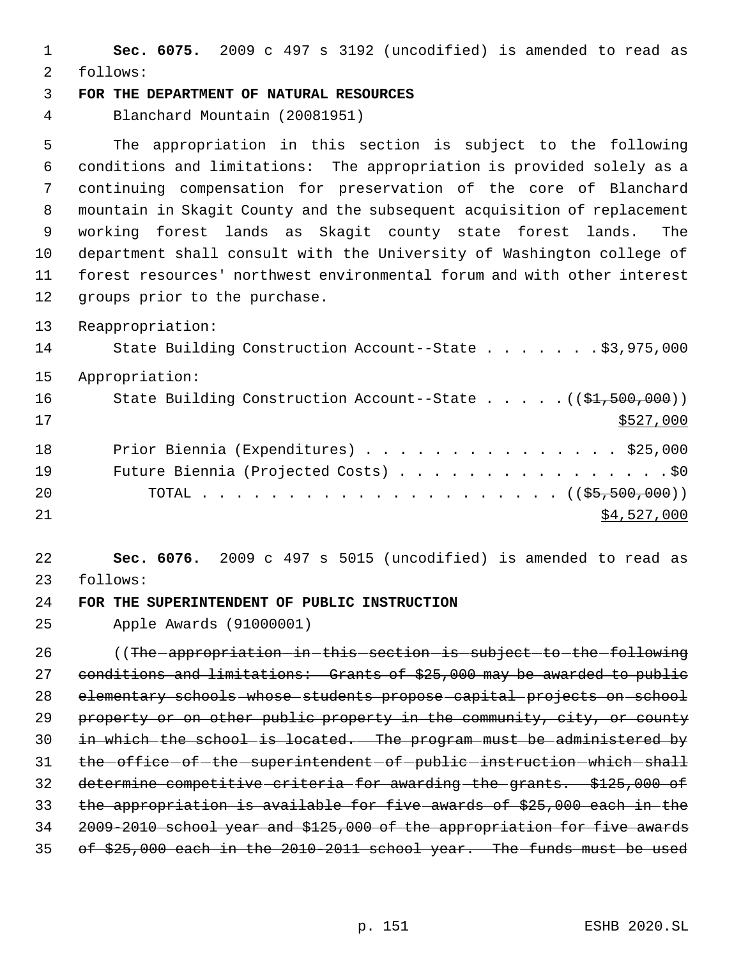**Sec. 6075.** 2009 c 497 s 3192 (uncodified) is amended to read as follows:

## **FOR THE DEPARTMENT OF NATURAL RESOURCES**

Blanchard Mountain (20081951)

 The appropriation in this section is subject to the following conditions and limitations: The appropriation is provided solely as a continuing compensation for preservation of the core of Blanchard mountain in Skagit County and the subsequent acquisition of replacement working forest lands as Skagit county state forest lands. The department shall consult with the University of Washington college of forest resources' northwest environmental forum and with other interest groups prior to the purchase.

Reappropriation:

| 14 | State Building Construction Account--State \$3,975,000                      |
|----|-----------------------------------------------------------------------------|
| 15 | Appropriation:                                                              |
| 16 | State Building Construction Account--State $($ $(\frac{1}{21}, 500, 000) )$ |
| 17 | \$527,000                                                                   |
| 18 | Prior Biennia (Expenditures) \$25,000                                       |
| 19 | Future Biennia (Projected Costs) \$0                                        |
| 20 |                                                                             |
| 21 | \$4,527,000                                                                 |

 **Sec. 6076.** 2009 c 497 s 5015 (uncodified) is amended to read as follows:

**FOR THE SUPERINTENDENT OF PUBLIC INSTRUCTION**

Apple Awards (91000001)

26 ((The appropriation in this section is subject to the following 27 conditions and limitations: Grants of \$25,000 may be awarded to public elementary schools whose students propose capital projects on school 29 property or on other public property in the community, city, or county in which the school is located. The program must be administered by 31 the -office -of -the -superintendent -of -public -instruction -which -shall determine competitive criteria for awarding the grants. \$125,000 of the appropriation is available for five awards of \$25,000 each in the 2009-2010 school year and \$125,000 of the appropriation for five awards 35 of \$25,000 each in the 2010-2011 school year. The funds must be used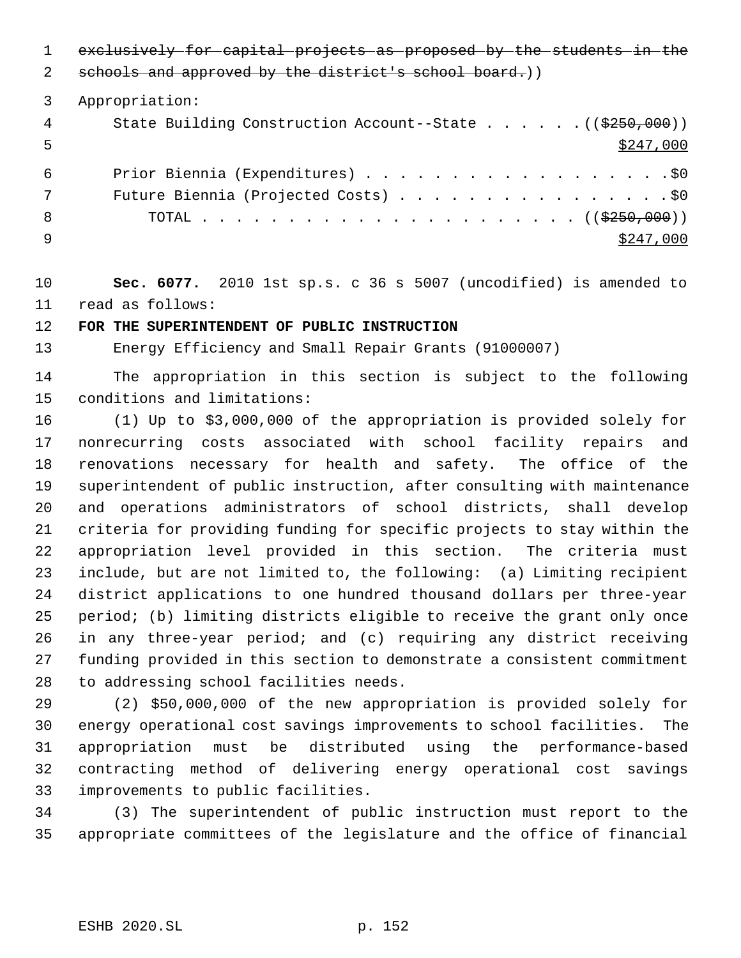exclusively for capital projects as proposed by the students in the

2 schools and approved by the district's school board.))

Appropriation:

| 4  | State Building Construction Account--State $($ $($ $\frac{250}{700})$ |
|----|-----------------------------------------------------------------------|
| 5  | \$247,000                                                             |
| 6  | Prior Biennia (Expenditures) \$0                                      |
| 7  | Future Biennia (Projected Costs) \$0                                  |
| -8 |                                                                       |
|    | \$247,000                                                             |

 **Sec. 6077.** 2010 1st sp.s. c 36 s 5007 (uncodified) is amended to read as follows:

## **FOR THE SUPERINTENDENT OF PUBLIC INSTRUCTION**

Energy Efficiency and Small Repair Grants (91000007)

 The appropriation in this section is subject to the following conditions and limitations:

 (1) Up to \$3,000,000 of the appropriation is provided solely for nonrecurring costs associated with school facility repairs and renovations necessary for health and safety. The office of the superintendent of public instruction, after consulting with maintenance and operations administrators of school districts, shall develop criteria for providing funding for specific projects to stay within the appropriation level provided in this section. The criteria must include, but are not limited to, the following: (a) Limiting recipient district applications to one hundred thousand dollars per three-year period; (b) limiting districts eligible to receive the grant only once in any three-year period; and (c) requiring any district receiving funding provided in this section to demonstrate a consistent commitment to addressing school facilities needs.

 (2) \$50,000,000 of the new appropriation is provided solely for energy operational cost savings improvements to school facilities. The appropriation must be distributed using the performance-based contracting method of delivering energy operational cost savings improvements to public facilities.

 (3) The superintendent of public instruction must report to the appropriate committees of the legislature and the office of financial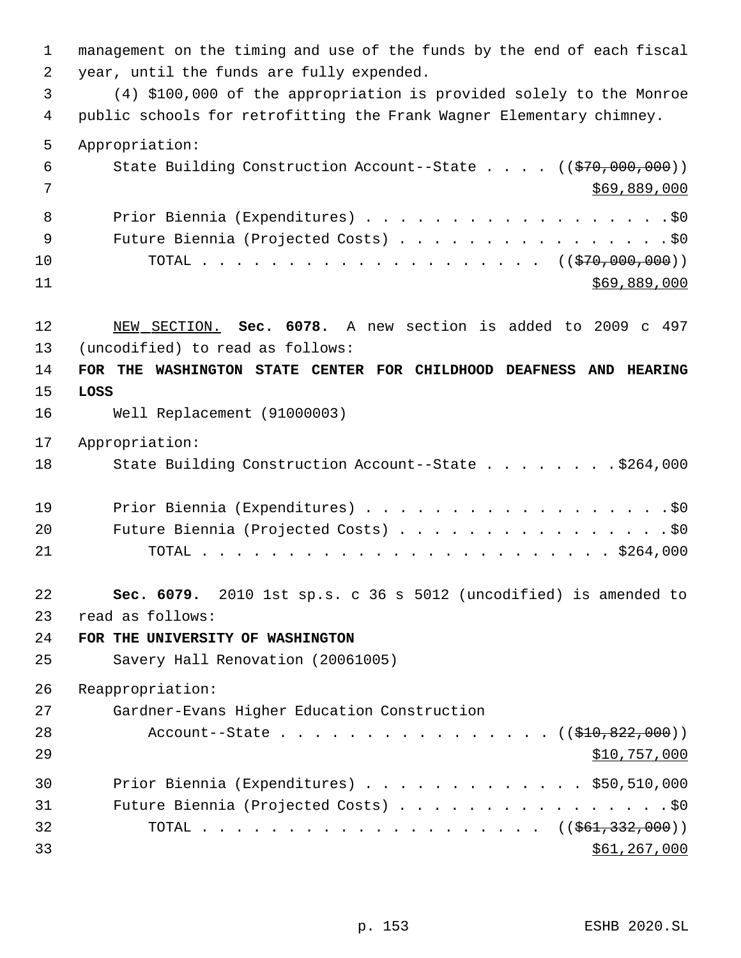management on the timing and use of the funds by the end of each fiscal year, until the funds are fully expended. (4) \$100,000 of the appropriation is provided solely to the Monroe public schools for retrofitting the Frank Wagner Elementary chimney. Appropriation: 6 State Building Construction Account--State . . . . ((\$70,000,000)) \$69,889,000 Prior Biennia (Expenditures) . . . . . . . . . . . . . . . . . .\$0 9 Future Biennia (Projected Costs) . . . . . . . . . . . . . . . . \$0 10 TOTAL . . . . . . . . . . . . . . . . . . ((\$70,000,000)) \$69,889,000 NEW SECTION. **Sec. 6078.** A new section is added to 2009 c 497 (uncodified) to read as follows: **FOR THE WASHINGTON STATE CENTER FOR CHILDHOOD DEAFNESS AND HEARING LOSS** Well Replacement (91000003) Appropriation: 18 State Building Construction Account--State . . . . . . . \$264,000 19 Prior Biennia (Expenditures) . . . . . . . . . . . . . . . . . . \$0 20 Future Biennia (Projected Costs) . . . . . . . . . . . . . . . . \$0 TOTAL . . . . . . . . . . . . . . . . . . . . . . . . \$264,000 **Sec. 6079.** 2010 1st sp.s. c 36 s 5012 (uncodified) is amended to read as follows: **FOR THE UNIVERSITY OF WASHINGTON** Savery Hall Renovation (20061005) Reappropriation: Gardner-Evans Higher Education Construction 28 Account--State . . . . . . . . . . . . . . ((<del>\$10,822,000</del>)) \$10,757,000 Prior Biennia (Expenditures) . . . . . . . . . . . . . \$50,510,000 31 Future Biennia (Projected Costs) . . . . . . . . . . . . . . . . \$0 32 TOTAL . . . . . . . . . . . . . . . . . . ((<del>\$61,332,000</del>)) \$61,267,000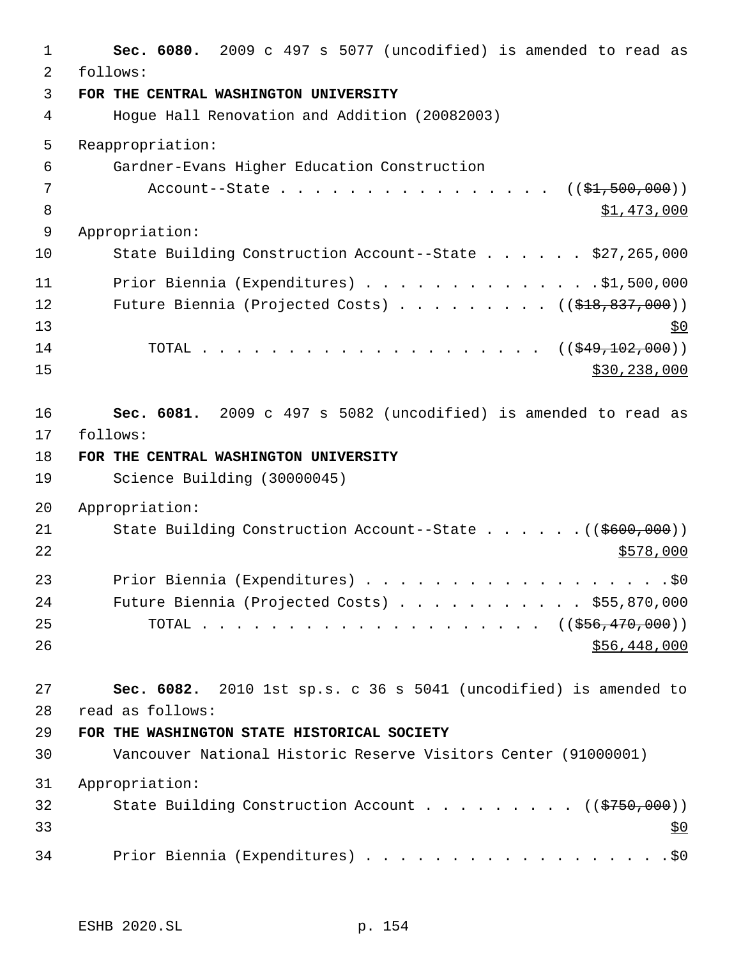**Sec. 6080.** 2009 c 497 s 5077 (uncodified) is amended to read as follows: **FOR THE CENTRAL WASHINGTON UNIVERSITY** Hogue Hall Renovation and Addition (20082003) Reappropriation: Gardner-Evans Higher Education Construction 7 Account--State . . . . . . . . . . . . . . . . . ((<del>\$1,500,000</del>))  $\text{51, 473, 000}$  Appropriation: State Building Construction Account--State . . . . . . \$27,265,000 Prior Biennia (Expenditures) . . . . . . . . . . . . . .\$1,500,000 12 Future Biennia (Projected Costs) . . . . . . . . ((\$18,837,000))  $13 \frac{$0}{9}$ 14 TOTAL . . . . . . . . . . . . . . . . . . ((\$49,102,000)) \$30,238,000 \$30,238,000 **Sec. 6081.** 2009 c 497 s 5082 (uncodified) is amended to read as follows: **FOR THE CENTRAL WASHINGTON UNIVERSITY** Science Building (30000045) Appropriation: 21 State Building Construction Account--State . . . . . . ((\$600,000)) Prior Biennia (Expenditures) . . . . . . . . . . . . . . . . . .\$0 Future Biennia (Projected Costs) . . . . . . . . . . . \$55,870,000 25 TOTAL . . . . . . . . . . . . . . . . . . ((\$<del>56,470,000</del>)) \$56,448,000 **Sec. 6082.** 2010 1st sp.s. c 36 s 5041 (uncodified) is amended to read as follows: **FOR THE WASHINGTON STATE HISTORICAL SOCIETY** Vancouver National Historic Reserve Visitors Center (91000001) Appropriation: 32 State Building Construction Account . . . . . . . . ((\$750,000)) 34 Prior Biennia (Expenditures) . . . . . . . . . . . . . . . . . . \$0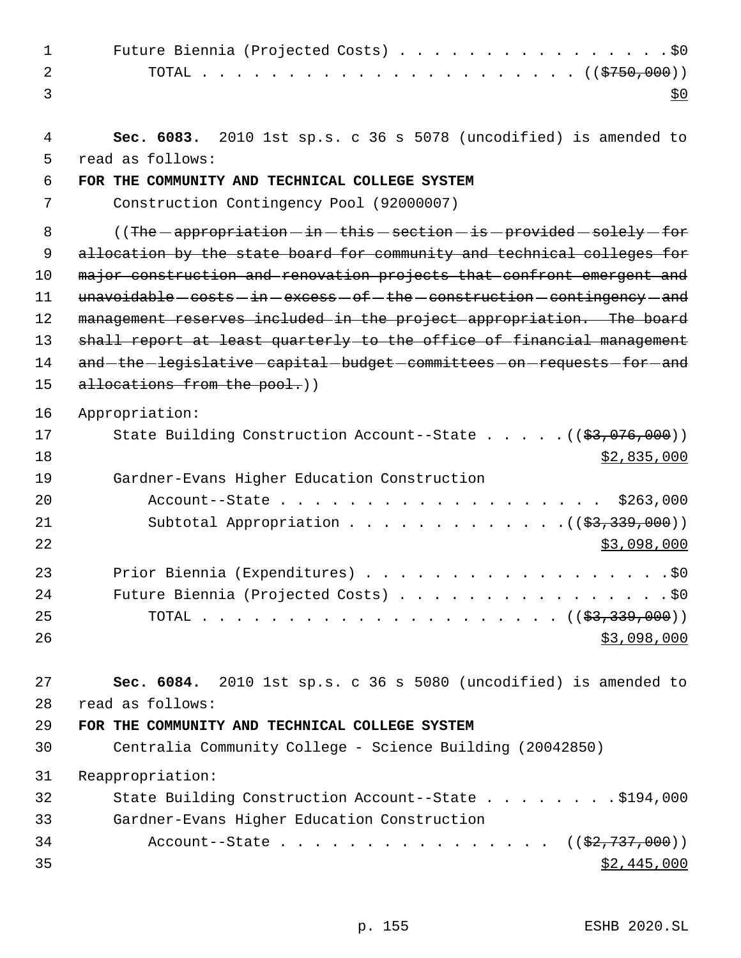| 1              | Future Biennia (Projected Costs) \$0                                              |
|----------------|-----------------------------------------------------------------------------------|
| $\overline{2}$ |                                                                                   |
| 3              | <u>\$0</u>                                                                        |
| 4              | Sec. 6083. 2010 1st sp.s. c 36 s 5078 (uncodified) is amended to                  |
| 5              | read as follows:                                                                  |
| 6              | FOR THE COMMUNITY AND TECHNICAL COLLEGE SYSTEM                                    |
| 7              | Construction Contingency Pool (92000007)                                          |
| 8              | ((The - appropriation - in - this - section - is - provided - solely - for        |
| 9              | allocation by the state board for community and technical colleges for            |
| 10             | major construction and renovation projects that confront emergent and             |
| 11             | $unavoidable - costs - in - excess - of - the - construction - contingency - and$ |
| 12             | management reserves included in the project appropriation. The board              |
| 13             | shall report at least quarterly to the office of financial management             |
| 14             | and-the-legislative-capital-budget-committees-on-requests-for-and                 |
| 15             | allocations from the pool.))                                                      |
| 16             | Appropriation:                                                                    |
| 17             | State Building Construction Account--State $((\frac{27}{97}, 076, 000))$          |
| 18             | \$2,835,000                                                                       |
| 19             | Gardner-Evans Higher Education Construction                                       |
| 20             | Account--State \$263,000                                                          |
| 21             | Subtotal Appropriation $($ $($ $\frac{2}{3}, \frac{339}{100})$                    |
| 22             | \$3,098,000                                                                       |
| 23             | Prior Biennia (Expenditures) \$0                                                  |
| 24             |                                                                                   |
| 25             |                                                                                   |
| 26             | \$3,098,000                                                                       |
|                |                                                                                   |
| 27             | Sec. 6084. 2010 1st sp.s. c 36 s 5080 (uncodified) is amended to                  |
| 28             | read as follows:                                                                  |
| 29             | FOR THE COMMUNITY AND TECHNICAL COLLEGE SYSTEM                                    |
| 30             | Centralia Community College - Science Building (20042850)                         |
| 31             | Reappropriation:                                                                  |
| 32             | State Building Construction Account--State \$194,000                              |
| 33             | Gardner-Evans Higher Education Construction                                       |
| 34             | Account--State $((\frac{27}{737}, 000))$                                          |
| 35             | \$2,445,000                                                                       |

p. 155 ESHB 2020.SL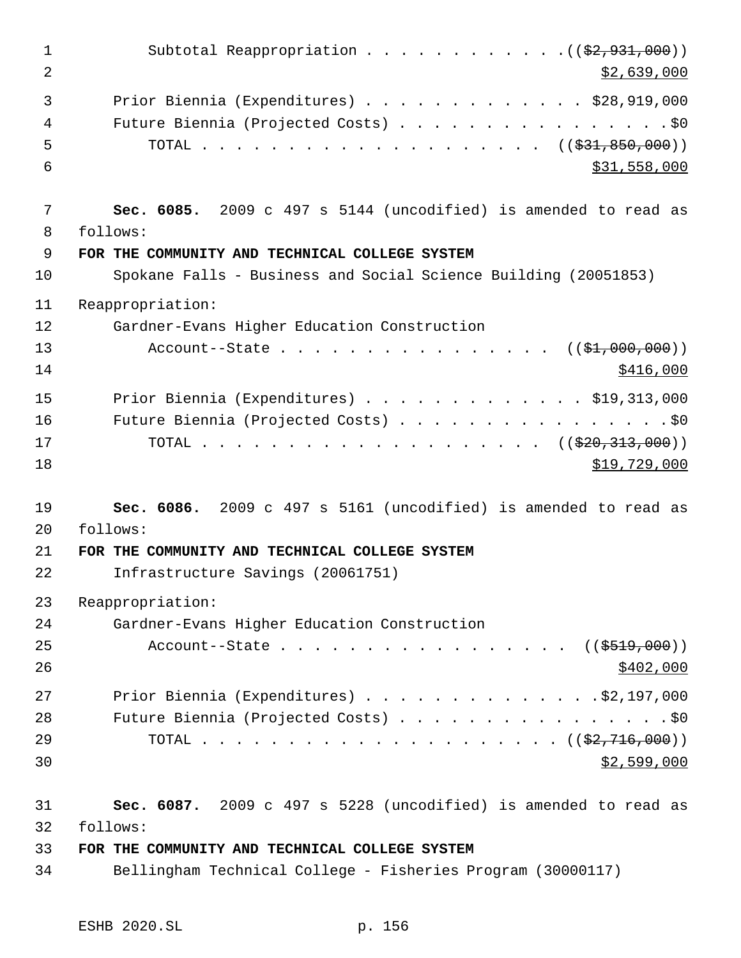| $\mathbf 1$<br>2 | Subtotal Reappropriation $($ $($ \$2,931,000) $)$<br>\$2,639,000                                           |
|------------------|------------------------------------------------------------------------------------------------------------|
| 3<br>4<br>5<br>6 | Prior Biennia (Expenditures) $\ldots$ \$28,919,000<br>Future Biennia (Projected Costs) \$0<br>\$31,558,000 |
| 7<br>8           | Sec. 6085. 2009 c 497 s 5144 (uncodified) is amended to read as<br>follows:                                |
| 9                | FOR THE COMMUNITY AND TECHNICAL COLLEGE SYSTEM                                                             |
| 10               | Spokane Falls - Business and Social Science Building (20051853)                                            |
| 11               | Reappropriation:                                                                                           |
| 12               | Gardner-Evans Higher Education Construction                                                                |
| 13<br>14         | Account--State $($ $(*1,000,000))$<br>\$416,000                                                            |
| 15               | Prior Biennia (Expenditures) $\ldots$ \$19,313,000                                                         |
| 16               | Future Biennia (Projected Costs) \$0                                                                       |
| 17               | TOTAL ( $(\frac{220}{20}, \frac{313}{200}))$                                                               |
| 18               | \$19,729,000                                                                                               |
| 19               | Sec. 6086. 2009 c 497 s 5161 (uncodified) is amended to read as                                            |
| 20               | follows:                                                                                                   |
| 21               | FOR THE COMMUNITY AND TECHNICAL COLLEGE SYSTEM                                                             |
| 22               | Infrastructure Savings (20061751)                                                                          |
| 23               | Reappropriation:                                                                                           |
| 24               | Gardner-Evans Higher Education Construction                                                                |
| 25               | Account--State ( $(\frac{2519}{100})$ )                                                                    |
| 26               | \$402,000                                                                                                  |
| 27               | Prior Biennia (Expenditures) \$2,197,000                                                                   |
| 28               | Future Biennia (Projected Costs) \$0                                                                       |
| 29               |                                                                                                            |
| 30               | \$2,599,000                                                                                                |
| 31               | Sec. 6087. 2009 c 497 s 5228 (uncodified) is amended to read as                                            |
| 32               | follows:                                                                                                   |

# **FOR THE COMMUNITY AND TECHNICAL COLLEGE SYSTEM**

Bellingham Technical College - Fisheries Program (30000117)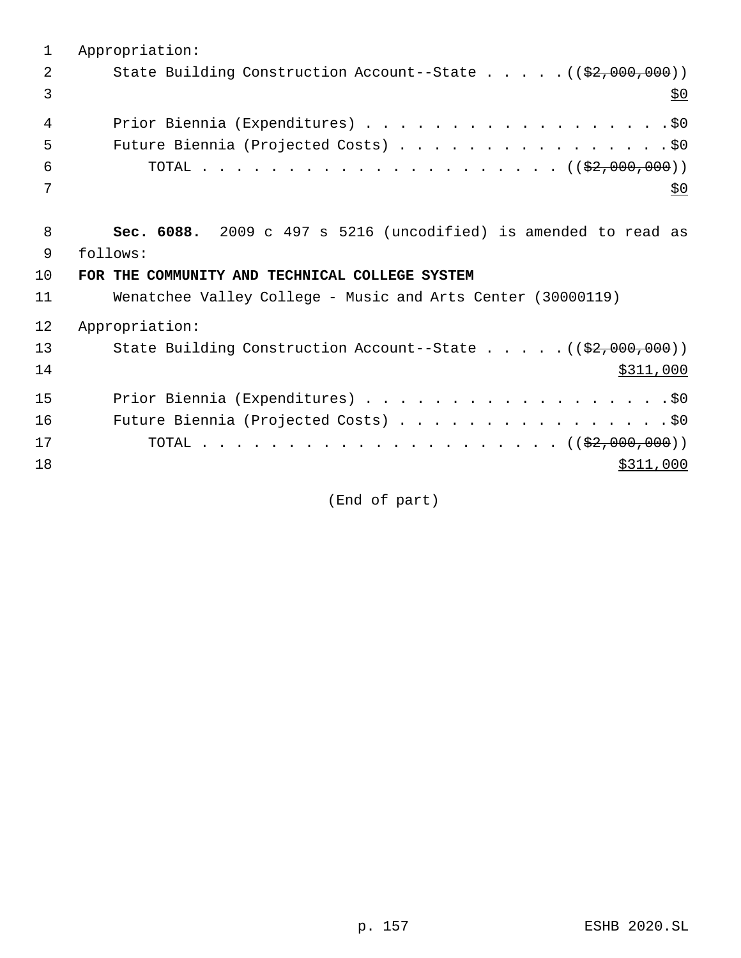| 1  | Appropriation:                                                                |
|----|-------------------------------------------------------------------------------|
| 2  | State Building Construction Account--State $($ $($ $\frac{2}{7},000,000)$ $)$ |
| 3  | <u>\$0</u>                                                                    |
| 4  | Prior Biennia (Expenditures) \$0                                              |
| 5  | Future Biennia (Projected Costs) \$0                                          |
| 6  |                                                                               |
| 7  | <u>\$0</u>                                                                    |
|    |                                                                               |
| 8  | Sec. 6088. 2009 c 497 s 5216 (uncodified) is amended to read as               |
| 9  | follows:                                                                      |
| 10 | FOR THE COMMUNITY AND TECHNICAL COLLEGE SYSTEM                                |
| 11 | Wenatchee Valley College - Music and Arts Center (30000119)                   |
| 12 | Appropriation:                                                                |
| 13 | State Building Construction Account--State $($ $($ $\frac{2}{7},000,000)$ $)$ |
| 14 | \$311,000                                                                     |
| 15 | Prior Biennia (Expenditures) \$0                                              |
| 16 | Future Biennia (Projected Costs) \$0                                          |
| 17 |                                                                               |
| 18 | \$311,000                                                                     |
|    |                                                                               |

(End of part)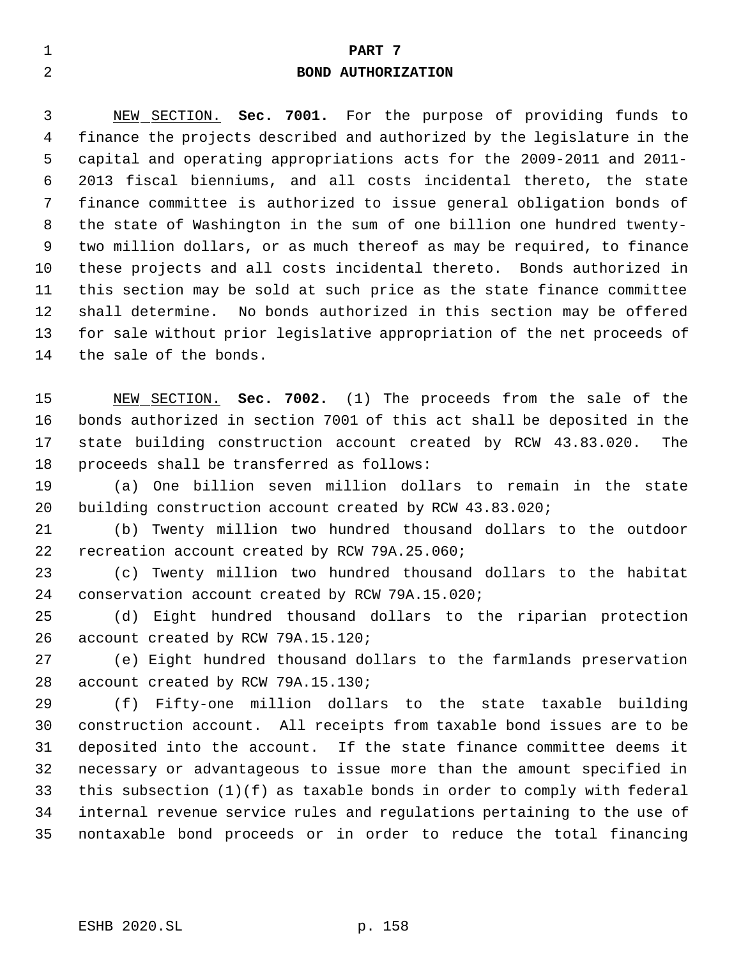# **PART 7**

## **BOND AUTHORIZATION**

 NEW SECTION. **Sec. 7001.** For the purpose of providing funds to finance the projects described and authorized by the legislature in the capital and operating appropriations acts for the 2009-2011 and 2011- 2013 fiscal bienniums, and all costs incidental thereto, the state finance committee is authorized to issue general obligation bonds of the state of Washington in the sum of one billion one hundred twenty- two million dollars, or as much thereof as may be required, to finance these projects and all costs incidental thereto. Bonds authorized in this section may be sold at such price as the state finance committee shall determine. No bonds authorized in this section may be offered for sale without prior legislative appropriation of the net proceeds of the sale of the bonds.

 NEW SECTION. **Sec. 7002.** (1) The proceeds from the sale of the bonds authorized in section 7001 of this act shall be deposited in the state building construction account created by RCW 43.83.020. The proceeds shall be transferred as follows:

 (a) One billion seven million dollars to remain in the state building construction account created by RCW 43.83.020;

 (b) Twenty million two hundred thousand dollars to the outdoor recreation account created by RCW 79A.25.060;

 (c) Twenty million two hundred thousand dollars to the habitat conservation account created by RCW 79A.15.020;

 (d) Eight hundred thousand dollars to the riparian protection account created by RCW 79A.15.120;

 (e) Eight hundred thousand dollars to the farmlands preservation account created by RCW 79A.15.130;

 (f) Fifty-one million dollars to the state taxable building construction account. All receipts from taxable bond issues are to be deposited into the account. If the state finance committee deems it necessary or advantageous to issue more than the amount specified in this subsection (1)(f) as taxable bonds in order to comply with federal internal revenue service rules and regulations pertaining to the use of nontaxable bond proceeds or in order to reduce the total financing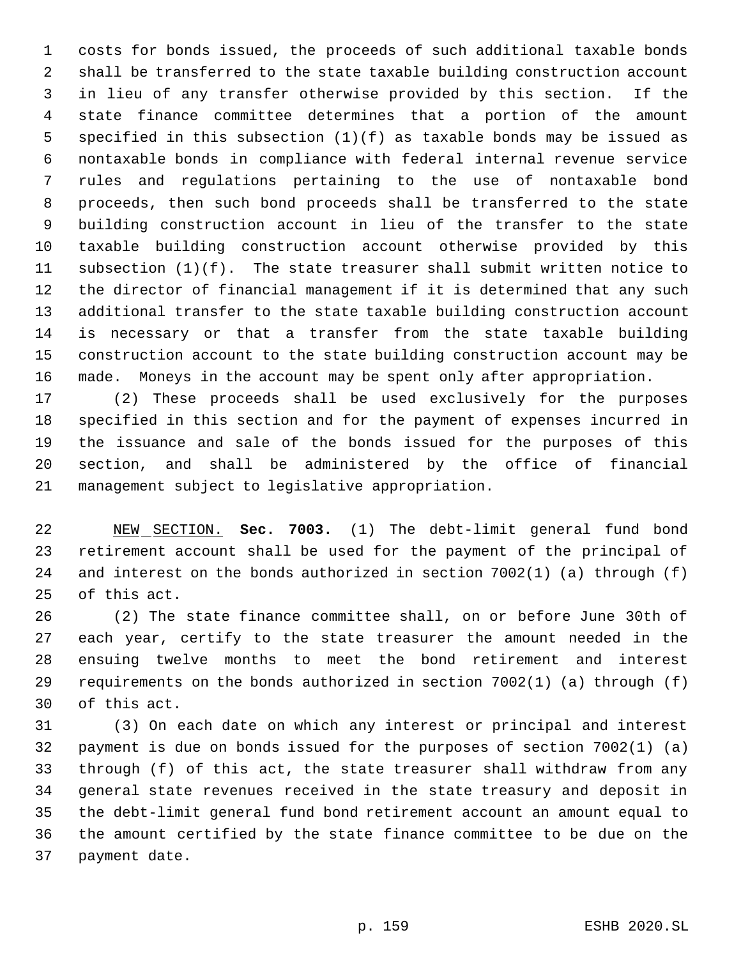costs for bonds issued, the proceeds of such additional taxable bonds shall be transferred to the state taxable building construction account in lieu of any transfer otherwise provided by this section. If the state finance committee determines that a portion of the amount specified in this subsection (1)(f) as taxable bonds may be issued as nontaxable bonds in compliance with federal internal revenue service rules and regulations pertaining to the use of nontaxable bond proceeds, then such bond proceeds shall be transferred to the state building construction account in lieu of the transfer to the state taxable building construction account otherwise provided by this subsection (1)(f). The state treasurer shall submit written notice to the director of financial management if it is determined that any such additional transfer to the state taxable building construction account is necessary or that a transfer from the state taxable building construction account to the state building construction account may be made. Moneys in the account may be spent only after appropriation.

 (2) These proceeds shall be used exclusively for the purposes specified in this section and for the payment of expenses incurred in the issuance and sale of the bonds issued for the purposes of this section, and shall be administered by the office of financial management subject to legislative appropriation.

 NEW SECTION. **Sec. 7003.** (1) The debt-limit general fund bond retirement account shall be used for the payment of the principal of and interest on the bonds authorized in section 7002(1) (a) through (f) of this act.

 (2) The state finance committee shall, on or before June 30th of each year, certify to the state treasurer the amount needed in the ensuing twelve months to meet the bond retirement and interest requirements on the bonds authorized in section 7002(1) (a) through (f) of this act.

 (3) On each date on which any interest or principal and interest payment is due on bonds issued for the purposes of section 7002(1) (a) through (f) of this act, the state treasurer shall withdraw from any general state revenues received in the state treasury and deposit in the debt-limit general fund bond retirement account an amount equal to the amount certified by the state finance committee to be due on the payment date.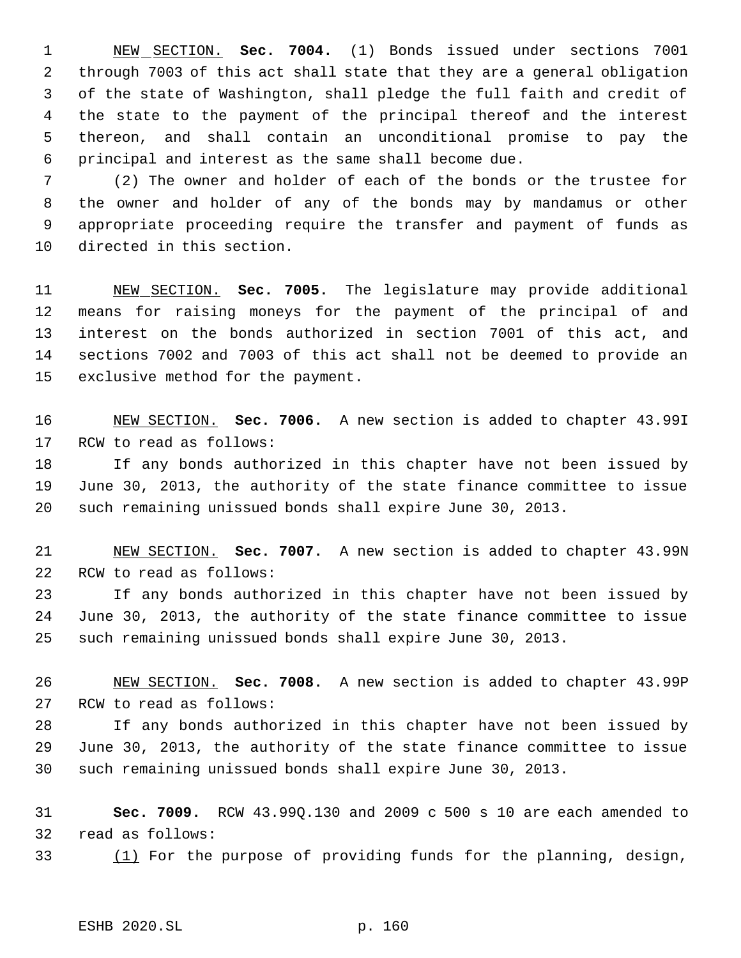NEW SECTION. **Sec. 7004.** (1) Bonds issued under sections 7001 through 7003 of this act shall state that they are a general obligation of the state of Washington, shall pledge the full faith and credit of the state to the payment of the principal thereof and the interest thereon, and shall contain an unconditional promise to pay the principal and interest as the same shall become due.

 (2) The owner and holder of each of the bonds or the trustee for the owner and holder of any of the bonds may by mandamus or other appropriate proceeding require the transfer and payment of funds as directed in this section.

 NEW SECTION. **Sec. 7005.** The legislature may provide additional means for raising moneys for the payment of the principal of and interest on the bonds authorized in section 7001 of this act, and sections 7002 and 7003 of this act shall not be deemed to provide an exclusive method for the payment.

 NEW SECTION. **Sec. 7006.** A new section is added to chapter 43.99I RCW to read as follows:

 If any bonds authorized in this chapter have not been issued by June 30, 2013, the authority of the state finance committee to issue such remaining unissued bonds shall expire June 30, 2013.

 NEW SECTION. **Sec. 7007.** A new section is added to chapter 43.99N RCW to read as follows:

 If any bonds authorized in this chapter have not been issued by June 30, 2013, the authority of the state finance committee to issue such remaining unissued bonds shall expire June 30, 2013.

 NEW SECTION. **Sec. 7008.** A new section is added to chapter 43.99P RCW to read as follows:

 If any bonds authorized in this chapter have not been issued by June 30, 2013, the authority of the state finance committee to issue such remaining unissued bonds shall expire June 30, 2013.

 **Sec. 7009.** RCW 43.99Q.130 and 2009 c 500 s 10 are each amended to read as follows:

(1) For the purpose of providing funds for the planning, design,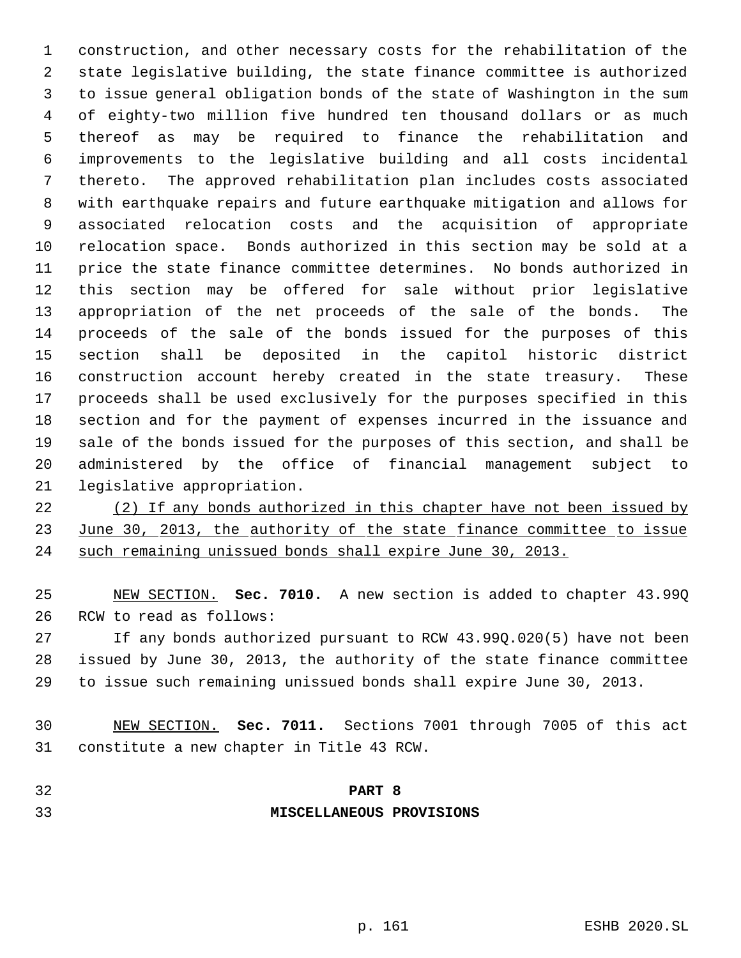construction, and other necessary costs for the rehabilitation of the state legislative building, the state finance committee is authorized to issue general obligation bonds of the state of Washington in the sum of eighty-two million five hundred ten thousand dollars or as much thereof as may be required to finance the rehabilitation and improvements to the legislative building and all costs incidental thereto. The approved rehabilitation plan includes costs associated with earthquake repairs and future earthquake mitigation and allows for associated relocation costs and the acquisition of appropriate relocation space. Bonds authorized in this section may be sold at a price the state finance committee determines. No bonds authorized in this section may be offered for sale without prior legislative appropriation of the net proceeds of the sale of the bonds. The proceeds of the sale of the bonds issued for the purposes of this section shall be deposited in the capitol historic district construction account hereby created in the state treasury. These proceeds shall be used exclusively for the purposes specified in this section and for the payment of expenses incurred in the issuance and sale of the bonds issued for the purposes of this section, and shall be administered by the office of financial management subject to legislative appropriation.

 (2) If any bonds authorized in this chapter have not been issued by 23 June 30, 2013, the authority of the state finance committee to issue such remaining unissued bonds shall expire June 30, 2013.

 NEW SECTION. **Sec. 7010.** A new section is added to chapter 43.99Q RCW to read as follows:

 If any bonds authorized pursuant to RCW 43.99Q.020(5) have not been issued by June 30, 2013, the authority of the state finance committee to issue such remaining unissued bonds shall expire June 30, 2013.

 NEW SECTION. **Sec. 7011.** Sections 7001 through 7005 of this act constitute a new chapter in Title 43 RCW.

# **PART 8 MISCELLANEOUS PROVISIONS**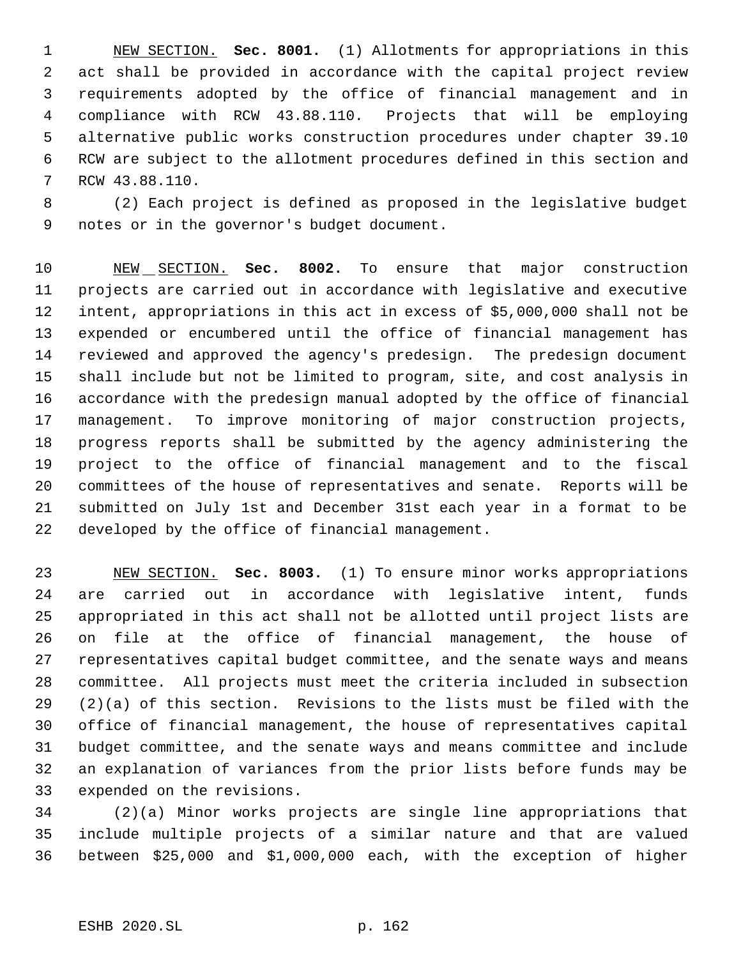NEW SECTION. **Sec. 8001.** (1) Allotments for appropriations in this act shall be provided in accordance with the capital project review requirements adopted by the office of financial management and in compliance with RCW 43.88.110. Projects that will be employing alternative public works construction procedures under chapter 39.10 RCW are subject to the allotment procedures defined in this section and RCW 43.88.110.

 (2) Each project is defined as proposed in the legislative budget notes or in the governor's budget document.

 NEW SECTION. **Sec. 8002.** To ensure that major construction projects are carried out in accordance with legislative and executive intent, appropriations in this act in excess of \$5,000,000 shall not be expended or encumbered until the office of financial management has reviewed and approved the agency's predesign. The predesign document shall include but not be limited to program, site, and cost analysis in accordance with the predesign manual adopted by the office of financial management. To improve monitoring of major construction projects, progress reports shall be submitted by the agency administering the project to the office of financial management and to the fiscal committees of the house of representatives and senate. Reports will be submitted on July 1st and December 31st each year in a format to be developed by the office of financial management.

 NEW SECTION. **Sec. 8003.** (1) To ensure minor works appropriations are carried out in accordance with legislative intent, funds appropriated in this act shall not be allotted until project lists are on file at the office of financial management, the house of representatives capital budget committee, and the senate ways and means committee. All projects must meet the criteria included in subsection (2)(a) of this section. Revisions to the lists must be filed with the office of financial management, the house of representatives capital budget committee, and the senate ways and means committee and include an explanation of variances from the prior lists before funds may be expended on the revisions.

 (2)(a) Minor works projects are single line appropriations that include multiple projects of a similar nature and that are valued between \$25,000 and \$1,000,000 each, with the exception of higher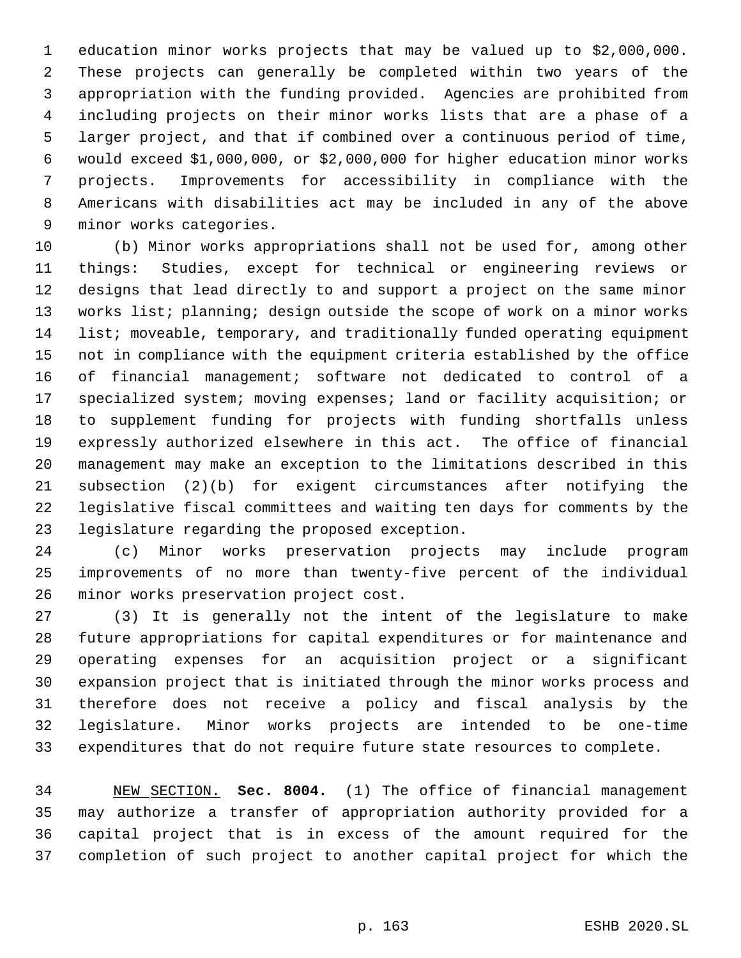education minor works projects that may be valued up to \$2,000,000. These projects can generally be completed within two years of the appropriation with the funding provided. Agencies are prohibited from including projects on their minor works lists that are a phase of a larger project, and that if combined over a continuous period of time, would exceed \$1,000,000, or \$2,000,000 for higher education minor works projects. Improvements for accessibility in compliance with the Americans with disabilities act may be included in any of the above minor works categories.

 (b) Minor works appropriations shall not be used for, among other things: Studies, except for technical or engineering reviews or designs that lead directly to and support a project on the same minor works list; planning; design outside the scope of work on a minor works list; moveable, temporary, and traditionally funded operating equipment not in compliance with the equipment criteria established by the office of financial management; software not dedicated to control of a specialized system; moving expenses; land or facility acquisition; or to supplement funding for projects with funding shortfalls unless expressly authorized elsewhere in this act. The office of financial management may make an exception to the limitations described in this subsection (2)(b) for exigent circumstances after notifying the legislative fiscal committees and waiting ten days for comments by the legislature regarding the proposed exception.

 (c) Minor works preservation projects may include program improvements of no more than twenty-five percent of the individual minor works preservation project cost.

 (3) It is generally not the intent of the legislature to make future appropriations for capital expenditures or for maintenance and operating expenses for an acquisition project or a significant expansion project that is initiated through the minor works process and therefore does not receive a policy and fiscal analysis by the legislature. Minor works projects are intended to be one-time expenditures that do not require future state resources to complete.

 NEW SECTION. **Sec. 8004.** (1) The office of financial management may authorize a transfer of appropriation authority provided for a capital project that is in excess of the amount required for the completion of such project to another capital project for which the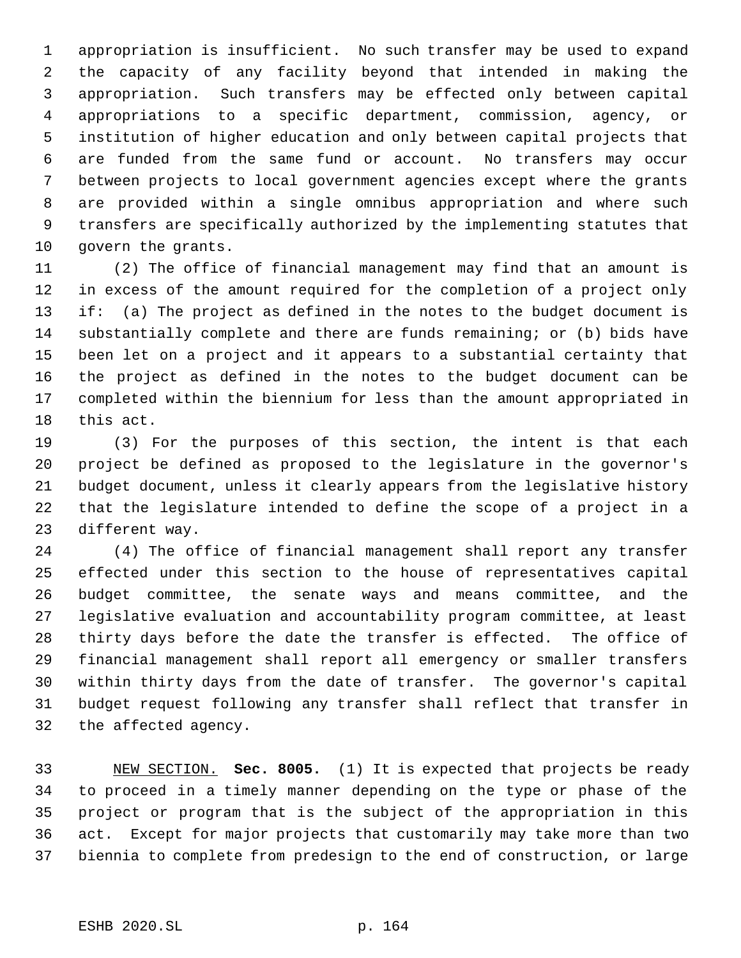appropriation is insufficient. No such transfer may be used to expand the capacity of any facility beyond that intended in making the appropriation. Such transfers may be effected only between capital appropriations to a specific department, commission, agency, or institution of higher education and only between capital projects that are funded from the same fund or account. No transfers may occur between projects to local government agencies except where the grants are provided within a single omnibus appropriation and where such transfers are specifically authorized by the implementing statutes that govern the grants.

 (2) The office of financial management may find that an amount is in excess of the amount required for the completion of a project only if: (a) The project as defined in the notes to the budget document is substantially complete and there are funds remaining; or (b) bids have been let on a project and it appears to a substantial certainty that the project as defined in the notes to the budget document can be completed within the biennium for less than the amount appropriated in this act.

 (3) For the purposes of this section, the intent is that each project be defined as proposed to the legislature in the governor's budget document, unless it clearly appears from the legislative history that the legislature intended to define the scope of a project in a different way.

 (4) The office of financial management shall report any transfer effected under this section to the house of representatives capital budget committee, the senate ways and means committee, and the legislative evaluation and accountability program committee, at least thirty days before the date the transfer is effected. The office of financial management shall report all emergency or smaller transfers within thirty days from the date of transfer. The governor's capital budget request following any transfer shall reflect that transfer in the affected agency.

 NEW SECTION. **Sec. 8005.** (1) It is expected that projects be ready to proceed in a timely manner depending on the type or phase of the project or program that is the subject of the appropriation in this act. Except for major projects that customarily may take more than two biennia to complete from predesign to the end of construction, or large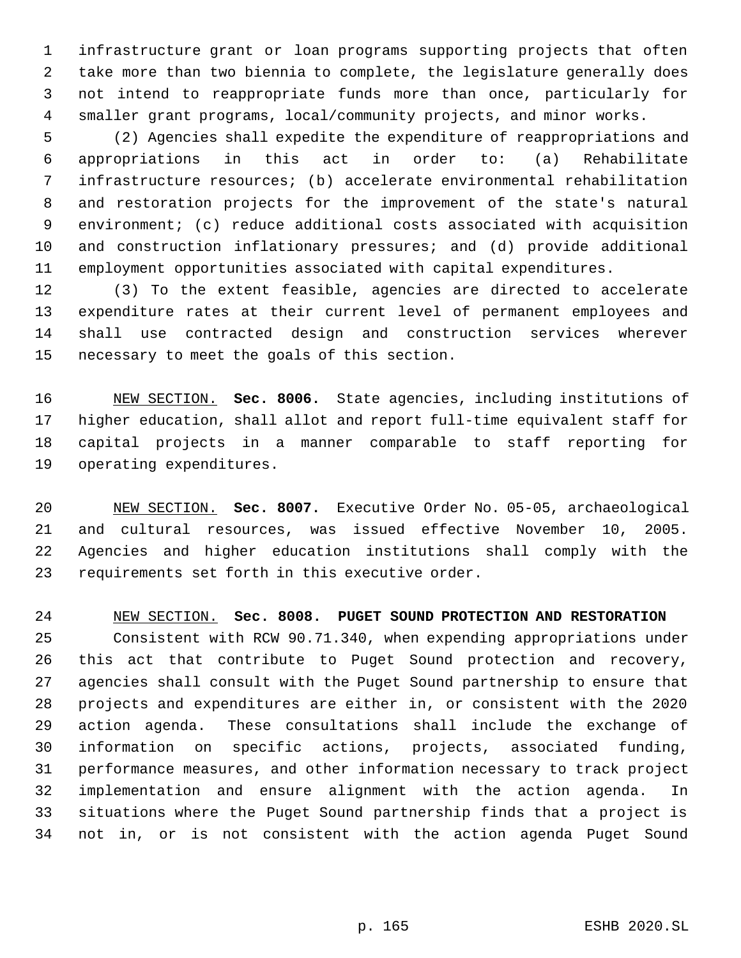infrastructure grant or loan programs supporting projects that often take more than two biennia to complete, the legislature generally does not intend to reappropriate funds more than once, particularly for smaller grant programs, local/community projects, and minor works.

 (2) Agencies shall expedite the expenditure of reappropriations and appropriations in this act in order to: (a) Rehabilitate infrastructure resources; (b) accelerate environmental rehabilitation and restoration projects for the improvement of the state's natural environment; (c) reduce additional costs associated with acquisition and construction inflationary pressures; and (d) provide additional employment opportunities associated with capital expenditures.

 (3) To the extent feasible, agencies are directed to accelerate expenditure rates at their current level of permanent employees and shall use contracted design and construction services wherever necessary to meet the goals of this section.

 NEW SECTION. **Sec. 8006.** State agencies, including institutions of higher education, shall allot and report full-time equivalent staff for capital projects in a manner comparable to staff reporting for operating expenditures.

 NEW SECTION. **Sec. 8007.** Executive Order No. 05-05, archaeological and cultural resources, was issued effective November 10, 2005. Agencies and higher education institutions shall comply with the requirements set forth in this executive order.

NEW SECTION. **Sec. 8008. PUGET SOUND PROTECTION AND RESTORATION**

 Consistent with RCW 90.71.340, when expending appropriations under this act that contribute to Puget Sound protection and recovery, agencies shall consult with the Puget Sound partnership to ensure that projects and expenditures are either in, or consistent with the 2020 action agenda. These consultations shall include the exchange of information on specific actions, projects, associated funding, performance measures, and other information necessary to track project implementation and ensure alignment with the action agenda. In situations where the Puget Sound partnership finds that a project is not in, or is not consistent with the action agenda Puget Sound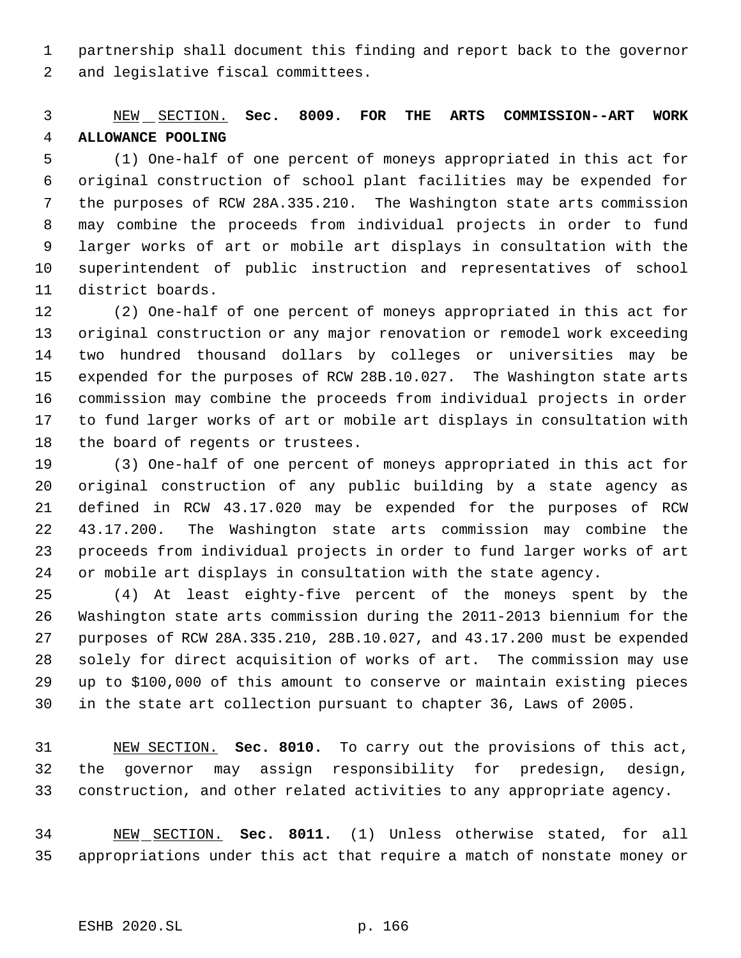partnership shall document this finding and report back to the governor and legislative fiscal committees.

# NEW SECTION. **Sec. 8009. FOR THE ARTS COMMISSION--ART WORK ALLOWANCE POOLING**

 (1) One-half of one percent of moneys appropriated in this act for original construction of school plant facilities may be expended for the purposes of RCW 28A.335.210. The Washington state arts commission may combine the proceeds from individual projects in order to fund larger works of art or mobile art displays in consultation with the superintendent of public instruction and representatives of school district boards.

 (2) One-half of one percent of moneys appropriated in this act for original construction or any major renovation or remodel work exceeding two hundred thousand dollars by colleges or universities may be expended for the purposes of RCW 28B.10.027. The Washington state arts commission may combine the proceeds from individual projects in order to fund larger works of art or mobile art displays in consultation with 18 the board of regents or trustees.

 (3) One-half of one percent of moneys appropriated in this act for original construction of any public building by a state agency as defined in RCW 43.17.020 may be expended for the purposes of RCW 43.17.200. The Washington state arts commission may combine the proceeds from individual projects in order to fund larger works of art or mobile art displays in consultation with the state agency.

 (4) At least eighty-five percent of the moneys spent by the Washington state arts commission during the 2011-2013 biennium for the purposes of RCW 28A.335.210, 28B.10.027, and 43.17.200 must be expended solely for direct acquisition of works of art. The commission may use up to \$100,000 of this amount to conserve or maintain existing pieces in the state art collection pursuant to chapter 36, Laws of 2005.

 NEW SECTION. **Sec. 8010.** To carry out the provisions of this act, the governor may assign responsibility for predesign, design, construction, and other related activities to any appropriate agency.

 NEW SECTION. **Sec. 8011.** (1) Unless otherwise stated, for all appropriations under this act that require a match of nonstate money or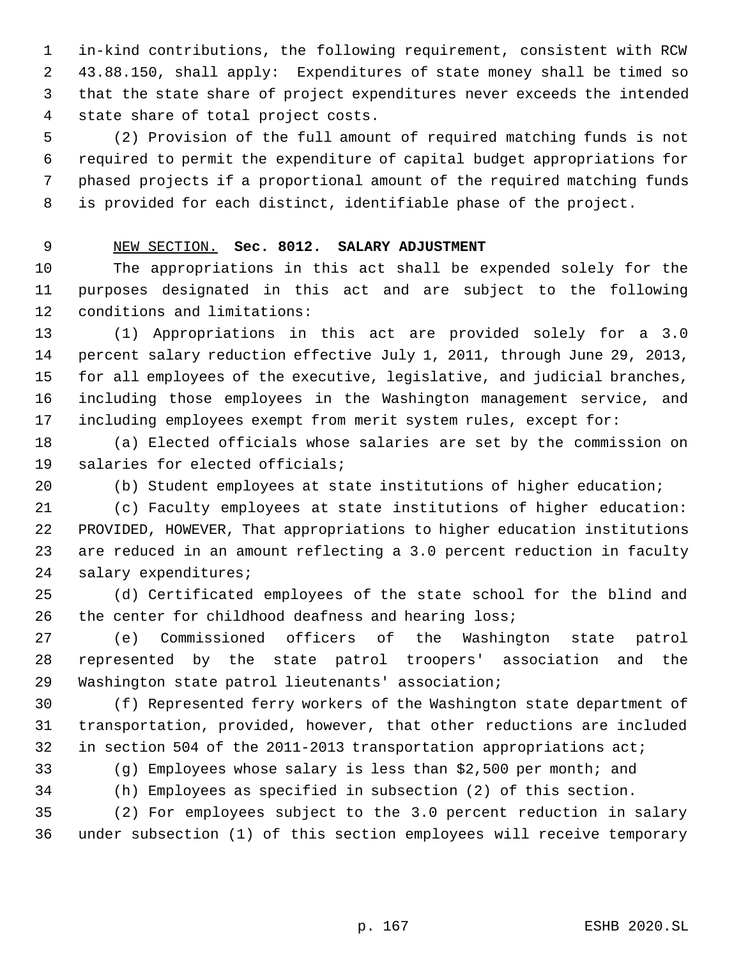in-kind contributions, the following requirement, consistent with RCW 43.88.150, shall apply: Expenditures of state money shall be timed so that the state share of project expenditures never exceeds the intended state share of total project costs.

 (2) Provision of the full amount of required matching funds is not required to permit the expenditure of capital budget appropriations for phased projects if a proportional amount of the required matching funds is provided for each distinct, identifiable phase of the project.

## NEW SECTION. **Sec. 8012. SALARY ADJUSTMENT**

 The appropriations in this act shall be expended solely for the purposes designated in this act and are subject to the following conditions and limitations:

 (1) Appropriations in this act are provided solely for a 3.0 percent salary reduction effective July 1, 2011, through June 29, 2013, for all employees of the executive, legislative, and judicial branches, including those employees in the Washington management service, and including employees exempt from merit system rules, except for:

 (a) Elected officials whose salaries are set by the commission on salaries for elected officials;

(b) Student employees at state institutions of higher education;

 (c) Faculty employees at state institutions of higher education: PROVIDED, HOWEVER, That appropriations to higher education institutions are reduced in an amount reflecting a 3.0 percent reduction in faculty salary expenditures;

 (d) Certificated employees of the state school for the blind and the center for childhood deafness and hearing loss;

 (e) Commissioned officers of the Washington state patrol represented by the state patrol troopers' association and the Washington state patrol lieutenants' association;

 (f) Represented ferry workers of the Washington state department of transportation, provided, however, that other reductions are included in section 504 of the 2011-2013 transportation appropriations act;

(g) Employees whose salary is less than \$2,500 per month; and

(h) Employees as specified in subsection (2) of this section.

 (2) For employees subject to the 3.0 percent reduction in salary under subsection (1) of this section employees will receive temporary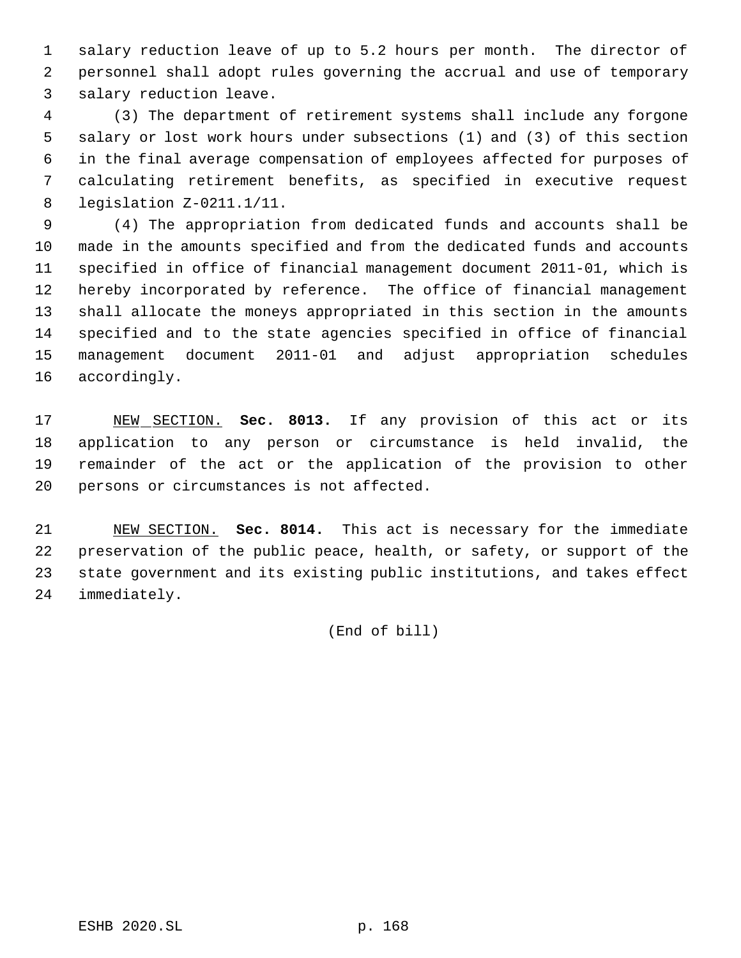salary reduction leave of up to 5.2 hours per month. The director of personnel shall adopt rules governing the accrual and use of temporary salary reduction leave.

 (3) The department of retirement systems shall include any forgone salary or lost work hours under subsections (1) and (3) of this section in the final average compensation of employees affected for purposes of calculating retirement benefits, as specified in executive request legislation Z-0211.1/11.

 (4) The appropriation from dedicated funds and accounts shall be made in the amounts specified and from the dedicated funds and accounts specified in office of financial management document 2011-01, which is hereby incorporated by reference. The office of financial management shall allocate the moneys appropriated in this section in the amounts specified and to the state agencies specified in office of financial management document 2011-01 and adjust appropriation schedules accordingly.

 NEW SECTION. **Sec. 8013.** If any provision of this act or its application to any person or circumstance is held invalid, the remainder of the act or the application of the provision to other persons or circumstances is not affected.

 NEW SECTION. **Sec. 8014.** This act is necessary for the immediate preservation of the public peace, health, or safety, or support of the state government and its existing public institutions, and takes effect immediately.

(End of bill)